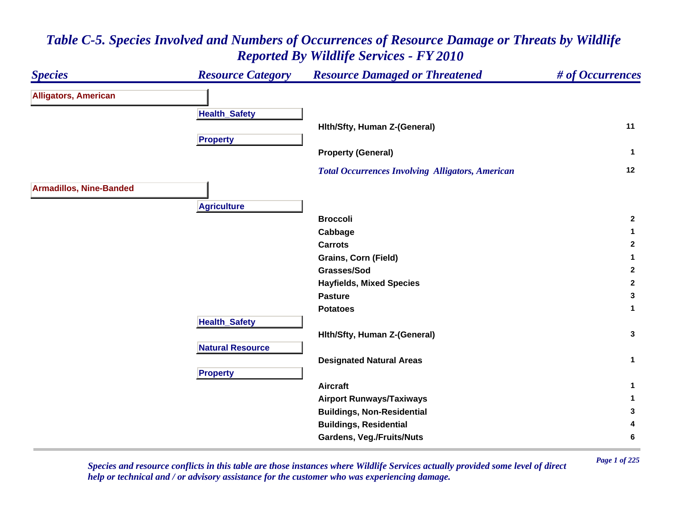#### *Species Resource Category Resource Damaged or Threatened # of Occurrences* **Alligators, American Health \_ Safet y Hlth/Sfty, Human Z-(General) <sup>11</sup> Propert y Property (General) <sup>1</sup>**  *Total Occurrences Involving Alligators, American* **<sup>12</sup> Armadillos, Nine-Banded A griculture Broccoli 2 Cabbage <sup>1</sup> Carrots 2 Grains, Corn (Field) <sup>1</sup> Grasses/Sod 2 Hayfields, Mixed Species <sup>2</sup> Pasture 3 Potatoes 1 HealthSafet y Hlth/Sfty, Human Z-(General) <sup>3</sup> Natural ResourceDesignated Natural Areas <sup>1</sup> Pro pert y Aircraft 1 Airport Runways/Taxiways <sup>1</sup> Buildings, Non-Residential <sup>3</sup> Buildings, Residential <sup>4</sup> Gardens, Veg./Fruits/Nuts <sup>6</sup>**

### *Table C-5. Species Involved and Numbers of Occurrences of Resource Damage or Threats by Wildlife Reported By Wildlife Services - FY 2010*

*Page 1 of 225 Species and resource conflicts in this table are those instances where Wildlife Services actually provided some level of direct help or technical and / or advisory assistance for the customer who was experiencing damage.*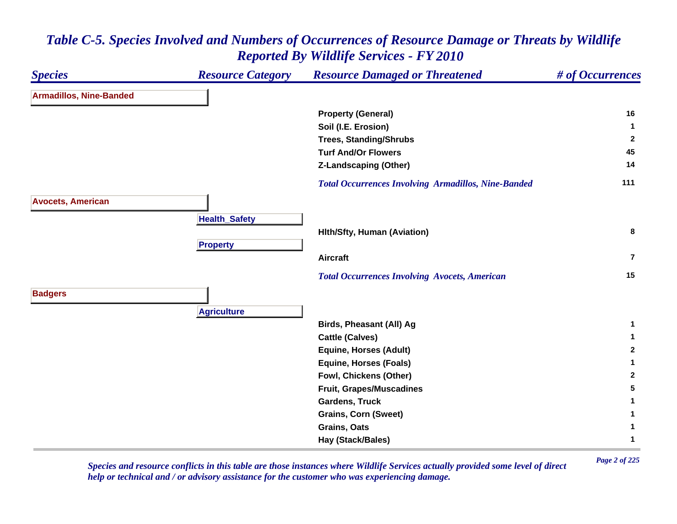#### *Species Resource Category Resource Damaged or Threatened # of Occurrences* **Armadillos, Nine-Banded Property (General) <sup>16</sup> Soil (I.E. Erosion) <sup>1</sup> Trees, Standing/Shrubs <sup>2</sup> Turf And/Or Flowers 45 Z-Landscaping (Other) <sup>14</sup>**  *Total Occurrences Involving Armadillos, Nine-Banded* **<sup>111</sup> Avocets, American HealthSafet y Hlth/Sfty, Human (Aviation) <sup>8</sup> Pro pert y Aircraft7** *Total Occurrences Involving Avocets, American* **<sup>15</sup> Badgers A griculture Birds, Pheasant (All) Ag <sup>1</sup> Cattle (Calves) <sup>1</sup> Equine, Horses (Adult) <sup>2</sup> Equine, Horses (Foals) <sup>1</sup> Fowl, Chickens (Other) <sup>2</sup> Fruit, Grapes/Muscadines <sup>5</sup> Gardens, Truck 1 Grains, Corn (Sweet) <sup>1</sup> Grains, Oats 1 Hay (Stack/Bales) <sup>1</sup>**

# *Table C-5. Species Involved and Numbers of Occurrences of Resource Damage or Threats by Wildlife Reported By Wildlife Services - FY 2010*

*Page 2 of 225 Species and resource conflicts in this table are those instances where Wildlife Services actually provided some level of direct help or technical and / or advisory assistance for the customer who was experiencing damage.*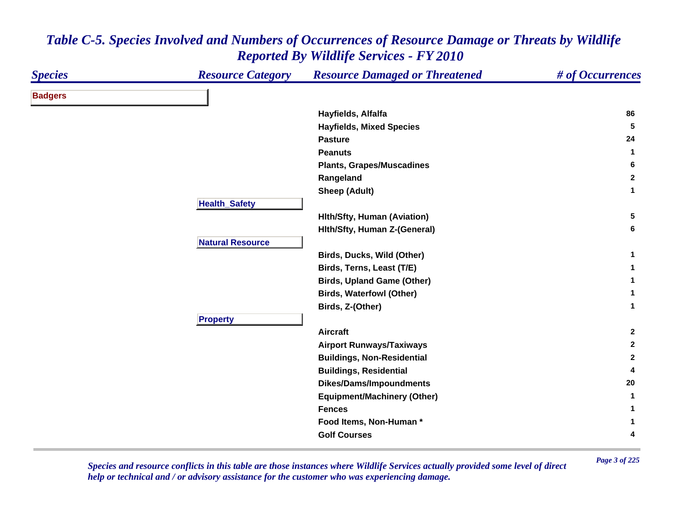| <b>Species</b> | <b>Resource Category</b> | <b>Resource Damaged or Threatened</b> | # of Occurrences |
|----------------|--------------------------|---------------------------------------|------------------|
| <b>Badgers</b> |                          |                                       |                  |
|                |                          | Hayfields, Alfalfa                    | 86               |
|                |                          | <b>Hayfields, Mixed Species</b>       | 5                |
|                |                          | <b>Pasture</b>                        | 24               |
|                |                          | <b>Peanuts</b>                        | $\mathbf{1}$     |
|                |                          | <b>Plants, Grapes/Muscadines</b>      | 6                |
|                |                          | Rangeland                             | $\mathbf{2}$     |
|                |                          | <b>Sheep (Adult)</b>                  | $\mathbf{1}$     |
|                | <b>Health_Safety</b>     |                                       |                  |
|                |                          | <b>Hith/Sfty, Human (Aviation)</b>    | 5                |
|                |                          | Hith/Sfty, Human Z-(General)          | 6                |
|                | <b>Natural Resource</b>  |                                       |                  |
|                |                          | Birds, Ducks, Wild (Other)            | $\mathbf{1}$     |
|                |                          | Birds, Terns, Least (T/E)             | $\mathbf 1$      |
|                |                          | <b>Birds, Upland Game (Other)</b>     | $\mathbf{1}$     |
|                |                          | <b>Birds, Waterfowl (Other)</b>       | $\mathbf{1}$     |
|                |                          | Birds, Z-(Other)                      | $\mathbf{1}$     |
|                | <b>Property</b>          |                                       |                  |
|                |                          | <b>Aircraft</b>                       | $\mathbf{2}$     |
|                |                          | <b>Airport Runways/Taxiways</b>       | $\mathbf{2}$     |
|                |                          | <b>Buildings, Non-Residential</b>     | $\mathbf{2}$     |
|                |                          | <b>Buildings, Residential</b>         | 4                |
|                |                          | <b>Dikes/Dams/Impoundments</b>        | 20               |
|                |                          | <b>Equipment/Machinery (Other)</b>    | 1                |
|                |                          | <b>Fences</b>                         | $\mathbf{1}$     |
|                |                          | Food Items, Non-Human*                | 1                |
|                |                          | <b>Golf Courses</b>                   | 4                |
|                |                          |                                       |                  |

*Page 3 of 225 Species and resource conflicts in this table are those instances where Wildlife Services actually provided some level of direct help or technical and / or advisory assistance for the customer who was experiencing damage.*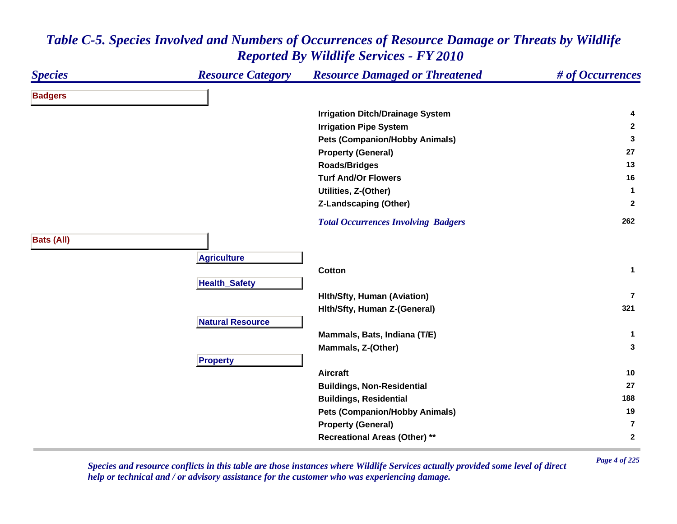#### *Species Resource Category Resource Damaged or Threatened # of Occurrences* **Badgers Irrigation Ditch/Drainage System <sup>4</sup> Irrigation Pipe System <sup>2</sup> Pets (Companion/Hobby Animals) <sup>3</sup> Property (General) <sup>27</sup> Roads/Bridges <sup>13</sup> Turf And/Or Flowers 16 Utilities, Z-(Other) <sup>1</sup> Z-Landscaping (Other) <sup>2</sup>**  *Total Occurrences Involving Badgers* **<sup>262</sup> Bats (All) A griculture Cotton 1 Health \_ Safet y Hlth/Sfty, Human (Aviation) 7Hlth/Sfty, Human Z-(General) <sup>321</sup> Natural ResourceMammals, Bats, Indiana (T/E) <sup>1</sup> Mammals, Z-(Other) <sup>3</sup> Propert y Aircraft 10 Buildings, Non-Residential <sup>27</sup> Buildings, Residential <sup>188</sup> Pets (Companion/Hobby Animals) <sup>19</sup> Property (General) 7Recreational Areas (Other) \*\* <sup>2</sup>**

### *Table C-5. Species Involved and Numbers of Occurrences of Resource Damage or Threats by Wildlife Reported By Wildlife Services - FY 2010*

*Page 4 of 225 Species and resource conflicts in this table are those instances where Wildlife Services actually provided some level of direct help or technical and / or advisory assistance for the customer who was experiencing damage.*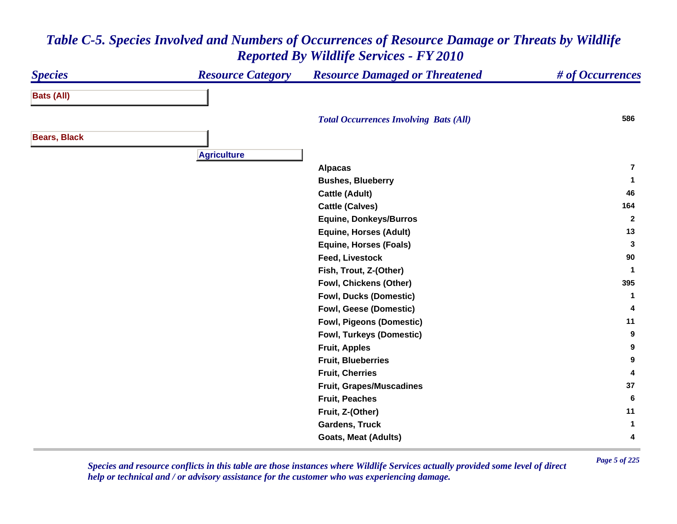#### *Species Resource Category Resource Damaged or Threatened # of Occurrences* **Bats (All)**  *Total Occurrences Involving Bats (All)* **<sup>586</sup> Bears, Black A griculture Alpacas 7Bushes, Blueberry <sup>1</sup> Cattle (Adult) <sup>46</sup> Cattle (Calves) <sup>164</sup> Equine, Donkeys/Burros <sup>2</sup> Equine, Horses (Adult) <sup>13</sup> Equine, Horses (Foals) <sup>3</sup> Feed, Livestock 90 Fish, Trout, Z-(Other) <sup>1</sup> Fowl, Chickens (Other) <sup>395</sup> Fowl, Ducks (Domestic) <sup>1</sup> Fowl, Geese (Domestic) <sup>4</sup> Fowl, Pigeons (Domestic) <sup>11</sup> Fowl, Turkeys (Domestic) <sup>9</sup> Fruit, Apples <sup>9</sup> Fruit, Blueberries 9 Fruit, Cherries 4 Fruit, Grapes/Muscadines <sup>37</sup> Fruit, Peaches 6 Fruit, Z-(Other) <sup>11</sup> Gardens, Truck 1 Goats, Meat (Adults) <sup>4</sup>**

# *Table C-5. Species Involved and Numbers of Occurrences of Resource Damage or Threats by Wildlife Reported By Wildlife Services - FY 2010*

*Page 5 of 225 Species and resource conflicts in this table are those instances where Wildlife Services actually provided some level of direct help or technical and / or advisory assistance for the customer who was experiencing damage.*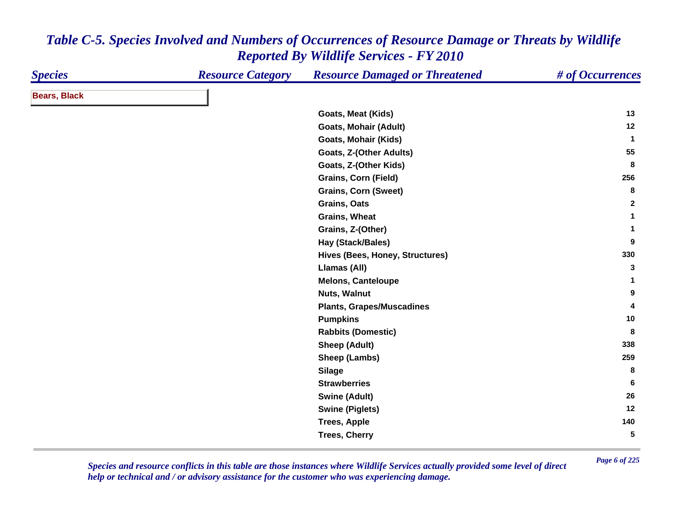| <b>Species</b>      | <b>Resource Category</b> | <b>Resource Damaged or Threatened</b> | # of Occurrences |
|---------------------|--------------------------|---------------------------------------|------------------|
| <b>Bears, Black</b> |                          |                                       |                  |
|                     |                          | Goats, Meat (Kids)                    | 13               |
|                     |                          | <b>Goats, Mohair (Adult)</b>          | 12               |
|                     |                          | <b>Goats, Mohair (Kids)</b>           | $\mathbf{1}$     |
|                     |                          | Goats, Z-(Other Adults)               | 55               |
|                     |                          | Goats, Z-(Other Kids)                 | 8                |
|                     |                          | Grains, Corn (Field)                  | 256              |
|                     |                          | <b>Grains, Corn (Sweet)</b>           | 8                |
|                     |                          | Grains, Oats                          | $\mathbf{2}$     |
|                     |                          | <b>Grains, Wheat</b>                  | $\mathbf{1}$     |
|                     |                          | Grains, Z-(Other)                     | $\mathbf 1$      |
|                     |                          | Hay (Stack/Bales)                     | 9                |
|                     |                          | Hives (Bees, Honey, Structures)       | 330              |
|                     |                          | Llamas (All)                          | 3                |
|                     |                          | <b>Melons, Canteloupe</b>             | 1                |
|                     |                          | Nuts, Walnut                          | 9                |
|                     |                          | <b>Plants, Grapes/Muscadines</b>      | 4                |
|                     |                          | <b>Pumpkins</b>                       | 10               |
|                     |                          | <b>Rabbits (Domestic)</b>             | 8                |
|                     |                          | <b>Sheep (Adult)</b>                  | 338              |
|                     |                          | Sheep (Lambs)                         | 259              |
|                     |                          | <b>Silage</b>                         | 8                |
|                     |                          | <b>Strawberries</b>                   | 6                |
|                     |                          | <b>Swine (Adult)</b>                  | 26               |
|                     |                          | <b>Swine (Piglets)</b>                | 12               |
|                     |                          | <b>Trees, Apple</b>                   | 140              |
|                     |                          | <b>Trees, Cherry</b>                  | 5                |

*Page 6 of 225 Species and resource conflicts in this table are those instances where Wildlife Services actually provided some level of direct help or technical and / or advisory assistance for the customer who was experiencing damage.*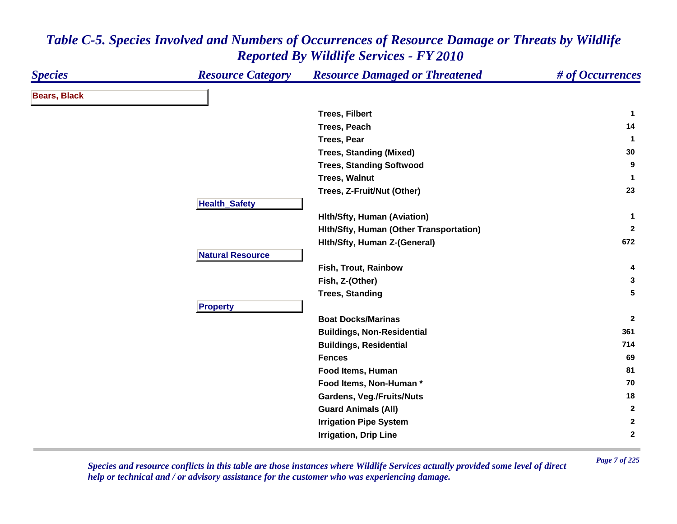| <b>Species</b>      | <b>Resource Category</b> | <b>Resource Damaged or Threatened</b>   | # of Occurrences |
|---------------------|--------------------------|-----------------------------------------|------------------|
| <b>Bears, Black</b> |                          |                                         |                  |
|                     |                          | <b>Trees, Filbert</b>                   | $\mathbf{1}$     |
|                     |                          | <b>Trees, Peach</b>                     | 14               |
|                     |                          | <b>Trees, Pear</b>                      | $\mathbf 1$      |
|                     |                          | <b>Trees, Standing (Mixed)</b>          | 30               |
|                     |                          | <b>Trees, Standing Softwood</b>         | 9                |
|                     |                          | <b>Trees, Walnut</b>                    | 1                |
|                     |                          | Trees, Z-Fruit/Nut (Other)              | 23               |
|                     | <b>Health_Safety</b>     |                                         |                  |
|                     |                          | <b>Hith/Sfty, Human (Aviation)</b>      | 1                |
|                     |                          | Hith/Sfty, Human (Other Transportation) | $\overline{2}$   |
|                     |                          | Hith/Sfty, Human Z-(General)            | 672              |
|                     | <b>Natural Resource</b>  |                                         |                  |
|                     |                          | Fish, Trout, Rainbow                    | 4                |
|                     |                          | Fish, Z-(Other)                         | 3                |
|                     |                          | <b>Trees, Standing</b>                  | 5                |
|                     | <b>Property</b>          |                                         |                  |
|                     |                          | <b>Boat Docks/Marinas</b>               | $\mathbf{2}$     |
|                     |                          | <b>Buildings, Non-Residential</b>       | 361              |
|                     |                          | <b>Buildings, Residential</b>           | 714              |
|                     |                          | <b>Fences</b>                           | 69               |
|                     |                          | Food Items, Human                       | 81               |
|                     |                          | Food Items, Non-Human*                  | 70               |
|                     |                          | Gardens, Veg./Fruits/Nuts               | 18               |
|                     |                          | <b>Guard Animals (All)</b>              | $\mathbf{2}$     |
|                     |                          | <b>Irrigation Pipe System</b>           | $\mathbf{2}$     |
|                     |                          | <b>Irrigation, Drip Line</b>            | $\mathbf{2}$     |
|                     |                          |                                         |                  |

*Page 7 of 225 Species and resource conflicts in this table are those instances where Wildlife Services actually provided some level of direct help or technical and / or advisory assistance for the customer who was experiencing damage.*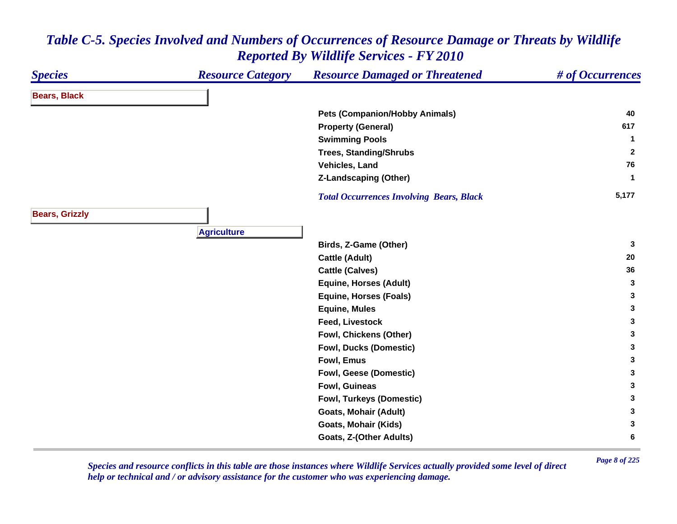### *Species Resource Category Resource Damaged or Threatened # of Occurrences* **Bears, Black Pets (Companion/Hobby Animals) <sup>40</sup> Property (General) <sup>617</sup> Swimming Pools <sup>1</sup> Trees, Standing/Shrubs <sup>2</sup> Vehicles, Land 76 Z-Landscaping (Other) <sup>1</sup>**  *Total Occurrences Involving Bears, Black* **5,177 Bears, Grizzly A griculture Birds, Z-Game (Other) <sup>3</sup> Cattle (Adult) <sup>20</sup> Cattle (Calves) <sup>36</sup> Equine, Horses (Adult) <sup>3</sup> Equine, Horses (Foals) <sup>3</sup> Equine, Mules <sup>3</sup> Feed, Livestock 3 Fowl, Chickens (Other) <sup>3</sup> Fowl, Ducks (Domestic) <sup>3</sup> Fowl, Emus 3 Fowl, Geese (Domestic) <sup>3</sup> Fowl, Guineas 3 Fowl, Turkeys (Domestic) <sup>3</sup> Goats, Mohair (Adult) <sup>3</sup> Goats, Mohair (Kids) <sup>3</sup> Goats, Z-(Other Adults) <sup>6</sup>**

### *Table C-5. Species Involved and Numbers of Occurrences of Resource Damage or Threats by Wildlife Reported By Wildlife Services - FY 2010*

*Page 8 of 225 Species and resource conflicts in this table are those instances where Wildlife Services actually provided some level of direct help or technical and / or advisory assistance for the customer who was experiencing damage.*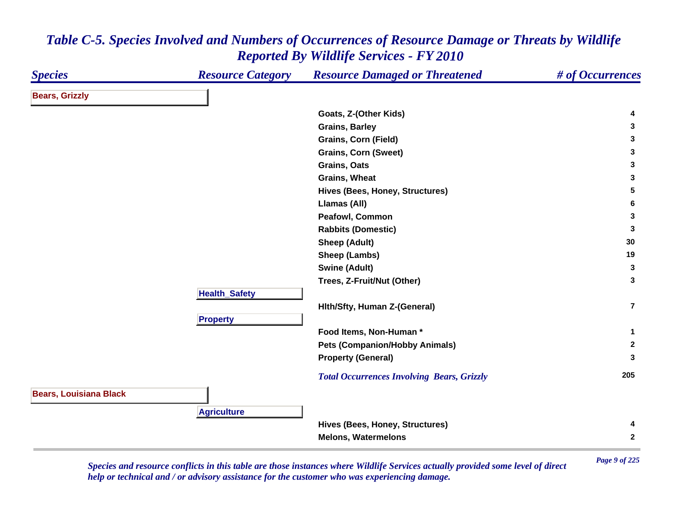| <b>Species</b>                | <b>Resource Category</b> | <b>Resource Damaged or Threatened</b>                         | # of Occurrences |
|-------------------------------|--------------------------|---------------------------------------------------------------|------------------|
| <b>Bears, Grizzly</b>         |                          |                                                               |                  |
|                               |                          | Goats, Z-(Other Kids)                                         | 4                |
|                               |                          | <b>Grains, Barley</b>                                         | 3                |
|                               |                          | <b>Grains, Corn (Field)</b>                                   | 3                |
|                               |                          | <b>Grains, Corn (Sweet)</b>                                   | 3                |
|                               |                          | Grains, Oats                                                  | 3                |
|                               |                          | <b>Grains, Wheat</b>                                          | 3                |
|                               |                          | Hives (Bees, Honey, Structures)                               | 5                |
|                               |                          | Llamas (All)                                                  | 6                |
|                               |                          | Peafowl, Common                                               | 3                |
|                               |                          | <b>Rabbits (Domestic)</b>                                     | 3                |
|                               |                          | <b>Sheep (Adult)</b>                                          | 30               |
|                               |                          | Sheep (Lambs)                                                 | 19               |
|                               |                          | <b>Swine (Adult)</b>                                          | 3                |
|                               |                          | Trees, Z-Fruit/Nut (Other)                                    | 3                |
|                               | <b>Health_Safety</b>     |                                                               |                  |
|                               |                          | Hith/Sfty, Human Z-(General)                                  | $\overline{7}$   |
|                               | <b>Property</b>          |                                                               |                  |
|                               |                          | Food Items, Non-Human*                                        | $\mathbf{1}$     |
|                               |                          | <b>Pets (Companion/Hobby Animals)</b>                         | $\mathbf{2}$     |
|                               |                          | <b>Property (General)</b>                                     | 3                |
|                               |                          | <b>Total Occurrences Involving Bears, Grizzly</b>             | 205              |
| <b>Bears, Louisiana Black</b> |                          |                                                               |                  |
|                               |                          |                                                               |                  |
|                               |                          |                                                               | 4                |
|                               |                          |                                                               | $\mathbf{2}$     |
|                               | <b>Agriculture</b>       | Hives (Bees, Honey, Structures)<br><b>Melons, Watermelons</b> |                  |

*Page 9 of 225 Species and resource conflicts in this table are those instances where Wildlife Services actually provided some level of direct help or technical and / or advisory assistance for the customer who was experiencing damage.*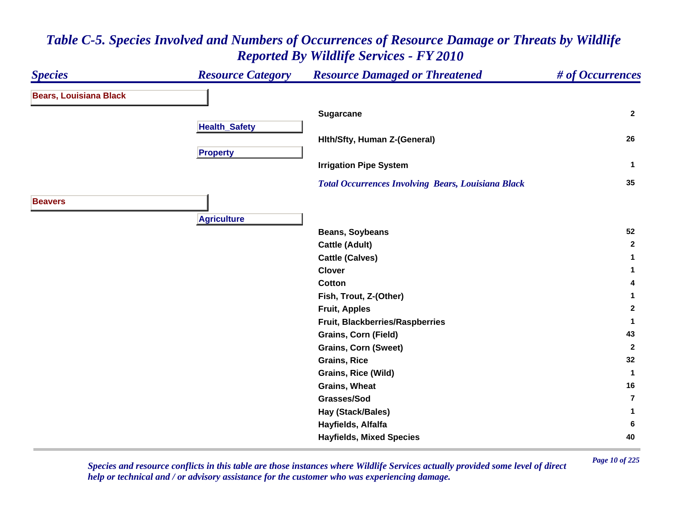

*Page 10 of 225 Species and resource conflicts in this table are those instances where Wildlife Services actually provided some level of direct help or technical and / or advisory assistance for the customer who was experiencing damage.*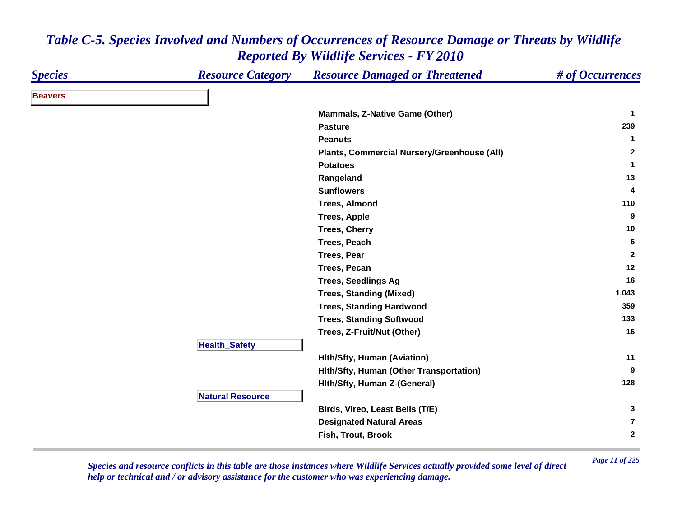| <b>Species</b> | <b>Resource Category</b> | <b>Resource Damaged or Threatened</b>       | # of Occurrences |
|----------------|--------------------------|---------------------------------------------|------------------|
| <b>Beavers</b> |                          |                                             |                  |
|                |                          | <b>Mammals, Z-Native Game (Other)</b>       | -1               |
|                |                          | <b>Pasture</b>                              | 239              |
|                |                          | <b>Peanuts</b>                              | $\mathbf 1$      |
|                |                          | Plants, Commercial Nursery/Greenhouse (All) | $\mathbf{2}$     |
|                |                          | <b>Potatoes</b>                             | $\mathbf 1$      |
|                |                          | Rangeland                                   | 13               |
|                |                          | <b>Sunflowers</b>                           | 4                |
|                |                          | <b>Trees, Almond</b>                        | 110              |
|                |                          | <b>Trees, Apple</b>                         | 9                |
|                |                          | <b>Trees, Cherry</b>                        | 10               |
|                |                          | Trees, Peach                                | 6                |
|                |                          | <b>Trees, Pear</b>                          | $\mathbf{2}$     |
|                |                          | <b>Trees, Pecan</b>                         | 12               |
|                |                          | <b>Trees, Seedlings Ag</b>                  | 16               |
|                |                          | <b>Trees, Standing (Mixed)</b>              | 1,043            |
|                |                          | <b>Trees, Standing Hardwood</b>             | 359              |
|                |                          | <b>Trees, Standing Softwood</b>             | 133              |
|                |                          | Trees, Z-Fruit/Nut (Other)                  | 16               |
|                | <b>Health_Safety</b>     |                                             |                  |
|                |                          | <b>Hith/Sfty, Human (Aviation)</b>          | 11               |
|                |                          | Hith/Sfty, Human (Other Transportation)     | 9                |
|                |                          | Hith/Sfty, Human Z-(General)                | 128              |
|                | <b>Natural Resource</b>  |                                             |                  |
|                |                          | Birds, Vireo, Least Bells (T/E)             | 3                |
|                |                          | <b>Designated Natural Areas</b>             | $\overline{7}$   |
|                |                          | Fish, Trout, Brook                          | $\mathbf{2}$     |

*Page 11 of 225 Species and resource conflicts in this table are those instances where Wildlife Services actually provided some level of direct help or technical and / or advisory assistance for the customer who was experiencing damage.*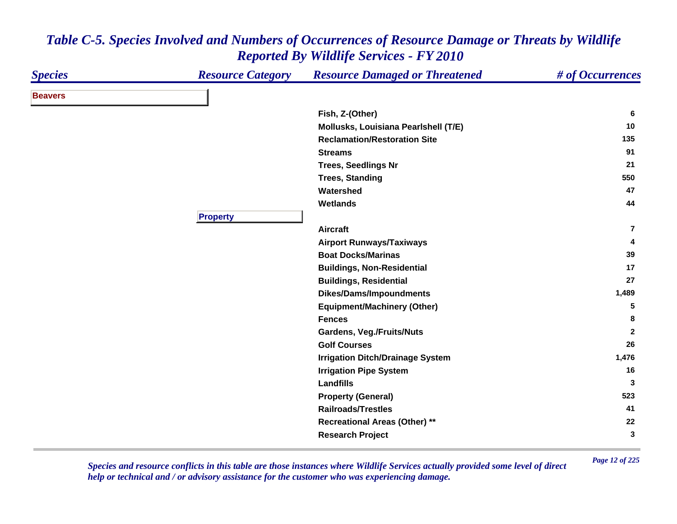| <b>Species</b> | <b>Resource Category</b> | <b>Resource Damaged or Threatened</b>   | # of Occurrences |
|----------------|--------------------------|-----------------------------------------|------------------|
| <b>Beavers</b> |                          |                                         |                  |
|                |                          | Fish, Z-(Other)                         | 6                |
|                |                          | Mollusks, Louisiana Pearlshell (T/E)    | 10               |
|                |                          | <b>Reclamation/Restoration Site</b>     | 135              |
|                |                          | <b>Streams</b>                          | 91               |
|                |                          | <b>Trees, Seedlings Nr</b>              | 21               |
|                |                          | <b>Trees, Standing</b>                  | 550              |
|                |                          | Watershed                               | 47               |
|                |                          | <b>Wetlands</b>                         | 44               |
|                | <b>Property</b>          |                                         |                  |
|                |                          | <b>Aircraft</b>                         | $\overline{7}$   |
|                |                          | <b>Airport Runways/Taxiways</b>         | 4                |
|                |                          | <b>Boat Docks/Marinas</b>               | 39               |
|                |                          | <b>Buildings, Non-Residential</b>       | 17               |
|                |                          | <b>Buildings, Residential</b>           | 27               |
|                |                          | <b>Dikes/Dams/Impoundments</b>          | 1,489            |
|                |                          | <b>Equipment/Machinery (Other)</b>      | 5                |
|                |                          | <b>Fences</b>                           | 8                |
|                |                          | <b>Gardens, Veg./Fruits/Nuts</b>        | $\mathbf{2}$     |
|                |                          | <b>Golf Courses</b>                     | 26               |
|                |                          | <b>Irrigation Ditch/Drainage System</b> | 1,476            |
|                |                          | <b>Irrigation Pipe System</b>           | 16               |
|                |                          | <b>Landfills</b>                        | 3                |
|                |                          | <b>Property (General)</b>               | 523              |
|                |                          | <b>Railroads/Trestles</b>               | 41               |
|                |                          | <b>Recreational Areas (Other) **</b>    | 22               |
|                |                          | <b>Research Project</b>                 | 3                |

*Page 12 of 225 Species and resource conflicts in this table are those instances where Wildlife Services actually provided some level of direct help or technical and / or advisory assistance for the customer who was experiencing damage.*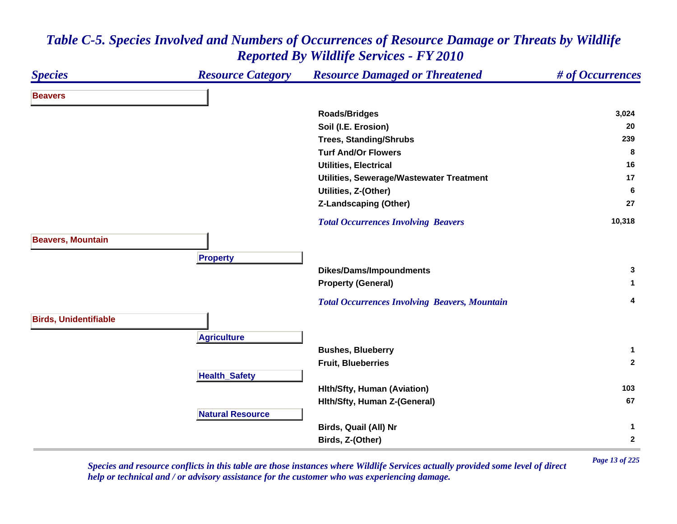### *Species Resource Category Resource Damaged or Threatened # of Occurrences* **BeaversRoads/Bridges 3,024 Soil (I.E. Erosion) <sup>20</sup> Trees, Standing/Shrubs <sup>239</sup> Turf And/Or Flowers 8 Utilities, Electrical 16 Utilities, Sewerage/Wastewater Treatment <sup>17</sup> Utilities, Z-(Other) <sup>6</sup> Z-Landscaping (Other) <sup>27</sup>**  *Total Occurrences Involving Beavers* **10,318 Beavers, Mountain Pro pert y Dikes/Dams/Impoundments <sup>3</sup> Property (General) <sup>1</sup>**  *Total Occurrences Involving Beavers, Mountain* **<sup>4</sup> Birds, Unidentifiable A griculture Bushes, Blueberry <sup>1</sup> Fruit, Blueberries 2 Health \_ Safet y Hlth/Sfty, Human (Aviation) <sup>103</sup> Hlth/Sfty, Human Z-(General) <sup>67</sup> Natural ResourceBirds, Quail (All) Nr <sup>1</sup> Birds, Z-(Other) <sup>2</sup>**

### *Table C-5. Species Involved and Numbers of Occurrences of Resource Damage or Threats by Wildlife Reported By Wildlife Services - FY 2010*

*Page 13 of 225 Species and resource conflicts in this table are those instances where Wildlife Services actually provided some level of direct help or technical and / or advisory assistance for the customer who was experiencing damage.*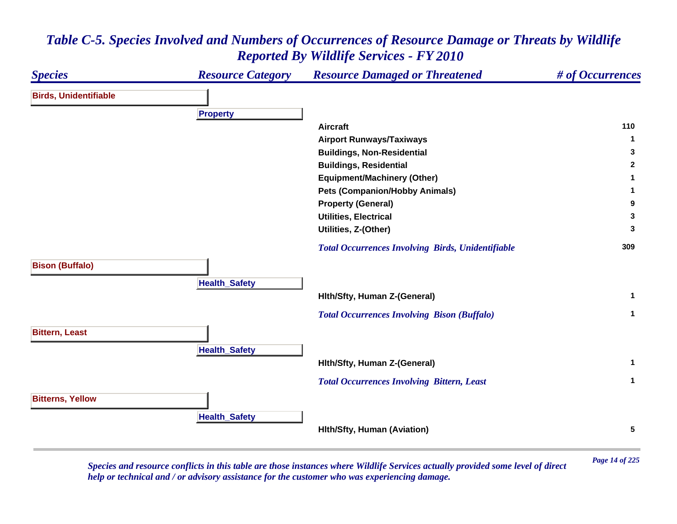### *Species Resource Category Resource Damaged or Threatened # of Occurrences* **Birds, Unidentifiable Pro pert y Aircraft 110 Airport Runways/Taxiways <sup>1</sup> Buildings, Non-Residential <sup>3</sup> Buildings, Residential <sup>2</sup> Equipment/Machinery (Other) <sup>1</sup> Pets (Companion/Hobby Animals) <sup>1</sup> Property (General) <sup>9</sup> Utilities, Electrical 3 Utilities, Z-(Other) <sup>3</sup>**  *Total Occurrences Involving Birds, Unidentifiable* **<sup>309</sup> Bison (Buffalo) Health \_ Safet y Hlth/Sfty, Human Z-(General) <sup>1</sup>**  *Total Occurrences Involving Bison (Buffalo)* **<sup>1</sup> Bittern, Least HealthSafet y Hlth/Sfty, Human Z-(General) <sup>1</sup>**  *Total Occurrences Involving Bittern, Least* **<sup>1</sup> Bitterns, Yellow Health \_ Safet y Hlth/Sfty, Human (Aviation) <sup>5</sup>**

### *Table C-5. Species Involved and Numbers of Occurrences of Resource Damage or Threats by Wildlife Reported By Wildlife Services - FY 2010*

*Page 14 of 225 Species and resource conflicts in this table are those instances where Wildlife Services actually provided some level of direct help or technical and / or advisory assistance for the customer who was experiencing damage.*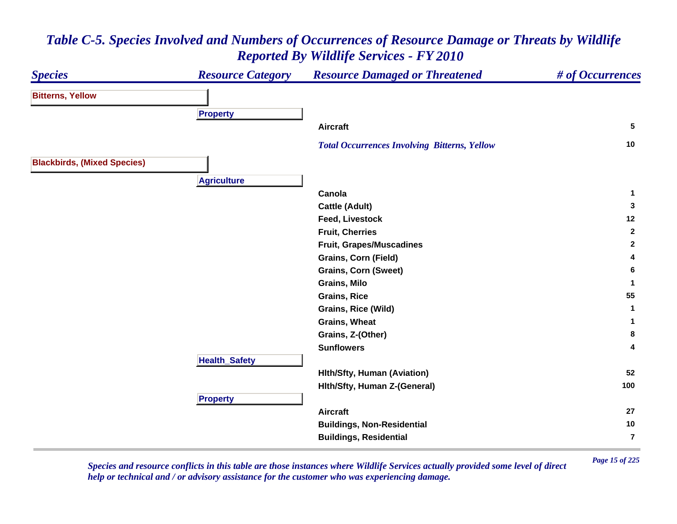#### *Species Resource Category Resource Damaged or Threatened # of Occurrences* **Bitterns, Yellow Pro pert y Aircraft 5**  *Total Occurrences Involving Bitterns, Yellow* **<sup>10</sup> Blackbirds, (Mixed Species) Agriculture Canolaa** 1 **Cattle (Adult) <sup>3</sup> Feed, Livestock 12 Fruit, Cherries 2 Fruit, Grapes/Muscadines <sup>2</sup> Grains, Corn (Field) <sup>4</sup> Grains, Corn (Sweet) <sup>6</sup> Grains, Milo 1 Grains, Rice 55 Grains, Rice (Wild) <sup>1</sup> Grains, Wheat 1 Grains, Z-(Other) <sup>8</sup> Sunflowers 4 HealthSafet y Hlth/Sfty, Human (Aviation) <sup>52</sup> Hlth/Sfty, Human Z-(General) <sup>100</sup> Propert y Aircraft 27 Buildings, Non-Residential <sup>10</sup> Buildings, Residential 7**

# *Table C-5. Species Involved and Numbers of Occurrences of Resource Damage or Threats by Wildlife Reported By Wildlife Services - FY 2010*

*Page 15 of 225 Species and resource conflicts in this table are those instances where Wildlife Services actually provided some level of direct help or technical and / or advisory assistance for the customer who was experiencing damage.*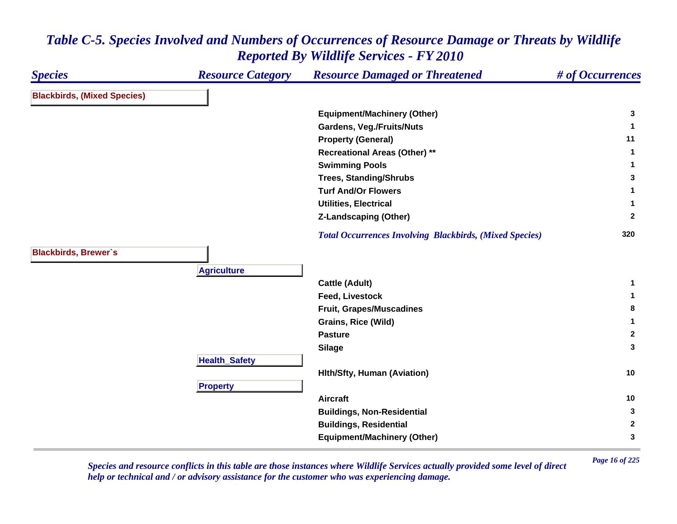#### *Species Resource Category Resource Damaged or Threatened # of Occurrences* **Blackbirds, (Mixed Species) Equipment/Machinery (Other) <sup>3</sup> Gardens, Veg./Fruits/Nuts <sup>1</sup> Property (General) <sup>11</sup> Recreational Areas (Other) \*\* <sup>1</sup> Swimming Pools <sup>1</sup> Trees, Standing/Shrubs <sup>3</sup> Turf And/Or Flowers 1 Utilities, Electrical 1 Z-Landscaping (Other) <sup>2</sup>**  *Total Occurrences Involving Blackbirds, (Mixed Species)* **<sup>320</sup> Blackbirds, Brewer`s A griculture Cattle (Adult) <sup>1</sup> Feed, Livestock 1 Fruit, Grapes/Muscadines <sup>8</sup> Grains, Rice (Wild) <sup>1</sup> Pasture 2 Silage <sup>3</sup> HealthSafet y Hlth/Sfty, Human (Aviation) <sup>10</sup> Pro pert y Aircraft 10 Buildings, Non-Residential <sup>3</sup> Buildings, Residential <sup>2</sup> Equipment/Machinery (Other) <sup>3</sup>**

### *Table C-5. Species Involved and Numbers of Occurrences of Resource Damage or Threats by Wildlife Reported By Wildlife Services - FY 2010*

*Page 16 of 225 Species and resource conflicts in this table are those instances where Wildlife Services actually provided some level of direct help or technical and / or advisory assistance for the customer who was experiencing damage.*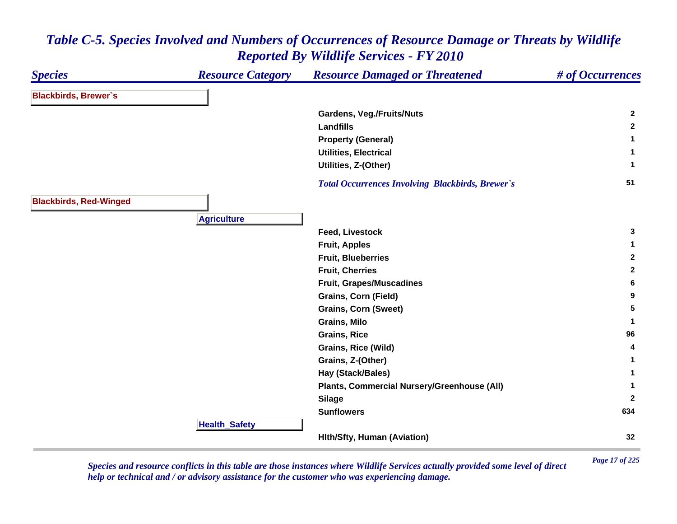#### *Species Resource Category Resource Damaged or Threatened # of Occurrences* **Blackbirds, Brewer`s Gardens, Veg./Fruits/Nuts <sup>2</sup> Landfills 2 Property (General) <sup>1</sup> Utilities, Electrical 1 Utilities, Z-(Other) <sup>1</sup>**  *Total Occurrences Involving Blackbirds, Brewer`s* **<sup>51</sup> Blackbirds, Red-Winged Agriculture Feed, Livestock 3 Fruit, Apples <sup>1</sup> Fruit, Blueberries 2 Fruit, Cherries 2 Fruit, Grapes/Muscadines <sup>6</sup> Grains, Corn (Field) <sup>9</sup> Grains, Corn (Sweet) <sup>5</sup> Grains, Milo 1 Grains, Rice 96 Grains, Rice (Wild) <sup>4</sup> Grains, Z-(Other) <sup>1</sup> Hay (Stack/Bales) <sup>1</sup> Plants, Commercial Nursery/Greenhouse (All) <sup>1</sup> Silage <sup>2</sup> Sunflowers 634 HealthSafet y Hlth/Sfty, Human (Aviation) <sup>32</sup>**

### *Table C-5. Species Involved and Numbers of Occurrences of Resource Damage or Threats by Wildlife Reported By Wildlife Services - FY 2010*

*Page 17 of 225 Species and resource conflicts in this table are those instances where Wildlife Services actually provided some level of direct help or technical and / or advisory assistance for the customer who was experiencing damage.*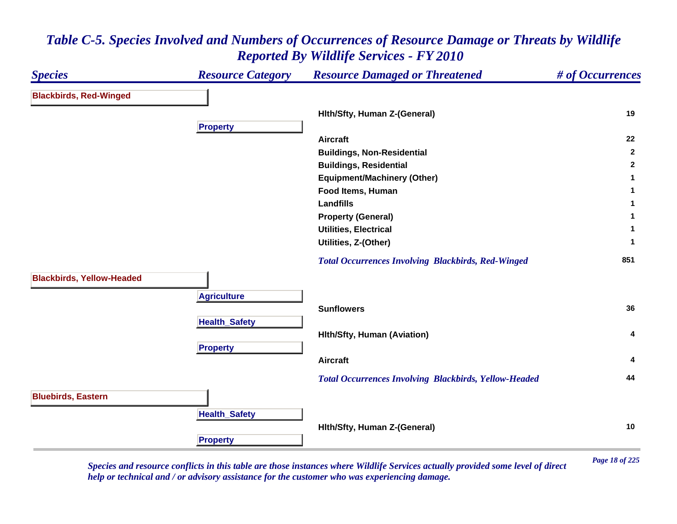

*Page 18 of 225 Species and resource conflicts in this table are those instances where Wildlife Services actually provided some level of direct help or technical and / or advisory assistance for the customer who was experiencing damage.*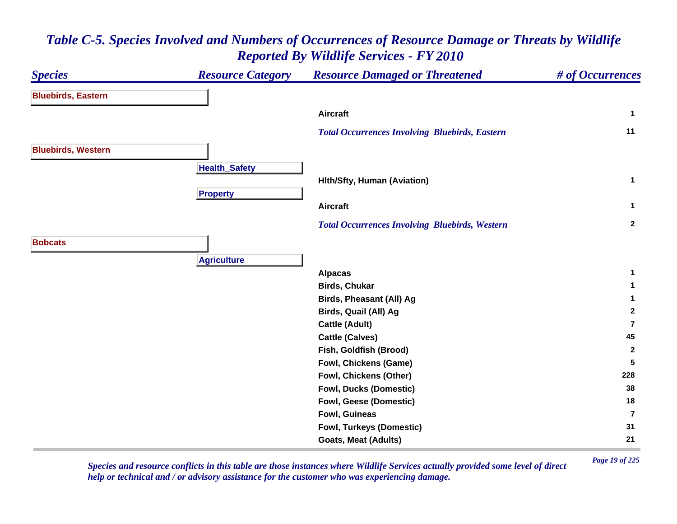| <b>Species</b>            | <b>Resource Category</b> | <b>Resource Damaged or Threatened</b>                 | # of Occurrences |
|---------------------------|--------------------------|-------------------------------------------------------|------------------|
| <b>Bluebirds, Eastern</b> |                          |                                                       |                  |
|                           |                          | <b>Aircraft</b>                                       | $\mathbf{1}$     |
|                           |                          | <b>Total Occurrences Involving Bluebirds, Eastern</b> | 11               |
| <b>Bluebirds, Western</b> |                          |                                                       |                  |
|                           | <b>Health_Safety</b>     |                                                       |                  |
|                           |                          | <b>Hith/Sfty, Human (Aviation)</b>                    | $\mathbf 1$      |
|                           | <b>Property</b>          |                                                       |                  |
|                           |                          | <b>Aircraft</b>                                       | $\mathbf{1}$     |
|                           |                          | <b>Total Occurrences Involving Bluebirds, Western</b> | $\mathbf{2}$     |
| <b>Bobcats</b>            |                          |                                                       |                  |
|                           | <b>Agriculture</b>       |                                                       |                  |
|                           |                          | <b>Alpacas</b>                                        | 1                |
|                           |                          | <b>Birds, Chukar</b>                                  | 1                |
|                           |                          | Birds, Pheasant (All) Ag                              | 1                |
|                           |                          | Birds, Quail (All) Ag                                 | $\mathbf{2}$     |
|                           |                          | <b>Cattle (Adult)</b>                                 | $\overline{7}$   |
|                           |                          | <b>Cattle (Calves)</b>                                | 45               |
|                           |                          | Fish, Goldfish (Brood)                                | $\mathbf{2}$     |
|                           |                          | Fowl, Chickens (Game)                                 | $5\phantom{.0}$  |
|                           |                          | Fowl, Chickens (Other)                                | 228              |
|                           |                          | <b>Fowl, Ducks (Domestic)</b>                         | 38               |
|                           |                          | Fowl, Geese (Domestic)                                | 18               |
|                           |                          | Fowl, Guineas                                         | $\overline{7}$   |
|                           |                          | <b>Fowl, Turkeys (Domestic)</b>                       | 31               |
|                           |                          | <b>Goats, Meat (Adults)</b>                           | 21               |

*Page 19 of 225 Species and resource conflicts in this table are those instances where Wildlife Services actually provided some level of direct help or technical and / or advisory assistance for the customer who was experiencing damage.*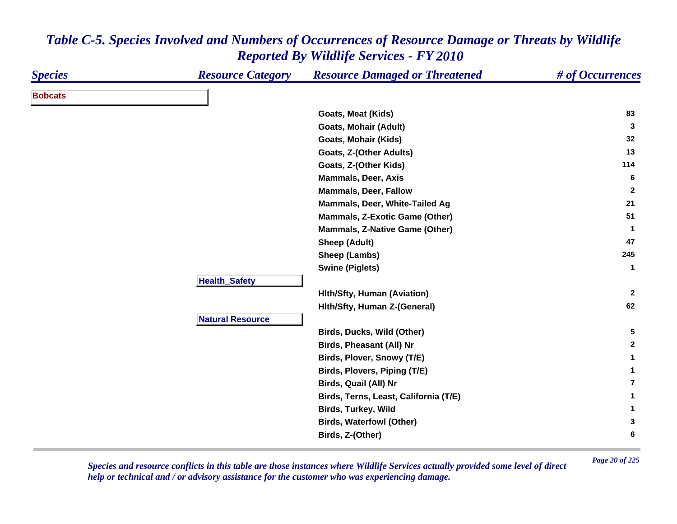| <b>Species</b> | <b>Resource Category</b> | <b>Resource Damaged or Threatened</b> | # of Occurrences        |
|----------------|--------------------------|---------------------------------------|-------------------------|
| <b>Bobcats</b> |                          |                                       |                         |
|                |                          | Goats, Meat (Kids)                    | 83                      |
|                |                          | <b>Goats, Mohair (Adult)</b>          | 3                       |
|                |                          | Goats, Mohair (Kids)                  | 32                      |
|                |                          | Goats, Z-(Other Adults)               | 13                      |
|                |                          | Goats, Z-(Other Kids)                 | 114                     |
|                |                          | <b>Mammals, Deer, Axis</b>            | 6                       |
|                |                          | <b>Mammals, Deer, Fallow</b>          | $\mathbf{2}$            |
|                |                          | Mammals, Deer, White-Tailed Ag        | 21                      |
|                |                          | <b>Mammals, Z-Exotic Game (Other)</b> | 51                      |
|                |                          | <b>Mammals, Z-Native Game (Other)</b> | -1                      |
|                |                          | <b>Sheep (Adult)</b>                  | 47                      |
|                |                          | Sheep (Lambs)                         | 245                     |
|                |                          | <b>Swine (Piglets)</b>                | $\mathbf{1}$            |
|                | <b>Health_Safety</b>     |                                       |                         |
|                |                          | <b>Hith/Sfty, Human (Aviation)</b>    | $\overline{2}$          |
|                |                          | Hith/Sfty, Human Z-(General)          | 62                      |
|                | <b>Natural Resource</b>  |                                       |                         |
|                |                          | Birds, Ducks, Wild (Other)            | 5                       |
|                |                          | <b>Birds, Pheasant (All) Nr</b>       | $\mathbf{2}$            |
|                |                          | Birds, Plover, Snowy (T/E)            | $\mathbf{1}$            |
|                |                          | Birds, Plovers, Piping (T/E)          | 1                       |
|                |                          | Birds, Quail (All) Nr                 | $\overline{\mathbf{r}}$ |
|                |                          | Birds, Terns, Least, California (T/E) | 1                       |
|                |                          | Birds, Turkey, Wild                   | 1                       |
|                |                          | <b>Birds, Waterfowl (Other)</b>       | 3                       |
|                |                          | Birds, Z-(Other)                      | 6                       |
|                |                          |                                       |                         |

*Page 20 of 225 Species and resource conflicts in this table are those instances where Wildlife Services actually provided some level of direct help or technical and / or advisory assistance for the customer who was experiencing damage.*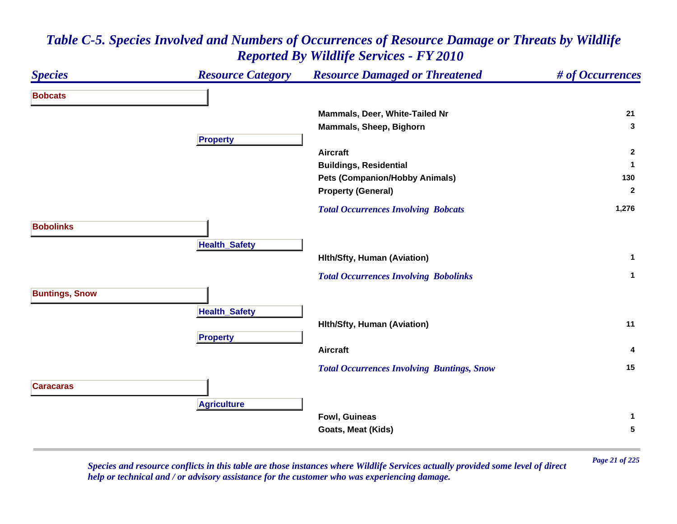### *Species Resource Category Resource Damaged or Threatened # of Occurrences* **BobcatsMammals, Deer, White-Tailed Nr 21 Mammals, Sheep, Bighorn <sup>3</sup> Propert y Aircraft 2 Buildings, Residential <sup>1</sup> Pets (Companion/Hobby Animals) <sup>130</sup> Property (General) <sup>2</sup>**  *Total Occurrences Involving Bobcats* **1,276 BobolinksHealthSafet y Hlth/Sfty, Human (Aviation) <sup>1</sup>**  *Total Occurrences Involving Bobolinks* **<sup>1</sup> Buntings, Snow HealthSafet y Hlth/Sfty, Human (Aviation) <sup>11</sup> Pro pert y Aircraft 4**  *Total Occurrences Involving Buntings, Snow* **<sup>15</sup> CaracarasAgriculture Fowl, Guineas 1 Goats, Meat (Kids) 5**

### *Table C-5. Species Involved and Numbers of Occurrences of Resource Damage or Threats by Wildlife Reported By Wildlife Services - FY 2010*

*Page 21 of 225 Species and resource conflicts in this table are those instances where Wildlife Services actually provided some level of direct help or technical and / or advisory assistance for the customer who was experiencing damage.*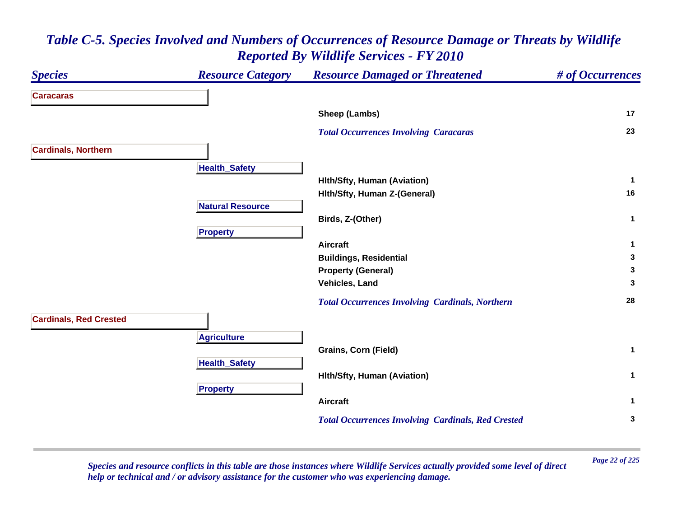| <b>Species</b>                | <b>Resource Category</b> | <b>Resource Damaged or Threatened</b>                     | # of Occurrences |
|-------------------------------|--------------------------|-----------------------------------------------------------|------------------|
| <b>Caracaras</b>              |                          |                                                           |                  |
|                               |                          | Sheep (Lambs)                                             | 17               |
|                               |                          | <b>Total Occurrences Involving Caracaras</b>              | 23               |
| <b>Cardinals, Northern</b>    |                          |                                                           |                  |
|                               | <b>Health_Safety</b>     |                                                           |                  |
|                               |                          | <b>Hith/Sfty, Human (Aviation)</b>                        | $\mathbf{1}$     |
|                               |                          | Hith/Sfty, Human Z-(General)                              | 16               |
|                               | <b>Natural Resource</b>  |                                                           |                  |
|                               |                          | Birds, Z-(Other)                                          | $\mathbf{1}$     |
|                               | <b>Property</b>          |                                                           |                  |
|                               |                          | <b>Aircraft</b>                                           | $\mathbf{1}$     |
|                               |                          | <b>Buildings, Residential</b>                             | 3                |
|                               |                          | <b>Property (General)</b>                                 | 3                |
|                               |                          | Vehicles, Land                                            | 3                |
|                               |                          | <b>Total Occurrences Involving Cardinals, Northern</b>    | 28               |
| <b>Cardinals, Red Crested</b> |                          |                                                           |                  |
|                               | <b>Agriculture</b>       |                                                           |                  |
|                               |                          | <b>Grains, Corn (Field)</b>                               | $\mathbf{1}$     |
|                               | <b>Health_Safety</b>     |                                                           |                  |
|                               |                          | <b>Hith/Sfty, Human (Aviation)</b>                        | $\mathbf 1$      |
|                               | <b>Property</b>          |                                                           |                  |
|                               |                          | <b>Aircraft</b>                                           | $\mathbf 1$      |
|                               |                          | <b>Total Occurrences Involving Cardinals, Red Crested</b> | 3                |

*Page 22 of 225 Species and resource conflicts in this table are those instances where Wildlife Services actually provided some level of direct help or technical and / or advisory assistance for the customer who was experiencing damage.*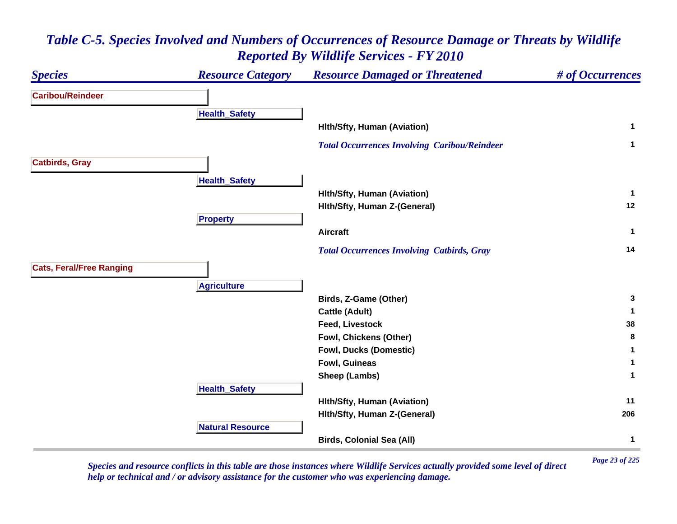

*Page 23 of 225 Species and resource conflicts in this table are those instances where Wildlife Services actually provided some level of direct help or technical and / or advisory assistance for the customer who was experiencing damage.*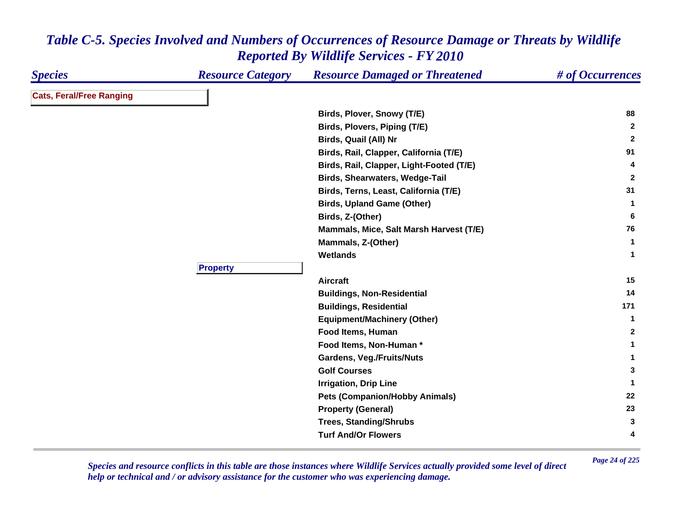| <b>Species</b>                  | <b>Resource Category</b> | <b>Resource Damaged or Threatened</b>    | # of Occurrences |
|---------------------------------|--------------------------|------------------------------------------|------------------|
| <b>Cats, Feral/Free Ranging</b> |                          |                                          |                  |
|                                 |                          | Birds, Plover, Snowy (T/E)               | 88               |
|                                 |                          | Birds, Plovers, Piping (T/E)             | $\mathbf{2}$     |
|                                 |                          | Birds, Quail (All) Nr                    | $\overline{2}$   |
|                                 |                          | Birds, Rail, Clapper, California (T/E)   | 91               |
|                                 |                          | Birds, Rail, Clapper, Light-Footed (T/E) | 4                |
|                                 |                          | <b>Birds, Shearwaters, Wedge-Tail</b>    | $\mathbf{2}$     |
|                                 |                          | Birds, Terns, Least, California (T/E)    | 31               |
|                                 |                          | <b>Birds, Upland Game (Other)</b>        | 1                |
|                                 |                          | Birds, Z-(Other)                         | 6                |
|                                 |                          | Mammals, Mice, Salt Marsh Harvest (T/E)  | 76               |
|                                 |                          | Mammals, Z-(Other)                       | $\mathbf{1}$     |
|                                 |                          | <b>Wetlands</b>                          | -1               |
|                                 | <b>Property</b>          |                                          |                  |
|                                 |                          | <b>Aircraft</b>                          | 15               |
|                                 |                          | <b>Buildings, Non-Residential</b>        | 14               |
|                                 |                          | <b>Buildings, Residential</b>            | 171              |
|                                 |                          | <b>Equipment/Machinery (Other)</b>       | 1                |
|                                 |                          | Food Items, Human                        | $\mathbf{2}$     |
|                                 |                          | Food Items, Non-Human*                   | 1                |
|                                 |                          | <b>Gardens, Veg./Fruits/Nuts</b>         | 1                |
|                                 |                          | <b>Golf Courses</b>                      | 3                |
|                                 |                          | <b>Irrigation, Drip Line</b>             | -1               |
|                                 |                          | <b>Pets (Companion/Hobby Animals)</b>    | 22               |
|                                 |                          | <b>Property (General)</b>                | 23               |
|                                 |                          | <b>Trees, Standing/Shrubs</b>            | 3                |
|                                 |                          | <b>Turf And/Or Flowers</b>               | 4                |
|                                 |                          |                                          |                  |

*Page 24 of 225 Species and resource conflicts in this table are those instances where Wildlife Services actually provided some level of direct help or technical and / or advisory assistance for the customer who was experiencing damage.*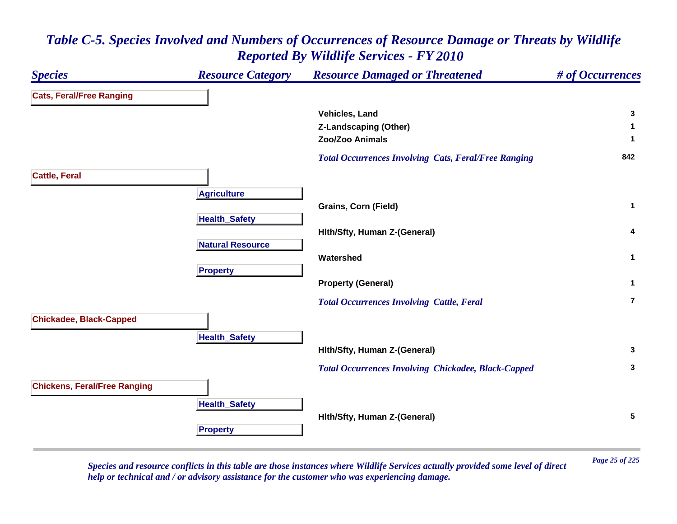### *Species Resource Category Resource Damaged or Threatened # of Occurrences* **Cats, Feral/Free Ranging Vehicles, Land 3 Z-Landscaping (Other) <sup>1</sup> Zoo/Zoo Animals 1**  *Total Occurrences Involving Cats, Feral/Free Ranging* **<sup>842</sup> Cattle, Feral A griculture Grains, Corn (Field) <sup>1</sup> HealthSafet y Hlth/Sfty, Human Z-(General) <sup>4</sup> Natural ResourceWatershed 1 Pro pert y Property (General) <sup>1</sup>**  *Total Occurrences Involving Cattle, Feral* **7Chickadee, Black-Capped Health \_ Safet y Hlth/Sfty, Human Z-(General) <sup>3</sup>**  *Total Occurrences Involving Chickadee, Black-Capped* **<sup>3</sup> Chickens, Feral/Free Ranging HealthSafet y Hlth/Sfty, Human Z-(General) <sup>5</sup> Propert y**

### *Table C-5. Species Involved and Numbers of Occurrences of Resource Damage or Threats by Wildlife Reported By Wildlife Services - FY 2010*

*Page 25 of 225 Species and resource conflicts in this table are those instances where Wildlife Services actually provided some level of direct help or technical and / or advisory assistance for the customer who was experiencing damage.*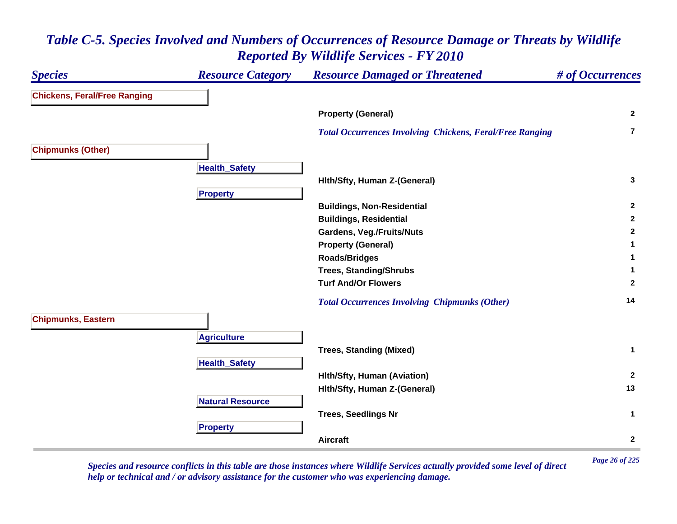#### *Species Resource Category Resource Damaged or Threatened # of Occurrences* **Chickens, Feral/Free Ranging Property (General) <sup>2</sup>**  *Total Occurrences Involving Chickens, Feral/Free Ranging* **7Chipmunks (Other) HealthSafet y Hlth/Sfty, Human Z-(General) <sup>3</sup> Pro pert y Buildings, Non-Residential <sup>2</sup> Buildings, Residential <sup>2</sup> Gardens, Veg./Fruits/Nuts <sup>2</sup> Property (General) <sup>1</sup> Roads/Bridges <sup>1</sup> Trees, Standing/Shrubs <sup>1</sup> Turf And/Or Flowers 2**  *Total Occurrences Involving Chipmunks (Other)* **<sup>14</sup> Chipmunks, Eastern A griculture Trees, Standing (Mixed) <sup>1</sup> HealthSafet y Hlth/Sfty, Human (Aviation) <sup>2</sup> Hlth/Sfty, Human Z-(General) <sup>13</sup> Natural ResourceTrees, Seedlings Nr <sup>1</sup> Propert y Aircraft2**

### *Table C-5. Species Involved and Numbers of Occurrences of Resource Damage or Threats by Wildlife Reported By Wildlife Services - FY 2010*

*Page 26 of 225 Species and resource conflicts in this table are those instances where Wildlife Services actually provided some level of direct help or technical and / or advisory assistance for the customer who was experiencing damage.*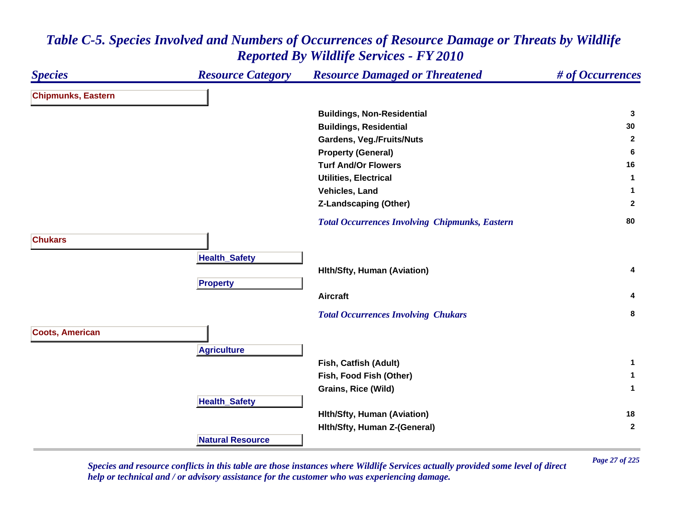#### *Species Resource Category Resource Damaged or Threatened # of Occurrences* **Chipmunks, Eastern Buildings, Non-Residential <sup>3</sup> Buildings, Residential <sup>30</sup> Gardens, Veg./Fruits/Nuts <sup>2</sup> Property (General) <sup>6</sup> Turf And/Or Flowers 16 Utilities, Electrical 1 Vehicles, Land 1 Z-Landscaping (Other) <sup>2</sup>**  *Total Occurrences Involving Chipmunks, Eastern* **<sup>80</sup> ChukarsHealthSafet y Hlth/Sfty, Human (Aviation) <sup>4</sup> Pro pert y Aircraft 4**  *Total Occurrences Involving Chukars* **<sup>8</sup> Coots, American A griculture Fish, Catfish (Adult) <sup>1</sup> Fish, Food Fish (Other) <sup>1</sup> Grains, Rice (Wild) <sup>1</sup> HealthSafet y Hlth/Sfty, Human (Aviation) <sup>18</sup> Hlth/Sfty, Human Z-(General) <sup>2</sup> Natural Resource**

### *Table C-5. Species Involved and Numbers of Occurrences of Resource Damage or Threats by Wildlife Reported By Wildlife Services - FY 2010*

*Page 27 of 225 Species and resource conflicts in this table are those instances where Wildlife Services actually provided some level of direct help or technical and / or advisory assistance for the customer who was experiencing damage.*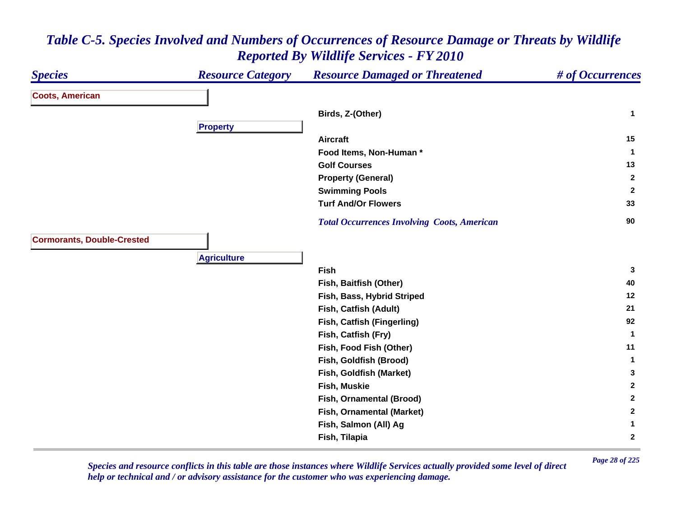| <b>Species</b>                    | <b>Resource Category</b> | <b>Resource Damaged or Threatened</b>              | # of Occurrences |
|-----------------------------------|--------------------------|----------------------------------------------------|------------------|
| <b>Coots, American</b>            |                          |                                                    |                  |
|                                   |                          | Birds, Z-(Other)                                   | $\mathbf{1}$     |
|                                   | <b>Property</b>          |                                                    |                  |
|                                   |                          | <b>Aircraft</b>                                    | 15               |
|                                   |                          | Food Items, Non-Human*                             | $\mathbf{1}$     |
|                                   |                          | <b>Golf Courses</b>                                | 13               |
|                                   |                          | <b>Property (General)</b>                          | $\mathbf{2}$     |
|                                   |                          | <b>Swimming Pools</b>                              | $\mathbf{2}$     |
|                                   |                          | <b>Turf And/Or Flowers</b>                         | 33               |
|                                   |                          | <b>Total Occurrences Involving Coots, American</b> | 90               |
| <b>Cormorants, Double-Crested</b> |                          |                                                    |                  |
|                                   | <b>Agriculture</b>       |                                                    |                  |
|                                   |                          | Fish                                               | 3                |
|                                   |                          | Fish, Baitfish (Other)                             | 40               |
|                                   |                          | Fish, Bass, Hybrid Striped                         | 12               |
|                                   |                          | Fish, Catfish (Adult)                              | 21               |
|                                   |                          | Fish, Catfish (Fingerling)                         | 92               |
|                                   |                          | Fish, Catfish (Fry)                                | $\mathbf{1}$     |
|                                   |                          | Fish, Food Fish (Other)                            | 11               |
|                                   |                          | Fish, Goldfish (Brood)                             | $\mathbf{1}$     |
|                                   |                          | Fish, Goldfish (Market)                            | 3                |
|                                   |                          | Fish, Muskie                                       | $\overline{2}$   |
|                                   |                          | Fish, Ornamental (Brood)                           | $\mathbf{2}$     |
|                                   |                          | Fish, Ornamental (Market)                          | $\mathbf{2}$     |
|                                   |                          | Fish, Salmon (All) Ag                              | $\mathbf{1}$     |
|                                   |                          | Fish, Tilapia                                      | $\boldsymbol{2}$ |

*Page 28 of 225 Species and resource conflicts in this table are those instances where Wildlife Services actually provided some level of direct help or technical and / or advisory assistance for the customer who was experiencing damage.*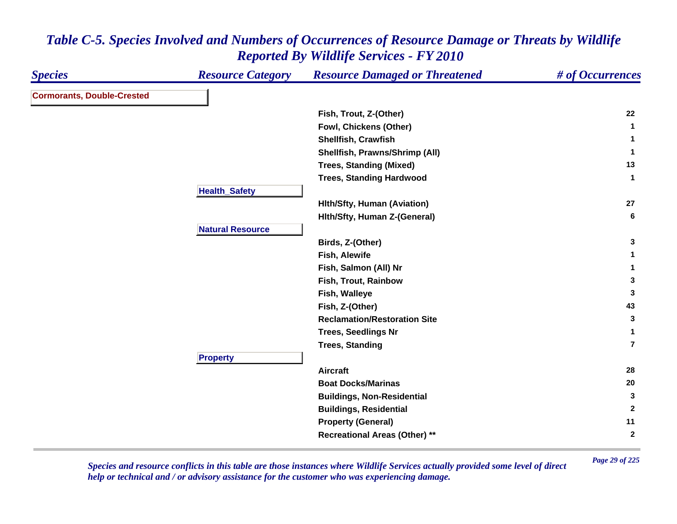| <b>Species</b>                    | <b>Resource Category</b> | <b>Resource Damaged or Threatened</b> | # of Occurrences |
|-----------------------------------|--------------------------|---------------------------------------|------------------|
| <b>Cormorants, Double-Crested</b> |                          |                                       |                  |
|                                   |                          | Fish, Trout, Z-(Other)                | 22               |
|                                   |                          | Fowl, Chickens (Other)                | $\mathbf 1$      |
|                                   |                          | <b>Shellfish, Crawfish</b>            | $\mathbf 1$      |
|                                   |                          | Shellfish, Prawns/Shrimp (All)        | $\mathbf{1}$     |
|                                   |                          | <b>Trees, Standing (Mixed)</b>        | 13               |
|                                   |                          | <b>Trees, Standing Hardwood</b>       | $\mathbf{1}$     |
|                                   | <b>Health_Safety</b>     |                                       |                  |
|                                   |                          | <b>Hith/Sfty, Human (Aviation)</b>    | 27               |
|                                   |                          | Hith/Sfty, Human Z-(General)          | 6                |
|                                   | <b>Natural Resource</b>  |                                       |                  |
|                                   |                          | Birds, Z-(Other)                      | 3                |
|                                   |                          | Fish, Alewife                         | $\mathbf 1$      |
|                                   |                          | Fish, Salmon (All) Nr                 | 1                |
|                                   |                          | Fish, Trout, Rainbow                  | $\mathbf{3}$     |
|                                   |                          | Fish, Walleye                         | 3                |
|                                   |                          | Fish, Z-(Other)                       | 43               |
|                                   |                          | <b>Reclamation/Restoration Site</b>   | 3                |
|                                   |                          | <b>Trees, Seedlings Nr</b>            | $\mathbf{1}$     |
|                                   |                          | <b>Trees, Standing</b>                | $\overline{7}$   |
|                                   | <b>Property</b>          |                                       |                  |
|                                   |                          | <b>Aircraft</b>                       | 28               |
|                                   |                          | <b>Boat Docks/Marinas</b>             | 20               |
|                                   |                          | <b>Buildings, Non-Residential</b>     | 3                |
|                                   |                          | <b>Buildings, Residential</b>         | $\mathbf{2}$     |
|                                   |                          | <b>Property (General)</b>             | 11               |
|                                   |                          | <b>Recreational Areas (Other) **</b>  | $\mathbf{2}$     |

*Page 29 of 225 Species and resource conflicts in this table are those instances where Wildlife Services actually provided some level of direct help or technical and / or advisory assistance for the customer who was experiencing damage.*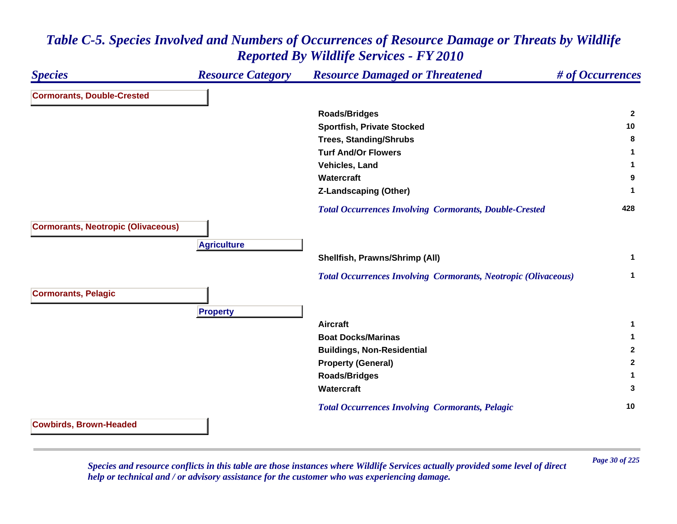

*Page 30 of 225 Species and resource conflicts in this table are those instances where Wildlife Services actually provided some level of direct help or technical and / or advisory assistance for the customer who was experiencing damage.*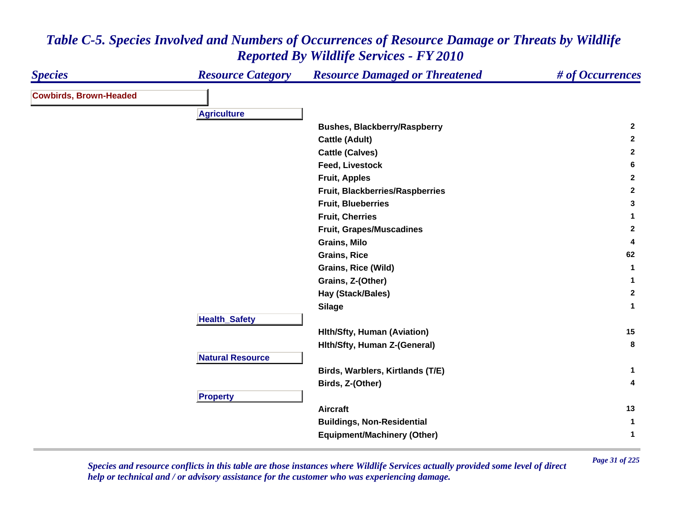| <b>Species</b>                | <b>Resource Category</b> | <b>Resource Damaged or Threatened</b>  | # of Occurrences |
|-------------------------------|--------------------------|----------------------------------------|------------------|
| <b>Cowbirds, Brown-Headed</b> |                          |                                        |                  |
|                               | <b>Agriculture</b>       |                                        |                  |
|                               |                          | <b>Bushes, Blackberry/Raspberry</b>    | $\overline{2}$   |
|                               |                          | <b>Cattle (Adult)</b>                  | $\mathbf{2}$     |
|                               |                          | <b>Cattle (Calves)</b>                 | $\overline{2}$   |
|                               |                          | Feed, Livestock                        | $6\phantom{1}$   |
|                               |                          | <b>Fruit, Apples</b>                   | $\overline{2}$   |
|                               |                          | Fruit, Blackberries/Raspberries        | $\mathbf{2}$     |
|                               |                          | <b>Fruit, Blueberries</b>              | $\mathbf{3}$     |
|                               |                          | <b>Fruit, Cherries</b>                 | $\mathbf{1}$     |
|                               |                          | <b>Fruit, Grapes/Muscadines</b>        | $\mathbf{2}$     |
|                               |                          | Grains, Milo                           | 4                |
|                               |                          | <b>Grains, Rice</b>                    | 62               |
|                               |                          | Grains, Rice (Wild)                    | $\mathbf{1}$     |
|                               |                          |                                        | $\mathbf{1}$     |
|                               |                          | Grains, Z-(Other)<br>Hay (Stack/Bales) | $\mathbf{2}$     |
|                               |                          |                                        | $\mathbf{1}$     |
|                               | <b>Health_Safety</b>     | <b>Silage</b>                          |                  |
|                               |                          |                                        | 15               |
|                               |                          | <b>Hith/Sfty, Human (Aviation)</b>     | 8                |
|                               |                          | Hith/Sfty, Human Z-(General)           |                  |
|                               | <b>Natural Resource</b>  |                                        |                  |
|                               |                          | Birds, Warblers, Kirtlands (T/E)       | $\mathbf{1}$     |
|                               |                          | Birds, Z-(Other)                       | 4                |
|                               | <b>Property</b>          |                                        |                  |
|                               |                          | <b>Aircraft</b>                        | 13               |
|                               |                          | <b>Buildings, Non-Residential</b>      | 1                |
|                               |                          | <b>Equipment/Machinery (Other)</b>     | $\mathbf{1}$     |

*Page 31 of 225 Species and resource conflicts in this table are those instances where Wildlife Services actually provided some level of direct help or technical and / or advisory assistance for the customer who was experiencing damage.*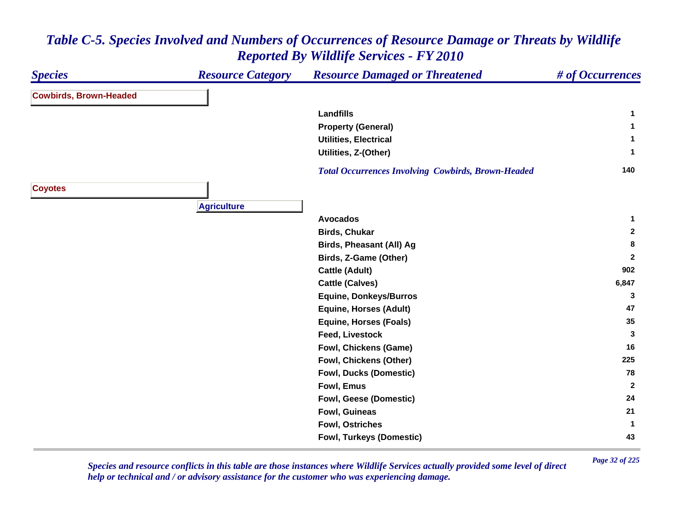#### *Species Resource Category Resource Damaged or Threatened # of Occurrences* **Cowbirds, Brown-Headed Landfills 1 Property (General) <sup>1</sup> Utilities, Electrical 1 Utilities, Z-(Other) <sup>1</sup>**  *Total Occurrences Involving Cowbirds, Brown-Headed* **<sup>140</sup> Coyotes Agriculture Avocados 1 Birds, Chukar 2 Birds, Pheasant (All) Ag <sup>8</sup> Birds, Z-Game (Other) <sup>2</sup> Cattle (Adult) <sup>902</sup> Cattle (Calves) 6,847 Equine, Donkeys/Burros <sup>3</sup> Equine, Horses (Adult) <sup>47</sup> Equine, Horses (Foals) 35 Feed, Livestock 3 Fowl, Chickens (Game) <sup>16</sup> Fowl, Chickens (Other) <sup>225</sup> Fowl, Ducks (Domestic) <sup>78</sup> Fowl, Emus 2 Fowl, Geese (Domestic) <sup>24</sup> Fowl, Guineas 21 Fowl, Ostriches 1 Fowl, Turkeys (Domestic) <sup>43</sup>**

# *Table C-5. Species Involved and Numbers of Occurrences of Resource Damage or Threats by Wildlife Reported By Wildlife Services - FY 2010*

*Page 32 of 225 Species and resource conflicts in this table are those instances where Wildlife Services actually provided some level of direct help or technical and / or advisory assistance for the customer who was experiencing damage.*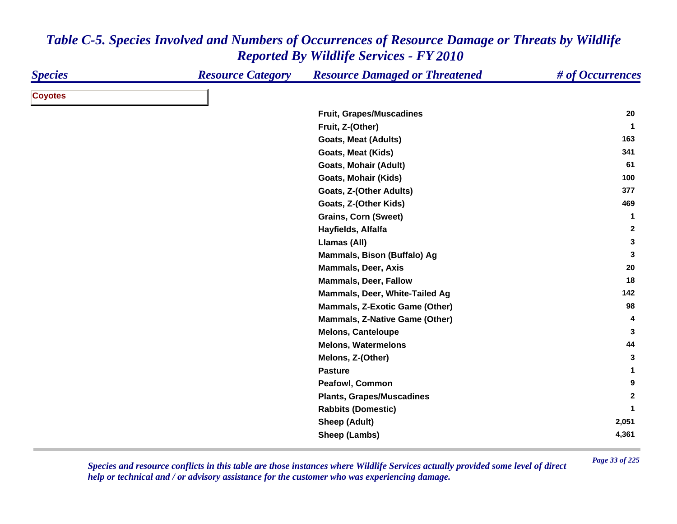| <b>Species</b> | <b>Resource Category</b> | <b>Resource Damaged or Threatened</b> | # of Occurrences |
|----------------|--------------------------|---------------------------------------|------------------|
| <b>Coyotes</b> |                          |                                       |                  |
|                |                          | <b>Fruit, Grapes/Muscadines</b>       | 20               |
|                |                          | Fruit, Z-(Other)                      | $\mathbf 1$      |
|                |                          | <b>Goats, Meat (Adults)</b>           | 163              |
|                |                          | Goats, Meat (Kids)                    | 341              |
|                |                          | <b>Goats, Mohair (Adult)</b>          | 61               |
|                |                          | <b>Goats, Mohair (Kids)</b>           | 100              |
|                |                          | Goats, Z-(Other Adults)               | 377              |
|                |                          | Goats, Z-(Other Kids)                 | 469              |
|                |                          | <b>Grains, Corn (Sweet)</b>           | 1                |
|                |                          | Hayfields, Alfalfa                    | $\overline{2}$   |
|                |                          | Llamas (All)                          | 3                |
|                |                          | Mammals, Bison (Buffalo) Ag           | 3                |
|                |                          | <b>Mammals, Deer, Axis</b>            | 20               |
|                |                          | <b>Mammals, Deer, Fallow</b>          | 18               |
|                |                          | Mammals, Deer, White-Tailed Ag        | 142              |
|                |                          | <b>Mammals, Z-Exotic Game (Other)</b> | 98               |
|                |                          | <b>Mammals, Z-Native Game (Other)</b> | 4                |
|                |                          | <b>Melons, Canteloupe</b>             | 3                |
|                |                          | <b>Melons, Watermelons</b>            | 44               |
|                |                          | Melons, Z-(Other)                     | 3                |
|                |                          | <b>Pasture</b>                        | 1                |
|                |                          | <b>Peafowl, Common</b>                | 9                |
|                |                          | <b>Plants, Grapes/Muscadines</b>      | $\mathbf{2}$     |
|                |                          | <b>Rabbits (Domestic)</b>             |                  |
|                |                          | <b>Sheep (Adult)</b>                  | 2,051            |
|                |                          | Sheep (Lambs)                         | 4,361            |

*Page 33 of 225 Species and resource conflicts in this table are those instances where Wildlife Services actually provided some level of direct help or technical and / or advisory assistance for the customer who was experiencing damage.*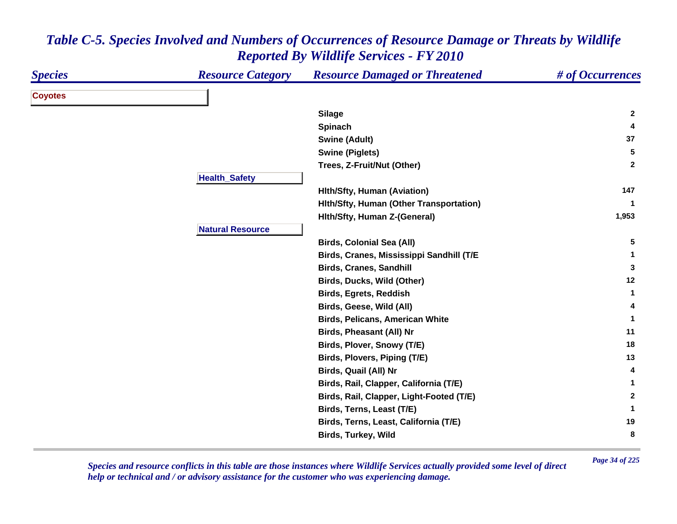| <b>Coyotes</b><br><b>Silage</b><br><b>Spinach</b><br><b>Swine (Adult)</b><br><b>Swine (Piglets)</b><br>Trees, Z-Fruit/Nut (Other)<br><b>Health_Safety</b><br><b>Hith/Sfty, Human (Aviation)</b><br>Hith/Sfty, Human (Other Transportation)<br>Hith/Sfty, Human Z-(General)<br><b>Natural Resource</b><br><b>Birds, Colonial Sea (All)</b><br>Birds, Cranes, Mississippi Sandhill (T/E<br><b>Birds, Cranes, Sandhill</b><br>Birds, Ducks, Wild (Other)<br><b>Birds, Egrets, Reddish</b><br>Birds, Geese, Wild (All)<br><b>Birds, Pelicans, American White</b><br>Birds, Pheasant (All) Nr<br>Birds, Plover, Snowy (T/E)<br>Birds, Plovers, Piping (T/E) | # of Occurrences |
|--------------------------------------------------------------------------------------------------------------------------------------------------------------------------------------------------------------------------------------------------------------------------------------------------------------------------------------------------------------------------------------------------------------------------------------------------------------------------------------------------------------------------------------------------------------------------------------------------------------------------------------------------------|------------------|
|                                                                                                                                                                                                                                                                                                                                                                                                                                                                                                                                                                                                                                                        |                  |
|                                                                                                                                                                                                                                                                                                                                                                                                                                                                                                                                                                                                                                                        | $\mathbf{2}$     |
|                                                                                                                                                                                                                                                                                                                                                                                                                                                                                                                                                                                                                                                        | 4                |
|                                                                                                                                                                                                                                                                                                                                                                                                                                                                                                                                                                                                                                                        | 37               |
|                                                                                                                                                                                                                                                                                                                                                                                                                                                                                                                                                                                                                                                        | $5\phantom{.0}$  |
|                                                                                                                                                                                                                                                                                                                                                                                                                                                                                                                                                                                                                                                        | $\mathbf{2}$     |
|                                                                                                                                                                                                                                                                                                                                                                                                                                                                                                                                                                                                                                                        |                  |
|                                                                                                                                                                                                                                                                                                                                                                                                                                                                                                                                                                                                                                                        | 147              |
|                                                                                                                                                                                                                                                                                                                                                                                                                                                                                                                                                                                                                                                        | $\mathbf 1$      |
|                                                                                                                                                                                                                                                                                                                                                                                                                                                                                                                                                                                                                                                        | 1,953            |
|                                                                                                                                                                                                                                                                                                                                                                                                                                                                                                                                                                                                                                                        |                  |
|                                                                                                                                                                                                                                                                                                                                                                                                                                                                                                                                                                                                                                                        | 5                |
|                                                                                                                                                                                                                                                                                                                                                                                                                                                                                                                                                                                                                                                        | 1                |
|                                                                                                                                                                                                                                                                                                                                                                                                                                                                                                                                                                                                                                                        | 3                |
|                                                                                                                                                                                                                                                                                                                                                                                                                                                                                                                                                                                                                                                        | 12               |
|                                                                                                                                                                                                                                                                                                                                                                                                                                                                                                                                                                                                                                                        | $\mathbf 1$      |
|                                                                                                                                                                                                                                                                                                                                                                                                                                                                                                                                                                                                                                                        | 4                |
|                                                                                                                                                                                                                                                                                                                                                                                                                                                                                                                                                                                                                                                        | $\mathbf 1$      |
|                                                                                                                                                                                                                                                                                                                                                                                                                                                                                                                                                                                                                                                        | 11               |
|                                                                                                                                                                                                                                                                                                                                                                                                                                                                                                                                                                                                                                                        | 18               |
|                                                                                                                                                                                                                                                                                                                                                                                                                                                                                                                                                                                                                                                        | 13               |
| Birds, Quail (All) Nr                                                                                                                                                                                                                                                                                                                                                                                                                                                                                                                                                                                                                                  | 4                |
| Birds, Rail, Clapper, California (T/E)                                                                                                                                                                                                                                                                                                                                                                                                                                                                                                                                                                                                                 | 1                |
| Birds, Rail, Clapper, Light-Footed (T/E)                                                                                                                                                                                                                                                                                                                                                                                                                                                                                                                                                                                                               | $\mathbf{2}$     |
| Birds, Terns, Least (T/E)                                                                                                                                                                                                                                                                                                                                                                                                                                                                                                                                                                                                                              | 1                |
| Birds, Terns, Least, California (T/E)                                                                                                                                                                                                                                                                                                                                                                                                                                                                                                                                                                                                                  | 19               |
| <b>Birds, Turkey, Wild</b>                                                                                                                                                                                                                                                                                                                                                                                                                                                                                                                                                                                                                             | 8                |

*Page 34 of 225 Species and resource conflicts in this table are those instances where Wildlife Services actually provided some level of direct help or technical and / or advisory assistance for the customer who was experiencing damage.*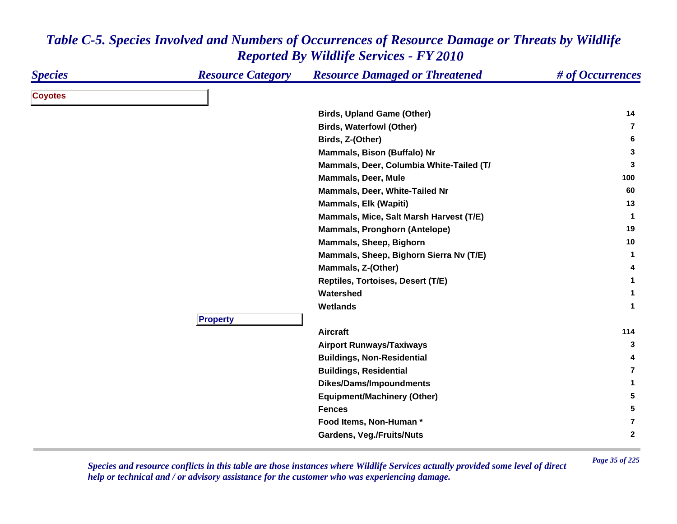| <b>Species</b> | <b>Resource Category</b> | <b>Resource Damaged or Threatened</b>    | # of Occurrences |
|----------------|--------------------------|------------------------------------------|------------------|
| <b>Coyotes</b> |                          |                                          |                  |
|                |                          | <b>Birds, Upland Game (Other)</b>        | 14               |
|                |                          | <b>Birds, Waterfowl (Other)</b>          | $\overline{7}$   |
|                |                          | Birds, Z-(Other)                         | 6                |
|                |                          | Mammals, Bison (Buffalo) Nr              | 3                |
|                |                          | Mammals, Deer, Columbia White-Tailed (T/ | 3                |
|                |                          | <b>Mammals, Deer, Mule</b>               | 100              |
|                |                          | Mammals, Deer, White-Tailed Nr           | 60               |
|                |                          | <b>Mammals, Elk (Wapiti)</b>             | 13               |
|                |                          | Mammals, Mice, Salt Marsh Harvest (T/E)  | $\mathbf{1}$     |
|                |                          | <b>Mammals, Pronghorn (Antelope)</b>     | 19               |
|                |                          | Mammals, Sheep, Bighorn                  | 10               |
|                |                          | Mammals, Sheep, Bighorn Sierra Nv (T/E)  | 1                |
|                |                          | Mammals, Z-(Other)                       | 4                |
|                |                          | Reptiles, Tortoises, Desert (T/E)        | 1                |
|                |                          | Watershed                                | 1                |
|                |                          | Wetlands                                 | $\mathbf{1}$     |
|                | <b>Property</b>          |                                          |                  |
|                |                          | <b>Aircraft</b>                          | 114              |
|                |                          | <b>Airport Runways/Taxiways</b>          | 3                |
|                |                          | <b>Buildings, Non-Residential</b>        | 4                |
|                |                          | <b>Buildings, Residential</b>            | $\overline{7}$   |
|                |                          | <b>Dikes/Dams/Impoundments</b>           | 1                |
|                |                          | <b>Equipment/Machinery (Other)</b>       | 5                |
|                |                          | <b>Fences</b>                            | 5                |
|                |                          | Food Items, Non-Human *                  | 7                |
|                |                          | <b>Gardens, Veg./Fruits/Nuts</b>         | $\mathbf{2}$     |

*Page 35 of 225 Species and resource conflicts in this table are those instances where Wildlife Services actually provided some level of direct help or technical and / or advisory assistance for the customer who was experiencing damage.*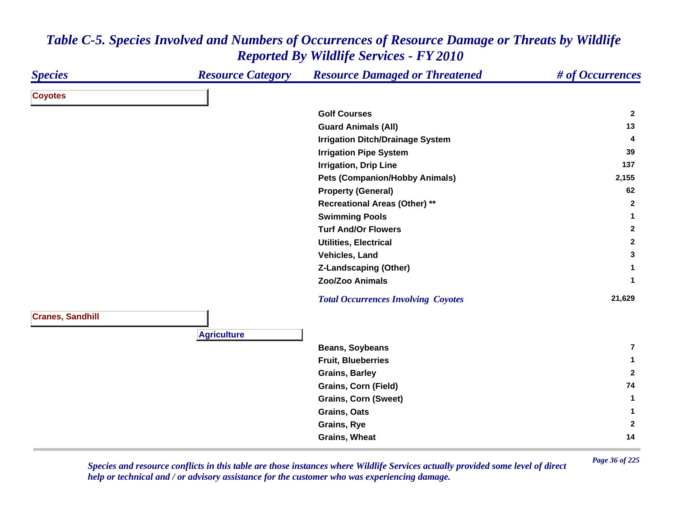| <b>Species</b>          | <b>Resource Category</b> | <b>Resource Damaged or Threatened</b>      | # of Occurrences        |
|-------------------------|--------------------------|--------------------------------------------|-------------------------|
| <b>Coyotes</b>          |                          |                                            |                         |
|                         |                          | <b>Golf Courses</b>                        | $\mathbf{2}$            |
|                         |                          | <b>Guard Animals (All)</b>                 | 13                      |
|                         |                          | <b>Irrigation Ditch/Drainage System</b>    | 4                       |
|                         |                          | <b>Irrigation Pipe System</b>              | 39                      |
|                         |                          | <b>Irrigation, Drip Line</b>               | 137                     |
|                         |                          | <b>Pets (Companion/Hobby Animals)</b>      | 2,155                   |
|                         |                          | <b>Property (General)</b>                  | 62                      |
|                         |                          | <b>Recreational Areas (Other) **</b>       | $\mathbf{2}$            |
|                         |                          | <b>Swimming Pools</b>                      | $\mathbf 1$             |
|                         |                          | <b>Turf And/Or Flowers</b>                 | $\mathbf{2}$            |
|                         |                          | <b>Utilities, Electrical</b>               | $\mathbf{2}$            |
|                         |                          | Vehicles, Land                             | 3                       |
|                         |                          | <b>Z-Landscaping (Other)</b>               | $\mathbf 1$             |
|                         |                          | Zoo/Zoo Animals                            | $\mathbf{1}$            |
|                         |                          | <b>Total Occurrences Involving Coyotes</b> | 21,629                  |
| <b>Cranes, Sandhill</b> |                          |                                            |                         |
|                         | <b>Agriculture</b>       |                                            |                         |
|                         |                          | <b>Beans, Soybeans</b>                     | $\overline{\mathbf{r}}$ |
|                         |                          | <b>Fruit, Blueberries</b>                  | 1                       |
|                         |                          | <b>Grains, Barley</b>                      | $\mathbf{2}$            |
|                         |                          | <b>Grains, Corn (Field)</b>                | 74                      |
|                         |                          | <b>Grains, Corn (Sweet)</b>                | $\mathbf 1$             |
|                         |                          | Grains, Oats                               | $\mathbf 1$             |
|                         |                          | Grains, Rye                                | $\mathbf{2}$            |
|                         |                          | <b>Grains, Wheat</b>                       | 14                      |

*Page 36 of 225 Species and resource conflicts in this table are those instances where Wildlife Services actually provided some level of direct help or technical and / or advisory assistance for the customer who was experiencing damage.*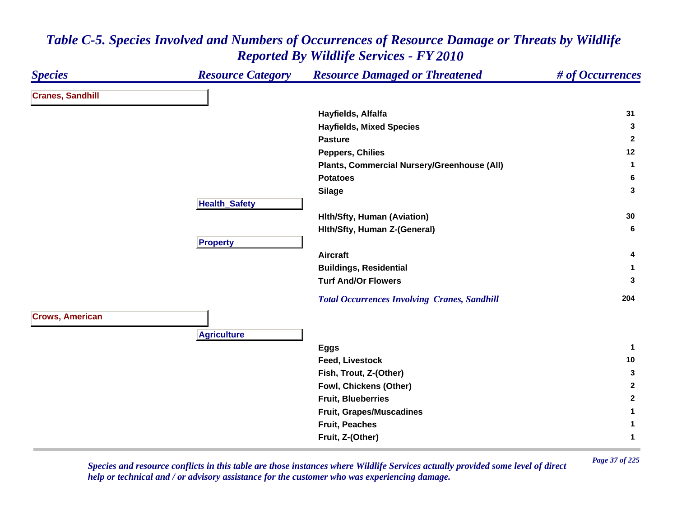| <b>Species</b>          | <b>Resource Category</b> | <b>Resource Damaged or Threatened</b>               | # of Occurrences |
|-------------------------|--------------------------|-----------------------------------------------------|------------------|
| <b>Cranes, Sandhill</b> |                          |                                                     |                  |
|                         |                          | Hayfields, Alfalfa                                  | 31               |
|                         |                          | <b>Hayfields, Mixed Species</b>                     | 3                |
|                         |                          | <b>Pasture</b>                                      | $\overline{2}$   |
|                         |                          | <b>Peppers, Chilies</b>                             | 12               |
|                         |                          | Plants, Commercial Nursery/Greenhouse (All)         | 1                |
|                         |                          | <b>Potatoes</b>                                     | 6                |
|                         |                          | <b>Silage</b>                                       | 3                |
|                         | <b>Health_Safety</b>     |                                                     |                  |
|                         |                          | <b>Hith/Sfty, Human (Aviation)</b>                  | 30               |
|                         |                          | Hith/Sfty, Human Z-(General)                        | 6                |
|                         | <b>Property</b>          |                                                     |                  |
|                         |                          | Aircraft                                            | 4                |
|                         |                          | <b>Buildings, Residential</b>                       |                  |
|                         |                          | <b>Turf And/Or Flowers</b>                          | 3                |
|                         |                          | <b>Total Occurrences Involving Cranes, Sandhill</b> | 204              |
| <b>Crows, American</b>  |                          |                                                     |                  |
|                         | <b>Agriculture</b>       |                                                     |                  |
|                         |                          | <b>Eggs</b>                                         | $\mathbf 1$      |
|                         |                          | <b>Feed, Livestock</b>                              | 10               |
|                         |                          | Fish, Trout, Z-(Other)                              | $\mathbf{3}$     |
|                         |                          | Fowl, Chickens (Other)                              | $\mathbf{2}$     |
|                         |                          | <b>Fruit, Blueberries</b>                           | $\mathbf{2}$     |
|                         |                          | Fruit, Grapes/Muscadines                            | 1                |
|                         |                          | <b>Fruit, Peaches</b>                               | 1                |
|                         |                          | Fruit, Z-(Other)                                    | $\mathbf{1}$     |

*Page 37 of 225 Species and resource conflicts in this table are those instances where Wildlife Services actually provided some level of direct help or technical and / or advisory assistance for the customer who was experiencing damage.*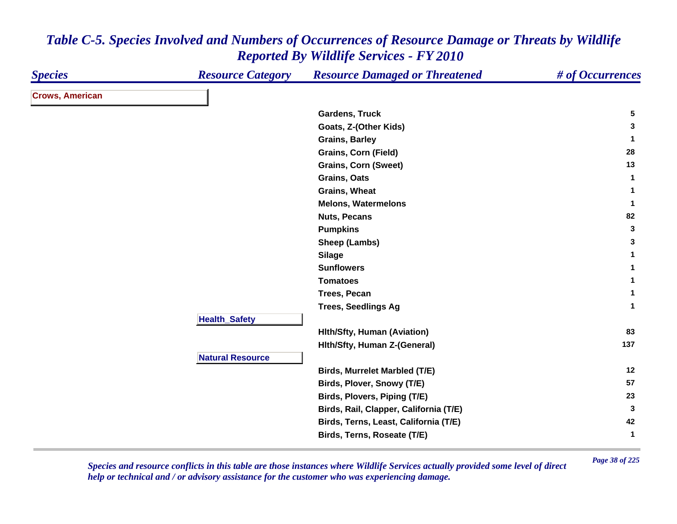| <b>Species</b>         | <b>Resource Category</b> | <b>Resource Damaged or Threatened</b>  | # of Occurrences |
|------------------------|--------------------------|----------------------------------------|------------------|
| <b>Crows, American</b> |                          |                                        |                  |
|                        |                          | <b>Gardens, Truck</b>                  | $5\phantom{.0}$  |
|                        |                          | Goats, Z-(Other Kids)                  | $\mathbf{3}$     |
|                        |                          | <b>Grains, Barley</b>                  | $\mathbf{1}$     |
|                        |                          | <b>Grains, Corn (Field)</b>            | 28               |
|                        |                          | <b>Grains, Corn (Sweet)</b>            | 13               |
|                        |                          | Grains, Oats                           | $\mathbf 1$      |
|                        |                          | Grains, Wheat                          | $\mathbf{1}$     |
|                        |                          | <b>Melons, Watermelons</b>             | $\mathbf{1}$     |
|                        |                          | <b>Nuts, Pecans</b>                    | 82               |
|                        |                          | <b>Pumpkins</b>                        | $\mathbf{3}$     |
|                        |                          | Sheep (Lambs)                          | 3                |
|                        |                          | <b>Silage</b>                          | $\mathbf{1}$     |
|                        |                          | <b>Sunflowers</b>                      | $\mathbf{1}$     |
|                        |                          | <b>Tomatoes</b>                        | $\mathbf{1}$     |
|                        |                          | Trees, Pecan                           | 1                |
|                        |                          | <b>Trees, Seedlings Ag</b>             | $\mathbf{1}$     |
|                        | <b>Health_Safety</b>     |                                        |                  |
|                        |                          | <b>Hith/Sfty, Human (Aviation)</b>     | 83               |
|                        |                          | Hith/Sfty, Human Z-(General)           | 137              |
|                        | <b>Natural Resource</b>  |                                        |                  |
|                        |                          | <b>Birds, Murrelet Marbled (T/E)</b>   | 12               |
|                        |                          | Birds, Plover, Snowy (T/E)             | 57               |
|                        |                          | Birds, Plovers, Piping (T/E)           | 23               |
|                        |                          | Birds, Rail, Clapper, California (T/E) | $\mathbf{3}$     |
|                        |                          | Birds, Terns, Least, California (T/E)  | 42               |
|                        |                          | Birds, Terns, Roseate (T/E)            | $\mathbf{1}$     |

*Page 38 of 225 Species and resource conflicts in this table are those instances where Wildlife Services actually provided some level of direct help or technical and / or advisory assistance for the customer who was experiencing damage.*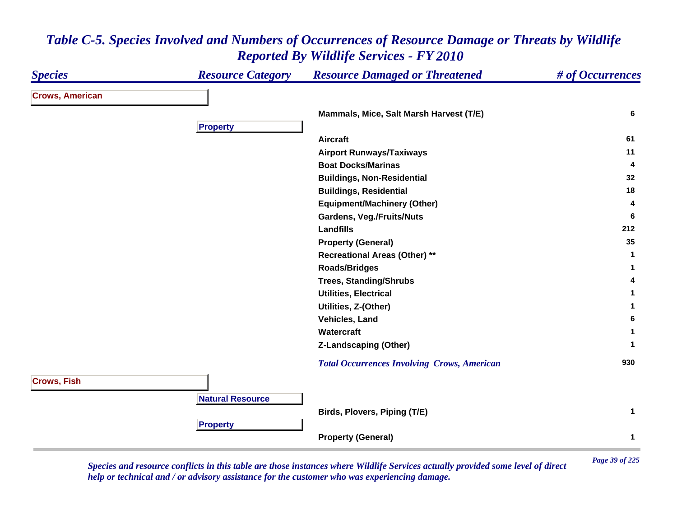#### *Species Resource Category Resource Damaged or Threatened # of Occurrences* **Crows, American Mammals, Mice, Salt Marsh Harvest (T/E) <sup>6</sup> Propert y Aircraft 61 Airport Runways/Taxiways <sup>11</sup> Boat Docks/Marinas 4 Buildings, Non-Residential <sup>32</sup> Buildings, Residential <sup>18</sup> Equipment/Machinery (Other) <sup>4</sup> Gardens, Veg./Fruits/Nuts <sup>6</sup> Landfills 212 Property (General) <sup>35</sup> Recreational Areas (Other) \*\* <sup>1</sup> Roads/Bridges <sup>1</sup> Trees, Standing/Shrubs <sup>4</sup> Utilities, Electrical 1 Utilities, Z-(Other) <sup>1</sup> Vehicles, Land 6 Watercraft 1 Z-Landscaping (Other) <sup>1</sup>**  *Total Occurrences Involving Crows, American* **<sup>930</sup> Crows, Fish Natural ResourceBirds, Plovers, Piping (T/E) <sup>1</sup> Pro pert y Property (General) <sup>1</sup>**

### *Table C-5. Species Involved and Numbers of Occurrences of Resource Damage or Threats by Wildlife Reported By Wildlife Services - FY 2010*

*Page 39 of 225 Species and resource conflicts in this table are those instances where Wildlife Services actually provided some level of direct help or technical and / or advisory assistance for the customer who was experiencing damage.*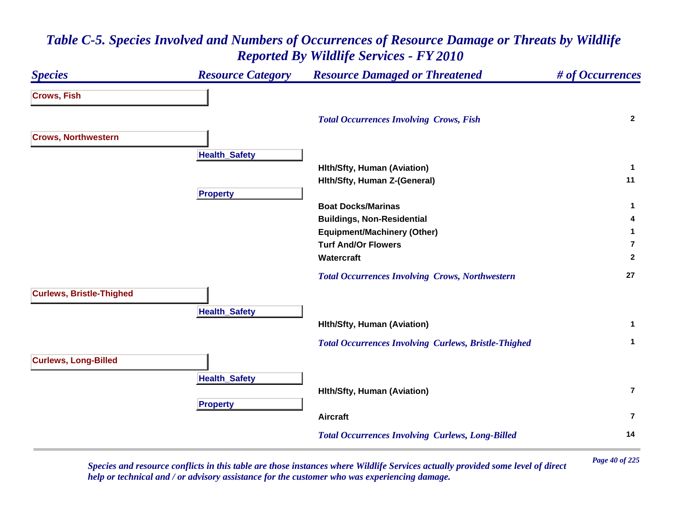### *Species Resource Category Resource Damaged or Threatened # of Occurrences* **Crows, Fish**  *Total Occurrences Involving Crows, Fish* **<sup>2</sup> Crows, Northwestern Health \_ Safet y Hlth/Sfty, Human (Aviation) <sup>1</sup> Hlth/Sfty, Human Z-(General) <sup>11</sup> Pro pert y Boat Docks/Marinas 1 Buildings, Non-Residential <sup>4</sup> Equipment/Machinery (Other) <sup>1</sup> Turf And/Or Flowers7Watercraft 2**  *Total Occurrences Involving Crows, Northwestern* **<sup>27</sup> Curlews, Bristle-Thighed HealthSafet y Hlth/Sfty, Human (Aviation) <sup>1</sup>**  *Total Occurrences Involving Curlews, Bristle-Thighed* **<sup>1</sup> Curlews, Long-Billed HealthSafet y Hlth/Sfty, Human (Aviation) 7Propert y Aircraft7** *Total Occurrences Involving Curlews, Long-Billed* **<sup>14</sup>**

## *Table C-5. Species Involved and Numbers of Occurrences of Resource Damage or Threats by Wildlife Reported By Wildlife Services - FY 2010*

*Page 40 of 225 Species and resource conflicts in this table are those instances where Wildlife Services actually provided some level of direct help or technical and / or advisory assistance for the customer who was experiencing damage.*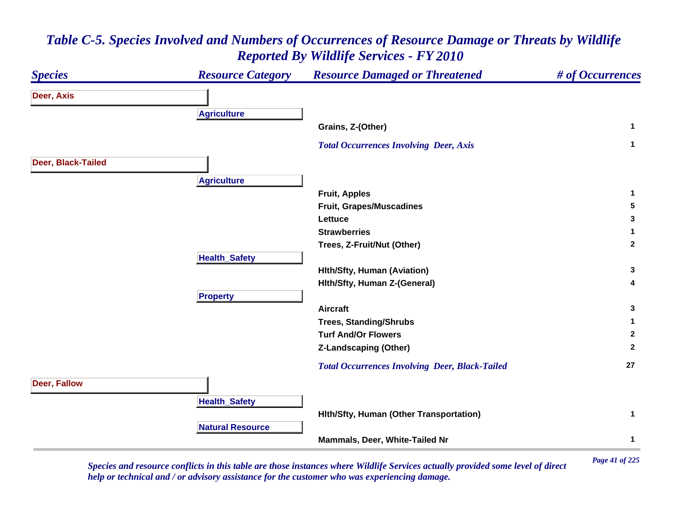### *Species Resource Category Resource Damaged or Threatened # of Occurrences* **Deer, Axis A griculture Grains, Z-(Other) <sup>1</sup>**  *Total Occurrences Involving Deer, Axis* **<sup>1</sup> Deer, Black-Tailed Agriculture Fruit, Apples <sup>1</sup> Fruit, Grapes/Muscadines 5 Lettuce 3 Strawberries 1 Trees, Z-Fruit/Nut (Other) <sup>2</sup> Health \_ Safet y Hlth/Sfty, Human (Aviation) <sup>3</sup> Hlth/Sfty, Human Z-(General) <sup>4</sup> Pro pert y Aircraft 3 Trees, Standing/Shrubs <sup>1</sup> Turf And/Or Flowers 2 Z-Landscaping (Other) <sup>2</sup>**  *Total Occurrences Involving Deer, Black-Tailed* **<sup>27</sup> Deer, Fallow Health \_ Safet y Hlth/Sfty, Human (Other Transportation) <sup>1</sup> Natural ResourceMammals, Deer, White-Tailed Nr 1**

## *Table C-5. Species Involved and Numbers of Occurrences of Resource Damage or Threats by Wildlife Reported By Wildlife Services - FY 2010*

*Page 41 of 225 Species and resource conflicts in this table are those instances where Wildlife Services actually provided some level of direct help or technical and / or advisory assistance for the customer who was experiencing damage.*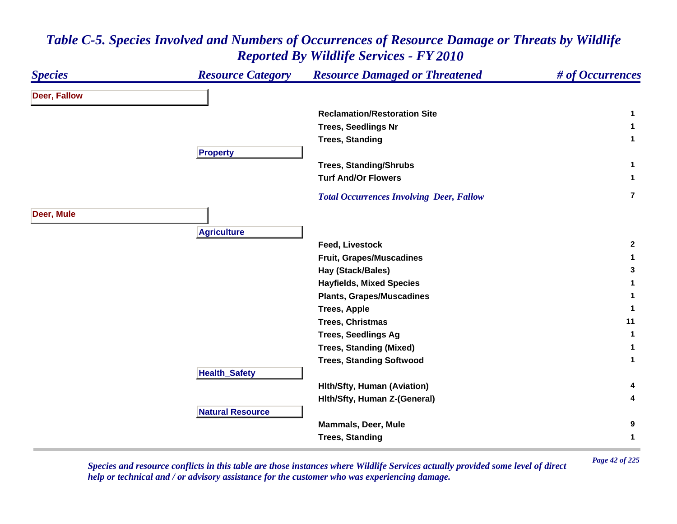### *Species Resource Category Resource Damaged or Threatened # of Occurrences* **Deer, Fallow Reclamation/Restoration Site 1 Trees, Seedlings Nr <sup>1</sup> Trees, Standing <sup>1</sup> Pro pert y Trees, Standing/Shrubs <sup>1</sup> Turf And/Or Flowers 1**  *Total Occurrences Involving Deer, Fallow* **7Deer, Mule A griculture Feed, Livestock 2 Fruit, Grapes/Muscadines <sup>1</sup> Hay (Stack/Bales) <sup>3</sup> Hayfields, Mixed Species <sup>1</sup> Plants, Grapes/Muscadines <sup>1</sup> Trees, Apple <sup>1</sup> Trees, Christmas 11 Trees, Seedlings Ag <sup>1</sup> Trees, Standing (Mixed) <sup>1</sup> Trees, Standing Softwood <sup>1</sup> HealthSafet y Hlth/Sfty, Human (Aviation) <sup>4</sup> Hlth/Sfty, Human Z-(General) <sup>4</sup> Natural ResourceMammals, Deer, Mule 9 Trees, Standing <sup>1</sup>**

# *Table C-5. Species Involved and Numbers of Occurrences of Resource Damage or Threats by Wildlife Reported By Wildlife Services - FY 2010*

*Page 42 of 225 Species and resource conflicts in this table are those instances where Wildlife Services actually provided some level of direct help or technical and / or advisory assistance for the customer who was experiencing damage.*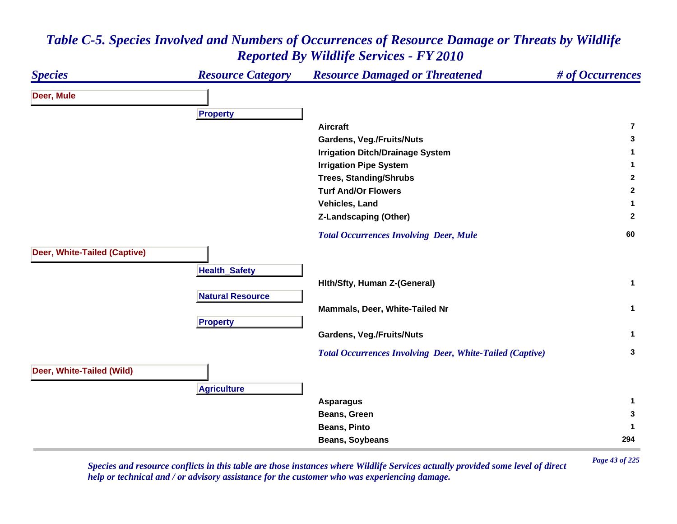### *Species Resource Category Resource Damaged or Threatened # of Occurrences* **Deer, Mule Pro pert y Aircraft7Gardens, Veg./Fruits/Nuts <sup>3</sup> Irrigation Ditch/Drainage System <sup>1</sup> Irrigation Pipe System 1 Trees, Standing/Shrubs <sup>2</sup> Turf And/Or Flowers 2 Vehicles, Land 1 Z-Landscaping (Other) <sup>2</sup>**  *Total Occurrences Involving Deer, Mule* **<sup>60</sup> Deer, White-Tailed (Captive) Health \_ Safet y Hlth/Sfty, Human Z-(General) <sup>1</sup> Natural ResourceMammals, Deer, White-Tailed Nr 1 Propert y Gardens, Veg./Fruits/Nuts <sup>1</sup>**  *Total Occurrences Involving Deer, White-Tailed (Captive)* **<sup>3</sup> Deer, White-Tailed (Wild) A griculture Asparagus <sup>1</sup> Beans, Green 3 Beans, Pinto 1 Beans, Soybeans <sup>294</sup>**

### *Table C-5. Species Involved and Numbers of Occurrences of Resource Damage or Threats by Wildlife Reported By Wildlife Services - FY 2010*

*Page 43 of 225 Species and resource conflicts in this table are those instances where Wildlife Services actually provided some level of direct help or technical and / or advisory assistance for the customer who was experiencing damage.*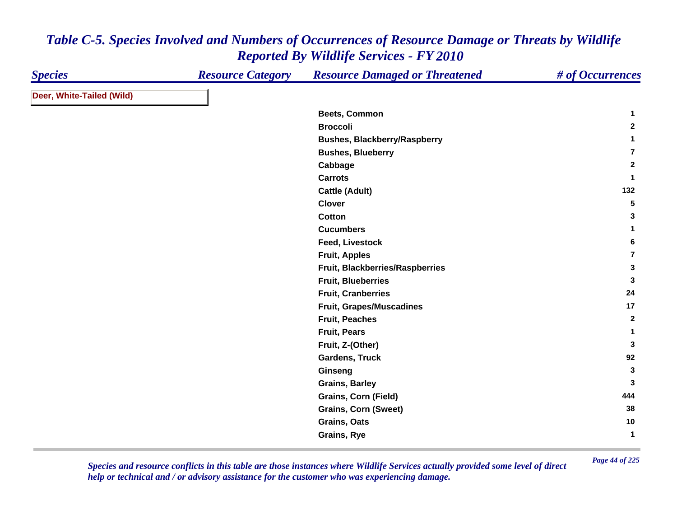| <b>Species</b>            | <b>Resource Category</b> | <b>Resource Damaged or Threatened</b> | # of Occurrences |
|---------------------------|--------------------------|---------------------------------------|------------------|
| Deer, White-Tailed (Wild) |                          |                                       |                  |
|                           |                          | <b>Beets, Common</b>                  | 1                |
|                           |                          | <b>Broccoli</b>                       | $\mathbf{2}$     |
|                           |                          | <b>Bushes, Blackberry/Raspberry</b>   | 1                |
|                           |                          | <b>Bushes, Blueberry</b>              | $\overline{7}$   |
|                           |                          | Cabbage                               | $\mathbf{2}$     |
|                           |                          | <b>Carrots</b>                        | $\mathbf{1}$     |
|                           |                          | <b>Cattle (Adult)</b>                 | 132              |
|                           |                          | <b>Clover</b>                         | 5                |
|                           |                          | <b>Cotton</b>                         | 3                |
|                           |                          | <b>Cucumbers</b>                      | 1                |
|                           |                          | <b>Feed, Livestock</b>                | 6                |
|                           |                          | <b>Fruit, Apples</b>                  | $\overline{7}$   |
|                           |                          | Fruit, Blackberries/Raspberries       | $\mathbf{3}$     |
|                           |                          | <b>Fruit, Blueberries</b>             | 3                |
|                           |                          | <b>Fruit, Cranberries</b>             | 24               |
|                           |                          | <b>Fruit, Grapes/Muscadines</b>       | 17               |
|                           |                          | <b>Fruit, Peaches</b>                 | $\mathbf{2}$     |
|                           |                          | <b>Fruit, Pears</b>                   | $\mathbf{1}$     |
|                           |                          | Fruit, Z-(Other)                      | 3                |
|                           |                          | Gardens, Truck                        | 92               |
|                           |                          | Ginseng                               | 3                |
|                           |                          | <b>Grains, Barley</b>                 | 3                |
|                           |                          | Grains, Corn (Field)                  | 444              |
|                           |                          | <b>Grains, Corn (Sweet)</b>           | 38               |
|                           |                          | Grains, Oats                          | 10               |
|                           |                          | <b>Grains, Rye</b>                    | $\mathbf{1}$     |

*Page 44 of 225 Species and resource conflicts in this table are those instances where Wildlife Services actually provided some level of direct help or technical and / or advisory assistance for the customer who was experiencing damage.*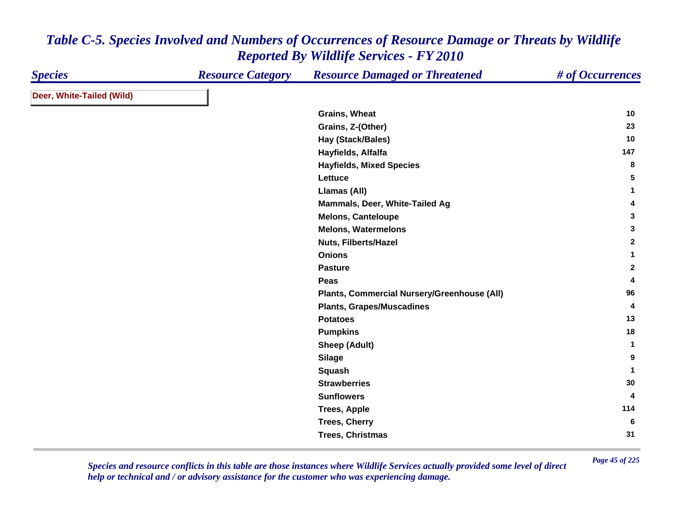| <b>Species</b>            | <b>Resource Category</b> | <b>Resource Damaged or Threatened</b>       | # of Occurrences |
|---------------------------|--------------------------|---------------------------------------------|------------------|
| Deer, White-Tailed (Wild) |                          |                                             |                  |
|                           |                          | <b>Grains, Wheat</b>                        | 10               |
|                           |                          | Grains, Z-(Other)                           | 23               |
|                           |                          | Hay (Stack/Bales)                           | 10               |
|                           |                          | Hayfields, Alfalfa                          | 147              |
|                           |                          | <b>Hayfields, Mixed Species</b>             | 8                |
|                           |                          | Lettuce                                     | 5                |
|                           |                          | Llamas (All)                                | 1                |
|                           |                          | Mammals, Deer, White-Tailed Ag              | 4                |
|                           |                          | <b>Melons, Canteloupe</b>                   | 3                |
|                           |                          | <b>Melons, Watermelons</b>                  | 3                |
|                           |                          | <b>Nuts, Filberts/Hazel</b>                 | $\mathbf{2}$     |
|                           |                          | <b>Onions</b>                               | 1                |
|                           |                          | <b>Pasture</b>                              | $\mathbf{2}$     |
|                           |                          | Peas                                        | 4                |
|                           |                          | Plants, Commercial Nursery/Greenhouse (All) | 96               |
|                           |                          | <b>Plants, Grapes/Muscadines</b>            | 4                |
|                           |                          | <b>Potatoes</b>                             | 13               |
|                           |                          | <b>Pumpkins</b>                             | 18               |
|                           |                          | <b>Sheep (Adult)</b>                        | $\mathbf{1}$     |
|                           |                          | <b>Silage</b>                               | 9                |
|                           |                          | <b>Squash</b>                               | $\mathbf{1}$     |
|                           |                          | <b>Strawberries</b>                         | 30               |
|                           |                          | <b>Sunflowers</b>                           | 4                |
|                           |                          | <b>Trees, Apple</b>                         | 114              |
|                           |                          | <b>Trees, Cherry</b>                        | 6                |
|                           |                          | <b>Trees, Christmas</b>                     | 31               |

*Page 45 of 225 Species and resource conflicts in this table are those instances where Wildlife Services actually provided some level of direct help or technical and / or advisory assistance for the customer who was experiencing damage.*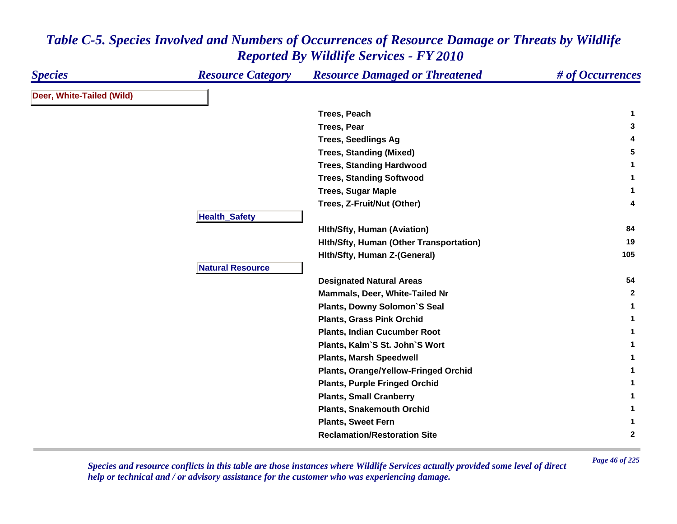| <b>Species</b>            | <b>Resource Category</b> | <b>Resource Damaged or Threatened</b>   | # of Occurrences |
|---------------------------|--------------------------|-----------------------------------------|------------------|
| Deer, White-Tailed (Wild) |                          |                                         |                  |
|                           |                          | Trees, Peach                            | 1                |
|                           |                          | <b>Trees, Pear</b>                      | 3                |
|                           |                          | <b>Trees, Seedlings Ag</b>              | 4                |
|                           |                          | <b>Trees, Standing (Mixed)</b>          | 5                |
|                           |                          | <b>Trees, Standing Hardwood</b>         | 1                |
|                           |                          | <b>Trees, Standing Softwood</b>         | 1                |
|                           |                          | <b>Trees, Sugar Maple</b>               | 1                |
|                           |                          | Trees, Z-Fruit/Nut (Other)              | 4                |
|                           | <b>Health_Safety</b>     |                                         |                  |
|                           |                          | <b>Hith/Sfty, Human (Aviation)</b>      | 84               |
|                           |                          | Hith/Sfty, Human (Other Transportation) | 19               |
|                           |                          | Hith/Sfty, Human Z-(General)            | 105              |
|                           | <b>Natural Resource</b>  |                                         |                  |
|                           |                          | <b>Designated Natural Areas</b>         | 54               |
|                           |                          | Mammals, Deer, White-Tailed Nr          | $\mathbf{2}$     |
|                           |                          | <b>Plants, Downy Solomon'S Seal</b>     | $\mathbf{1}$     |
|                           |                          | <b>Plants, Grass Pink Orchid</b>        | 1                |
|                           |                          | <b>Plants, Indian Cucumber Root</b>     | 1                |
|                           |                          | Plants, Kalm'S St. John'S Wort          |                  |
|                           |                          | <b>Plants, Marsh Speedwell</b>          |                  |
|                           |                          | Plants, Orange/Yellow-Fringed Orchid    |                  |
|                           |                          | <b>Plants, Purple Fringed Orchid</b>    |                  |
|                           |                          | <b>Plants, Small Cranberry</b>          |                  |
|                           |                          | <b>Plants, Snakemouth Orchid</b>        |                  |
|                           |                          | <b>Plants, Sweet Fern</b>               | 1                |
|                           |                          | <b>Reclamation/Restoration Site</b>     | $\mathbf{2}$     |

*Page 46 of 225 Species and resource conflicts in this table are those instances where Wildlife Services actually provided some level of direct help or technical and / or advisory assistance for the customer who was experiencing damage.*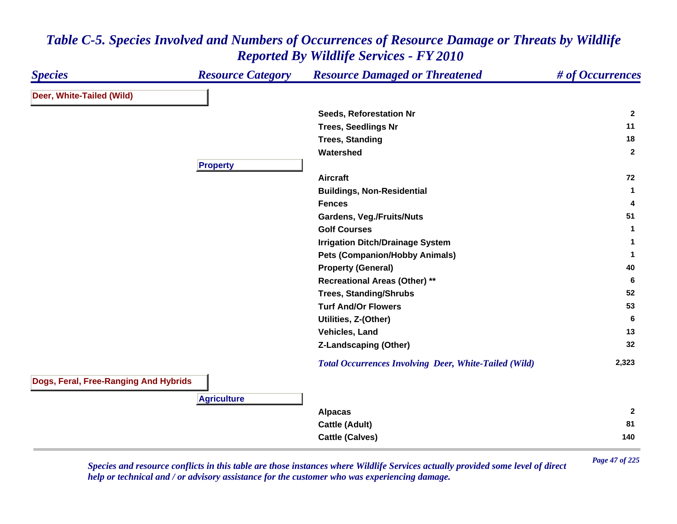| <b>Species</b>                        | <b>Resource Category</b> | <b>Resource Damaged or Threatened</b>                        | # of Occurrences             |
|---------------------------------------|--------------------------|--------------------------------------------------------------|------------------------------|
| Deer, White-Tailed (Wild)             |                          |                                                              |                              |
|                                       |                          | Seeds, Reforestation Nr                                      | $\mathbf{2}$                 |
|                                       |                          | <b>Trees, Seedlings Nr</b>                                   | 11                           |
|                                       |                          | <b>Trees, Standing</b>                                       | 18                           |
|                                       |                          | Watershed                                                    | $\mathbf{2}$                 |
|                                       | <b>Property</b>          |                                                              |                              |
|                                       |                          | <b>Aircraft</b>                                              | 72                           |
|                                       |                          | <b>Buildings, Non-Residential</b>                            | 1                            |
|                                       |                          | <b>Fences</b>                                                | 4                            |
|                                       |                          | <b>Gardens, Veg./Fruits/Nuts</b>                             | 51                           |
|                                       |                          | <b>Golf Courses</b>                                          | 1                            |
|                                       |                          | <b>Irrigation Ditch/Drainage System</b>                      | 1                            |
|                                       |                          | <b>Pets (Companion/Hobby Animals)</b>                        | 1                            |
|                                       |                          | <b>Property (General)</b>                                    | 40                           |
|                                       |                          | <b>Recreational Areas (Other) **</b>                         | 6                            |
|                                       |                          | <b>Trees, Standing/Shrubs</b>                                | 52                           |
|                                       |                          | <b>Turf And/Or Flowers</b>                                   | 53                           |
|                                       |                          | Utilities, Z-(Other)                                         | 6                            |
|                                       |                          | Vehicles, Land                                               | 13                           |
|                                       |                          | <b>Z-Landscaping (Other)</b>                                 | 32                           |
|                                       |                          | <b>Total Occurrences Involving Deer, White-Tailed (Wild)</b> | 2,323                        |
| Dogs, Feral, Free-Ranging And Hybrids |                          |                                                              |                              |
|                                       | <b>Agriculture</b>       |                                                              |                              |
|                                       |                          | <b>Alpacas</b>                                               | $\mathbf{2}$                 |
|                                       |                          | <b>Cattle (Adult)</b>                                        | 81                           |
|                                       |                          | <b>Cattle (Calves)</b>                                       | 140                          |
|                                       |                          |                                                              | $4\pi$ $622$<br>$\mathbf{n}$ |

*Page 47 of 225 Species and resource conflicts in this table are those instances where Wildlife Services actually provided some level of direct help or technical and / or advisory assistance for the customer who was experiencing damage.*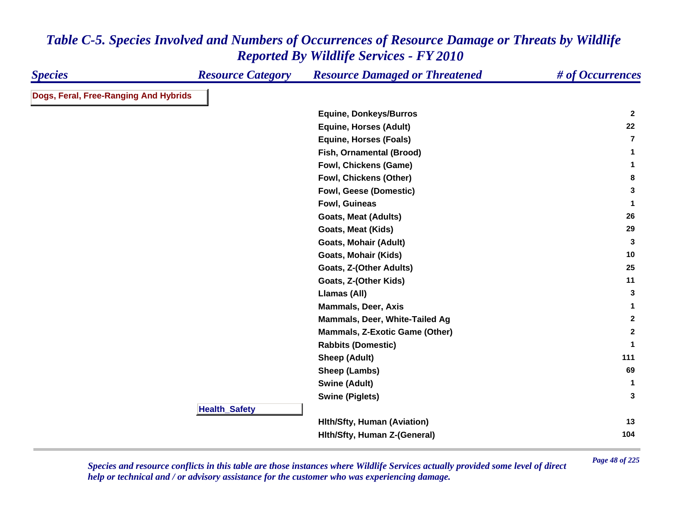| <b>Species</b>                        | <b>Resource Category</b> | <b>Resource Damaged or Threatened</b> | # of Occurrences |
|---------------------------------------|--------------------------|---------------------------------------|------------------|
| Dogs, Feral, Free-Ranging And Hybrids |                          |                                       |                  |
|                                       |                          | <b>Equine, Donkeys/Burros</b>         | $\mathbf{2}$     |
|                                       |                          | <b>Equine, Horses (Adult)</b>         | 22               |
|                                       |                          | <b>Equine, Horses (Foals)</b>         | $\overline{7}$   |
|                                       |                          | Fish, Ornamental (Brood)              | 1                |
|                                       |                          | Fowl, Chickens (Game)                 | $\mathbf{1}$     |
|                                       |                          | Fowl, Chickens (Other)                | 8                |
|                                       |                          | Fowl, Geese (Domestic)                | 3                |
|                                       |                          | Fowl, Guineas                         | -1               |
|                                       |                          | <b>Goats, Meat (Adults)</b>           | 26               |
|                                       |                          | Goats, Meat (Kids)                    | 29               |
|                                       |                          | Goats, Mohair (Adult)                 | 3                |
|                                       |                          | Goats, Mohair (Kids)                  | 10               |
|                                       |                          | Goats, Z-(Other Adults)               | 25               |
|                                       |                          | Goats, Z-(Other Kids)                 | 11               |
|                                       |                          | Llamas (All)                          | 3                |
|                                       |                          | <b>Mammals, Deer, Axis</b>            | 1                |
|                                       |                          | Mammals, Deer, White-Tailed Ag        | $\mathbf{2}$     |
|                                       |                          | <b>Mammals, Z-Exotic Game (Other)</b> | $\mathbf{2}$     |
|                                       |                          | <b>Rabbits (Domestic)</b>             | -1               |
|                                       |                          | <b>Sheep (Adult)</b>                  | 111              |
|                                       |                          | Sheep (Lambs)                         | 69               |
|                                       |                          | <b>Swine (Adult)</b>                  | 1                |
|                                       |                          | <b>Swine (Piglets)</b>                | 3                |
|                                       | <b>Health_Safety</b>     |                                       |                  |
|                                       |                          | <b>Hith/Sfty, Human (Aviation)</b>    | 13               |
|                                       |                          | Hith/Sfty, Human Z-(General)          | 104              |

*Page 48 of 225 Species and resource conflicts in this table are those instances where Wildlife Services actually provided some level of direct help or technical and / or advisory assistance for the customer who was experiencing damage.*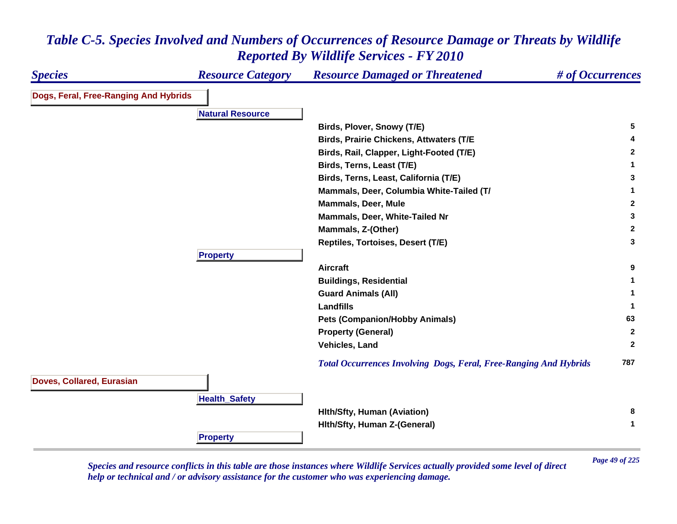### *Species Resource Category Resource Damaged or Threatened # of Occurrences* **Dogs, Feral, Free-Ranging And Hybrids Natural ResourceBirds, Plover, Snowy (T/E) <sup>5</sup> Birds, Prairie Chickens, Attwaters (T/E <sup>4</sup> Birds, Rail, Clapper, Light-Footed (T/E) <sup>2</sup> Birds, Terns, Least (T/E) <sup>1</sup> Birds, Terns, Least, California (T/E) <sup>3</sup> Mammals, Deer, Columbia White-Tailed (T/ <sup>1</sup> Mammals, Deer, Mule 2 Mammals, Deer, White-Tailed Nr 3 Mammals, Z-(Other) <sup>2</sup> Reptiles, Tortoises, Desert (T/E) <sup>3</sup> Propert y Aircraft 9 Buildings, Residential <sup>1</sup> Guard Animals (All) <sup>1</sup> Landfills 1 Pets (Companion/Hobby Animals) <sup>63</sup> Property (General) <sup>2</sup> Vehicles, Land 2**  *Total Occurrences Involving Dogs, Feral, Free-Ranging And Hybrids* **<sup>787</sup> Doves, Collared, Eurasian HealthSafet y Hlth/Sfty, Human (Aviation) <sup>8</sup> Hlth/Sfty, Human Z-(General) <sup>1</sup> Propert y**

# *Table C-5. Species Involved and Numbers of Occurrences of Resource Damage or Threats by Wildlife Reported By Wildlife Services - FY 2010*

*Page 49 of 225 Species and resource conflicts in this table are those instances where Wildlife Services actually provided some level of direct help or technical and / or advisory assistance for the customer who was experiencing damage.*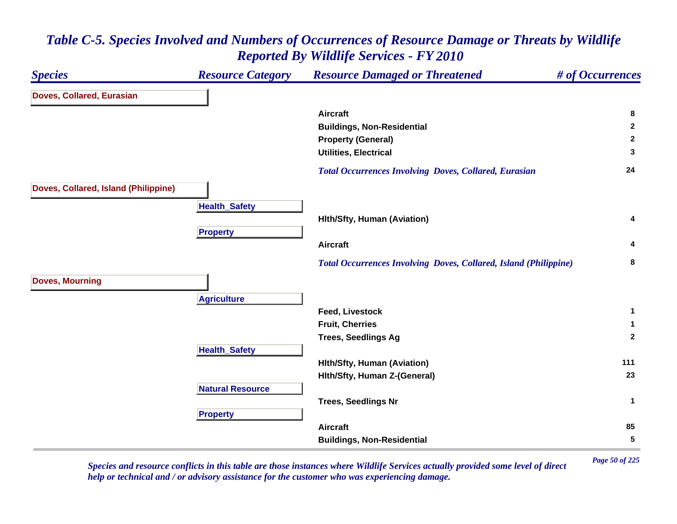### *Species Resource Category Resource Damaged or Threatened # of Occurrences* **Doves, Collared, Eurasian Aircraft 8 Buildings, Non-Residential <sup>2</sup> Property (General) <sup>2</sup> Utilities, Electrical 3**  *Total Occurrences Involving Doves, Collared, Eurasian* **<sup>24</sup> Doves, Collared, Island (Philippine) HealthSafet y Hlth/Sfty, Human (Aviation) <sup>4</sup> Propert y Aircraft 4**  *Total Occurrences Involving Doves, Collared, Island (Philippine)* **<sup>8</sup> Doves, Mourning Agriculture Feed, Livestock 1 Fruit, Cherries 1 Trees, Seedlings Ag <sup>2</sup> HealthSafet y Hlth/Sfty, Human (Aviation) <sup>111</sup> Hlth/Sfty, Human Z-(General) <sup>23</sup> Natural ResourceTrees, Seedlings Nr <sup>1</sup> Pro pert y Aircraft 85 Buildings, Non-Residential <sup>5</sup>**

### *Table C-5. Species Involved and Numbers of Occurrences of Resource Damage or Threats by Wildlife Reported By Wildlife Services - FY 2010*

*Page 50 of 225 Species and resource conflicts in this table are those instances where Wildlife Services actually provided some level of direct help or technical and / or advisory assistance for the customer who was experiencing damage.*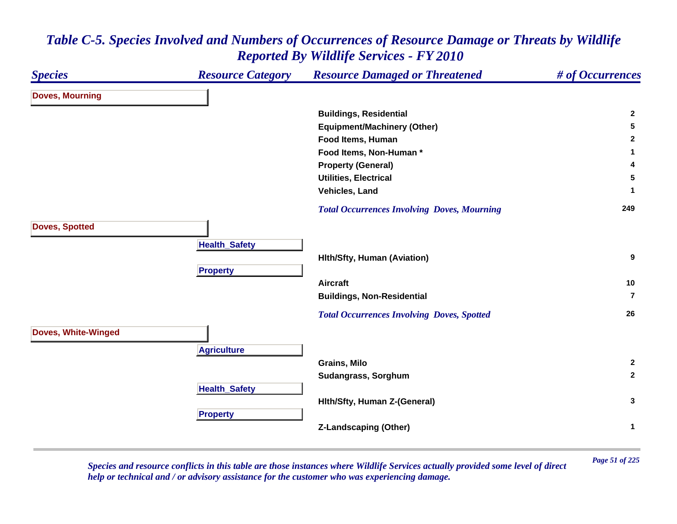### *Species Resource Category Resource Damaged or Threatened # of Occurrences* **Doves, Mourning Buildings, Residential <sup>2</sup> Equipment/Machinery (Other) <sup>5</sup> Food Items, Human 2 Food Items, Non-Human \* 1 Property (General) <sup>4</sup> Utilities, Electrical 5 Vehicles, Land 1**  *Total Occurrences Involving Doves, Mourning* **<sup>249</sup> Doves, Spotted HealthSafet y Hlth/Sfty, Human (Aviation) <sup>9</sup> Pro pert y Aircraft 10 Buildings, Non-Residential 7** *Total Occurrences Involving Doves, Spotted* **<sup>26</sup> Doves, White-Winged A griculture Grains, Milo 2 Sudangrass, Sorghum <sup>2</sup> Health \_ Safet y Hlth/Sfty, Human Z-(General) <sup>3</sup> Pro pert y Z-Landscaping (Other) <sup>1</sup>**

### *Table C-5. Species Involved and Numbers of Occurrences of Resource Damage or Threats by Wildlife Reported By Wildlife Services - FY 2010*

*Page 51 of 225 Species and resource conflicts in this table are those instances where Wildlife Services actually provided some level of direct help or technical and / or advisory assistance for the customer who was experiencing damage.*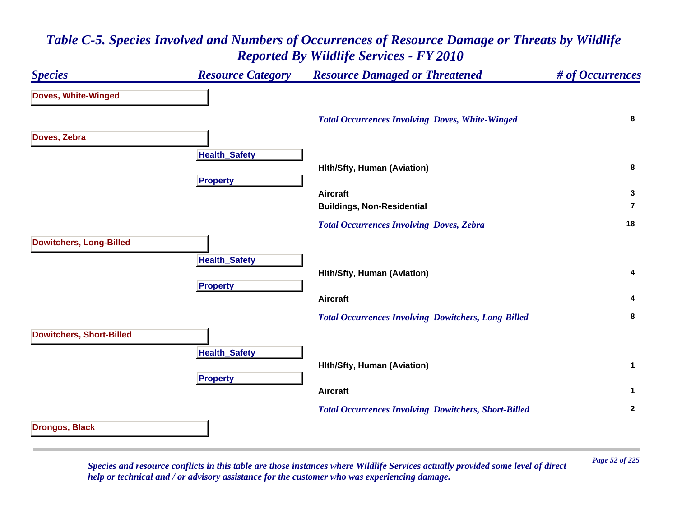### *Species Resource Category Resource Damaged or Threatened # of Occurrences* **Doves, White-Winged**  *Total Occurrences Involving Doves, White-Winged* **<sup>8</sup> Doves, Zebra Health \_ Safet y Hlth/Sfty, Human (Aviation) <sup>8</sup> Propert y Aircraft 3 Buildings, Non-Residential 7** *Total Occurrences Involving Doves, Zebra* **<sup>18</sup> Dowitchers, Long-Billed Health \_ Safet y Hlth/Sfty, Human (Aviation) <sup>4</sup> Propert y Aircraft 4**  *Total Occurrences Involving Dowitchers, Long-Billed* **<sup>8</sup> Dowitchers, Short-Billed HealthSafet y Hlth/Sfty, Human (Aviation) <sup>1</sup> Pro pert y Aircraft 1**  *Total Occurrences Involving Dowitchers, Short-Billed* **<sup>2</sup> Drongos, Black**

### *Table C-5. Species Involved and Numbers of Occurrences of Resource Damage or Threats by Wildlife Reported By Wildlife Services - FY 2010*

*Page 52 of 225 Species and resource conflicts in this table are those instances where Wildlife Services actually provided some level of direct help or technical and / or advisory assistance for the customer who was experiencing damage.*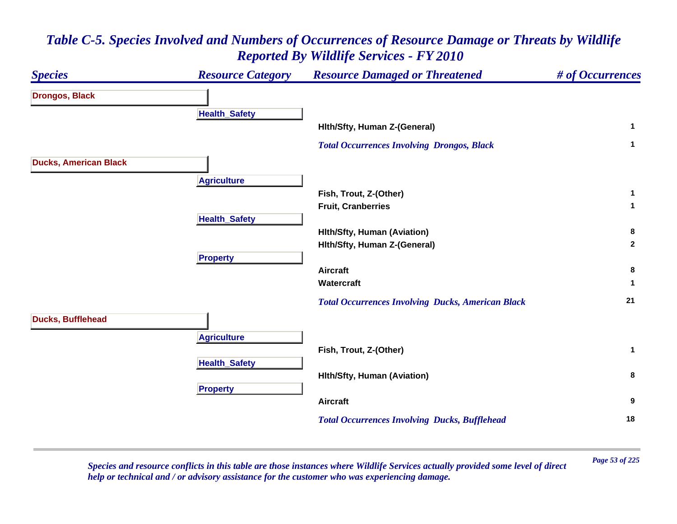

*Page 53 of 225 Species and resource conflicts in this table are those instances where Wildlife Services actually provided some level of direct help or technical and / or advisory assistance for the customer who was experiencing damage.*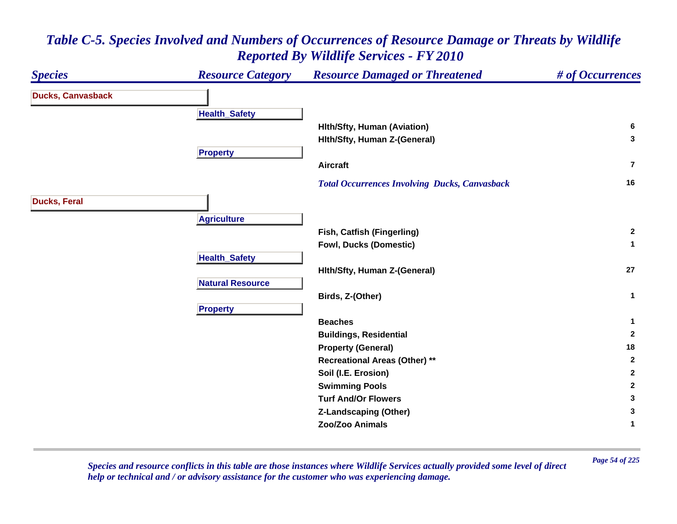

*Page 54 of 225 Species and resource conflicts in this table are those instances where Wildlife Services actually provided some level of direct help or technical and / or advisory assistance for the customer who was experiencing damage.*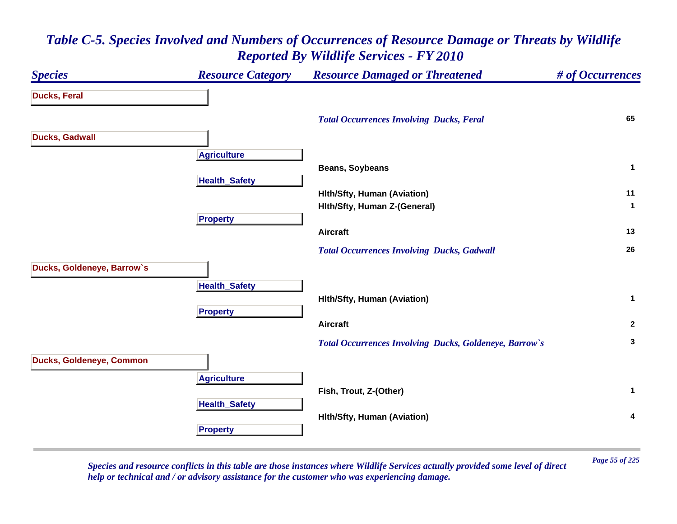### *Species Resource Category Resource Damaged or Threatened # of Occurrences* **Ducks, Feral**  *Total Occurrences Involving Ducks, Feral* **<sup>65</sup> Ducks, Gadwall A griculture Beans, Soybeans <sup>1</sup> HealthSafet y Hlth/Sfty, Human (Aviation) <sup>11</sup> Hlth/Sfty, Human Z-(General) <sup>1</sup> Propert y Aircraft 13**  *Total Occurrences Involving Ducks, Gadwall* **<sup>26</sup> Ducks, Goldeneye, Barrow`s HealthSafet y Hlth/Sfty, Human (Aviation) <sup>1</sup> Pro pert y Aircraft 2**  *Total Occurrences Involving Ducks, Goldeneye, Barrow`s* **<sup>3</sup> Ducks, Goldeneye, Common A griculture Fish, Trout, Z-(Other) <sup>1</sup> HealthSafet y Hlth/Sfty, Human (Aviation) <sup>4</sup> Propert y**

# *Table C-5. Species Involved and Numbers of Occurrences of Resource Damage or Threats by Wildlife Reported By Wildlife Services - FY 2010*

*Page 55 of 225 Species and resource conflicts in this table are those instances where Wildlife Services actually provided some level of direct help or technical and / or advisory assistance for the customer who was experiencing damage.*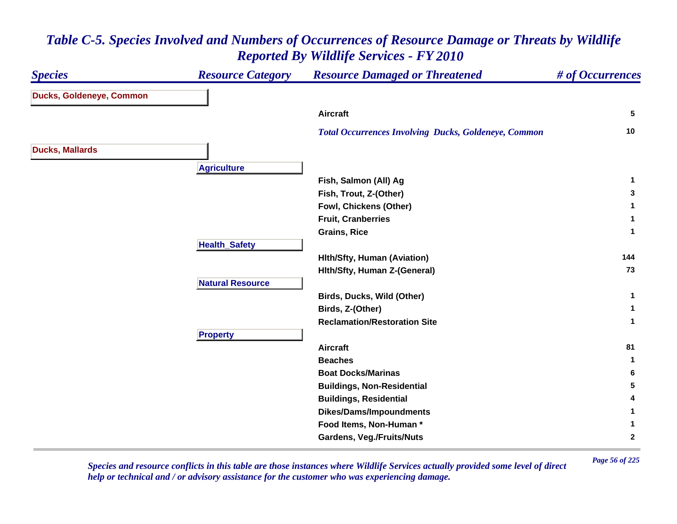#### *Species Resource Category Resource Damaged or Threatened # of Occurrences* **Ducks, Goldeneye, Common Aircraft 5**  *Total Occurrences Involving Ducks, Goldeneye, Common* **<sup>10</sup> Ducks, Mallards Agriculture Fish, Salmon (All) Ag <sup>1</sup> Fish, Trout, Z-(Other) <sup>3</sup> Fowl, Chickens (Other) <sup>1</sup> Fruit, Cranberries 1 Grains, Rice 1 HealthSafet y Hlth/Sfty, Human (Aviation) <sup>144</sup> Hlth/Sfty, Human Z-(General) <sup>73</sup> Natural ResourceBirds, Ducks, Wild (Other) <sup>1</sup> Birds, Z-(Other) <sup>1</sup> Reclamation/Restoration Site 1 Propert y Aircraft 81 Beaches 1 Boat Docks/Marinas 6 Buildings, Non-Residential <sup>5</sup> Buildings, Residential <sup>4</sup> Dikes/Dams/Impoundments <sup>1</sup> Food Items, Non-Human \* 1 Gardens, Veg./Fruits/Nuts <sup>2</sup>**

# *Table C-5. Species Involved and Numbers of Occurrences of Resource Damage or Threats by Wildlife Reported By Wildlife Services - FY 2010*

*Page 56 of 225 Species and resource conflicts in this table are those instances where Wildlife Services actually provided some level of direct help or technical and / or advisory assistance for the customer who was experiencing damage.*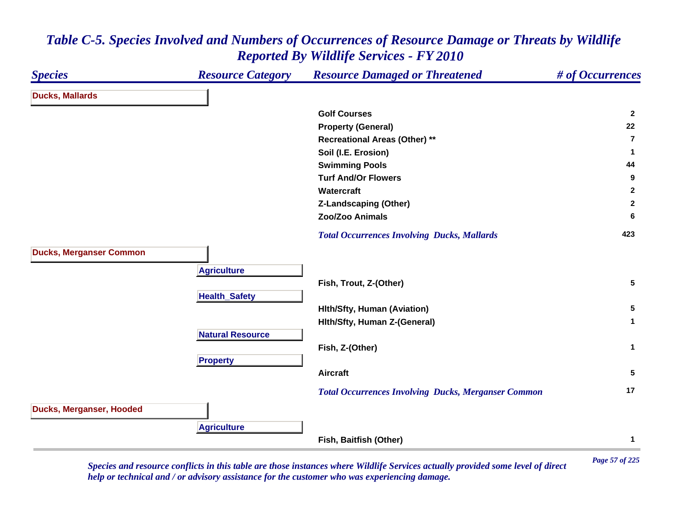#### *Species Resource Category Resource Damaged or Threatened # of Occurrences* **Ducks, Mallards Golf Courses 2 Property (General) <sup>22</sup> Recreational Areas (Other) \*\* 7Soil (I.E. Erosion) <sup>1</sup> Swimming Pools <sup>44</sup> Turf And/Or Flowers 9 Watercraft 2 Z-Landscaping (Other) <sup>2</sup> Zoo/Zoo Animals 6**  *Total Occurrences Involving Ducks, Mallards* **<sup>423</sup> Ducks, Merganser Common A griculture Fish, Trout, Z-(Other) <sup>5</sup> HealthSafet y Hlth/Sfty, Human (Aviation) <sup>5</sup> Hlth/Sfty, Human Z-(General) <sup>1</sup> Natural ResourceFish, Z-(Other) <sup>1</sup> Propert y Aircraft 5**  *Total Occurrences Involving Ducks, Merganser Common* **<sup>17</sup> Ducks, Merganser, Hooded Agriculture Fish, Baitfish (Other) <sup>1</sup>**

### *Table C-5. Species Involved and Numbers of Occurrences of Resource Damage or Threats by Wildlife Reported By Wildlife Services - FY 2010*

*Page 57 of 225 Species and resource conflicts in this table are those instances where Wildlife Services actually provided some level of direct help or technical and / or advisory assistance for the customer who was experiencing damage.*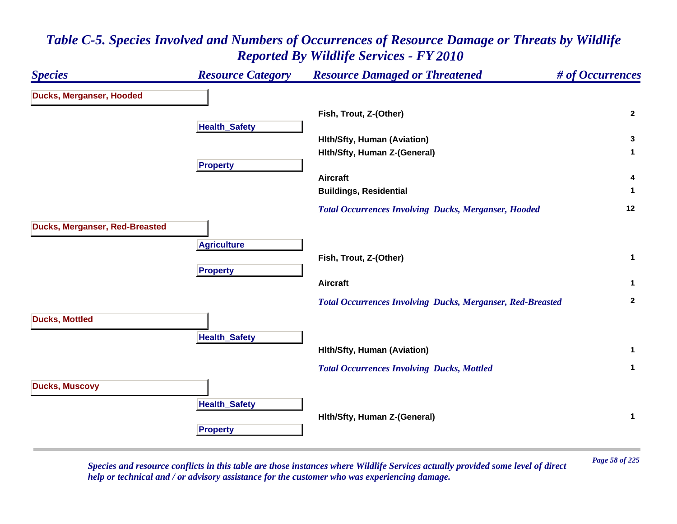### *Species Resource Category Resource Damaged or Threatened # of Occurrences* **Ducks, Merganser, Hooded Fish, Trout, Z-(Other) <sup>2</sup> Health \_ Safet y Hlth/Sfty, Human (Aviation) <sup>3</sup> Hlth/Sfty, Human Z-(General) <sup>1</sup> Propert y Aircraft 4 Buildings, Residential <sup>1</sup>**  *Total Occurrences Involving Ducks, Merganser, Hooded* **<sup>12</sup> Ducks, Merganser, Red-Breasted A griculture Fish, Trout, Z-(Other) <sup>1</sup> Pro pert y Aircraft 1**  *Total Occurrences Involving Ducks, Merganser, Red-Breasted* **<sup>2</sup> Ducks, Mottled Health \_ Safet y Hlth/Sfty, Human (Aviation) <sup>1</sup>**  *Total Occurrences Involving Ducks, Mottled* **<sup>1</sup> Ducks, Muscovy HealthSafet y Hlth/Sfty, Human Z-(General) <sup>1</sup> Propert y**

# *Table C-5. Species Involved and Numbers of Occurrences of Resource Damage or Threats by Wildlife Reported By Wildlife Services - FY 2010*

*Page 58 of 225 Species and resource conflicts in this table are those instances where Wildlife Services actually provided some level of direct help or technical and / or advisory assistance for the customer who was experiencing damage.*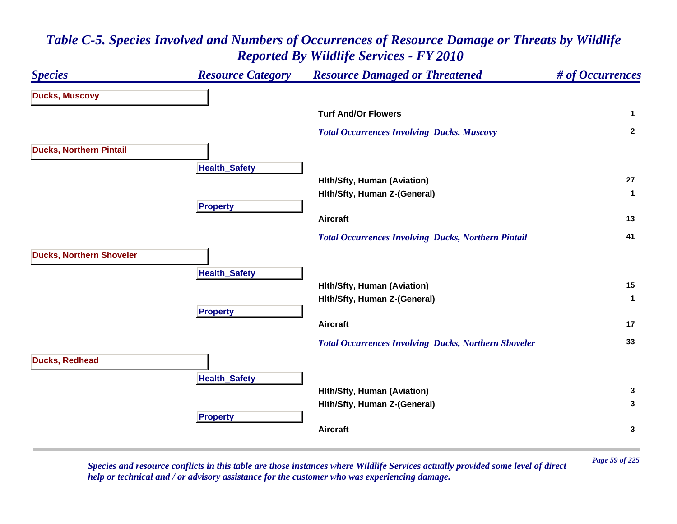| <b>Species</b>                  | <b>Resource Category</b> | <b>Resource Damaged or Threatened</b>                       | # of Occurrences |
|---------------------------------|--------------------------|-------------------------------------------------------------|------------------|
| <b>Ducks, Muscovy</b>           |                          |                                                             |                  |
|                                 |                          | <b>Turf And/Or Flowers</b>                                  | $\mathbf{1}$     |
|                                 |                          | <b>Total Occurrences Involving Ducks, Muscovy</b>           | $\overline{2}$   |
| <b>Ducks, Northern Pintail</b>  |                          |                                                             |                  |
|                                 | <b>Health_Safety</b>     |                                                             |                  |
|                                 |                          | <b>Hith/Sfty, Human (Aviation)</b>                          | 27               |
|                                 |                          | Hith/Sfty, Human Z-(General)                                | $\mathbf 1$      |
|                                 | <b>Property</b>          |                                                             |                  |
|                                 |                          | Aircraft                                                    | 13               |
|                                 |                          | <b>Total Occurrences Involving Ducks, Northern Pintail</b>  | 41               |
| <b>Ducks, Northern Shoveler</b> |                          |                                                             |                  |
|                                 | <b>Health_Safety</b>     |                                                             |                  |
|                                 |                          | <b>Hith/Sfty, Human (Aviation)</b>                          | 15               |
|                                 |                          | Hith/Sfty, Human Z-(General)                                | $\mathbf{1}$     |
|                                 | <b>Property</b>          |                                                             |                  |
|                                 |                          | <b>Aircraft</b>                                             | 17               |
|                                 |                          | <b>Total Occurrences Involving Ducks, Northern Shoveler</b> | 33               |
| <b>Ducks, Redhead</b>           |                          |                                                             |                  |
|                                 | <b>Health_Safety</b>     |                                                             |                  |
|                                 |                          | <b>Hith/Sfty, Human (Aviation)</b>                          | 3                |
|                                 |                          | Hith/Sfty, Human Z-(General)                                | 3                |
|                                 | <b>Property</b>          |                                                             |                  |
|                                 |                          | <b>Aircraft</b>                                             | $\mathbf{3}$     |
|                                 |                          |                                                             |                  |

*Page 59 of 225 Species and resource conflicts in this table are those instances where Wildlife Services actually provided some level of direct help or technical and / or advisory assistance for the customer who was experiencing damage.*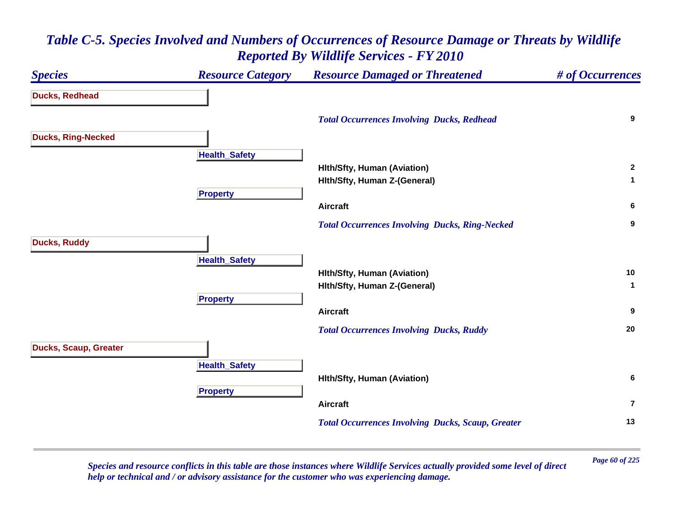### *Species Resource Category Resource Damaged or Threatened # of Occurrences* **Ducks, Redhead**  *Total Occurrences Involving Ducks, Redhead* **<sup>9</sup> Ducks, Ring-Necked Health \_ Safet y Hlth/Sfty, Human (Aviation) <sup>2</sup> Hlth/Sfty, Human Z-(General) <sup>1</sup> Pro pert y Aircraft 6**  *Total Occurrences Involving Ducks, Ring-Necked* **<sup>9</sup> Ducks, Ruddy Health \_ Safet y Hlth/Sfty, Human (Aviation) <sup>10</sup> Hlth/Sfty, Human Z-(General) <sup>1</sup> Propert y Aircraft 9**  *Total Occurrences Involving Ducks, Ruddy* **<sup>20</sup> Ducks, Scaup, Greater HealthSafet y Hlth/Sfty, Human (Aviation) <sup>6</sup> Pro pert y Aircraft7** *Total Occurrences Involving Ducks, Scaup, Greater* **<sup>13</sup>**

### *Table C-5. Species Involved and Numbers of Occurrences of Resource Damage or Threats by Wildlife Reported By Wildlife Services - FY 2010*

*Page 60 of 225 Species and resource conflicts in this table are those instances where Wildlife Services actually provided some level of direct help or technical and / or advisory assistance for the customer who was experiencing damage.*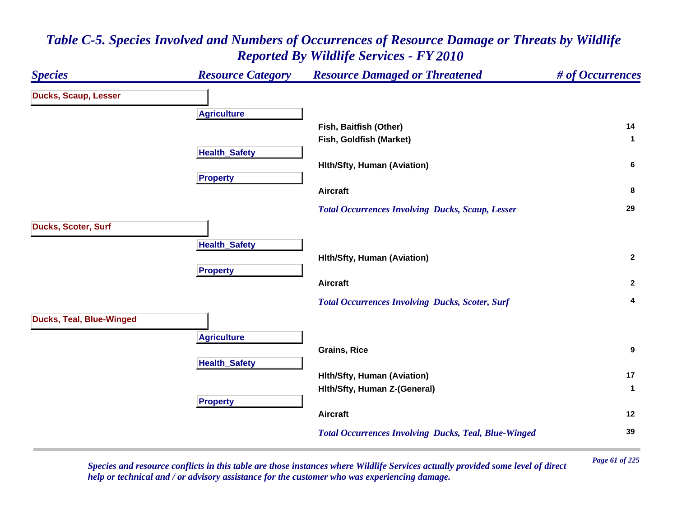### *Species Resource Category Resource Damaged or Threatened # of Occurrences* **Ducks, Scaup, Lesser A griculture Fish, Baitfish (Other) <sup>14</sup> Fish, Goldfish (Market) <sup>1</sup> Health \_ Safet y Hlth/Sfty, Human (Aviation) <sup>6</sup> Pro pert y Aircraft 8**  *Total Occurrences Involving Ducks, Scaup, Lesser* **<sup>29</sup> Ducks, Scoter, Surf HealthSafet y Hlth/Sfty, Human (Aviation) <sup>2</sup> Pro pert y Aircraft 2**  *Total Occurrences Involving Ducks, Scoter, Surf* **<sup>4</sup> Ducks, Teal, Blue-Winged A griculture Grains, Rice 9 HealthSafet y Hlth/Sfty, Human (Aviation) <sup>17</sup> Hlth/Sfty, Human Z-(General) <sup>1</sup> Propert y Aircraft 12**  *Total Occurrences Involving Ducks, Teal, Blue-Winged* **<sup>39</sup>**

# *Table C-5. Species Involved and Numbers of Occurrences of Resource Damage or Threats by Wildlife Reported By Wildlife Services - FY 2010*

*Page 61 of 225 Species and resource conflicts in this table are those instances where Wildlife Services actually provided some level of direct help or technical and / or advisory assistance for the customer who was experiencing damage.*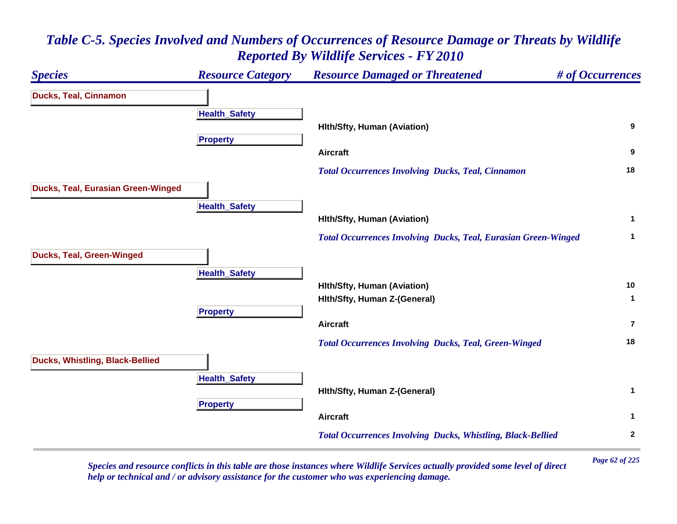### *Species Resource Category Resource Damaged or Threatened # of Occurrences* **Ducks, Teal, Cinnamon Health \_ Safet y Hlth/Sfty, Human (Aviation) <sup>9</sup> Propert y Aircraft 9**  *Total Occurrences Involving Ducks, Teal, Cinnamon* **<sup>18</sup> Ducks, Teal, Eurasian Green-Winged HealthSafet y Hlth/Sfty, Human (Aviation) <sup>1</sup>**  *Total Occurrences Involving Ducks, Teal, Eurasian Green-Winged* **<sup>1</sup> Ducks, Teal, Green-Winged HealthSafet y Hlth/Sfty, Human (Aviation) <sup>10</sup> Hlth/Sfty, Human Z-(General) <sup>1</sup> Propert y Aircraft7** *Total Occurrences Involving Ducks, Teal, Green-Winged* **<sup>18</sup> Ducks, Whistling, Black-Bellied HealthSafet y Hlth/Sfty, Human Z-(General) <sup>1</sup> Propert y Aircraft 1**  *Total Occurrences Involving Ducks, Whistling, Black-Bellied* **<sup>2</sup>**

## *Table C-5. Species Involved and Numbers of Occurrences of Resource Damage or Threats by Wildlife Reported By Wildlife Services - FY 2010*

*Page 62 of 225 Species and resource conflicts in this table are those instances where Wildlife Services actually provided some level of direct help or technical and / or advisory assistance for the customer who was experiencing damage.*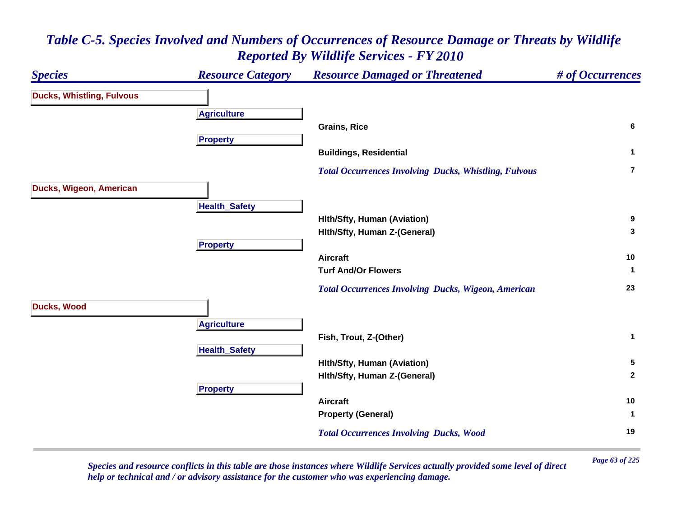### *Species Resource Category Resource Damaged or Threatened # of Occurrences* **Ducks, Whistling, Fulvous A griculture Grains, Rice 6 Propert y Buildings, Residential <sup>1</sup>**  *Total Occurrences Involving Ducks, Whistling, Fulvous* **7Ducks, Wigeon, American HealthSafet y Hlth/Sfty, Human (Aviation) <sup>9</sup> Hlth/Sfty, Human Z-(General) <sup>3</sup> Propert y Aircraft 10 Turf And/Or Flowers 1**  *Total Occurrences Involving Ducks, Wigeon, American* **<sup>23</sup> Ducks, Wood A griculture Fish, Trout, Z-(Other) <sup>1</sup> Health \_ Safet y Hlth/Sfty, Human (Aviation) <sup>5</sup> Hlth/Sfty, Human Z-(General) <sup>2</sup> Pro pert y Aircraft 10 Property (General) <sup>1</sup>**  *Total Occurrences Involving Ducks, Wood* **<sup>19</sup>**

# *Table C-5. Species Involved and Numbers of Occurrences of Resource Damage or Threats by Wildlife Reported By Wildlife Services - FY 2010*

*Page 63 of 225 Species and resource conflicts in this table are those instances where Wildlife Services actually provided some level of direct help or technical and / or advisory assistance for the customer who was experiencing damage.*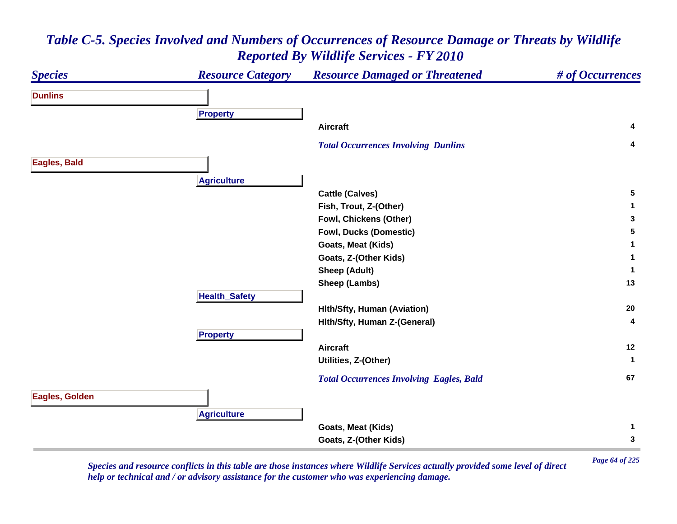### *Species Resource Category Resource Damaged or Threatened # of Occurrences* **DunlinsPro pert y Aircraft 4**  *Total Occurrences Involving Dunlins* **<sup>4</sup> Eagles, Bald Agriculture Cattle (Calves) <sup>5</sup> Fish, Trout, Z-(Other) <sup>1</sup> Fowl, Chickens (Other) <sup>3</sup> Fowl, Ducks (Domestic) <sup>5</sup> Goats, Meat (Kids) <sup>1</sup> Goats, Z-(Other Kids) <sup>1</sup> Sheep (Adult) <sup>1</sup> Sheep (Lambs) <sup>13</sup> HealthSafet y Hlth/Sfty, Human (Aviation) <sup>20</sup> Hlth/Sfty, Human Z-(General) <sup>4</sup> Propert y Aircraft 12 Utilities, Z-(Other) <sup>1</sup>**  *Total Occurrences Involving Eagles, Bald* **<sup>67</sup> Eagles, Golden A griculture Goats, Meat (Kids) <sup>1</sup> Goats, Z-(Other Kids) <sup>3</sup>**

# *Table C-5. Species Involved and Numbers of Occurrences of Resource Damage or Threats by Wildlife Reported By Wildlife Services - FY 2010*

*Page 64 of 225 Species and resource conflicts in this table are those instances where Wildlife Services actually provided some level of direct help or technical and / or advisory assistance for the customer who was experiencing damage.*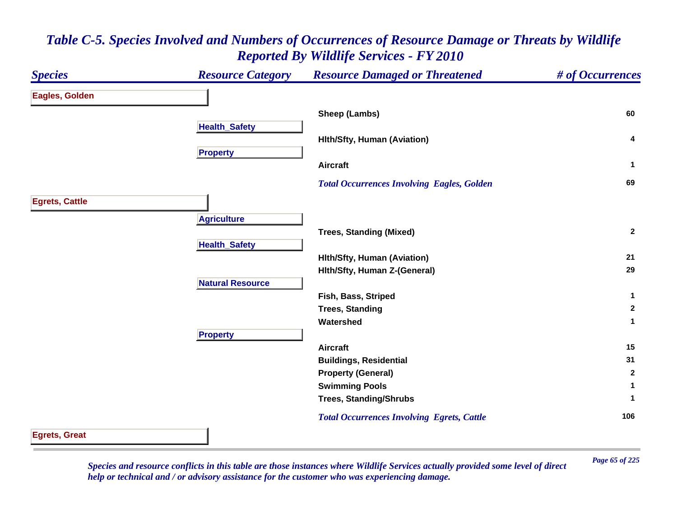### *Species Resource Category Resource Damaged or Threatened # of Occurrences* **Eagles, Golden Sheep (Lambs) <sup>60</sup> Health \_ Safet y Hlth/Sfty, Human (Aviation) <sup>4</sup> Pro pert y Aircraft 1**  *Total Occurrences Involving Eagles, Golden* **<sup>69</sup> Egrets, Cattle A griculture Trees, Standing (Mixed) <sup>2</sup> Health \_ Safet y Hlth/Sfty, Human (Aviation) <sup>21</sup> Hlth/Sfty, Human Z-(General) <sup>29</sup> Natural ResourceFish, Bass, Striped <sup>1</sup> Trees, Standing <sup>2</sup> Watershed 1 Propert y Aircraft 15 Buildings, Residential <sup>31</sup> Property (General) <sup>2</sup> Swimming Pools <sup>1</sup> Trees, Standing/Shrubs <sup>1</sup>**  *Total Occurrences Involving Egrets, Cattle* **<sup>106</sup> Egrets, Great**

# *Table C-5. Species Involved and Numbers of Occurrences of Resource Damage or Threats by Wildlife Reported By Wildlife Services - FY 2010*

*Page 65 of 225 Species and resource conflicts in this table are those instances where Wildlife Services actually provided some level of direct help or technical and / or advisory assistance for the customer who was experiencing damage.*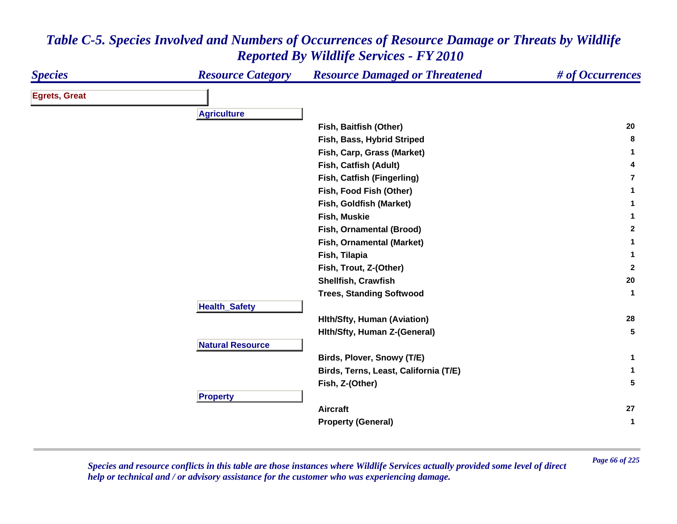| <b>Species</b>       | <b>Resource Category</b> | <b>Resource Damaged or Threatened</b> | # of Occurrences     |
|----------------------|--------------------------|---------------------------------------|----------------------|
| <b>Egrets, Great</b> |                          |                                       |                      |
|                      | <b>Agriculture</b>       |                                       |                      |
|                      |                          | Fish, Baitfish (Other)                | 20                   |
|                      |                          | Fish, Bass, Hybrid Striped            | 8                    |
|                      |                          | Fish, Carp, Grass (Market)            | 1                    |
|                      |                          | Fish, Catfish (Adult)                 | 4                    |
|                      |                          | Fish, Catfish (Fingerling)            | $\overline{7}$       |
|                      |                          | Fish, Food Fish (Other)               | 1                    |
|                      |                          | Fish, Goldfish (Market)               | 1                    |
|                      |                          | Fish, Muskie                          | 1                    |
|                      |                          | Fish, Ornamental (Brood)              | $\mathbf{2}$         |
|                      |                          | Fish, Ornamental (Market)             | 1                    |
|                      |                          | Fish, Tilapia                         | 1                    |
|                      |                          | Fish, Trout, Z-(Other)                | $\mathbf{2}$         |
|                      |                          | Shellfish, Crawfish                   | 20                   |
|                      |                          | <b>Trees, Standing Softwood</b>       | $\blacktriangleleft$ |
|                      | <b>Health_Safety</b>     |                                       |                      |
|                      |                          | <b>Hith/Sfty, Human (Aviation)</b>    | 28                   |
|                      |                          | Hith/Sfty, Human Z-(General)          | 5                    |
|                      | <b>Natural Resource</b>  |                                       |                      |
|                      |                          | Birds, Plover, Snowy (T/E)            | 1                    |
|                      |                          | Birds, Terns, Least, California (T/E) | 1                    |
|                      |                          | Fish, Z-(Other)                       | 5                    |
|                      | <b>Property</b>          |                                       |                      |
|                      |                          | <b>Aircraft</b>                       | 27                   |
|                      |                          | <b>Property (General)</b>             | 1                    |

*Page 66 of 225 Species and resource conflicts in this table are those instances where Wildlife Services actually provided some level of direct help or technical and / or advisory assistance for the customer who was experiencing damage.*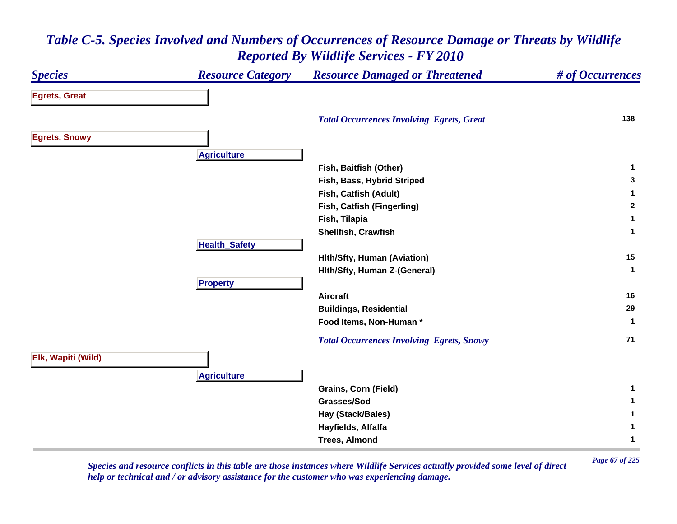### *Species Resource Category Resource Damaged or Threatened # of Occurrences* **Egrets, Great**  *Total Occurrences Involving Egrets, Great* **<sup>138</sup> Egrets, Snowy A griculture Fish, Baitfish (Other) <sup>1</sup> Fish, Bass, Hybrid Striped <sup>3</sup> Fish, Catfish (Adult) <sup>1</sup> Fish, Catfish (Fingerling) <sup>2</sup> Fish, Tilapia <sup>1</sup> Shellfish, Crawfish 1 HealthSafet y Hlth/Sfty, Human (Aviation) <sup>15</sup> Hlth/Sfty, Human Z-(General) <sup>1</sup> Pro pert y Aircraft 16 Buildings, Residential <sup>29</sup> Food Items, Non-Human \* 1**  *Total Occurrences Involving Egrets, Snowy* **<sup>71</sup> Elk, Wapiti (Wild) A griculture Grains, Corn (Field) <sup>1</sup> Grasses/Sod 1 Hay (Stack/Bales) <sup>1</sup> Hayfields, Alfalfa <sup>1</sup> Trees, Almond 1**

### *Table C-5. Species Involved and Numbers of Occurrences of Resource Damage or Threats by Wildlife Reported By Wildlife Services - FY 2010*

*Page 67 of 225 Species and resource conflicts in this table are those instances where Wildlife Services actually provided some level of direct help or technical and / or advisory assistance for the customer who was experiencing damage.*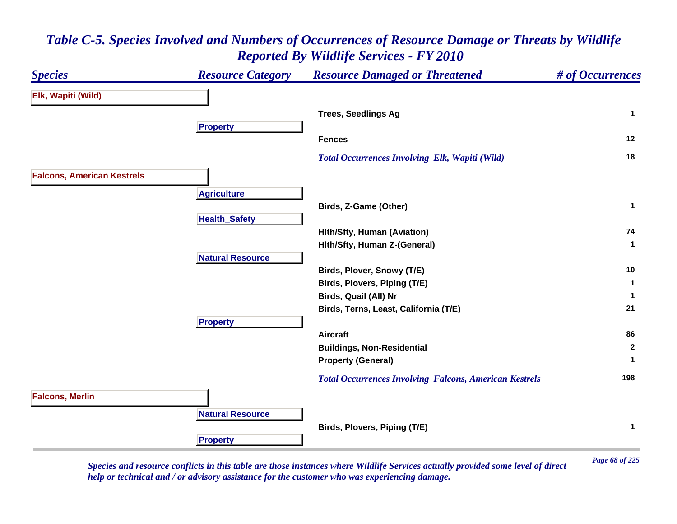### *Species Resource Category Resource Damaged or Threatened # of Occurrences* **Elk, Wapiti (Wild) Trees, Seedlings Ag <sup>1</sup> Propert y Fences 12**  *Total Occurrences Involving Elk, Wapiti (Wild)* **<sup>18</sup> Falcons, American Kestrels A griculture Birds, Z-Game (Other) <sup>1</sup> HealthSafet y Hlth/Sfty, Human (Aviation) <sup>74</sup> Hlth/Sfty, Human Z-(General) <sup>1</sup> Natural ResourceBirds, Plover, Snowy (T/E) <sup>10</sup> Birds, Plovers, Piping (T/E) <sup>1</sup> Birds, Quail (All) Nr <sup>1</sup> Birds, Terns, Least, California (T/E) <sup>21</sup> Propert y Aircraft 86 Buildings, Non-Residential <sup>2</sup> Property (General) <sup>1</sup>**  *Total Occurrences Involving Falcons, American Kestrels* **<sup>198</sup> Falcons, Merlin Natural ResourceBirds, Plovers, Piping (T/E) <sup>1</sup> Propert y**

# *Table C-5. Species Involved and Numbers of Occurrences of Resource Damage or Threats by Wildlife Reported By Wildlife Services - FY 2010*

*Page 68 of 225 Species and resource conflicts in this table are those instances where Wildlife Services actually provided some level of direct help or technical and / or advisory assistance for the customer who was experiencing damage.*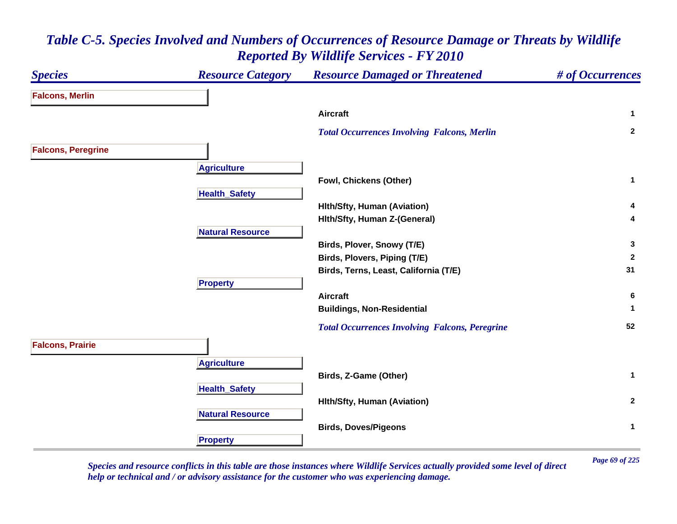| <b>Species</b>            | <b>Resource Category</b> | <b>Resource Damaged or Threatened</b>                 | # of Occurrences |
|---------------------------|--------------------------|-------------------------------------------------------|------------------|
| <b>Falcons, Merlin</b>    |                          |                                                       |                  |
|                           |                          | <b>Aircraft</b>                                       | $\mathbf{1}$     |
|                           |                          | <b>Total Occurrences Involving Falcons, Merlin</b>    | $\mathbf{2}$     |
| <b>Falcons, Peregrine</b> |                          |                                                       |                  |
|                           | <b>Agriculture</b>       |                                                       |                  |
|                           |                          | Fowl, Chickens (Other)                                | $\mathbf{1}$     |
|                           | <b>Health_Safety</b>     |                                                       |                  |
|                           |                          | <b>Hith/Sfty, Human (Aviation)</b>                    | 4<br>4           |
|                           | <b>Natural Resource</b>  | Hith/Sfty, Human Z-(General)                          |                  |
|                           |                          | Birds, Plover, Snowy (T/E)                            | $\mathbf{3}$     |
|                           |                          | Birds, Plovers, Piping (T/E)                          | $\mathbf{2}$     |
|                           |                          | Birds, Terns, Least, California (T/E)                 | 31               |
|                           | <b>Property</b>          |                                                       |                  |
|                           |                          | <b>Aircraft</b>                                       | 6                |
|                           |                          | <b>Buildings, Non-Residential</b>                     | $\mathbf 1$      |
|                           |                          | <b>Total Occurrences Involving Falcons, Peregrine</b> | 52               |
| <b>Falcons, Prairie</b>   |                          |                                                       |                  |
|                           | <b>Agriculture</b>       |                                                       |                  |
|                           |                          | Birds, Z-Game (Other)                                 | $\mathbf{1}$     |
|                           | <b>Health_Safety</b>     |                                                       |                  |
|                           |                          | <b>Hith/Sfty, Human (Aviation)</b>                    | $\overline{2}$   |
|                           | <b>Natural Resource</b>  |                                                       |                  |
|                           |                          | <b>Birds, Doves/Pigeons</b>                           | $\mathbf{1}$     |
|                           | <b>Property</b>          |                                                       |                  |

*Page 69 of 225 Species and resource conflicts in this table are those instances where Wildlife Services actually provided some level of direct help or technical and / or advisory assistance for the customer who was experiencing damage.*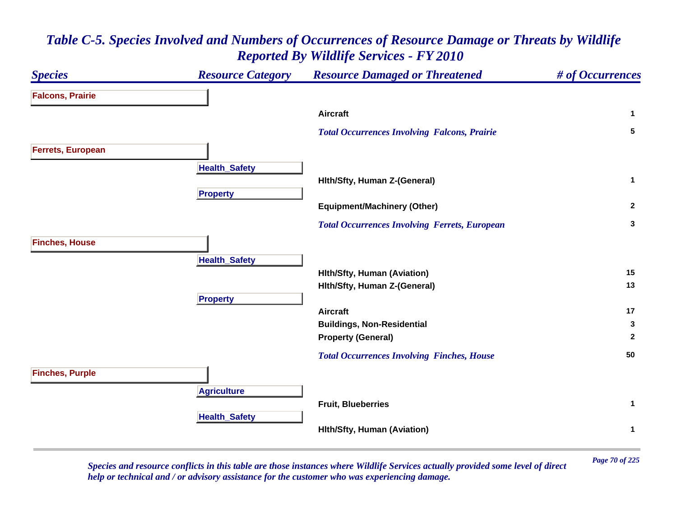

*Page 70 of 225 Species and resource conflicts in this table are those instances where Wildlife Services actually provided some level of direct help or technical and / or advisory assistance for the customer who was experiencing damage.*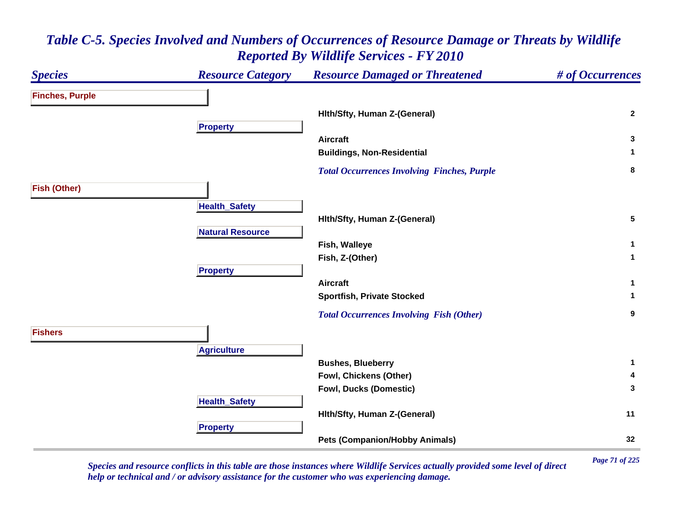### *Species Resource Category Resource Damaged or Threatened # of Occurrences* **Finches, Purple Hlth/Sfty, Human Z-(General) <sup>2</sup> Propert y Aircraft 3 Buildings, Non-Residential <sup>1</sup>**  *Total Occurrences Involving Finches, Purple* **<sup>8</sup> Fish (Other) HealthSafet y Hlth/Sfty, Human Z-(General) <sup>5</sup> Natural ResourceFish, Walleye <sup>1</sup> Fish, Z-(Other) <sup>1</sup> Pro pert y Aircraft 1 Sportfish, Private Stocked <sup>1</sup>**  *Total Occurrences Involving Fish (Other)* **<sup>9</sup> FishersA griculture Bushes, Blueberry <sup>1</sup> Fowl, Chickens (Other) <sup>4</sup> Fowl, Ducks (Domestic) <sup>3</sup> HealthSafet y Hlth/Sfty, Human Z-(General) <sup>11</sup> Propert y Pets (Companion/Hobby Animals) <sup>32</sup>**

## *Table C-5. Species Involved and Numbers of Occurrences of Resource Damage or Threats by Wildlife Reported By Wildlife Services - FY 2010*

*Page 71 of 225 Species and resource conflicts in this table are those instances where Wildlife Services actually provided some level of direct help or technical and / or advisory assistance for the customer who was experiencing damage.*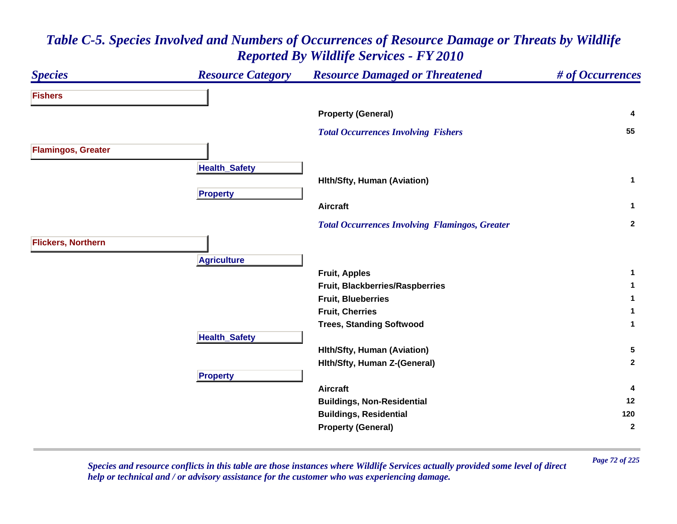| <b>Species</b>            | <b>Resource Category</b> | <b>Resource Damaged or Threatened</b>                 | # of Occurrences |
|---------------------------|--------------------------|-------------------------------------------------------|------------------|
| <b>Fishers</b>            |                          |                                                       |                  |
|                           |                          | <b>Property (General)</b>                             | 4                |
|                           |                          | <b>Total Occurrences Involving Fishers</b>            | 55               |
| <b>Flamingos, Greater</b> |                          |                                                       |                  |
|                           | <b>Health_Safety</b>     |                                                       |                  |
|                           |                          | <b>Hith/Sfty, Human (Aviation)</b>                    | $\mathbf{1}$     |
|                           | <b>Property</b>          |                                                       |                  |
|                           |                          | <b>Aircraft</b>                                       | $\mathbf{1}$     |
|                           |                          | <b>Total Occurrences Involving Flamingos, Greater</b> | $\overline{2}$   |
| <b>Flickers, Northern</b> |                          |                                                       |                  |
|                           | <b>Agriculture</b>       |                                                       |                  |
|                           |                          | <b>Fruit, Apples</b>                                  | $\mathbf{1}$     |
|                           |                          | Fruit, Blackberries/Raspberries                       | $\mathbf{1}$     |
|                           |                          | <b>Fruit, Blueberries</b>                             | 1                |
|                           |                          | <b>Fruit, Cherries</b>                                | $\mathbf 1$      |
|                           |                          | <b>Trees, Standing Softwood</b>                       | $\mathbf{1}$     |
|                           | <b>Health_Safety</b>     |                                                       |                  |
|                           |                          | <b>Hith/Sfty, Human (Aviation)</b>                    | 5                |
|                           |                          | Hith/Sfty, Human Z-(General)                          | $\mathbf{2}$     |
|                           | <b>Property</b>          |                                                       |                  |
|                           |                          | <b>Aircraft</b>                                       | 4                |
|                           |                          | <b>Buildings, Non-Residential</b>                     | 12               |
|                           |                          | <b>Buildings, Residential</b>                         | 120              |
|                           |                          | <b>Property (General)</b>                             | $\mathbf{2}$     |

*Page 72 of 225 Species and resource conflicts in this table are those instances where Wildlife Services actually provided some level of direct help or technical and / or advisory assistance for the customer who was experiencing damage.*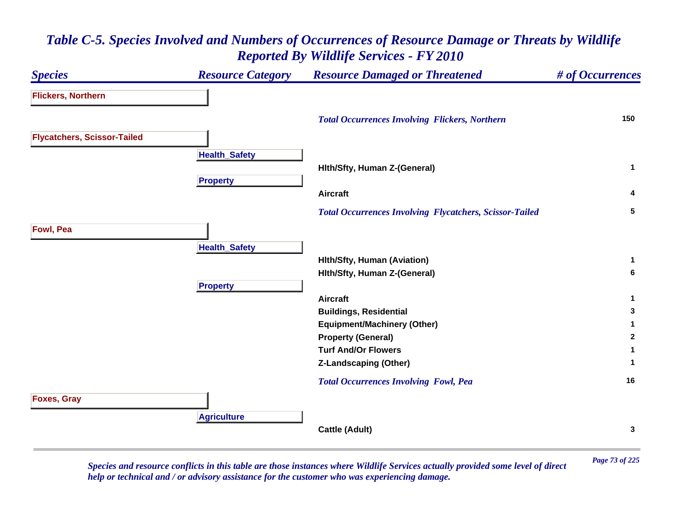### *Species Resource Category Resource Damaged or Threatened # of Occurrences* **Flickers, Northern**  *Total Occurrences Involving Flickers, Northern* **<sup>150</sup> Flycatchers, Scissor-Tailed Health \_ Safet y Hlth/Sfty, Human Z-(General) <sup>1</sup> Propert y Aircraft 4**  *Total Occurrences Involving Flycatchers, Scissor-Tailed* **<sup>5</sup> Fowl, Pea HealthSafet y Hlth/Sfty, Human (Aviation) <sup>1</sup> Hlth/Sfty, Human Z-(General) <sup>6</sup> Propert y Aircraft 1 Buildings, Residential <sup>3</sup> Equipment/Machinery (Other) <sup>1</sup> Property (General) <sup>2</sup> Turf And/Or Flowers 1 Z-Landscaping (Other) <sup>1</sup>**  *Total Occurrences Involving Fowl, Pea* **<sup>16</sup> Foxes, Gray A griculture Cattle (Adult) <sup>3</sup>**

# *Table C-5. Species Involved and Numbers of Occurrences of Resource Damage or Threats by Wildlife Reported By Wildlife Services - FY 2010*

*Page 73 of 225 Species and resource conflicts in this table are those instances where Wildlife Services actually provided some level of direct help or technical and / or advisory assistance for the customer who was experiencing damage.*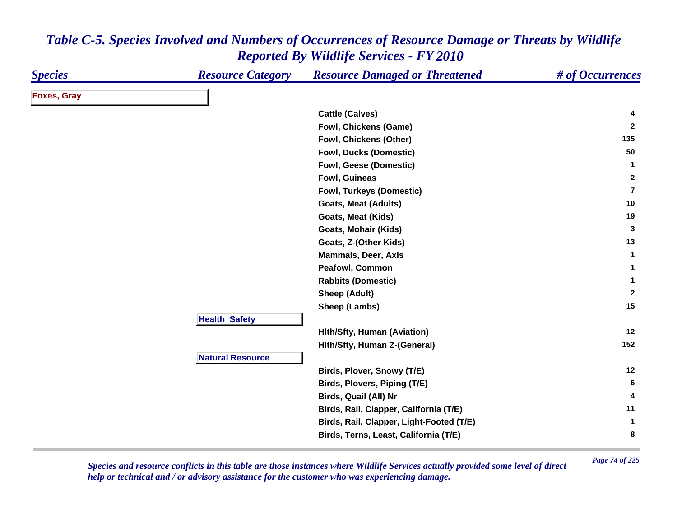| <b>Species</b>     | <b>Resource Category</b> | <b>Resource Damaged or Threatened</b>    | # of Occurrences |
|--------------------|--------------------------|------------------------------------------|------------------|
| <b>Foxes, Gray</b> |                          |                                          |                  |
|                    |                          | <b>Cattle (Calves)</b>                   | 4                |
|                    |                          | <b>Fowl, Chickens (Game)</b>             | $\mathbf{2}$     |
|                    |                          | Fowl, Chickens (Other)                   | 135              |
|                    |                          | <b>Fowl, Ducks (Domestic)</b>            | 50               |
|                    |                          | <b>Fowl, Geese (Domestic)</b>            | $\mathbf{1}$     |
|                    |                          | Fowl, Guineas                            | $\mathbf{2}$     |
|                    |                          | Fowl, Turkeys (Domestic)                 | $\overline{7}$   |
|                    |                          | <b>Goats, Meat (Adults)</b>              | 10               |
|                    |                          | <b>Goats, Meat (Kids)</b>                | 19               |
|                    |                          | Goats, Mohair (Kids)                     | 3                |
|                    |                          | Goats, Z-(Other Kids)                    | 13               |
|                    |                          | <b>Mammals, Deer, Axis</b>               | $\mathbf{1}$     |
|                    |                          | <b>Peafowl, Common</b>                   | $\mathbf{1}$     |
|                    |                          | <b>Rabbits (Domestic)</b>                | $\mathbf{1}$     |
|                    |                          | <b>Sheep (Adult)</b>                     | $\overline{2}$   |
|                    |                          | Sheep (Lambs)                            | 15               |
|                    | <b>Health_Safety</b>     |                                          |                  |
|                    |                          | <b>Hith/Sfty, Human (Aviation)</b>       | 12               |
|                    |                          | Hith/Sfty, Human Z-(General)             | 152              |
|                    | <b>Natural Resource</b>  |                                          |                  |
|                    |                          | Birds, Plover, Snowy (T/E)               | 12               |
|                    |                          | Birds, Plovers, Piping (T/E)             | 6                |
|                    |                          | Birds, Quail (All) Nr                    | 4                |
|                    |                          | Birds, Rail, Clapper, California (T/E)   | 11               |
|                    |                          | Birds, Rail, Clapper, Light-Footed (T/E) | $\mathbf{1}$     |
|                    |                          | Birds, Terns, Least, California (T/E)    | 8                |

*Page 74 of 225 Species and resource conflicts in this table are those instances where Wildlife Services actually provided some level of direct help or technical and / or advisory assistance for the customer who was experiencing damage.*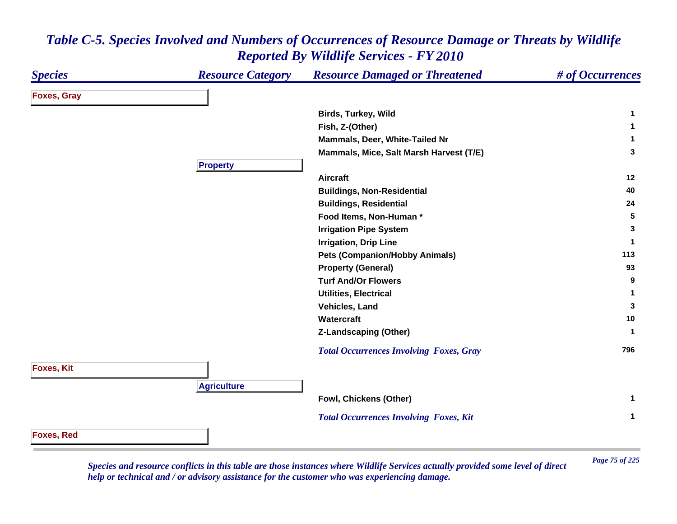| <i><b>Species</b></i> | <b>Resource Category</b> | <b>Resource Damaged or Threatened</b>          | # of Occurrences |
|-----------------------|--------------------------|------------------------------------------------|------------------|
| <b>Foxes, Gray</b>    |                          |                                                |                  |
|                       |                          | Birds, Turkey, Wild                            | 1                |
|                       |                          | Fish, Z-(Other)                                | $\mathbf 1$      |
|                       |                          | Mammals, Deer, White-Tailed Nr                 | 1                |
|                       |                          | Mammals, Mice, Salt Marsh Harvest (T/E)        | 3                |
|                       | <b>Property</b>          |                                                |                  |
|                       |                          | <b>Aircraft</b>                                | 12               |
|                       |                          | <b>Buildings, Non-Residential</b>              | 40               |
|                       |                          | <b>Buildings, Residential</b>                  | 24               |
|                       |                          | Food Items, Non-Human*                         | 5                |
|                       |                          | <b>Irrigation Pipe System</b>                  | 3                |
|                       |                          | <b>Irrigation, Drip Line</b>                   | $\mathbf 1$      |
|                       |                          | <b>Pets (Companion/Hobby Animals)</b>          | 113              |
|                       |                          | <b>Property (General)</b>                      | 93               |
|                       |                          | <b>Turf And/Or Flowers</b>                     | 9                |
|                       |                          | <b>Utilities, Electrical</b>                   | $\mathbf 1$      |
|                       |                          | Vehicles, Land                                 | 3                |
|                       |                          | Watercraft                                     | 10               |
|                       |                          | <b>Z-Landscaping (Other)</b>                   | $\mathbf 1$      |
|                       |                          | <b>Total Occurrences Involving Foxes, Gray</b> | 796              |
| <b>Foxes, Kit</b>     |                          |                                                |                  |
|                       | <b>Agriculture</b>       |                                                |                  |
|                       |                          | Fowl, Chickens (Other)                         | $\mathbf{1}$     |
|                       |                          | <b>Total Occurrences Involving Foxes, Kit</b>  | $\mathbf{1}$     |
| <b>Foxes, Red</b>     |                          |                                                |                  |

*Page 75 of 225 Species and resource conflicts in this table are those instances where Wildlife Services actually provided some level of direct help or technical and / or advisory assistance for the customer who was experiencing damage.*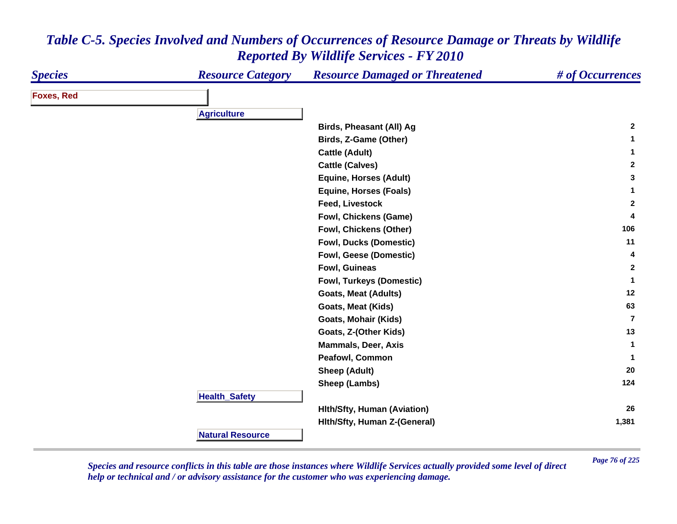| <b>Species</b>    | <b>Resource Category</b> | <b>Resource Damaged or Threatened</b> | # of Occurrences |
|-------------------|--------------------------|---------------------------------------|------------------|
| <b>Foxes, Red</b> |                          |                                       |                  |
|                   |                          |                                       |                  |
|                   | <b>Agriculture</b>       |                                       | $\mathbf{2}$     |
|                   |                          | <b>Birds, Pheasant (All) Ag</b>       |                  |
|                   |                          | Birds, Z-Game (Other)                 | 1                |
|                   |                          | <b>Cattle (Adult)</b>                 | 1                |
|                   |                          | <b>Cattle (Calves)</b>                | $\mathbf{2}$     |
|                   |                          | <b>Equine, Horses (Adult)</b>         | 3                |
|                   |                          | <b>Equine, Horses (Foals)</b>         | $\mathbf{1}$     |
|                   |                          | <b>Feed, Livestock</b>                | $\mathbf{2}$     |
|                   |                          | <b>Fowl, Chickens (Game)</b>          | 4                |
|                   |                          | Fowl, Chickens (Other)                | 106              |
|                   |                          | <b>Fowl, Ducks (Domestic)</b>         | 11               |
|                   |                          | <b>Fowl, Geese (Domestic)</b>         | 4                |
|                   |                          | Fowl, Guineas                         | $\mathbf{2}$     |
|                   |                          | Fowl, Turkeys (Domestic)              | $\mathbf{1}$     |
|                   |                          | <b>Goats, Meat (Adults)</b>           | 12               |
|                   |                          | <b>Goats, Meat (Kids)</b>             | 63               |
|                   |                          | Goats, Mohair (Kids)                  | $\overline{7}$   |
|                   |                          | Goats, Z-(Other Kids)                 | 13               |
|                   |                          | <b>Mammals, Deer, Axis</b>            | $\mathbf 1$      |
|                   |                          | Peafowl, Common                       | $\mathbf{1}$     |
|                   |                          | <b>Sheep (Adult)</b>                  | 20               |
|                   |                          | Sheep (Lambs)                         | 124              |
|                   | <b>Health_Safety</b>     |                                       |                  |
|                   |                          | <b>Hith/Sfty, Human (Aviation)</b>    | 26               |
|                   |                          | Hith/Sfty, Human Z-(General)          | 1,381            |
|                   | <b>Natural Resource</b>  |                                       |                  |

*Page 76 of 225 Species and resource conflicts in this table are those instances where Wildlife Services actually provided some level of direct help or technical and / or advisory assistance for the customer who was experiencing damage.*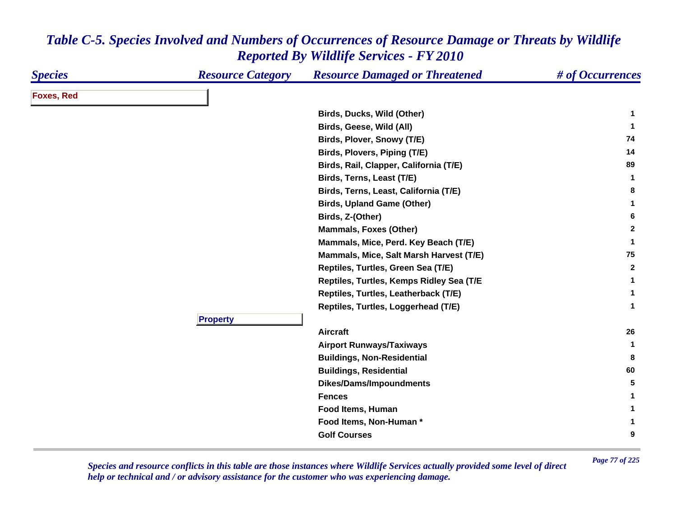| <b>Species</b>    | <b>Resource Category</b> | <b>Resource Damaged or Threatened</b>    | # of Occurrences |
|-------------------|--------------------------|------------------------------------------|------------------|
| <b>Foxes, Red</b> |                          |                                          |                  |
|                   |                          | Birds, Ducks, Wild (Other)               | 1                |
|                   |                          | Birds, Geese, Wild (All)                 | 1                |
|                   |                          | Birds, Plover, Snowy (T/E)               | 74               |
|                   |                          | Birds, Plovers, Piping (T/E)             | 14               |
|                   |                          | Birds, Rail, Clapper, California (T/E)   | 89               |
|                   |                          | Birds, Terns, Least (T/E)                | $\mathbf{1}$     |
|                   |                          | Birds, Terns, Least, California (T/E)    | 8                |
|                   |                          | <b>Birds, Upland Game (Other)</b>        | 1                |
|                   |                          | Birds, Z-(Other)                         | 6                |
|                   |                          | <b>Mammals, Foxes (Other)</b>            | $\mathbf{2}$     |
|                   |                          | Mammals, Mice, Perd. Key Beach (T/E)     | $\mathbf{1}$     |
|                   |                          | Mammals, Mice, Salt Marsh Harvest (T/E)  | 75               |
|                   |                          | Reptiles, Turtles, Green Sea (T/E)       | $\mathbf{2}$     |
|                   |                          | Reptiles, Turtles, Kemps Ridley Sea (T/E | -1               |
|                   |                          | Reptiles, Turtles, Leatherback (T/E)     | -1               |
|                   |                          | Reptiles, Turtles, Loggerhead (T/E)      | $\mathbf{1}$     |
|                   | <b>Property</b>          |                                          |                  |
|                   |                          | <b>Aircraft</b>                          | 26               |
|                   |                          | <b>Airport Runways/Taxiways</b>          | -1               |
|                   |                          | <b>Buildings, Non-Residential</b>        | 8                |
|                   |                          | <b>Buildings, Residential</b>            | 60               |
|                   |                          | <b>Dikes/Dams/Impoundments</b>           | 5                |
|                   |                          | <b>Fences</b>                            |                  |
|                   |                          | Food Items, Human                        | 1                |
|                   |                          | Food Items, Non-Human *                  | 1                |
|                   |                          | <b>Golf Courses</b>                      | 9                |

*Page 77 of 225 Species and resource conflicts in this table are those instances where Wildlife Services actually provided some level of direct help or technical and / or advisory assistance for the customer who was experiencing damage.*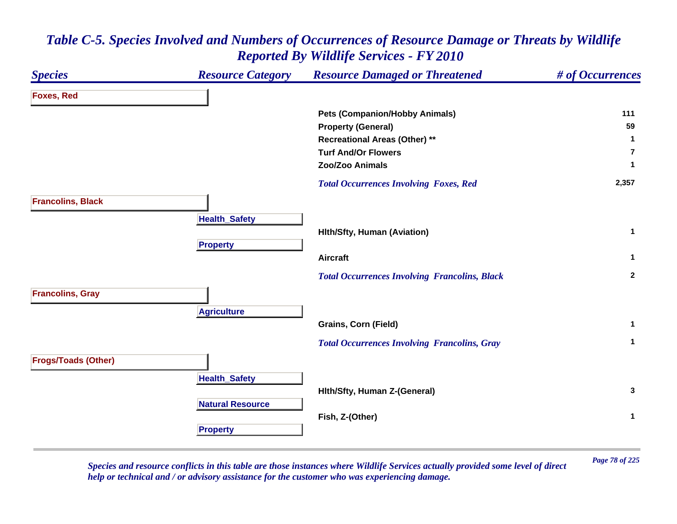### *Species Resource Category Resource Damaged or Threatened # of Occurrences* **Foxes, Red Pets (Companion/Hobby Animals) <sup>111</sup> Property (General) <sup>59</sup> Recreational Areas (Other) \*\* <sup>1</sup> Turf And/Or Flowers7Zoo/Zoo Animals 1**  *Total Occurrences Involving Foxes, Red* **2,357 Francolins, Black HealthSafet y Hlth/Sfty, Human (Aviation) <sup>1</sup> Pro pert y Aircraft 1**  *Total Occurrences Involving Francolins, Black* **<sup>2</sup> Francolins, Gray A griculture Grains, Corn (Field) <sup>1</sup>**  *Total Occurrences Involving Francolins, Gray* **<sup>1</sup> Frogs/Toads (Other) Health \_ Safet y Hlth/Sfty, Human Z-(General) <sup>3</sup> Natural ResourceFish, Z-(Other) <sup>1</sup> Propert y**

### *Table C-5. Species Involved and Numbers of Occurrences of Resource Damage or Threats by Wildlife Reported By Wildlife Services - FY 2010*

*Page 78 of 225 Species and resource conflicts in this table are those instances where Wildlife Services actually provided some level of direct help or technical and / or advisory assistance for the customer who was experiencing damage.*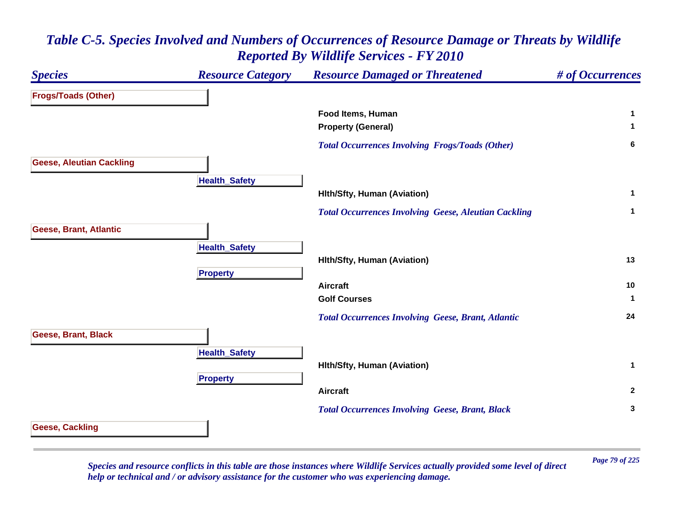| <b>Species</b>                  | <b>Resource Category</b> | <b>Resource Damaged or Threatened</b>                       | # of Occurrences |
|---------------------------------|--------------------------|-------------------------------------------------------------|------------------|
| <b>Frogs/Toads (Other)</b>      |                          |                                                             |                  |
|                                 |                          | Food Items, Human                                           | $\mathbf 1$      |
|                                 |                          | <b>Property (General)</b>                                   | $\mathbf 1$      |
|                                 |                          | <b>Total Occurrences Involving Frogs/Toads (Other)</b>      | 6                |
| <b>Geese, Aleutian Cackling</b> |                          |                                                             |                  |
|                                 | <b>Health_Safety</b>     |                                                             |                  |
|                                 |                          | <b>Hith/Sfty, Human (Aviation)</b>                          | $\mathbf{1}$     |
|                                 |                          | <b>Total Occurrences Involving Geese, Aleutian Cackling</b> | $\mathbf{1}$     |
| Geese, Brant, Atlantic          |                          |                                                             |                  |
|                                 | <b>Health_Safety</b>     |                                                             |                  |
|                                 |                          | <b>Hith/Sfty, Human (Aviation)</b>                          | 13               |
|                                 | <b>Property</b>          |                                                             |                  |
|                                 |                          | <b>Aircraft</b>                                             | 10               |
|                                 |                          | <b>Golf Courses</b>                                         | $\mathbf{1}$     |
|                                 |                          | <b>Total Occurrences Involving Geese, Brant, Atlantic</b>   | 24               |
| Geese, Brant, Black             |                          |                                                             |                  |
|                                 | <b>Health_Safety</b>     |                                                             |                  |
|                                 |                          | Hith/Sfty, Human (Aviation)                                 | $\mathbf{1}$     |
|                                 | <b>Property</b>          |                                                             |                  |
|                                 |                          | <b>Aircraft</b>                                             | $\mathbf{2}$     |
|                                 |                          | <b>Total Occurrences Involving Geese, Brant, Black</b>      | 3                |
| <b>Geese, Cackling</b>          |                          |                                                             |                  |
|                                 |                          |                                                             |                  |

*Page 79 of 225 Species and resource conflicts in this table are those instances where Wildlife Services actually provided some level of direct help or technical and / or advisory assistance for the customer who was experiencing damage.*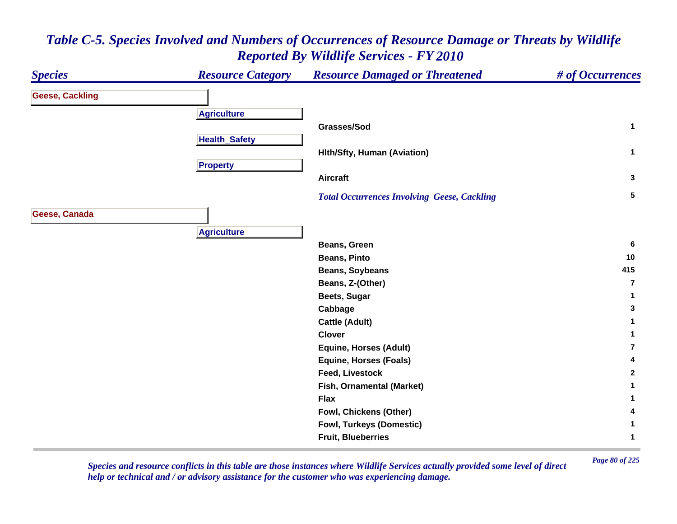

*Page 80 of 225 Species and resource conflicts in this table are those instances where Wildlife Services actually provided some level of direct help or technical and / or advisory assistance for the customer who was experiencing damage.*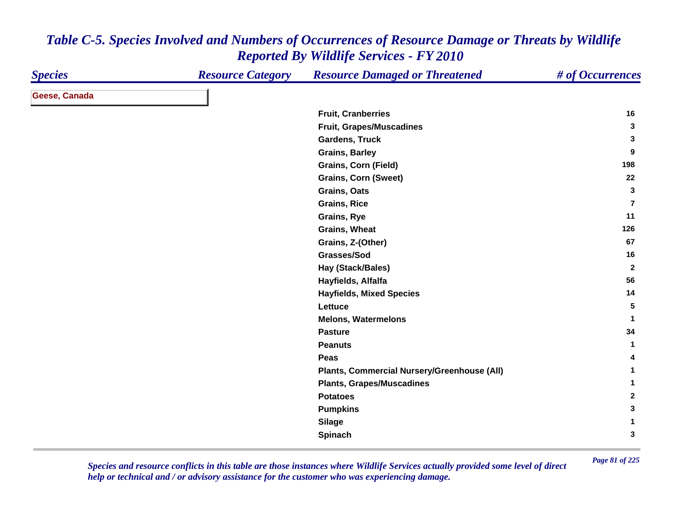| <b>Species</b> | <b>Resource Category</b> | <b>Resource Damaged or Threatened</b>       | # of Occurrences |
|----------------|--------------------------|---------------------------------------------|------------------|
| Geese, Canada  |                          |                                             |                  |
|                |                          | <b>Fruit, Cranberries</b>                   | 16               |
|                |                          | Fruit, Grapes/Muscadines                    | 3                |
|                |                          | <b>Gardens, Truck</b>                       | 3                |
|                |                          | <b>Grains, Barley</b>                       | 9                |
|                |                          | Grains, Corn (Field)                        | 198              |
|                |                          | <b>Grains, Corn (Sweet)</b>                 | 22               |
|                |                          | Grains, Oats                                | 3                |
|                |                          | <b>Grains, Rice</b>                         | 7                |
|                |                          | Grains, Rye                                 | 11               |
|                |                          | Grains, Wheat                               | 126              |
|                |                          | Grains, Z-(Other)                           | 67               |
|                |                          | Grasses/Sod                                 | 16               |
|                |                          | <b>Hay (Stack/Bales)</b>                    | $\overline{2}$   |
|                |                          | Hayfields, Alfalfa                          | 56               |
|                |                          | <b>Hayfields, Mixed Species</b>             | 14               |
|                |                          | Lettuce                                     | 5                |
|                |                          | <b>Melons, Watermelons</b>                  | $\mathbf{1}$     |
|                |                          | <b>Pasture</b>                              | 34               |
|                |                          | <b>Peanuts</b>                              | $\mathbf{1}$     |
|                |                          | Peas                                        | 4                |
|                |                          | Plants, Commercial Nursery/Greenhouse (All) | $\mathbf 1$      |
|                |                          | <b>Plants, Grapes/Muscadines</b>            | 1                |
|                |                          | <b>Potatoes</b>                             | $\mathbf{2}$     |
|                |                          | <b>Pumpkins</b>                             | 3                |
|                |                          | <b>Silage</b>                               | 1                |
|                |                          | Spinach                                     | 3                |

*Page 81 of 225 Species and resource conflicts in this table are those instances where Wildlife Services actually provided some level of direct help or technical and / or advisory assistance for the customer who was experiencing damage.*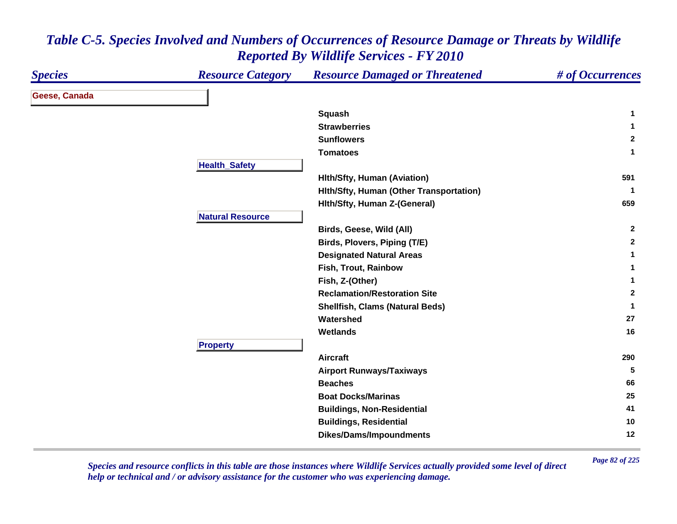| <b>Species</b> | <b>Resource Category</b> | <b>Resource Damaged or Threatened</b>   | # of Occurrences |
|----------------|--------------------------|-----------------------------------------|------------------|
| Geese, Canada  |                          |                                         |                  |
|                |                          | Squash                                  | -1               |
|                |                          | <b>Strawberries</b>                     | -1               |
|                |                          | <b>Sunflowers</b>                       | $\overline{2}$   |
|                |                          | <b>Tomatoes</b>                         | $\mathbf 1$      |
|                | <b>Health_Safety</b>     |                                         |                  |
|                |                          | <b>Hith/Sfty, Human (Aviation)</b>      | 591              |
|                |                          | Hith/Sfty, Human (Other Transportation) | -1               |
|                |                          | Hith/Sfty, Human Z-(General)            | 659              |
|                | <b>Natural Resource</b>  |                                         |                  |
|                |                          | Birds, Geese, Wild (All)                | $\mathbf{2}$     |
|                |                          | Birds, Plovers, Piping (T/E)            | $\mathbf{2}$     |
|                |                          | <b>Designated Natural Areas</b>         | 1                |
|                |                          | Fish, Trout, Rainbow                    | 1                |
|                |                          | Fish, Z-(Other)                         | 1                |
|                |                          | <b>Reclamation/Restoration Site</b>     | $\mathbf{2}$     |
|                |                          | <b>Shellfish, Clams (Natural Beds)</b>  | 1                |
|                |                          | Watershed                               | 27               |
|                |                          | Wetlands                                | 16               |
|                | <b>Property</b>          |                                         |                  |
|                |                          | <b>Aircraft</b>                         | 290              |
|                |                          | <b>Airport Runways/Taxiways</b>         | 5                |
|                |                          | <b>Beaches</b>                          | 66               |
|                |                          | <b>Boat Docks/Marinas</b>               | 25               |
|                |                          | <b>Buildings, Non-Residential</b>       | 41               |
|                |                          | <b>Buildings, Residential</b>           | 10               |
|                |                          | <b>Dikes/Dams/Impoundments</b>          | 12               |

*Page 82 of 225 Species and resource conflicts in this table are those instances where Wildlife Services actually provided some level of direct help or technical and / or advisory assistance for the customer who was experiencing damage.*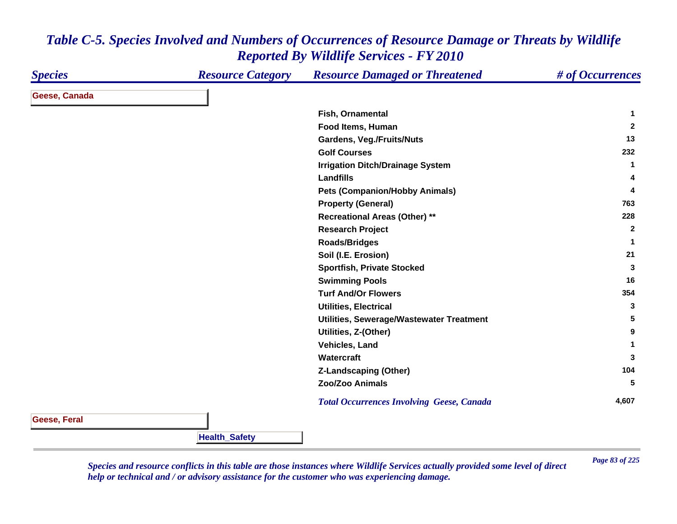| <b>Species</b>      | <b>Resource Category</b> | <b>Resource Damaged or Threatened</b>            | # of Occurrences |
|---------------------|--------------------------|--------------------------------------------------|------------------|
| Geese, Canada       |                          |                                                  |                  |
|                     |                          | Fish, Ornamental                                 | 1                |
|                     |                          | Food Items, Human                                | $\mathbf{2}$     |
|                     |                          | <b>Gardens, Veg./Fruits/Nuts</b>                 | 13               |
|                     |                          | <b>Golf Courses</b>                              | 232              |
|                     |                          | <b>Irrigation Ditch/Drainage System</b>          | 1                |
|                     |                          | <b>Landfills</b>                                 | 4                |
|                     |                          | <b>Pets (Companion/Hobby Animals)</b>            | 4                |
|                     |                          | <b>Property (General)</b>                        | 763              |
|                     |                          | <b>Recreational Areas (Other) **</b>             | 228              |
|                     |                          | <b>Research Project</b>                          | $\mathbf{2}$     |
|                     |                          | <b>Roads/Bridges</b>                             | $\mathbf 1$      |
|                     |                          | Soil (I.E. Erosion)                              | 21               |
|                     |                          | <b>Sportfish, Private Stocked</b>                | 3                |
|                     |                          | <b>Swimming Pools</b>                            | 16               |
|                     |                          | <b>Turf And/Or Flowers</b>                       | 354              |
|                     |                          | <b>Utilities, Electrical</b>                     | 3                |
|                     |                          | Utilities, Sewerage/Wastewater Treatment         | 5                |
|                     |                          | Utilities, Z-(Other)                             | 9                |
|                     |                          | Vehicles, Land                                   | 1                |
|                     |                          | Watercraft                                       | 3                |
|                     |                          | <b>Z-Landscaping (Other)</b>                     | 104              |
|                     |                          | Zoo/Zoo Animals                                  | 5                |
|                     |                          | <b>Total Occurrences Involving Geese, Canada</b> | 4,607            |
| <b>Geese, Feral</b> |                          |                                                  |                  |
|                     | <b>Health_Safety</b>     |                                                  |                  |

*Page 83 of 225 Species and resource conflicts in this table are those instances where Wildlife Services actually provided some level of direct help or technical and / or advisory assistance for the customer who was experiencing damage.*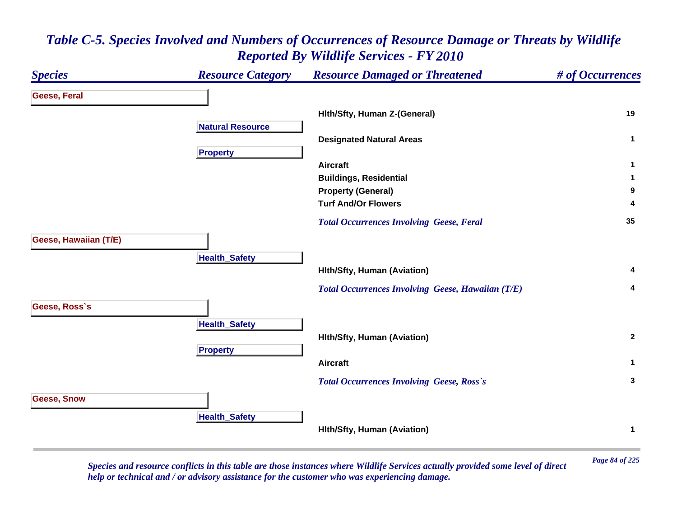### *Species Resource Category Resource Damaged or Threatened # of Occurrences* **Geese, Feral Hlth/Sfty, Human Z-(General) <sup>19</sup> Natural ResourceDesignated Natural Areas <sup>1</sup> Pro pert y Aircraft 1 Buildings, Residential <sup>1</sup> Property (General) <sup>9</sup> Turf And/Or Flowers 4**  *Total Occurrences Involving Geese, Feral* **<sup>35</sup> Geese, Hawaiian (T/E) HealthSafet y Hlth/Sfty, Human (Aviation) <sup>4</sup>**  *Total Occurrences Involving Geese, Hawaiian (T/E)* **<sup>4</sup> Geese, Ross`s Health \_ Safet y Hlth/Sfty, Human (Aviation) <sup>2</sup> Pro pert y Aircraft 1**  *Total Occurrences Involving Geese, Ross`s* **<sup>3</sup> Geese, Snow Health \_ Safet y Hlth/Sfty, Human (Aviation) <sup>1</sup>**

# *Table C-5. Species Involved and Numbers of Occurrences of Resource Damage or Threats by Wildlife Reported By Wildlife Services - FY 2010*

*Page 84 of 225 Species and resource conflicts in this table are those instances where Wildlife Services actually provided some level of direct help or technical and / or advisory assistance for the customer who was experiencing damage.*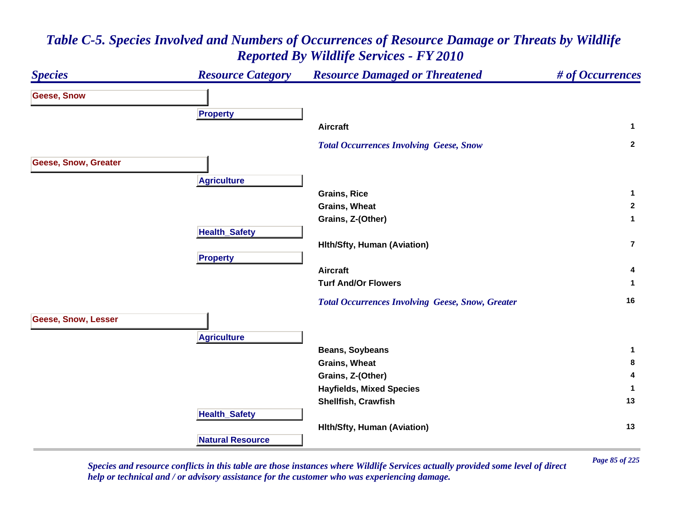

*Page 85 of 225 Species and resource conflicts in this table are those instances where Wildlife Services actually provided some level of direct help or technical and / or advisory assistance for the customer who was experiencing damage.*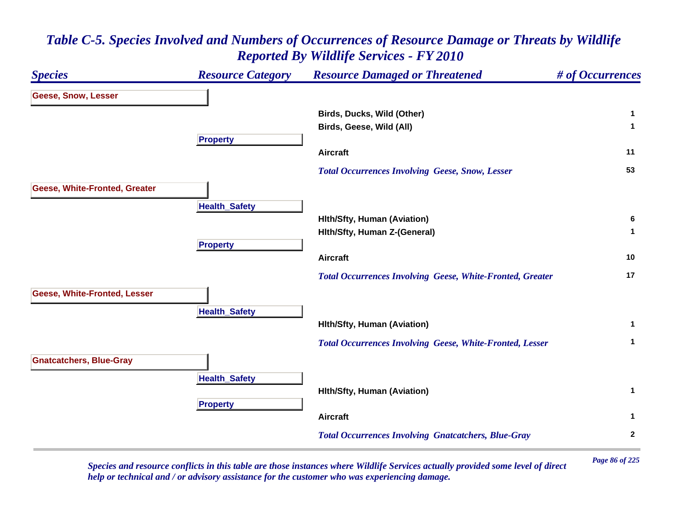### *Species Resource Category Resource Damaged or Threatened # of Occurrences* **Geese, Snow, Lesser Birds, Ducks, Wild (Other) <sup>1</sup> Birds, Geese, Wild (All) <sup>1</sup> Propert y Aircraft 11**  *Total Occurrences Involving Geese, Snow, Lesser* **<sup>53</sup> Geese, White-Fronted, Greater HealthSafet y Hlth/Sfty, Human (Aviation) <sup>6</sup> Hlth/Sfty, Human Z-(General) <sup>1</sup> Propert y Aircraft 10**  *Total Occurrences Involving Geese, White-Fronted, Greater* **<sup>17</sup> Geese, White-Fronted, Lesser HealthSafet y Hlth/Sfty, Human (Aviation) <sup>1</sup>**  *Total Occurrences Involving Geese, White-Fronted, Lesser* **<sup>1</sup> Gnatcatchers, Blue-Gray HealthSafet y Hlth/Sfty, Human (Aviation) <sup>1</sup> Propert y Aircraft 1**  *Total Occurrences Involving Gnatcatchers, Blue-Gray* **<sup>2</sup>**

# *Table C-5. Species Involved and Numbers of Occurrences of Resource Damage or Threats by Wildlife Reported By Wildlife Services - FY 2010*

*Page 86 of 225 Species and resource conflicts in this table are those instances where Wildlife Services actually provided some level of direct help or technical and / or advisory assistance for the customer who was experiencing damage.*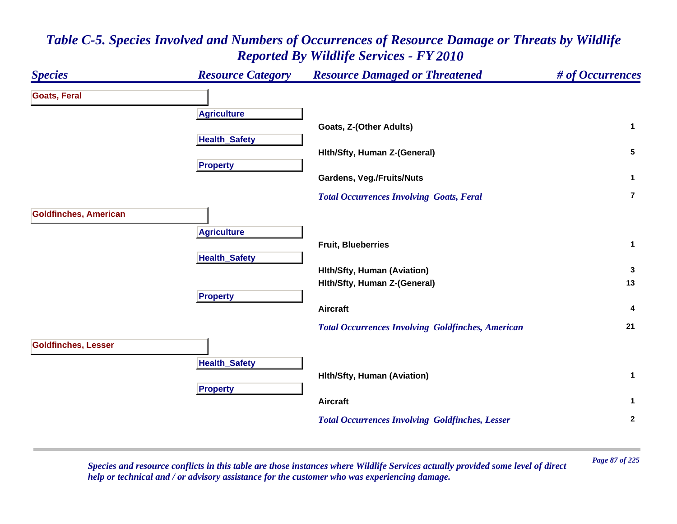### *Species Resource Category Resource Damaged or Threatened # of Occurrences* **Goats, Feral A griculture Goats, Z-(Other Adults) <sup>1</sup> HealthSafet y Hlth/Sfty, Human Z-(General) <sup>5</sup> Propert y Gardens, Veg./Fruits/Nuts <sup>1</sup>**  *Total Occurrences Involving Goats, Feral* **7Goldfinches, American A griculture Fruit, Blueberries 1 HealthSafet y Hlth/Sfty, Human (Aviation) <sup>3</sup> Hlth/Sfty, Human Z-(General) <sup>13</sup> Pro pert y Aircraft 4**  *Total Occurrences Involving Goldfinches, American* **<sup>21</sup> Goldfinches, Lesser HealthSafet y Hlth/Sfty, Human (Aviation) <sup>1</sup> Pro pert y Aircraft 1**  *Total Occurrences Involving Goldfinches, Lesser* **<sup>2</sup>**

### *Table C-5. Species Involved and Numbers of Occurrences of Resource Damage or Threats by Wildlife Reported By Wildlife Services - FY 2010*

*Page 87 of 225 Species and resource conflicts in this table are those instances where Wildlife Services actually provided some level of direct help or technical and / or advisory assistance for the customer who was experiencing damage.*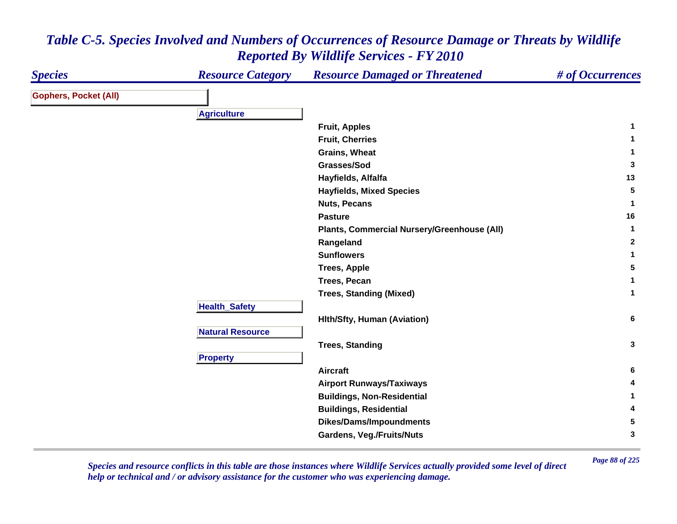| <b>Species</b>               | <b>Resource Category</b> | <b>Resource Damaged or Threatened</b>       | # of Occurrences |
|------------------------------|--------------------------|---------------------------------------------|------------------|
| <b>Gophers, Pocket (All)</b> |                          |                                             |                  |
|                              | <b>Agriculture</b>       |                                             |                  |
|                              |                          | <b>Fruit, Apples</b>                        | $\mathbf{1}$     |
|                              |                          | <b>Fruit, Cherries</b>                      | 1                |
|                              |                          | Grains, Wheat                               | 1                |
|                              |                          | Grasses/Sod                                 | $\mathbf{3}$     |
|                              |                          | Hayfields, Alfalfa                          | 13               |
|                              |                          | <b>Hayfields, Mixed Species</b>             | $5\phantom{.0}$  |
|                              |                          | <b>Nuts, Pecans</b>                         | 1                |
|                              |                          | <b>Pasture</b>                              | 16               |
|                              |                          | Plants, Commercial Nursery/Greenhouse (All) | $\mathbf{1}$     |
|                              |                          | Rangeland                                   | $\mathbf{2}$     |
|                              |                          | <b>Sunflowers</b>                           | $\mathbf{1}$     |
|                              |                          | <b>Trees, Apple</b>                         | 5                |
|                              |                          | Trees, Pecan                                | 1                |
|                              |                          | <b>Trees, Standing (Mixed)</b>              | $\mathbf 1$      |
|                              | <b>Health_Safety</b>     |                                             |                  |
|                              |                          | <b>Hith/Sfty, Human (Aviation)</b>          | 6                |
|                              | <b>Natural Resource</b>  |                                             |                  |
|                              |                          | <b>Trees, Standing</b>                      | $\mathbf{3}$     |
|                              | <b>Property</b>          |                                             |                  |
|                              |                          | <b>Aircraft</b>                             | 6                |
|                              |                          | <b>Airport Runways/Taxiways</b>             | 4                |
|                              |                          | <b>Buildings, Non-Residential</b>           | 1                |
|                              |                          | <b>Buildings, Residential</b>               | 4                |
|                              |                          | <b>Dikes/Dams/Impoundments</b>              | 5                |
|                              |                          | <b>Gardens, Veg./Fruits/Nuts</b>            | 3                |

*Page 88 of 225 Species and resource conflicts in this table are those instances where Wildlife Services actually provided some level of direct help or technical and / or advisory assistance for the customer who was experiencing damage.*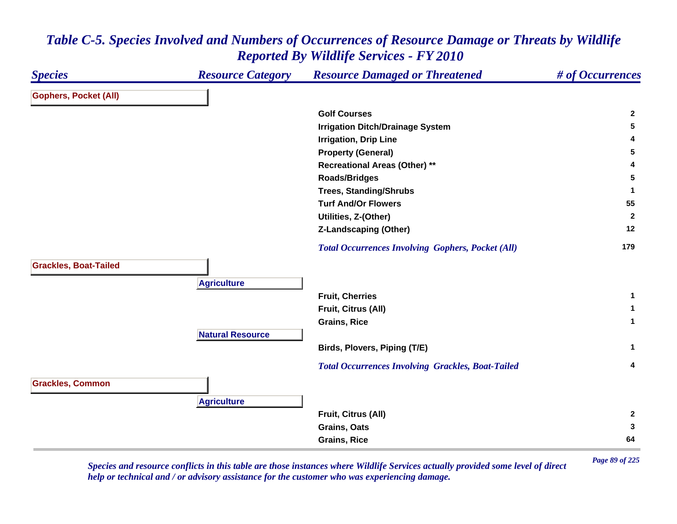### *Species Resource Category Resource Damaged or Threatened # of Occurrences* **Gophers, Pocket (All) Golf Courses 2 Irrigation Ditch/Drainage System <sup>5</sup> Irrigation, Drip Line <sup>4</sup> Property (General) <sup>5</sup> Recreational Areas (Other) \*\* <sup>4</sup> Roads/Bridges <sup>5</sup> Trees, Standing/Shrubs <sup>1</sup> Turf And/Or Flowers 55 Utilities, Z-(Other) <sup>2</sup> Z-Landscaping (Other) <sup>12</sup>**  *Total Occurrences Involving Gophers, Pocket (All)* **<sup>179</sup> Grackles, Boat-Tailed A griculture Fruit, Cherries 1 Fruit, Citrus (All) <sup>1</sup> Grains, Rice 1 Natural ResourceBirds, Plovers, Piping (T/E) <sup>1</sup>**  *Total Occurrences Involving Grackles, Boat-Tailed* **<sup>4</sup> Grackles, Common A griculture Fruit, Citrus (All) <sup>2</sup> Grains, Oats 3 Grains, Rice 64**

*Table C-5. Species Involved and Numbers of Occurrences of Resource Damage or Threats by Wildlife Reported By Wildlife Services - FY 2010*

*Page 89 of 225 Species and resource conflicts in this table are those instances where Wildlife Services actually provided some level of direct help or technical and / or advisory assistance for the customer who was experiencing damage.*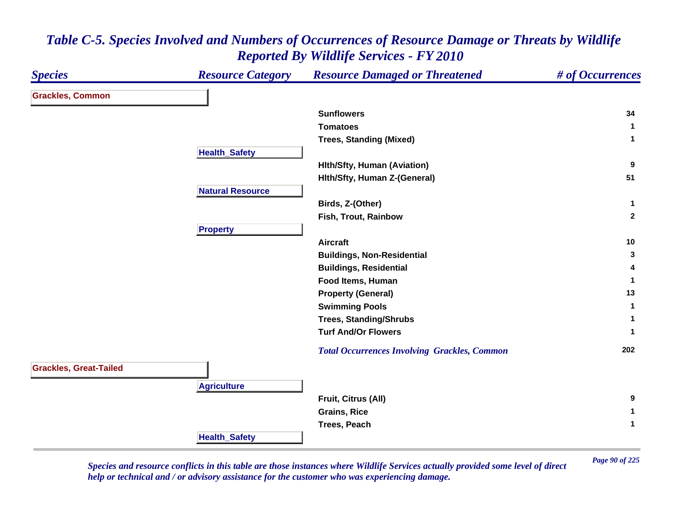| <b>Species</b>                | <b>Resource Category</b> | <b>Resource Damaged or Threatened</b>               | # of Occurrences |
|-------------------------------|--------------------------|-----------------------------------------------------|------------------|
| <b>Grackles, Common</b>       |                          |                                                     |                  |
|                               |                          | <b>Sunflowers</b>                                   | 34               |
|                               |                          | <b>Tomatoes</b>                                     | $\mathbf 1$      |
|                               |                          | <b>Trees, Standing (Mixed)</b>                      | $\mathbf{1}$     |
|                               | <b>Health_Safety</b>     |                                                     |                  |
|                               |                          | <b>Hith/Sfty, Human (Aviation)</b>                  | 9                |
|                               |                          | Hith/Sfty, Human Z-(General)                        | 51               |
|                               | <b>Natural Resource</b>  |                                                     |                  |
|                               |                          | Birds, Z-(Other)                                    | $\mathbf{1}$     |
|                               |                          | Fish, Trout, Rainbow                                | $\overline{2}$   |
|                               | <b>Property</b>          |                                                     |                  |
|                               |                          | <b>Aircraft</b>                                     | 10               |
|                               |                          | <b>Buildings, Non-Residential</b>                   | 3                |
|                               |                          | <b>Buildings, Residential</b>                       | 4                |
|                               |                          | Food Items, Human                                   | 1                |
|                               |                          | <b>Property (General)</b>                           | 13               |
|                               |                          | <b>Swimming Pools</b>                               | $\mathbf{1}$     |
|                               |                          | <b>Trees, Standing/Shrubs</b>                       | 1                |
|                               |                          | <b>Turf And/Or Flowers</b>                          | $\mathbf{1}$     |
|                               |                          | <b>Total Occurrences Involving Grackles, Common</b> | 202              |
| <b>Grackles, Great-Tailed</b> |                          |                                                     |                  |
|                               | <b>Agriculture</b>       |                                                     |                  |
|                               |                          | Fruit, Citrus (All)                                 | 9                |
|                               |                          | <b>Grains, Rice</b>                                 | 1                |
|                               |                          | <b>Trees, Peach</b>                                 | 1                |
|                               | <b>Health_Safety</b>     |                                                     |                  |

*Page 90 of 225 Species and resource conflicts in this table are those instances where Wildlife Services actually provided some level of direct help or technical and / or advisory assistance for the customer who was experiencing damage.*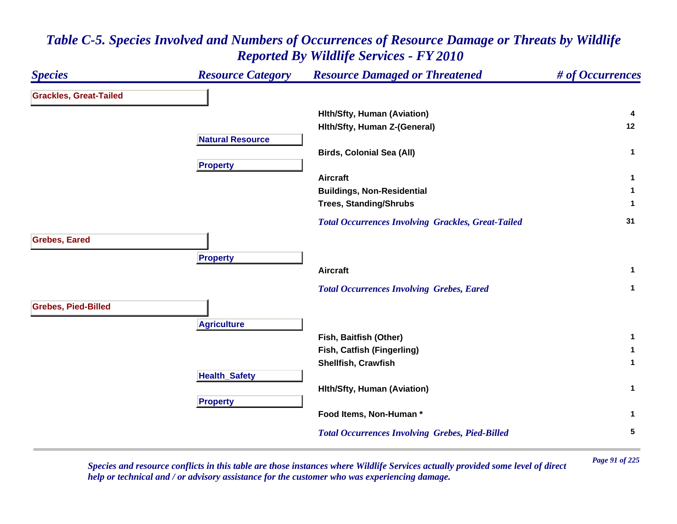### *Species Resource Category Resource Damaged or Threatened # of Occurrences* **Grackles, Great-Tailed Hlth/Sfty, Human (Aviation) <sup>4</sup> Hlth/Sfty, Human Z-(General) <sup>12</sup> Natural ResourceBirds, Colonial Sea (All) <sup>1</sup> Propert y Aircraft 1 Buildings, Non-Residential <sup>1</sup> Trees, Standing/Shrubs <sup>1</sup>**  *Total Occurrences Involving Grackles, Great-Tailed* **<sup>31</sup> Grebes, Eared Pro pert y Aircraft 1**  *Total Occurrences Involving Grebes, Eared* **<sup>1</sup> Grebes, Pied-Billed A griculture Fish, Baitfish (Other) <sup>1</sup> Fish, Catfish (Fingerling) <sup>1</sup> Shellfish, Crawfish 1 Health \_ Safet y Hlth/Sfty, Human (Aviation) <sup>1</sup> Pro pert y Food Items, Non-Human \* 1**  *Total Occurrences Involving Grebes, Pied-Billed* **<sup>5</sup>**

### *Table C-5. Species Involved and Numbers of Occurrences of Resource Damage or Threats by Wildlife Reported By Wildlife Services - FY 2010*

*Page 91 of 225 Species and resource conflicts in this table are those instances where Wildlife Services actually provided some level of direct help or technical and / or advisory assistance for the customer who was experiencing damage.*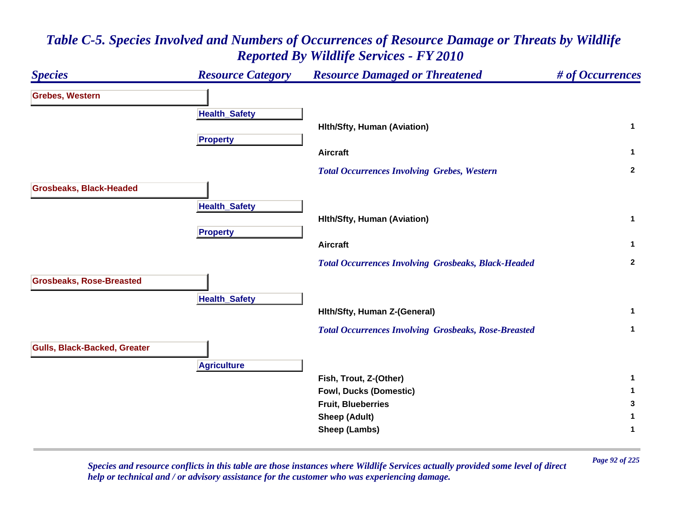### *Species Resource Category Resource Damaged or Threatened # of Occurrences* **Grebes, Western Health \_ Safet y Hlth/Sfty, Human (Aviation) <sup>1</sup> Propert y Aircraft 1**  *Total Occurrences Involving Grebes, Western* **<sup>2</sup> Grosbeaks, Black-Headed HealthSafet y Hlth/Sfty, Human (Aviation) <sup>1</sup> Pro pert y Aircraft 1**  *Total Occurrences Involving Grosbeaks, Black-Headed* **<sup>2</sup> Grosbeaks, Rose-Breasted HealthSafet y Hlth/Sfty, Human Z-(General) <sup>1</sup>**  *Total Occurrences Involving Grosbeaks, Rose-Breasted* **<sup>1</sup> Gulls, Black-Backed, Greater Agriculture Fish, Trout, Z-(Other) <sup>1</sup> Fowl, Ducks (Domestic) <sup>1</sup> Fruit, Blueberries 3 Sheep (Adult) <sup>1</sup> Sheep (Lambs) <sup>1</sup>**

# *Table C-5. Species Involved and Numbers of Occurrences of Resource Damage or Threats by Wildlife Reported By Wildlife Services - FY 2010*

*Page 92 of 225 Species and resource conflicts in this table are those instances where Wildlife Services actually provided some level of direct help or technical and / or advisory assistance for the customer who was experiencing damage.*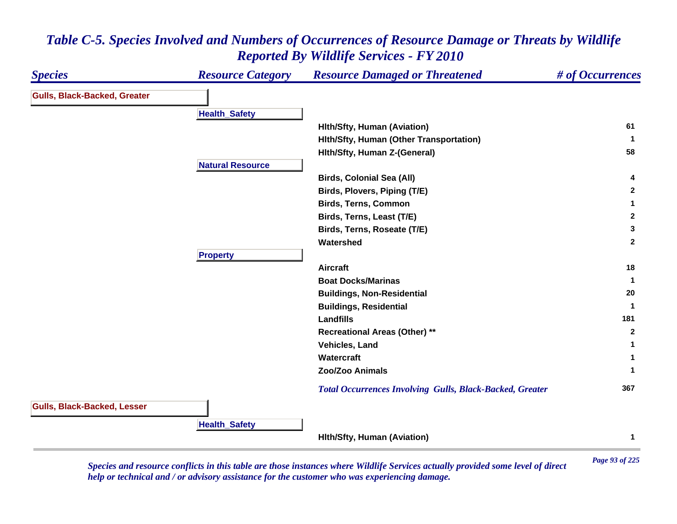#### *Species Resource Category Resource Damaged or Threatened # of Occurrences* **Gulls, Black-Backed, Greater Health \_ Safet y Hlth/Sfty, Human (Aviation) <sup>61</sup> Hlth/Sfty, Human (Other Transportation) <sup>1</sup> Hlth/Sfty, Human Z-(General) <sup>58</sup> Natural ResourceBirds, Colonial Sea (All) <sup>4</sup> Birds, Plovers, Piping (T/E) <sup>2</sup> Birds, Terns, Common 1 Birds, Terns, Least (T/E) <sup>2</sup> Birds, Terns, Roseate (T/E) <sup>3</sup> Watershed 2 Propert y Aircraft 18 Boat Docks/Marinas 1 Buildings, Non-Residential <sup>20</sup> Buildings, Residential <sup>1</sup> Landfills181 181 181 181 181 181 181 181 181 181 181 181 Recreational Areas (Other) \*\* <sup>2</sup> Vehicles, Land 1 Watercraft 1 Zoo/Zoo Animals 1**  *Total Occurrences Involving Gulls, Black-Backed, Greater* **<sup>367</sup> Gulls, Black-Backed, Lesser HealthSafet y Hlth/Sfty, Human (Aviation) <sup>1</sup>**

### *Table C-5. Species Involved and Numbers of Occurrences of Resource Damage or Threats by Wildlife Reported By Wildlife Services - FY 2010*

*Page 93 of 225 Species and resource conflicts in this table are those instances where Wildlife Services actually provided some level of direct help or technical and / or advisory assistance for the customer who was experiencing damage.*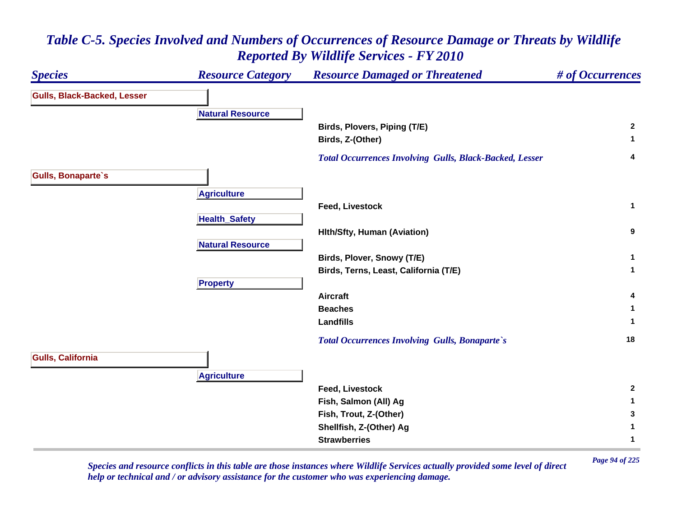### *Species Resource Category Resource Damaged or Threatened # of Occurrences* **Gulls, Black-Backed, Lesser Natural ResourceBirds, Plovers, Piping (T/E) <sup>2</sup> Birds, Z-(Other) <sup>1</sup>**  *Total Occurrences Involving Gulls, Black-Backed, Lesser* **<sup>4</sup> Gulls, Bonaparte`s A griculture Feed, Livestock 1 HealthSafet y Hlth/Sfty, Human (Aviation) <sup>9</sup> Natural ResourceBirds, Plover, Snowy (T/E) <sup>1</sup> Birds, Terns, Least, California (T/E) <sup>1</sup> Pro pert y Aircraft 4 Beaches 1 Landfills 1**  *Total Occurrences Involving Gulls, Bonaparte`s* **<sup>18</sup> Gulls, California A griculture Feed, Livestock 2 Fish, Salmon (All) Ag <sup>1</sup> Fish, Trout, Z-(Other) <sup>3</sup> Shellfish, Z-(Other) Ag <sup>1</sup> Strawberries1**

### *Table C-5. Species Involved and Numbers of Occurrences of Resource Damage or Threats by Wildlife Reported By Wildlife Services - FY 2010*

*Page 94 of 225 Species and resource conflicts in this table are those instances where Wildlife Services actually provided some level of direct help or technical and / or advisory assistance for the customer who was experiencing damage.*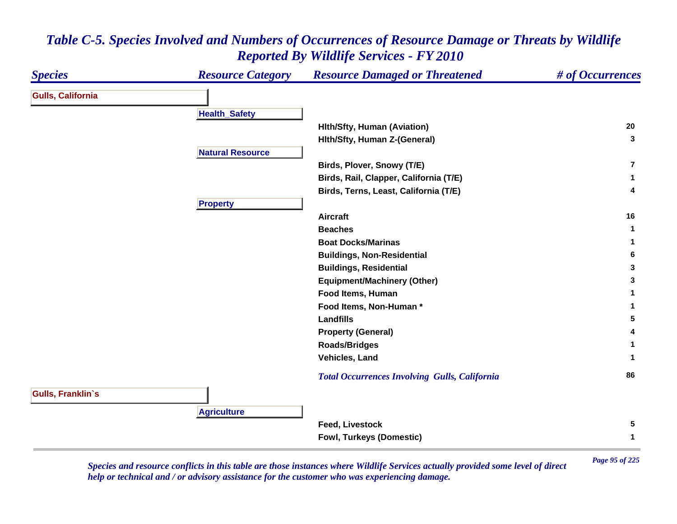#### *Species Resource Category Resource Damaged or Threatened # of Occurrences* **Gulls, California Health \_ Safet y Hlth/Sfty, Human (Aviation) <sup>20</sup> Hlth/Sfty, Human Z-(General) <sup>3</sup> Natural ResourceBirds, Plover, Snowy (T/E) 7Birds, Rail, Clapper, California (T/E) <sup>1</sup> Birds, Terns, Least, California (T/E) <sup>4</sup> Propert y Aircraft 16 Beaches 1 Boat Docks/Marinas 1 Buildings, Non-Residential <sup>6</sup> Buildings, Residential <sup>3</sup> Equipment/Machinery (Other) <sup>3</sup> Food Items, Human 1 Food Items, Non-Human \* 1 Landfills 5 Property (General) <sup>4</sup> Roads/Bridges <sup>1</sup> Vehicles, Land 1**  *Total Occurrences Involving Gulls, California* **<sup>86</sup> Gulls, Franklin`s Agriculture Feed, Livestock 5 Fowl, Turkeys (Domestic) <sup>1</sup>**

### *Table C-5. Species Involved and Numbers of Occurrences of Resource Damage or Threats by Wildlife Reported By Wildlife Services - FY 2010*

*Page 95 of 225 Species and resource conflicts in this table are those instances where Wildlife Services actually provided some level of direct help or technical and / or advisory assistance for the customer who was experiencing damage.*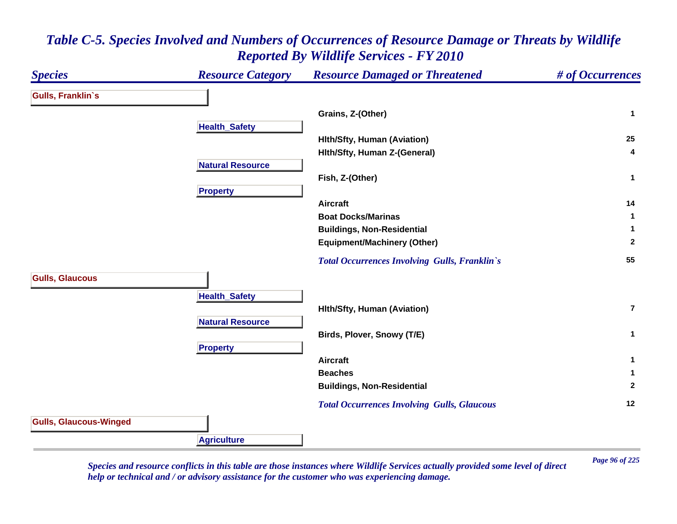### *Species Resource Category Resource Damaged or Threatened # of Occurrences* **Gulls, Franklin`s Grains, Z-(Other) <sup>1</sup> Health \_ Safet y Hlth/Sfty, Human (Aviation) <sup>25</sup> Hlth/Sfty, Human Z-(General) <sup>4</sup> Natural ResourceFish, Z-(Other) <sup>1</sup> Pro pert y Aircraft 14 Boat Docks/Marinas 1 Buildings, Non-Residential <sup>1</sup> Equipment/Machinery (Other) <sup>2</sup>**  *Total Occurrences Involving Gulls, Franklin`s* **<sup>55</sup> Gulls, Glaucous HealthSafet y Hlth/Sfty, Human (Aviation) 7Natural ResourceBirds, Plover, Snowy (T/E) <sup>1</sup> Pro pert y Aircraft 1 Beaches 1 Buildings, Non-Residential <sup>2</sup>**  *Total Occurrences Involving Gulls, Glaucous* **<sup>12</sup> Gulls, Glaucous-Winged Agriculture**

### *Table C-5. Species Involved and Numbers of Occurrences of Resource Damage or Threats by Wildlife Reported By Wildlife Services - FY 2010*

*Page 96 of 225 Species and resource conflicts in this table are those instances where Wildlife Services actually provided some level of direct help or technical and / or advisory assistance for the customer who was experiencing damage.*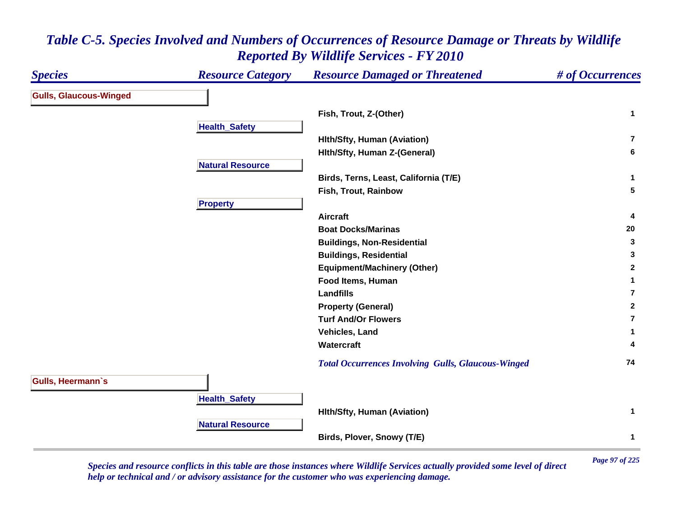#### *Species Resource Category Resource Damaged or Threatened # of Occurrences* **Gulls, Glaucous-Winged Fish, Trout, Z-(Other) <sup>1</sup> Health \_ Safet y Hlth/Sfty, Human (Aviation) 7Hlth/Sfty, Human Z-(General) <sup>6</sup> Natural ResourceBirds, Terns, Least, California (T/E) <sup>1</sup> Fish, Trout, Rainbow 5 Propert y Aircraft 4 Boat Docks/Marinas 20 Buildings, Non-Residential <sup>3</sup> Buildings, Residential <sup>3</sup> Equipment/Machinery (Other) <sup>2</sup> Food Items, Human 1 Landfills7Property (General) <sup>2</sup> Turf And/Or Flowers7Vehicles, Land 1 Watercraft 4**  *Total Occurrences Involving Gulls, Glaucous-Winged* **<sup>74</sup> Gulls, Heermann`s Health \_ Safet y Hlth/Sfty, Human (Aviation) <sup>1</sup> Natural ResourceBirds, Plover, Snowy (T/E) <sup>1</sup>**

### *Table C-5. Species Involved and Numbers of Occurrences of Resource Damage or Threats by Wildlife Reported By Wildlife Services - FY 2010*

*Page 97 of 225 Species and resource conflicts in this table are those instances where Wildlife Services actually provided some level of direct help or technical and / or advisory assistance for the customer who was experiencing damage.*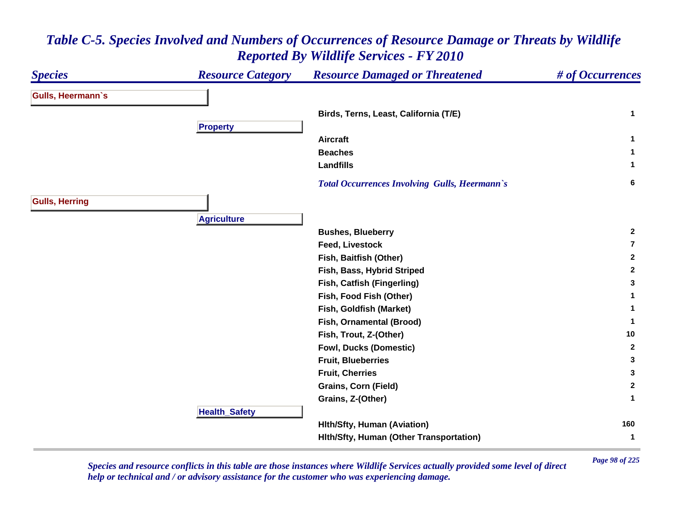### *Species Resource Category Resource Damaged or Threatened # of Occurrences* **Gulls, Heermann`s Birds, Terns, Least, California (T/E) <sup>1</sup> Pro pert y Aircraft 1 Beaches 1 Landfills 1**  *Total Occurrences Involving Gulls, Heermann`s* **<sup>6</sup> Gulls, Herring Agriculture Bushes, Blueberry <sup>2</sup> Feed, Livestock 7Fish, Baitfish (Other) <sup>2</sup> Fish, Bass, Hybrid Striped <sup>2</sup> Fish, Catfish (Fingerling) <sup>3</sup> Fish, Food Fish (Other) <sup>1</sup> Fish, Goldfish (Market) <sup>1</sup> Fish, Ornamental (Brood) <sup>1</sup> Fish, Trout, Z-(Other) <sup>10</sup> Fowl, Ducks (Domestic) <sup>2</sup> Fruit, Blueberries 3 Fruit, Cherries 3 Grains, Corn (Field) <sup>2</sup> Grains, Z-(Other) <sup>1</sup> HealthSafet y Hlth/Sfty, Human (Aviation) <sup>160</sup> Hlth/Sfty, Human (Other Transportation) <sup>1</sup>**

### *Table C-5. Species Involved and Numbers of Occurrences of Resource Damage or Threats by Wildlife Reported By Wildlife Services - FY 2010*

*Page 98 of 225 Species and resource conflicts in this table are those instances where Wildlife Services actually provided some level of direct help or technical and / or advisory assistance for the customer who was experiencing damage.*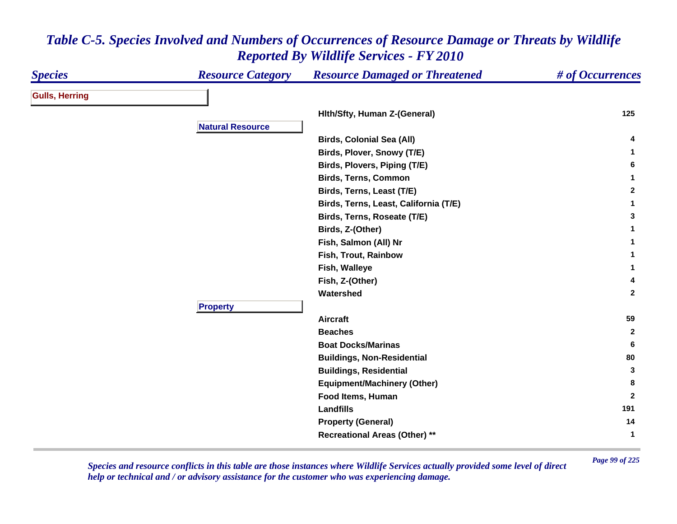| <b>Species</b>        | <b>Resource Category</b> | <b>Resource Damaged or Threatened</b> | # of Occurrences |
|-----------------------|--------------------------|---------------------------------------|------------------|
| <b>Gulls, Herring</b> |                          |                                       |                  |
|                       |                          | Hith/Sfty, Human Z-(General)          | 125              |
|                       | <b>Natural Resource</b>  |                                       |                  |
|                       |                          | <b>Birds, Colonial Sea (All)</b>      |                  |
|                       |                          | Birds, Plover, Snowy (T/E)            | $\mathbf{1}$     |
|                       |                          | Birds, Plovers, Piping (T/E)          | 6                |
|                       |                          | <b>Birds, Terns, Common</b>           | $\mathbf{1}$     |
|                       |                          | Birds, Terns, Least (T/E)             | $\overline{2}$   |
|                       |                          | Birds, Terns, Least, California (T/E) | $\mathbf{1}$     |
|                       |                          | Birds, Terns, Roseate (T/E)           | 3                |
|                       |                          | Birds, Z-(Other)                      | 1                |
|                       |                          | Fish, Salmon (All) Nr                 | 1                |
|                       |                          | Fish, Trout, Rainbow                  | 1                |
|                       |                          | Fish, Walleye                         | 1                |
|                       |                          | Fish, Z-(Other)                       | 4                |
|                       |                          | Watershed                             | $\mathbf{2}$     |
|                       | <b>Property</b>          |                                       |                  |
|                       |                          | <b>Aircraft</b>                       | 59               |
|                       |                          | <b>Beaches</b>                        | $\mathbf{2}$     |
|                       |                          | <b>Boat Docks/Marinas</b>             | 6                |
|                       |                          | <b>Buildings, Non-Residential</b>     | 80               |
|                       |                          | <b>Buildings, Residential</b>         | 3                |
|                       |                          | <b>Equipment/Machinery (Other)</b>    | 8                |
|                       |                          | Food Items, Human                     | $\overline{2}$   |
|                       |                          | <b>Landfills</b>                      | 191              |
|                       |                          | <b>Property (General)</b>             | 14               |
|                       |                          | <b>Recreational Areas (Other) **</b>  | $\mathbf{1}$     |

*Page 99 of 225 Species and resource conflicts in this table are those instances where Wildlife Services actually provided some level of direct help or technical and / or advisory assistance for the customer who was experiencing damage.*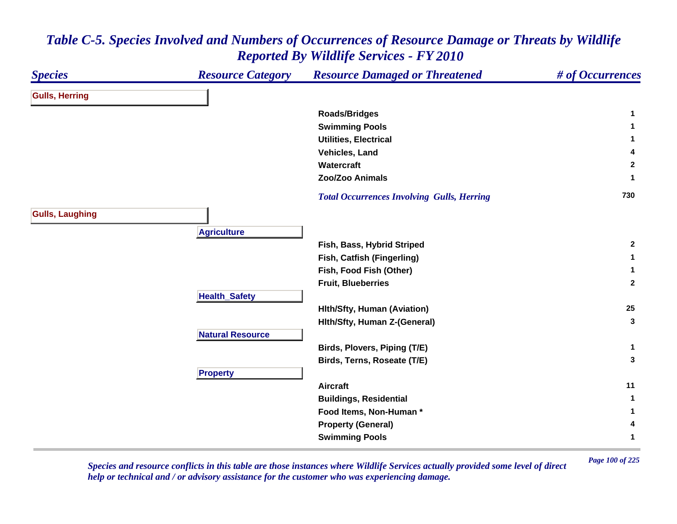| <b>Species</b>         | <b>Resource Category</b> | <b>Resource Damaged or Threatened</b>             | # of Occurrences |
|------------------------|--------------------------|---------------------------------------------------|------------------|
| <b>Gulls, Herring</b>  |                          |                                                   |                  |
|                        |                          | <b>Roads/Bridges</b>                              | 1                |
|                        |                          | <b>Swimming Pools</b>                             | 1                |
|                        |                          | <b>Utilities, Electrical</b>                      | 1                |
|                        |                          | Vehicles, Land                                    | 4                |
|                        |                          | Watercraft                                        | $\mathbf{2}$     |
|                        |                          | <b>Zoo/Zoo Animals</b>                            | 1                |
|                        |                          | <b>Total Occurrences Involving Gulls, Herring</b> | 730              |
| <b>Gulls, Laughing</b> |                          |                                                   |                  |
|                        | <b>Agriculture</b>       |                                                   |                  |
|                        |                          | Fish, Bass, Hybrid Striped                        | $\mathbf{2}$     |
|                        |                          | Fish, Catfish (Fingerling)                        | 1                |
|                        |                          | Fish, Food Fish (Other)                           | 1                |
|                        |                          | <b>Fruit, Blueberries</b>                         | $\overline{2}$   |
|                        | <b>Health_Safety</b>     |                                                   |                  |
|                        |                          | <b>Hith/Sfty, Human (Aviation)</b>                | 25               |
|                        |                          | Hith/Sfty, Human Z-(General)                      | 3                |
|                        | <b>Natural Resource</b>  |                                                   |                  |
|                        |                          | Birds, Plovers, Piping (T/E)                      | $\mathbf{1}$     |
|                        |                          | Birds, Terns, Roseate (T/E)                       | 3                |
|                        | <b>Property</b>          |                                                   |                  |
|                        |                          | <b>Aircraft</b>                                   | 11               |
|                        |                          | <b>Buildings, Residential</b>                     | $\mathbf 1$      |
|                        |                          | Food Items, Non-Human*                            | 1                |
|                        |                          | <b>Property (General)</b>                         | 4                |
|                        |                          | <b>Swimming Pools</b>                             | 1                |

*Page 100 of 225 Species and resource conflicts in this table are those instances where Wildlife Services actually provided some level of direct help or technical and / or advisory assistance for the customer who was experiencing damage.*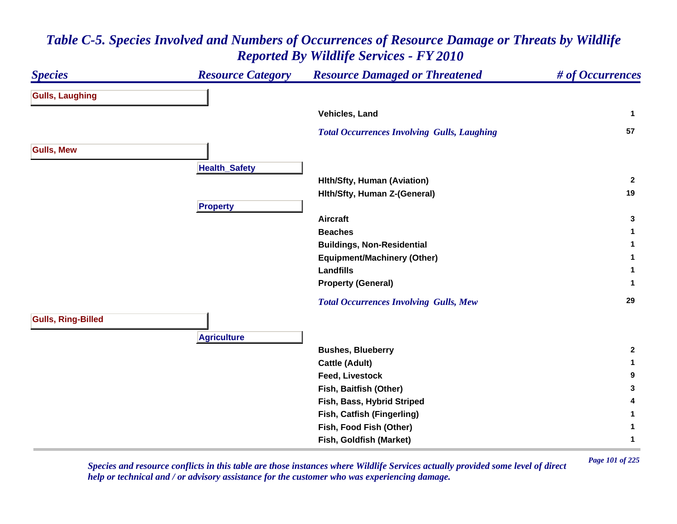| <b>Species</b>            | <b>Resource Category</b> | <b>Resource Damaged or Threatened</b>              | # of Occurrences |
|---------------------------|--------------------------|----------------------------------------------------|------------------|
| <b>Gulls, Laughing</b>    |                          |                                                    |                  |
|                           |                          | Vehicles, Land                                     | 1                |
|                           |                          | <b>Total Occurrences Involving Gulls, Laughing</b> | 57               |
| <b>Gulls, Mew</b>         |                          |                                                    |                  |
|                           | <b>Health_Safety</b>     |                                                    |                  |
|                           |                          | <b>Hith/Sfty, Human (Aviation)</b>                 | $\overline{2}$   |
|                           |                          | Hith/Sfty, Human Z-(General)                       | 19               |
|                           | <b>Property</b>          |                                                    |                  |
|                           |                          | <b>Aircraft</b>                                    | 3                |
|                           |                          | <b>Beaches</b>                                     | 1                |
|                           |                          | <b>Buildings, Non-Residential</b>                  |                  |
|                           |                          | <b>Equipment/Machinery (Other)</b>                 |                  |
|                           |                          | <b>Landfills</b>                                   |                  |
|                           |                          | <b>Property (General)</b>                          | 1                |
|                           |                          | <b>Total Occurrences Involving Gulls, Mew</b>      | 29               |
| <b>Gulls, Ring-Billed</b> |                          |                                                    |                  |
|                           | <b>Agriculture</b>       |                                                    |                  |
|                           |                          | <b>Bushes, Blueberry</b>                           | $\mathbf{2}$     |
|                           |                          | <b>Cattle (Adult)</b>                              | 1                |
|                           |                          | <b>Feed, Livestock</b>                             | 9                |
|                           |                          | Fish, Baitfish (Other)                             | 3                |
|                           |                          | Fish, Bass, Hybrid Striped                         | 4                |
|                           |                          | Fish, Catfish (Fingerling)                         | 1                |
|                           |                          | Fish, Food Fish (Other)                            | 1                |
|                           |                          | Fish, Goldfish (Market)                            | 1                |

*Page 101 of 225 Species and resource conflicts in this table are those instances where Wildlife Services actually provided some level of direct help or technical and / or advisory assistance for the customer who was experiencing damage.*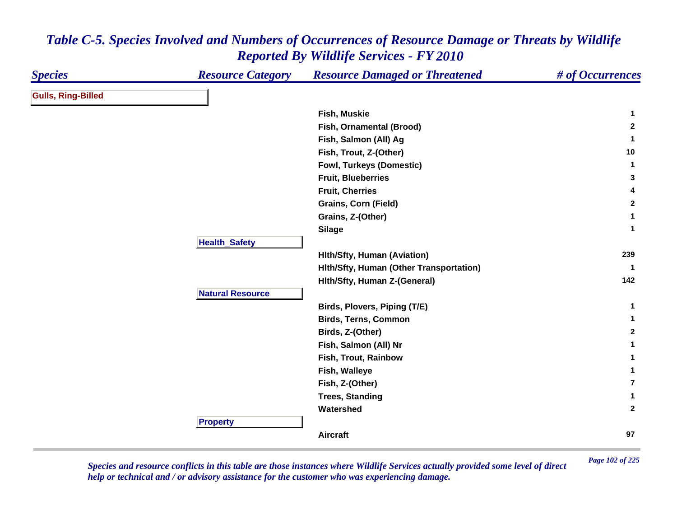| <b>Species</b>            | <b>Resource Category</b> | <b>Resource Damaged or Threatened</b>   | # of Occurrences |
|---------------------------|--------------------------|-----------------------------------------|------------------|
| <b>Gulls, Ring-Billed</b> |                          |                                         |                  |
|                           |                          | Fish, Muskie                            | $\mathbf 1$      |
|                           |                          | Fish, Ornamental (Brood)                | $\mathbf{2}$     |
|                           |                          | Fish, Salmon (All) Ag                   | $\mathbf{1}$     |
|                           |                          | Fish, Trout, Z-(Other)                  | 10               |
|                           |                          | <b>Fowl, Turkeys (Domestic)</b>         | $\mathbf{1}$     |
|                           |                          | <b>Fruit, Blueberries</b>               | 3                |
|                           |                          | <b>Fruit, Cherries</b>                  | 4                |
|                           |                          | <b>Grains, Corn (Field)</b>             | $\mathbf{2}$     |
|                           |                          | Grains, Z-(Other)                       | $\mathbf 1$      |
|                           |                          | <b>Silage</b>                           | $\mathbf 1$      |
|                           | <b>Health_Safety</b>     |                                         |                  |
|                           |                          | <b>Hith/Sfty, Human (Aviation)</b>      | 239              |
|                           |                          | Hith/Sfty, Human (Other Transportation) | $\mathbf{1}$     |
|                           |                          | Hith/Sfty, Human Z-(General)            | 142              |
|                           | <b>Natural Resource</b>  |                                         |                  |
|                           |                          | Birds, Plovers, Piping (T/E)            | 1                |
|                           |                          | <b>Birds, Terns, Common</b>             | $\mathbf 1$      |
|                           |                          | Birds, Z-(Other)                        | $\mathbf{2}$     |
|                           |                          | Fish, Salmon (All) Nr                   | $\mathbf 1$      |
|                           |                          | Fish, Trout, Rainbow                    | 1                |
|                           |                          | Fish, Walleye                           | $\mathbf 1$      |
|                           |                          | Fish, Z-(Other)                         | $\overline{7}$   |
|                           |                          | <b>Trees, Standing</b>                  | $\mathbf 1$      |
|                           |                          | Watershed                               | $\mathbf{2}$     |
|                           | <b>Property</b>          |                                         |                  |
|                           |                          | Aircraft                                | 97               |

*Page 102 of 225 Species and resource conflicts in this table are those instances where Wildlife Services actually provided some level of direct help or technical and / or advisory assistance for the customer who was experiencing damage.*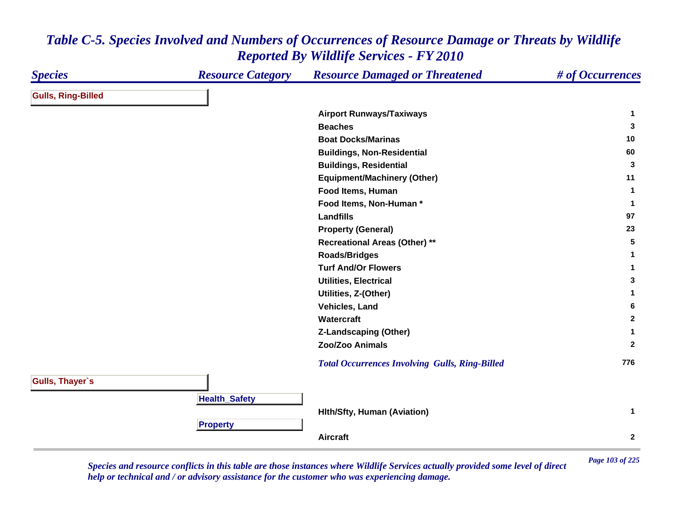#### *Species Resource Category Resource Damaged or Threatened # of Occurrences* **Gulls, Ring-Billed Airport Runways/Taxiways <sup>1</sup> Beaches 3 Boat Docks/Marinas 10 Buildings, Non-Residential <sup>60</sup> Buildings, Residential <sup>3</sup> Equipment/Machinery (Other) <sup>11</sup> Food Items, Human 1 Food Items, Non-Human \* 1 Landfills97 97 Property (General) <sup>23</sup> Recreational Areas (Other) \*\* <sup>5</sup> Roads/Bridges <sup>1</sup> Turf And/Or Flowers 1 Utilities, Electrical 3 Utilities, Z-(Other) <sup>1</sup> Vehicles, Land 6 Watercraft 2 Z-Landscaping (Other) <sup>1</sup> Zoo/Zoo Animals 2**  *Total Occurrences Involving Gulls, Ring-Billed* **<sup>776</sup> Gulls, Thayer`s HealthSafet y Hlth/Sfty, Human (Aviation) <sup>1</sup> Pro pert y Aircraft2**

### *Table C-5. Species Involved and Numbers of Occurrences of Resource Damage or Threats by Wildlife Reported By Wildlife Services - FY 2010*

*Page 103 of 225 Species and resource conflicts in this table are those instances where Wildlife Services actually provided some level of direct help or technical and / or advisory assistance for the customer who was experiencing damage.*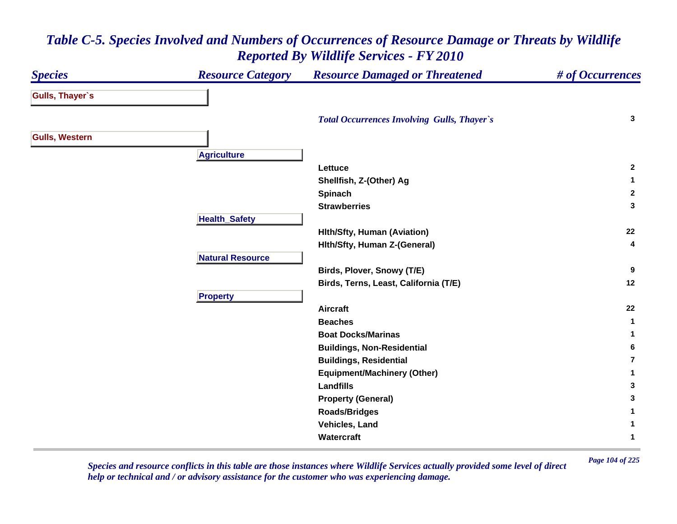#### *Species Resource Category Resource Damaged or Threatened # of Occurrences* **Gulls, Thayer`s**  *Total Occurrences Involving Gulls, Thayer`s* **<sup>3</sup> Gulls, Western A griculture Lettuce 2 Shellfish, Z-(Other) Ag <sup>1</sup> Spinach <sup>2</sup> Strawberries 3 HealthSafet y Hlth/Sfty, Human (Aviation) <sup>22</sup> Hlth/Sfty, Human Z-(General) <sup>4</sup> Natural ResourceBirds, Plover, Snowy (T/E) <sup>9</sup> Birds, Terns, Least, California (T/E) <sup>12</sup> Propert y Aircraft 22 Beaches 1 Boat Docks/Marinas 1 Buildings, Non-Residential <sup>6</sup> Buildings, Residential 7Equipment/Machinery (Other) <sup>1</sup> Landfills 3 Property (General) <sup>3</sup> Roads/Bridges <sup>1</sup> Vehicles, Land 1 Watercraft1**

### *Table C-5. Species Involved and Numbers of Occurrences of Resource Damage or Threats by Wildlife Reported By Wildlife Services - FY 2010*

*Page 104 of 225 Species and resource conflicts in this table are those instances where Wildlife Services actually provided some level of direct help or technical and / or advisory assistance for the customer who was experiencing damage.*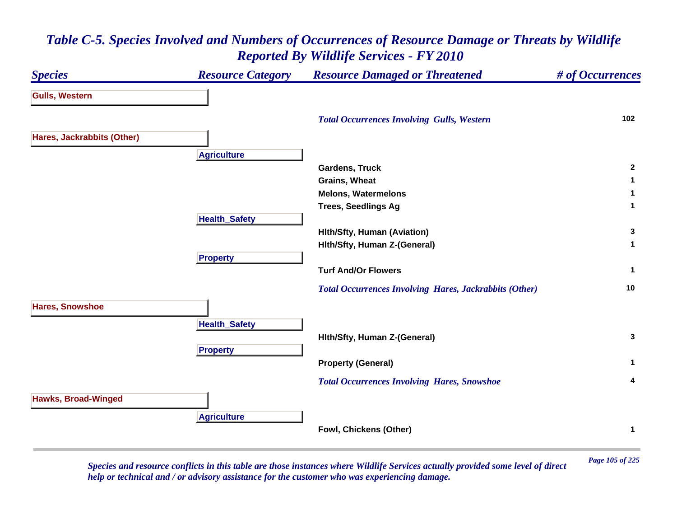### *Species Resource Category Resource Damaged or Threatened # of Occurrences* **Gulls, Western**  *Total Occurrences Involving Gulls, Western* **<sup>102</sup> Hares, Jackrabbits (Other) A griculture Gardens, Truck 2 Grains, Wheat 1 Melons, Watermelons 1 Trees, Seedlings Ag <sup>1</sup> HealthSafet y Hlth/Sfty, Human (Aviation) <sup>3</sup> Hlth/Sfty, Human Z-(General) <sup>1</sup> Pro pert y Turf And/Or Flowers 1**  *Total Occurrences Involving Hares, Jackrabbits (Other)* **<sup>10</sup> Hares, Snowshoe HealthSafet y Hlth/Sfty, Human Z-(General) <sup>3</sup> Pro pert y Property (General) <sup>1</sup>**  *Total Occurrences Involving Hares, Snowshoe* **<sup>4</sup> Hawks, Broad-Winged A griculture Fowl, Chickens (Other) <sup>1</sup>**

### *Table C-5. Species Involved and Numbers of Occurrences of Resource Damage or Threats by Wildlife Reported By Wildlife Services - FY 2010*

*Page 105 of 225 Species and resource conflicts in this table are those instances where Wildlife Services actually provided some level of direct help or technical and / or advisory assistance for the customer who was experiencing damage.*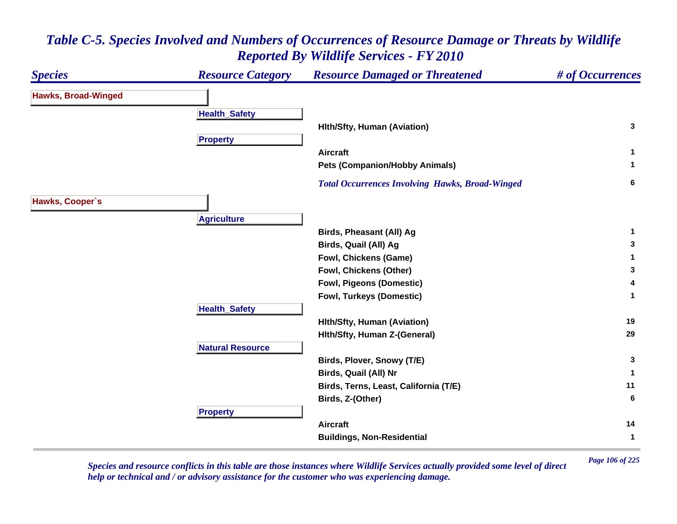### *Species Resource Category Resource Damaged or Threatened # of Occurrences* **Hawks, Broad-Winged Health \_ Safet y Hlth/Sfty, Human (Aviation) <sup>3</sup> Propert y Aircraft 1 Pets (Companion/Hobby Animals) <sup>1</sup>**  *Total Occurrences Involving Hawks, Broad-Winged* **<sup>6</sup> Hawks, Cooper`s Agriculture Birds, Pheasant (All) Ag <sup>1</sup> Birds, Quail (All) Ag <sup>3</sup> Fowl, Chickens (Game) <sup>1</sup> Fowl, Chickens (Other) <sup>3</sup> Fowl, Pigeons (Domestic) <sup>4</sup> Fowl, Turkeys (Domestic) <sup>1</sup> Health \_ Safet y Hlth/Sfty, Human (Aviation) <sup>19</sup> Hlth/Sfty, Human Z-(General) <sup>29</sup> Natural ResourceBirds, Plover, Snowy (T/E) <sup>3</sup> Birds, Quail (All) Nr <sup>1</sup> Birds, Terns, Least, California (T/E) <sup>11</sup> Birds, Z-(Other) <sup>6</sup> Propert y Aircraft 14 Buildings, Non-Residential <sup>1</sup>**

### *Table C-5. Species Involved and Numbers of Occurrences of Resource Damage or Threats by Wildlife Reported By Wildlife Services - FY 2010*

*Page 106 of 225 Species and resource conflicts in this table are those instances where Wildlife Services actually provided some level of direct help or technical and / or advisory assistance for the customer who was experiencing damage.*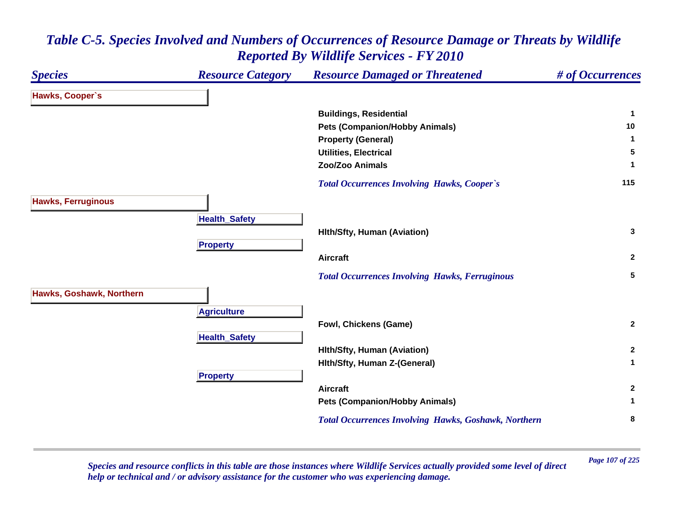

*Page 107 of 225 Species and resource conflicts in this table are those instances where Wildlife Services actually provided some level of direct help or technical and / or advisory assistance for the customer who was experiencing damage.*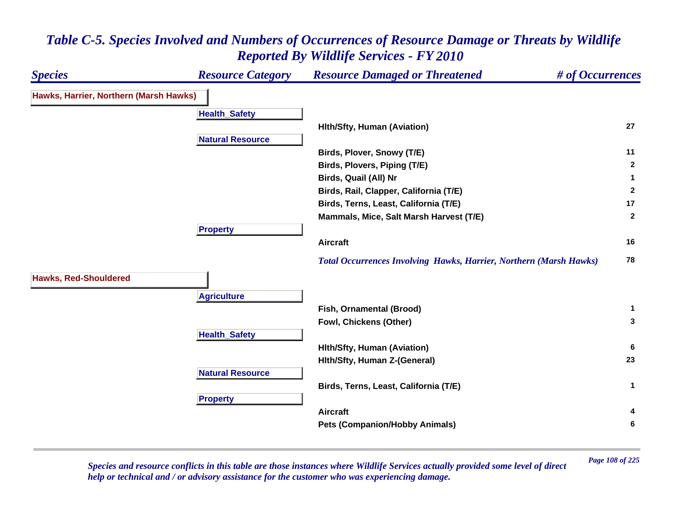### *Species Resource Category Resource Damaged or Threatened # of Occurrences* **Hawks, Harrier, Northern (Marsh Hawks) Health \_ Safet y Hlth/Sfty, Human (Aviation) <sup>27</sup> Natural ResourceBirds, Plover, Snowy (T/E) <sup>11</sup> Birds, Plovers, Piping (T/E) <sup>2</sup> Birds, Quail (All) Nr <sup>1</sup> Birds, Rail, Clapper, California (T/E) <sup>2</sup> Birds, Terns, Least, California (T/E) <sup>17</sup> Mammals, Mice, Salt Marsh Harvest (T/E) <sup>2</sup> Propert y Aircraft 16**  *Total Occurrences Involving Hawks, Harrier, Northern (Marsh Hawks)* **<sup>78</sup> Hawks, Red-Shouldered Agriculture Fish, Ornamental (Brood) <sup>1</sup> Fowl, Chickens (Other) <sup>3</sup> HealthSafet y Hlth/Sfty, Human (Aviation) <sup>6</sup> Hlth/Sfty, Human Z-(General) <sup>23</sup> Natural ResourceBirds, Terns, Least, California (T/E) <sup>1</sup> Propert y Aircraft 4 Pets (Companion/Hobby Animals) <sup>6</sup>**

# *Table C-5. Species Involved and Numbers of Occurrences of Resource Damage or Threats by Wildlife Reported By Wildlife Services - FY 2010*

*Page 108 of 225 Species and resource conflicts in this table are those instances where Wildlife Services actually provided some level of direct help or technical and / or advisory assistance for the customer who was experiencing damage.*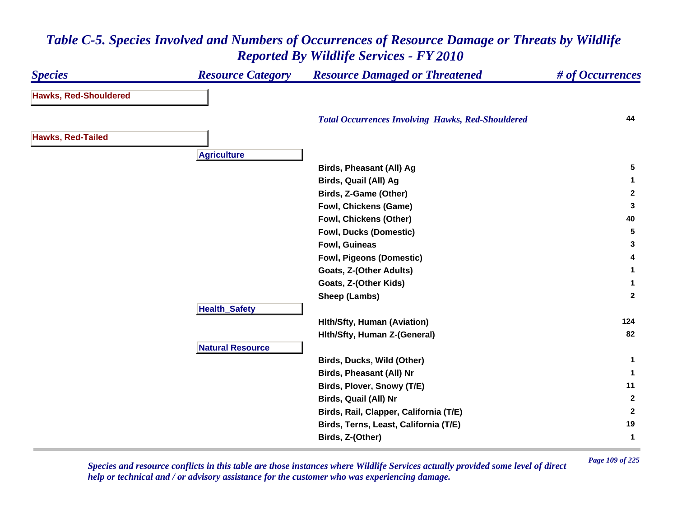### *Species Resource Category Resource Damaged or Threatened # of Occurrences* **Hawks, Red-Shouldered**  *Total Occurrences Involving Hawks, Red-Shouldered* **<sup>44</sup> Hawks, Red-Tailed A griculture Birds, Pheasant (All) Ag <sup>5</sup> Birds, Quail (All) Ag <sup>1</sup> Birds, Z-Game (Other) <sup>2</sup> Fowl, Chickens (Game) <sup>3</sup> Fowl, Chickens (Other) <sup>40</sup> Fowl, Ducks (Domestic) <sup>5</sup> Fowl, Guineas 3 Fowl, Pigeons (Domestic) <sup>4</sup> Goats, Z-(Other Adults) <sup>1</sup> Goats, Z-(Other Kids) <sup>1</sup> Sheep (Lambs) <sup>2</sup> Health \_ Safet y Hlth/Sfty, Human (Aviation) <sup>124</sup> Hlth/Sfty, Human Z-(General) <sup>82</sup> Natural ResourceBirds, Ducks, Wild (Other) <sup>1</sup> Birds, Pheasant (All) Nr <sup>1</sup> Birds, Plover, Snowy (T/E) <sup>11</sup> Birds, Quail (All) Nr <sup>2</sup> Birds, Rail, Clapper, California (T/E) <sup>2</sup> Birds, Terns, Least, California (T/E) <sup>19</sup> Birds, Z-(Other) <sup>1</sup>**

### *Table C-5. Species Involved and Numbers of Occurrences of Resource Damage or Threats by Wildlife Reported By Wildlife Services - FY 2010*

*Page 109 of 225 Species and resource conflicts in this table are those instances where Wildlife Services actually provided some level of direct help or technical and / or advisory assistance for the customer who was experiencing damage.*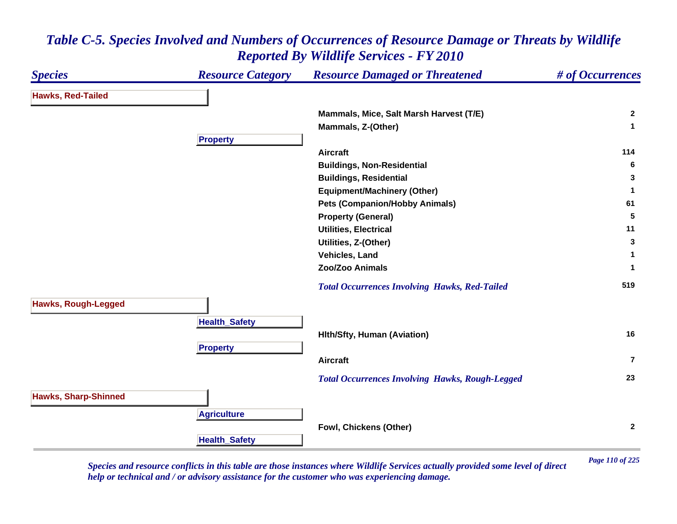

*Page 110 of 225 Species and resource conflicts in this table are those instances where Wildlife Services actually provided some level of direct help or technical and / or advisory assistance for the customer who was experiencing damage.*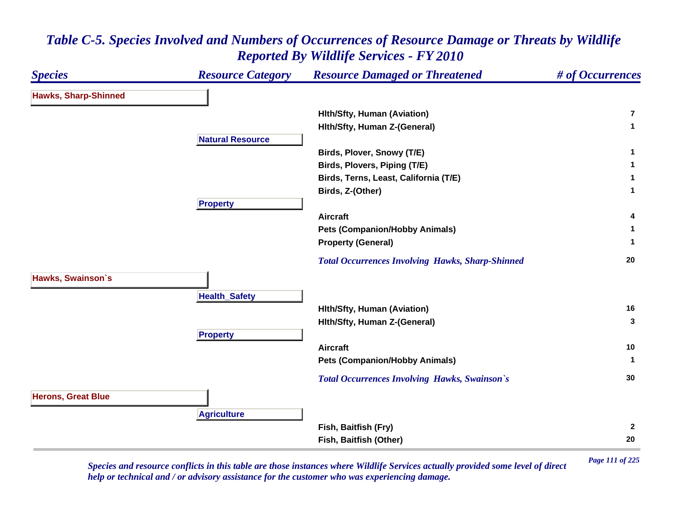| <b>Species</b>              | <b>Resource Category</b> | <b>Resource Damaged or Threatened</b>                   | # of Occurrences |
|-----------------------------|--------------------------|---------------------------------------------------------|------------------|
| <b>Hawks, Sharp-Shinned</b> |                          |                                                         |                  |
|                             |                          | <b>Hith/Sfty, Human (Aviation)</b>                      | $\overline{7}$   |
|                             |                          | Hith/Sfty, Human Z-(General)                            | $\mathbf{1}$     |
|                             | <b>Natural Resource</b>  |                                                         |                  |
|                             |                          | Birds, Plover, Snowy (T/E)                              | $\mathbf{1}$     |
|                             |                          | Birds, Plovers, Piping (T/E)                            |                  |
|                             |                          | Birds, Terns, Least, California (T/E)                   |                  |
|                             |                          | Birds, Z-(Other)                                        | $\mathbf{1}$     |
|                             | <b>Property</b>          |                                                         |                  |
|                             |                          | <b>Aircraft</b>                                         | 4                |
|                             |                          | <b>Pets (Companion/Hobby Animals)</b>                   |                  |
|                             |                          | <b>Property (General)</b>                               |                  |
|                             |                          | <b>Total Occurrences Involving Hawks, Sharp-Shinned</b> | 20               |
| Hawks, Swainson's           |                          |                                                         |                  |
|                             | <b>Health_Safety</b>     |                                                         |                  |
|                             |                          | <b>Hith/Sfty, Human (Aviation)</b>                      | 16               |
|                             |                          | Hith/Sfty, Human Z-(General)                            | 3                |
|                             | <b>Property</b>          |                                                         |                  |
|                             |                          | <b>Aircraft</b>                                         | 10               |
|                             |                          | <b>Pets (Companion/Hobby Animals)</b>                   | -1               |
|                             |                          | <b>Total Occurrences Involving Hawks, Swainson's</b>    | 30               |
| <b>Herons, Great Blue</b>   |                          |                                                         |                  |
|                             | <b>Agriculture</b>       |                                                         |                  |
|                             |                          | Fish, Baitfish (Fry)                                    | $\mathbf{2}$     |
|                             |                          | Fish, Baitfish (Other)                                  | 20               |

*Page 111 of 225 Species and resource conflicts in this table are those instances where Wildlife Services actually provided some level of direct help or technical and / or advisory assistance for the customer who was experiencing damage.*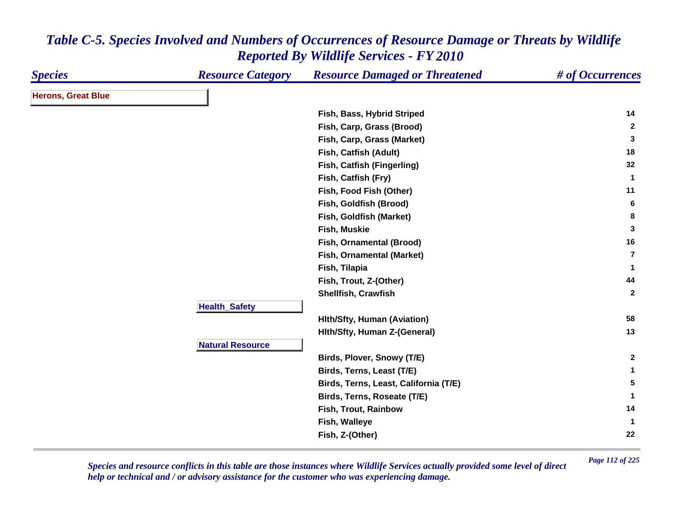| <b>Species</b>            | <b>Resource Category</b> | <b>Resource Damaged or Threatened</b> | # of Occurrences |
|---------------------------|--------------------------|---------------------------------------|------------------|
| <b>Herons, Great Blue</b> |                          |                                       |                  |
|                           |                          | Fish, Bass, Hybrid Striped            | 14               |
|                           |                          | Fish, Carp, Grass (Brood)             | $\overline{2}$   |
|                           |                          | Fish, Carp, Grass (Market)            | $\mathbf{3}$     |
|                           |                          | Fish, Catfish (Adult)                 | 18               |
|                           |                          | Fish, Catfish (Fingerling)            | 32               |
|                           |                          | Fish, Catfish (Fry)                   | $\mathbf 1$      |
|                           |                          | Fish, Food Fish (Other)               | 11               |
|                           |                          | Fish, Goldfish (Brood)                | 6                |
|                           |                          | Fish, Goldfish (Market)               | 8                |
|                           |                          | Fish, Muskie                          | $\mathbf{3}$     |
|                           |                          | Fish, Ornamental (Brood)              | 16               |
|                           |                          | Fish, Ornamental (Market)             | $\overline{7}$   |
|                           |                          | Fish, Tilapia                         | $\mathbf{1}$     |
|                           |                          | Fish, Trout, Z-(Other)                | 44               |
|                           |                          | Shellfish, Crawfish                   | $\mathbf{2}$     |
|                           | <b>Health_Safety</b>     |                                       |                  |
|                           |                          | <b>Hith/Sfty, Human (Aviation)</b>    | 58               |
|                           |                          | Hith/Sfty, Human Z-(General)          | 13               |
|                           | <b>Natural Resource</b>  |                                       |                  |
|                           |                          | Birds, Plover, Snowy (T/E)            | $\overline{2}$   |
|                           |                          | Birds, Terns, Least (T/E)             | $\mathbf 1$      |
|                           |                          | Birds, Terns, Least, California (T/E) | 5                |
|                           |                          | Birds, Terns, Roseate (T/E)           | $\mathbf 1$      |
|                           |                          | Fish, Trout, Rainbow                  | 14               |
|                           |                          | Fish, Walleye                         | $\mathbf{1}$     |
|                           |                          | Fish, Z-(Other)                       | 22               |

*Page 112 of 225 Species and resource conflicts in this table are those instances where Wildlife Services actually provided some level of direct help or technical and / or advisory assistance for the customer who was experiencing damage.*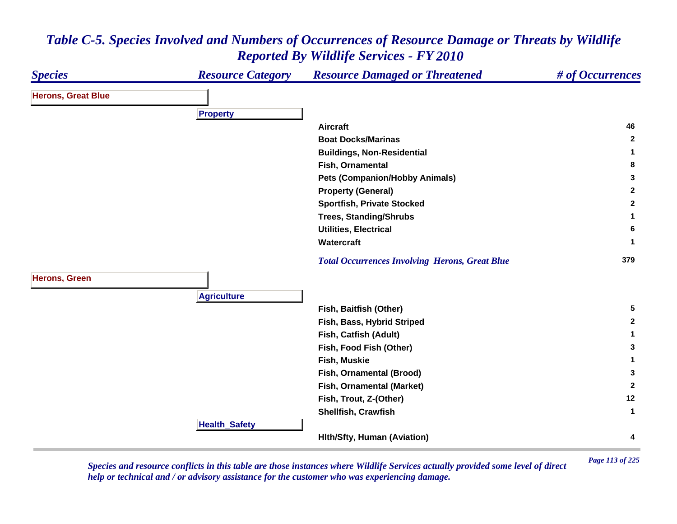#### *Species Resource Category Resource Damaged or Threatened # of Occurrences* **Herons, Great Blue Pro pert y Aircraft 46 Boat Docks/Marinas 2 Buildings, Non-Residential <sup>1</sup> Fish, Ornamental 8 Pets (Companion/Hobby Animals) <sup>3</sup> Property (General) <sup>2</sup> Sportfish, Private Stocked <sup>2</sup> Trees, Standing/Shrubs <sup>1</sup> Utilities, Electrical 6 Watercraft 1**  *Total Occurrences Involving Herons, Great Blue* **<sup>379</sup> Herons, Green Agriculture Fish, Baitfish (Other) <sup>5</sup> Fish, Bass, Hybrid Striped <sup>2</sup> Fish, Catfish (Adult) <sup>1</sup> Fish, Food Fish (Other) <sup>3</sup> Fish, Muskie 1 Fish, Ornamental (Brood) <sup>3</sup> Fish, Ornamental (Market) <sup>2</sup> Fish, Trout, Z-(Other) <sup>12</sup> Shellfish, Crawfish 1 Health \_ Safet y Hlth/Sfty, Human (Aviation) <sup>4</sup>**

### *Table C-5. Species Involved and Numbers of Occurrences of Resource Damage or Threats by Wildlife Reported By Wildlife Services - FY 2010*

*Page 113 of 225 Species and resource conflicts in this table are those instances where Wildlife Services actually provided some level of direct help or technical and / or advisory assistance for the customer who was experiencing damage.*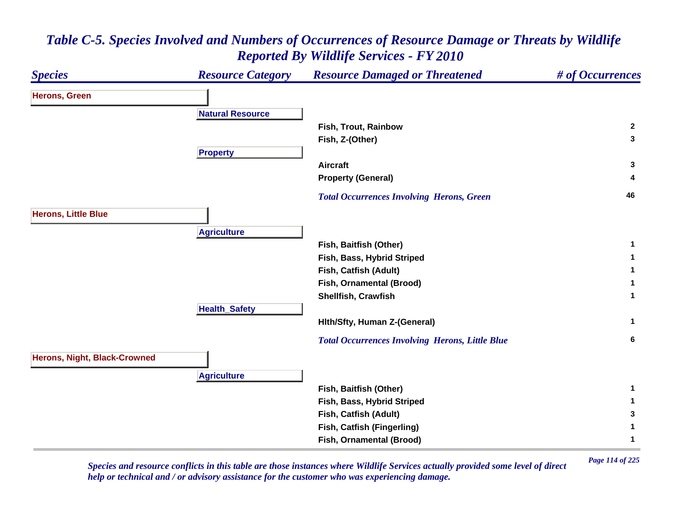

*Page 114 of 225 Species and resource conflicts in this table are those instances where Wildlife Services actually provided some level of direct help or technical and / or advisory assistance for the customer who was experiencing damage.*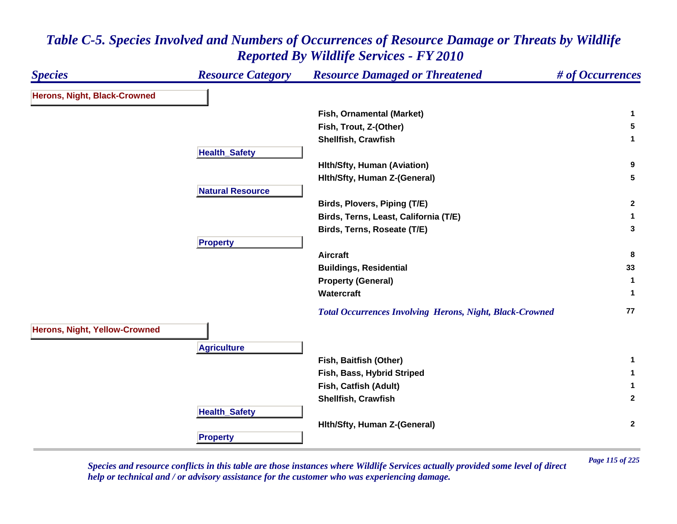| <b>Species</b>                       | <b>Resource Category</b> | <b>Resource Damaged or Threatened</b>                           | # of Occurrences |
|--------------------------------------|--------------------------|-----------------------------------------------------------------|------------------|
| <b>Herons, Night, Black-Crowned</b>  |                          |                                                                 |                  |
|                                      |                          | Fish, Ornamental (Market)                                       | 1                |
|                                      |                          | Fish, Trout, Z-(Other)                                          | 5                |
|                                      |                          | Shellfish, Crawfish                                             | $\mathbf 1$      |
|                                      | <b>Health_Safety</b>     |                                                                 |                  |
|                                      |                          | <b>Hith/Sfty, Human (Aviation)</b>                              | 9                |
|                                      |                          | Hith/Sfty, Human Z-(General)                                    | 5                |
|                                      | <b>Natural Resource</b>  |                                                                 |                  |
|                                      |                          | Birds, Plovers, Piping (T/E)                                    | $\mathbf{2}$     |
|                                      |                          | Birds, Terns, Least, California (T/E)                           | 1                |
|                                      |                          | Birds, Terns, Roseate (T/E)                                     | 3                |
|                                      | <b>Property</b>          |                                                                 |                  |
|                                      |                          | <b>Aircraft</b>                                                 | 8                |
|                                      |                          | <b>Buildings, Residential</b>                                   | 33               |
|                                      |                          | <b>Property (General)</b>                                       | $\mathbf{1}$     |
|                                      |                          | Watercraft                                                      | $\mathbf 1$      |
|                                      |                          | <b>Total Occurrences Involving Herons, Night, Black-Crowned</b> | 77               |
| <b>Herons, Night, Yellow-Crowned</b> |                          |                                                                 |                  |
|                                      | <b>Agriculture</b>       |                                                                 |                  |
|                                      |                          | Fish, Baitfish (Other)                                          | 1                |
|                                      |                          | Fish, Bass, Hybrid Striped                                      | 1                |
|                                      |                          | Fish, Catfish (Adult)                                           | 1                |
|                                      |                          | Shellfish, Crawfish                                             | $\mathbf{2}$     |
|                                      | <b>Health_Safety</b>     |                                                                 |                  |
|                                      |                          | Hith/Sfty, Human Z-(General)                                    | $\mathbf{2}$     |
|                                      | <b>Property</b>          |                                                                 |                  |

*Page 115 of 225 Species and resource conflicts in this table are those instances where Wildlife Services actually provided some level of direct help or technical and / or advisory assistance for the customer who was experiencing damage.*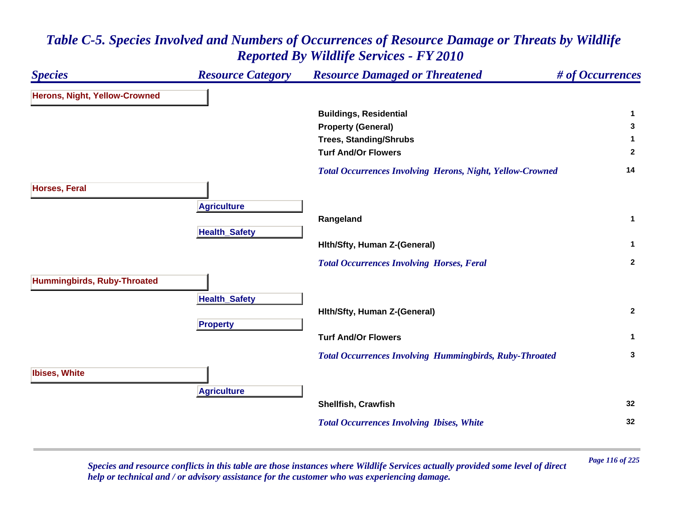

*Page 116 of 225 Species and resource conflicts in this table are those instances where Wildlife Services actually provided some level of direct help or technical and / or advisory assistance for the customer who was experiencing damage.*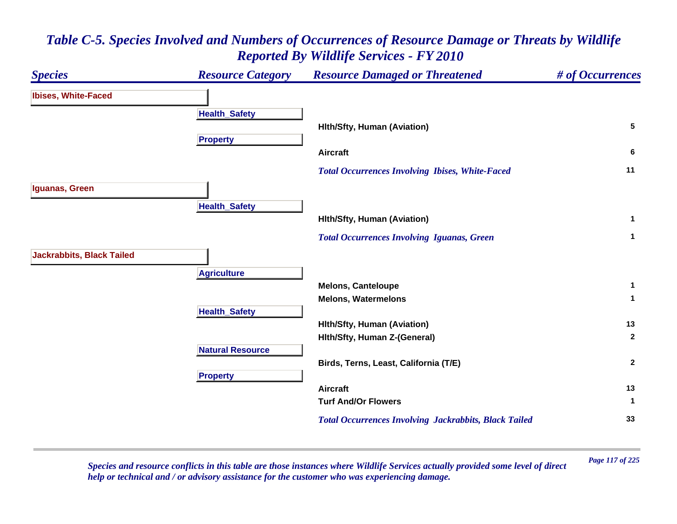### *Species Resource Category Resource Damaged or Threatened # of Occurrences* **Ibises, White-Faced Health \_ Safet y Hlth/Sfty, Human (Aviation) <sup>5</sup> Propert y Aircraft 6**  *Total Occurrences Involving Ibises, White-Faced* **<sup>11</sup> Iguanas, Green HealthSafet y Hlth/Sfty, Human (Aviation) <sup>1</sup>**  *Total Occurrences Involving Iguanas, Green* **<sup>1</sup> Jackrabbits, Black Tailed A griculture Melons, Canteloupe <sup>1</sup> Melons, Watermelons 1 HealthSafet y Hlth/Sfty, Human (Aviation) <sup>13</sup> Hlth/Sfty, Human Z-(General) <sup>2</sup> Natural ResourceBirds, Terns, Least, California (T/E) <sup>2</sup> Pro pert y Aircraft 13 Turf And/Or Flowers 1**  *Total Occurrences Involving Jackrabbits, Black Tailed* **<sup>33</sup>**

# *Table C-5. Species Involved and Numbers of Occurrences of Resource Damage or Threats by Wildlife Reported By Wildlife Services - FY 2010*

*Page 117 of 225 Species and resource conflicts in this table are those instances where Wildlife Services actually provided some level of direct help or technical and / or advisory assistance for the customer who was experiencing damage.*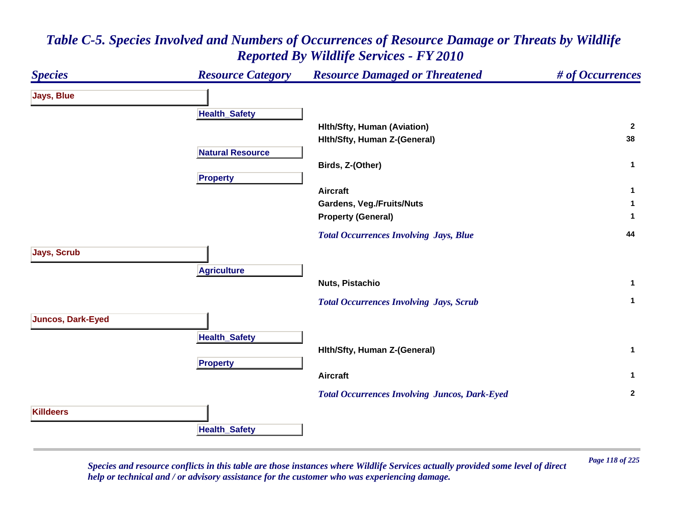### *Species Resource Category Resource Damaged or Threatened # of Occurrences* **Jays, Blue Health \_ Safet y Hlth/Sfty, Human (Aviation) <sup>2</sup> Hlth/Sfty, Human Z-(General) <sup>38</sup> Natural ResourceBirds, Z-(Other) <sup>1</sup> Propert y Aircraft 1 Gardens, Veg./Fruits/Nuts <sup>1</sup> Property (General) <sup>1</sup>**  *Total Occurrences Involving Jays, Blue* **<sup>44</sup> Jays, Scrub A griculture Nuts, Pistachio 1**  *Total Occurrences Involving Jays, Scrub* **<sup>1</sup> Juncos, Dark-Eyed Health \_ Safet y Hlth/Sfty, Human Z-(General) <sup>1</sup> Propert y Aircraft 1**  *Total Occurrences Involving Juncos, Dark-Eyed* **<sup>2</sup> KilldeersHealthSafet y**

## *Table C-5. Species Involved and Numbers of Occurrences of Resource Damage or Threats by Wildlife Reported By Wildlife Services - FY 2010*

*Page 118 of 225 Species and resource conflicts in this table are those instances where Wildlife Services actually provided some level of direct help or technical and / or advisory assistance for the customer who was experiencing damage.*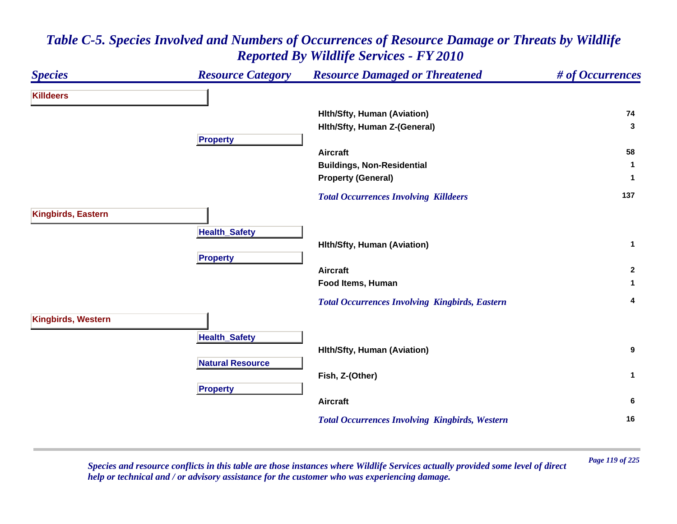### *Species Resource Category Resource Damaged or Threatened # of Occurrences* **KilldeersHlth/Sfty, Human (Aviation) <sup>74</sup> Hlth/Sfty, Human Z-(General) <sup>3</sup> Propert y Aircraft 58 Buildings, Non-Residential <sup>1</sup> Property (General) <sup>1</sup>**  *Total Occurrences Involving Killdeers* **<sup>137</sup> Kingbirds, Eastern Health \_ Safet y Hlth/Sfty, Human (Aviation) <sup>1</sup> Pro pert y Aircraft 2 Food Items, Human 1**  *Total Occurrences Involving Kingbirds, Eastern* **<sup>4</sup> Kingbirds, Western Health \_ Safet y Hlth/Sfty, Human (Aviation) <sup>9</sup> Natural ResourceFish, Z-(Other) <sup>1</sup> Pro pert y Aircraft 6**  *Total Occurrences Involving Kingbirds, Western* **<sup>16</sup>**

# *Table C-5. Species Involved and Numbers of Occurrences of Resource Damage or Threats by Wildlife Reported By Wildlife Services - FY 2010*

*Page 119 of 225 Species and resource conflicts in this table are those instances where Wildlife Services actually provided some level of direct help or technical and / or advisory assistance for the customer who was experiencing damage.*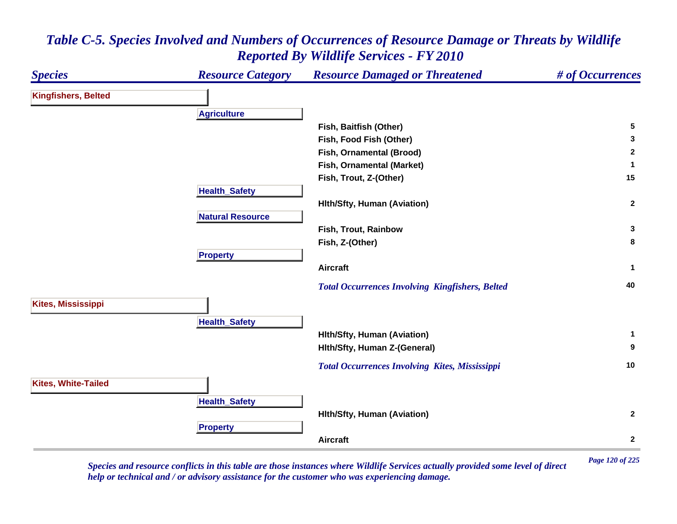

*Page 120 of 225 Species and resource conflicts in this table are those instances where Wildlife Services actually provided some level of direct help or technical and / or advisory assistance for the customer who was experiencing damage.*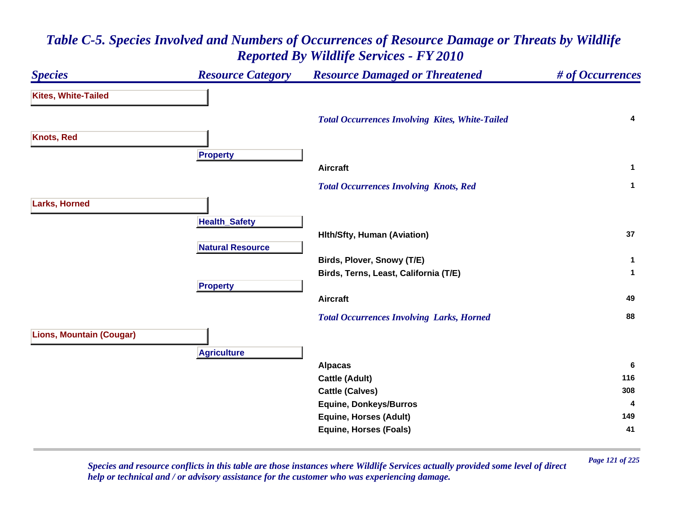### *Species Resource Category Resource Damaged or Threatened # of Occurrences* **Kites, White-Tailed**  *Total Occurrences Involving Kites, White-Tailed* **<sup>4</sup> Knots, Red Pro pert y Aircraft 1**  *Total Occurrences Involving Knots, Red* **<sup>1</sup> Larks, Horned Health \_ Safet y Hlth/Sfty, Human (Aviation) <sup>37</sup> Natural ResourceBirds, Plover, Snowy (T/E) <sup>1</sup> Birds, Terns, Least, California (T/E) <sup>1</sup> Propert y Aircraft 49**  *Total Occurrences Involving Larks, Horned* **<sup>88</sup> Lions, Mountain (Cougar) A griculture Alpacas <sup>6</sup> Cattle (Adult) <sup>116</sup> Cattle (Calves) <sup>308</sup> Equine, Donkeys/Burros <sup>4</sup> Equine, Horses (Adult) <sup>149</sup> Equine, Horses (Foals) <sup>41</sup>**

# *Table C-5. Species Involved and Numbers of Occurrences of Resource Damage or Threats by Wildlife Reported By Wildlife Services - FY 2010*

*Page 121 of 225 Species and resource conflicts in this table are those instances where Wildlife Services actually provided some level of direct help or technical and / or advisory assistance for the customer who was experiencing damage.*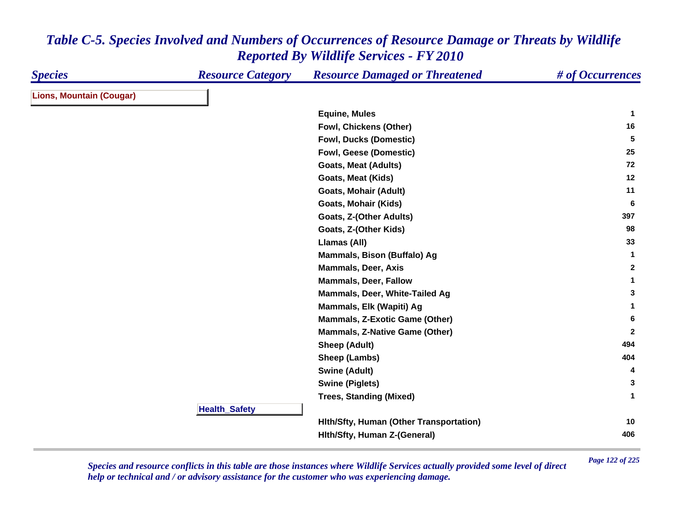| <b>Species</b>                  | <b>Resource Category</b> | <b>Resource Damaged or Threatened</b>   | # of Occurrences |
|---------------------------------|--------------------------|-----------------------------------------|------------------|
| <b>Lions, Mountain (Cougar)</b> |                          |                                         |                  |
|                                 |                          | <b>Equine, Mules</b>                    | $\mathbf 1$      |
|                                 |                          | Fowl, Chickens (Other)                  | 16               |
|                                 |                          | <b>Fowl, Ducks (Domestic)</b>           | 5                |
|                                 |                          | Fowl, Geese (Domestic)                  | 25               |
|                                 |                          | <b>Goats, Meat (Adults)</b>             | 72               |
|                                 |                          | <b>Goats, Meat (Kids)</b>               | 12               |
|                                 |                          | <b>Goats, Mohair (Adult)</b>            | 11               |
|                                 |                          | <b>Goats, Mohair (Kids)</b>             | 6                |
|                                 |                          | Goats, Z-(Other Adults)                 | 397              |
|                                 |                          | Goats, Z-(Other Kids)                   | 98               |
|                                 |                          | Llamas (All)                            | 33               |
|                                 |                          | Mammals, Bison (Buffalo) Ag             | $\mathbf{1}$     |
|                                 |                          | <b>Mammals, Deer, Axis</b>              | $\mathbf{2}$     |
|                                 |                          | <b>Mammals, Deer, Fallow</b>            | $\mathbf{1}$     |
|                                 |                          | Mammals, Deer, White-Tailed Ag          | 3                |
|                                 |                          | Mammals, Elk (Wapiti) Ag                | 1                |
|                                 |                          | <b>Mammals, Z-Exotic Game (Other)</b>   | 6                |
|                                 |                          | <b>Mammals, Z-Native Game (Other)</b>   | $\mathbf{2}$     |
|                                 |                          | <b>Sheep (Adult)</b>                    | 494              |
|                                 |                          | Sheep (Lambs)                           | 404              |
|                                 |                          | <b>Swine (Adult)</b>                    | 4                |
|                                 |                          | <b>Swine (Piglets)</b>                  | 3                |
|                                 |                          | <b>Trees, Standing (Mixed)</b>          | $\mathbf 1$      |
|                                 | <b>Health_Safety</b>     |                                         |                  |
|                                 |                          | Hith/Sfty, Human (Other Transportation) | 10               |
|                                 |                          | Hith/Sfty, Human Z-(General)            | 406              |

*Page 122 of 225 Species and resource conflicts in this table are those instances where Wildlife Services actually provided some level of direct help or technical and / or advisory assistance for the customer who was experiencing damage.*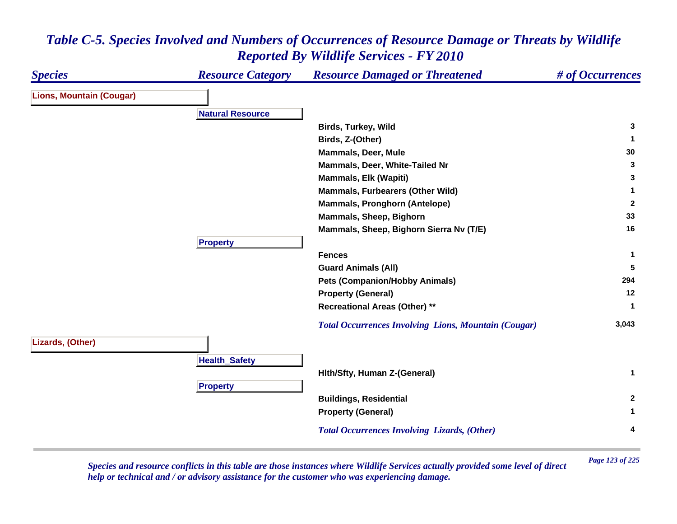### *Species Resource Category Resource Damaged or Threatened # of Occurrences* **Lions, Mountain (Cougar) Natural ResourceBirds, Turkey, Wild <sup>3</sup> Birds, Z-(Other) <sup>1</sup> Mammals, Deer, Mule 30 Mammals, Deer, White-Tailed Nr 3 Mammals, Elk (Wapiti) <sup>3</sup> Mammals, Furbearers (Other Wild) <sup>1</sup> Mammals, Pronghorn (Antelope) <sup>2</sup> Mammals, Sheep, Bighorn <sup>33</sup> Mammals, Sheep, Bighorn Sierra Nv (T/E) <sup>16</sup> Pro pert y Fences 1 Guard Animals (All) <sup>5</sup> Pets (Companion/Hobby Animals) <sup>294</sup> Property (General) <sup>12</sup> Recreational Areas (Other) \*\* <sup>1</sup>**  *Total Occurrences Involving Lions, Mountain (Cougar)* **3,043 Lizards, (Other) HealthSafet y Hlth/Sfty, Human Z-(General) <sup>1</sup> Pro pert y Buildings, Residential <sup>2</sup> Property (General) <sup>1</sup>**  *Total Occurrences Involving Lizards, (Other)* **<sup>4</sup>**

## *Table C-5. Species Involved and Numbers of Occurrences of Resource Damage or Threats by Wildlife Reported By Wildlife Services - FY 2010*

*Page 123 of 225 Species and resource conflicts in this table are those instances where Wildlife Services actually provided some level of direct help or technical and / or advisory assistance for the customer who was experiencing damage.*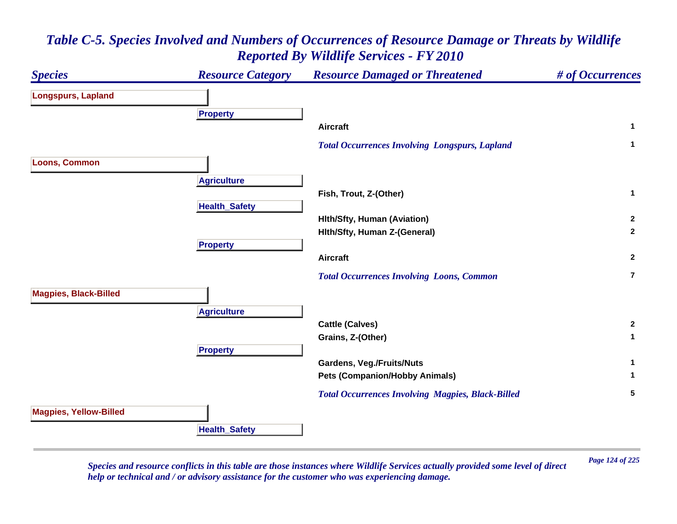

*Page 124 of 225 Species and resource conflicts in this table are those instances where Wildlife Services actually provided some level of direct help or technical and / or advisory assistance for the customer who was experiencing damage.*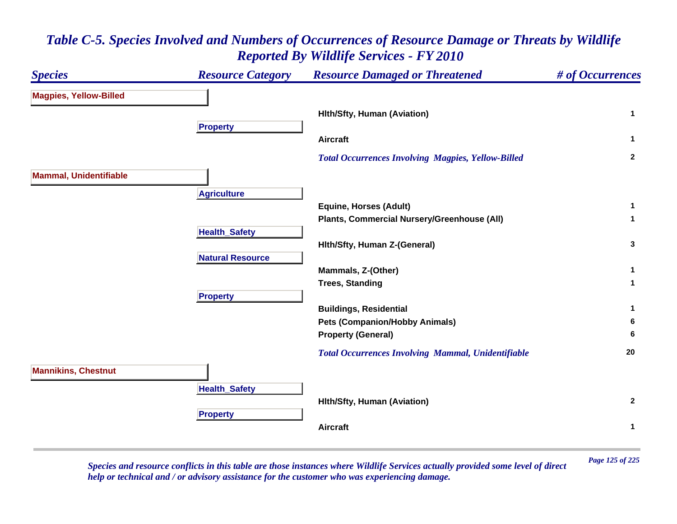### *Species Resource Category Resource Damaged or Threatened # of Occurrences* **Magpies, Yellow-Billed Hlth/Sfty, Human (Aviation) <sup>1</sup> Propert y Aircraft 1**  *Total Occurrences Involving Magpies, Yellow-Billed* **<sup>2</sup> Mammal, Unidentifiable A griculture Equine, Horses (Adult) <sup>1</sup> Plants, Commercial Nursery/Greenhouse (All) <sup>1</sup> Health \_ Safet y Hlth/Sfty, Human Z-(General) <sup>3</sup> Natural ResourceMammals, Z-(Other) <sup>1</sup> Trees, Standing <sup>1</sup> Propert y Buildings, Residential <sup>1</sup> Pets (Companion/Hobby Animals) <sup>6</sup> Property (General) <sup>6</sup>**  *Total Occurrences Involving Mammal, Unidentifiable* **<sup>20</sup> Mannikins, Chestnut Health \_ Safet y Hlth/Sfty, Human (Aviation) <sup>2</sup> Pro pert y Aircraft1**

## *Table C-5. Species Involved and Numbers of Occurrences of Resource Damage or Threats by Wildlife Reported By Wildlife Services - FY 2010*

*Page 125 of 225 Species and resource conflicts in this table are those instances where Wildlife Services actually provided some level of direct help or technical and / or advisory assistance for the customer who was experiencing damage.*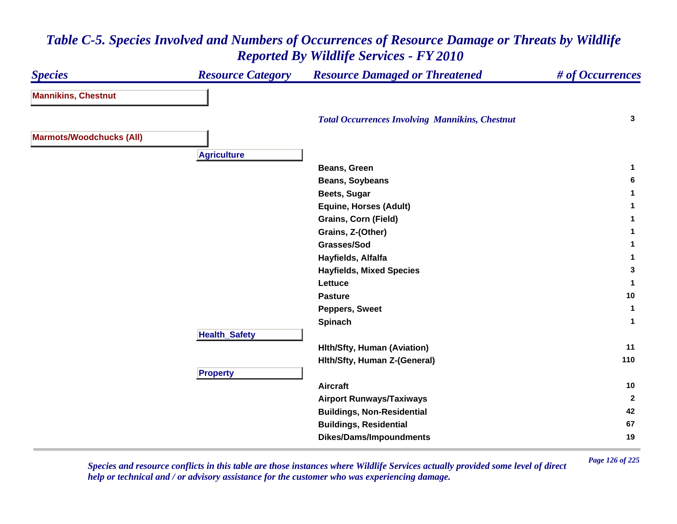#### *Species Resource Category Resource Damaged or Threatened # of Occurrences* **Mannikins, Chestnut**  *Total Occurrences Involving Mannikins, Chestnut* **<sup>3</sup> Marmots/Woodchucks (All) A griculture Beans, Green 1 Beans, Soybeans <sup>6</sup> Beets, Sugar <sup>1</sup> Equine, Horses (Adult) <sup>1</sup> Grains, Corn (Field) <sup>1</sup> Grains, Z-(Other) <sup>1</sup> Grasses/Sod 1 Hayfields, Alfalfa <sup>1</sup> Hayfields, Mixed Species <sup>3</sup> Lettuce 1 Pasture10 Peppers, Sweet <sup>1</sup> Spinach <sup>1</sup> HealthSafet y Hlth/Sfty, Human (Aviation) <sup>11</sup> Hlth/Sfty, Human Z-(General) <sup>110</sup> Pro pert y Aircraft 10 Airport Runways/Taxiways <sup>2</sup> Buildings, Non-Residential <sup>42</sup> Buildings, Residential <sup>67</sup> Dikes/Dams/Impoundments <sup>19</sup>**

## *Table C-5. Species Involved and Numbers of Occurrences of Resource Damage or Threats by Wildlife Reported By Wildlife Services - FY 2010*

*Page 126 of 225 Species and resource conflicts in this table are those instances where Wildlife Services actually provided some level of direct help or technical and / or advisory assistance for the customer who was experiencing damage.*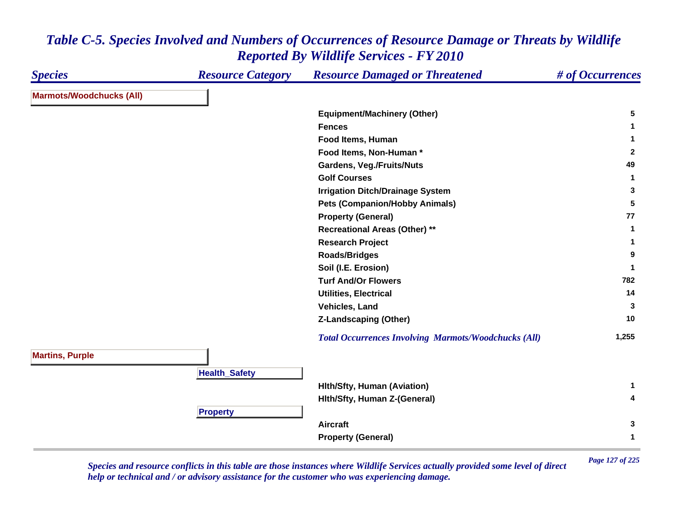| <b>Marmots/Woodchucks (All)</b><br><b>Equipment/Machinery (Other)</b><br>5<br><b>Fences</b><br>$\mathbf 1$<br>Food Items, Human<br>1<br>Food Items, Non-Human*<br><b>Gardens, Veg./Fruits/Nuts</b><br>49<br><b>Golf Courses</b><br>$\mathbf{1}$<br><b>Irrigation Ditch/Drainage System</b><br>3<br><b>Pets (Companion/Hobby Animals)</b><br>77<br><b>Property (General)</b><br><b>Recreational Areas (Other) **</b><br>$\mathbf{1}$<br><b>Research Project</b><br>1<br><b>Roads/Bridges</b><br>9<br>Soil (I.E. Erosion)<br>-1<br><b>Turf And/Or Flowers</b><br>14<br><b>Utilities, Electrical</b><br>Vehicles, Land<br>3<br>10<br><b>Z-Landscaping (Other)</b><br><b>Total Occurrences Involving Marmots/Woodchucks (All)</b><br><b>Martins, Purple</b><br><b>Health_Safety</b><br><b>Hith/Sfty, Human (Aviation)</b><br>1<br>Hith/Sfty, Human Z-(General)<br>4<br><b>Property</b><br><b>Aircraft</b> | <b>Species</b> | <b>Resource Category</b> | <b>Resource Damaged or Threatened</b> | # of Occurrences |
|-------------------------------------------------------------------------------------------------------------------------------------------------------------------------------------------------------------------------------------------------------------------------------------------------------------------------------------------------------------------------------------------------------------------------------------------------------------------------------------------------------------------------------------------------------------------------------------------------------------------------------------------------------------------------------------------------------------------------------------------------------------------------------------------------------------------------------------------------------------------------------------------------------|----------------|--------------------------|---------------------------------------|------------------|
|                                                                                                                                                                                                                                                                                                                                                                                                                                                                                                                                                                                                                                                                                                                                                                                                                                                                                                       |                |                          |                                       |                  |
|                                                                                                                                                                                                                                                                                                                                                                                                                                                                                                                                                                                                                                                                                                                                                                                                                                                                                                       |                |                          |                                       |                  |
|                                                                                                                                                                                                                                                                                                                                                                                                                                                                                                                                                                                                                                                                                                                                                                                                                                                                                                       |                |                          |                                       |                  |
|                                                                                                                                                                                                                                                                                                                                                                                                                                                                                                                                                                                                                                                                                                                                                                                                                                                                                                       |                |                          |                                       |                  |
|                                                                                                                                                                                                                                                                                                                                                                                                                                                                                                                                                                                                                                                                                                                                                                                                                                                                                                       |                |                          |                                       | $\overline{2}$   |
|                                                                                                                                                                                                                                                                                                                                                                                                                                                                                                                                                                                                                                                                                                                                                                                                                                                                                                       |                |                          |                                       |                  |
|                                                                                                                                                                                                                                                                                                                                                                                                                                                                                                                                                                                                                                                                                                                                                                                                                                                                                                       |                |                          |                                       |                  |
|                                                                                                                                                                                                                                                                                                                                                                                                                                                                                                                                                                                                                                                                                                                                                                                                                                                                                                       |                |                          |                                       |                  |
|                                                                                                                                                                                                                                                                                                                                                                                                                                                                                                                                                                                                                                                                                                                                                                                                                                                                                                       |                |                          |                                       | 5                |
|                                                                                                                                                                                                                                                                                                                                                                                                                                                                                                                                                                                                                                                                                                                                                                                                                                                                                                       |                |                          |                                       |                  |
|                                                                                                                                                                                                                                                                                                                                                                                                                                                                                                                                                                                                                                                                                                                                                                                                                                                                                                       |                |                          |                                       |                  |
|                                                                                                                                                                                                                                                                                                                                                                                                                                                                                                                                                                                                                                                                                                                                                                                                                                                                                                       |                |                          |                                       |                  |
|                                                                                                                                                                                                                                                                                                                                                                                                                                                                                                                                                                                                                                                                                                                                                                                                                                                                                                       |                |                          |                                       |                  |
|                                                                                                                                                                                                                                                                                                                                                                                                                                                                                                                                                                                                                                                                                                                                                                                                                                                                                                       |                |                          |                                       |                  |
|                                                                                                                                                                                                                                                                                                                                                                                                                                                                                                                                                                                                                                                                                                                                                                                                                                                                                                       |                |                          |                                       | 782              |
|                                                                                                                                                                                                                                                                                                                                                                                                                                                                                                                                                                                                                                                                                                                                                                                                                                                                                                       |                |                          |                                       |                  |
|                                                                                                                                                                                                                                                                                                                                                                                                                                                                                                                                                                                                                                                                                                                                                                                                                                                                                                       |                |                          |                                       |                  |
|                                                                                                                                                                                                                                                                                                                                                                                                                                                                                                                                                                                                                                                                                                                                                                                                                                                                                                       |                |                          |                                       |                  |
|                                                                                                                                                                                                                                                                                                                                                                                                                                                                                                                                                                                                                                                                                                                                                                                                                                                                                                       |                |                          |                                       | 1,255            |
|                                                                                                                                                                                                                                                                                                                                                                                                                                                                                                                                                                                                                                                                                                                                                                                                                                                                                                       |                |                          |                                       |                  |
|                                                                                                                                                                                                                                                                                                                                                                                                                                                                                                                                                                                                                                                                                                                                                                                                                                                                                                       |                |                          |                                       |                  |
|                                                                                                                                                                                                                                                                                                                                                                                                                                                                                                                                                                                                                                                                                                                                                                                                                                                                                                       |                |                          |                                       |                  |
|                                                                                                                                                                                                                                                                                                                                                                                                                                                                                                                                                                                                                                                                                                                                                                                                                                                                                                       |                |                          |                                       |                  |
|                                                                                                                                                                                                                                                                                                                                                                                                                                                                                                                                                                                                                                                                                                                                                                                                                                                                                                       |                |                          |                                       |                  |
|                                                                                                                                                                                                                                                                                                                                                                                                                                                                                                                                                                                                                                                                                                                                                                                                                                                                                                       |                |                          |                                       | 3                |
|                                                                                                                                                                                                                                                                                                                                                                                                                                                                                                                                                                                                                                                                                                                                                                                                                                                                                                       |                |                          | <b>Property (General)</b>             | $\mathbf{1}$     |

*Page 127 of 225 Species and resource conflicts in this table are those instances where Wildlife Services actually provided some level of direct help or technical and / or advisory assistance for the customer who was experiencing damage.*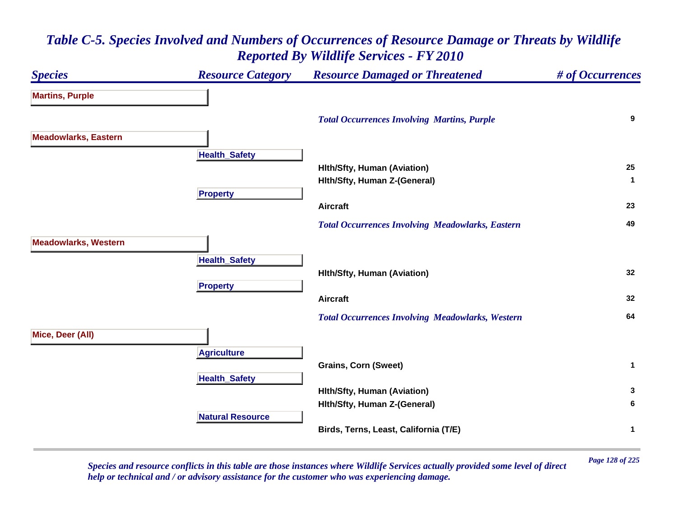### *Species Resource Category Resource Damaged or Threatened # of Occurrences* **Martins, Purple**  *Total Occurrences Involving Martins, Purple* **<sup>9</sup> Meadowlarks, Eastern Health \_ Safet y Hlth/Sfty, Human (Aviation) <sup>25</sup> Hlth/Sfty, Human Z-(General) <sup>1</sup> Pro pert y Aircraft 23**  *Total Occurrences Involving Meadowlarks, Eastern* **<sup>49</sup> Meadowlarks, Western Health \_ Safet y Hlth/Sfty, Human (Aviation) <sup>32</sup> Propert y Aircraft 32**  *Total Occurrences Involving Meadowlarks, Western* **<sup>64</sup> Mice, Deer (All) A griculture Grains, Corn (Sweet) <sup>1</sup> Health \_ Safet y Hlth/Sfty, Human (Aviation) <sup>3</sup> Hlth/Sfty, Human Z-(General) <sup>6</sup> Natural ResourceBirds, Terns, Least, California (T/E) <sup>1</sup>**

## *Table C-5. Species Involved and Numbers of Occurrences of Resource Damage or Threats by Wildlife Reported By Wildlife Services - FY 2010*

*Page 128 of 225 Species and resource conflicts in this table are those instances where Wildlife Services actually provided some level of direct help or technical and / or advisory assistance for the customer who was experiencing damage.*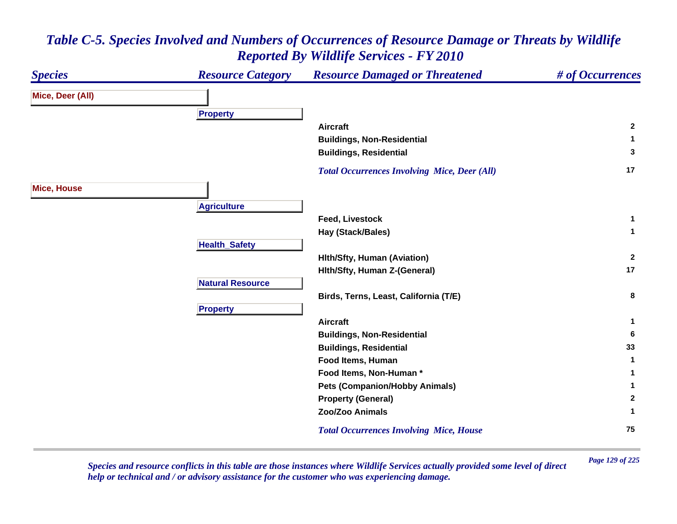### *Species Resource Category Resource Damaged or Threatened # of Occurrences* **Mice, Deer (All) Pro pert y Aircraft 2 Buildings, Non-Residential <sup>1</sup> Buildings, Residential <sup>3</sup>**  *Total Occurrences Involving Mice, Deer (All)* **<sup>17</sup> Mice, House A griculture Feed, Livestock 1 Hay (Stack/Bales) <sup>1</sup> HealthSafet y Hlth/Sfty, Human (Aviation) <sup>2</sup> Hlth/Sfty, Human Z-(General) <sup>17</sup> Natural ResourceBirds, Terns, Least, California (T/E) <sup>8</sup> Pro pert y Aircraft 1 Buildings, Non-Residential <sup>6</sup> Buildings, Residential <sup>33</sup> Food Items, Human 1 Food Items, Non-Human \* 1 Pets (Companion/Hobby Animals) <sup>1</sup> Property (General) <sup>2</sup> Zoo/Zoo Animals 1**  *Total Occurrences Involving Mice, House* **<sup>75</sup>**

### *Table C-5. Species Involved and Numbers of Occurrences of Resource Damage or Threats by Wildlife Reported By Wildlife Services - FY 2010*

*Page 129 of 225 Species and resource conflicts in this table are those instances where Wildlife Services actually provided some level of direct help or technical and / or advisory assistance for the customer who was experiencing damage.*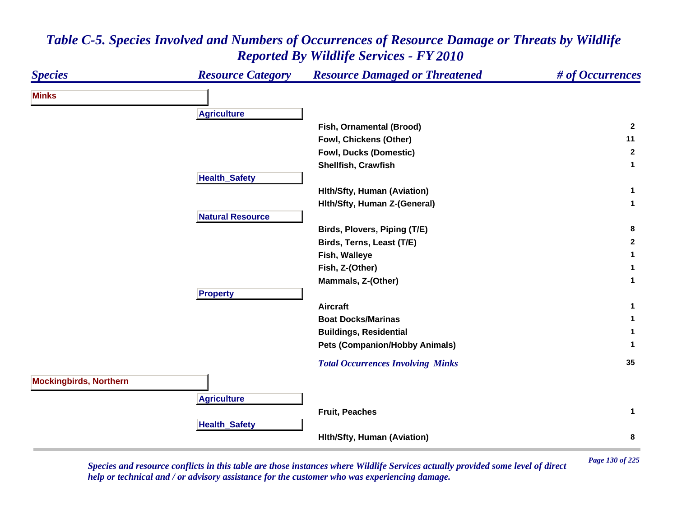| <b>Species</b>                | <b>Resource Category</b> | <b>Resource Damaged or Threatened</b>    | # of Occurrences |
|-------------------------------|--------------------------|------------------------------------------|------------------|
| <b>Minks</b>                  |                          |                                          |                  |
|                               | <b>Agriculture</b>       |                                          |                  |
|                               |                          | Fish, Ornamental (Brood)                 | $\overline{2}$   |
|                               |                          | Fowl, Chickens (Other)                   | 11               |
|                               |                          | <b>Fowl, Ducks (Domestic)</b>            | $\mathbf{2}$     |
|                               |                          | Shellfish, Crawfish                      | 1                |
|                               | <b>Health_Safety</b>     |                                          |                  |
|                               |                          | <b>Hith/Sfty, Human (Aviation)</b>       | 1                |
|                               |                          | Hith/Sfty, Human Z-(General)             | $\mathbf{1}$     |
|                               | <b>Natural Resource</b>  |                                          |                  |
|                               |                          | Birds, Plovers, Piping (T/E)             | 8                |
|                               |                          | Birds, Terns, Least (T/E)                | $\mathbf{2}$     |
|                               |                          | Fish, Walleye                            |                  |
|                               |                          | Fish, Z-(Other)                          |                  |
|                               |                          | Mammals, Z-(Other)                       | 1                |
|                               | <b>Property</b>          |                                          |                  |
|                               |                          | <b>Aircraft</b>                          | 1                |
|                               |                          | <b>Boat Docks/Marinas</b>                |                  |
|                               |                          | <b>Buildings, Residential</b>            |                  |
|                               |                          | <b>Pets (Companion/Hobby Animals)</b>    | 1                |
|                               |                          | <b>Total Occurrences Involving Minks</b> | 35               |
| <b>Mockingbirds, Northern</b> |                          |                                          |                  |
|                               | <b>Agriculture</b>       |                                          |                  |
|                               |                          | Fruit, Peaches                           | $\mathbf{1}$     |
|                               | <b>Health_Safety</b>     |                                          |                  |
|                               |                          | <b>Hith/Sfty, Human (Aviation)</b>       | 8                |

*Page 130 of 225 Species and resource conflicts in this table are those instances where Wildlife Services actually provided some level of direct help or technical and / or advisory assistance for the customer who was experiencing damage.*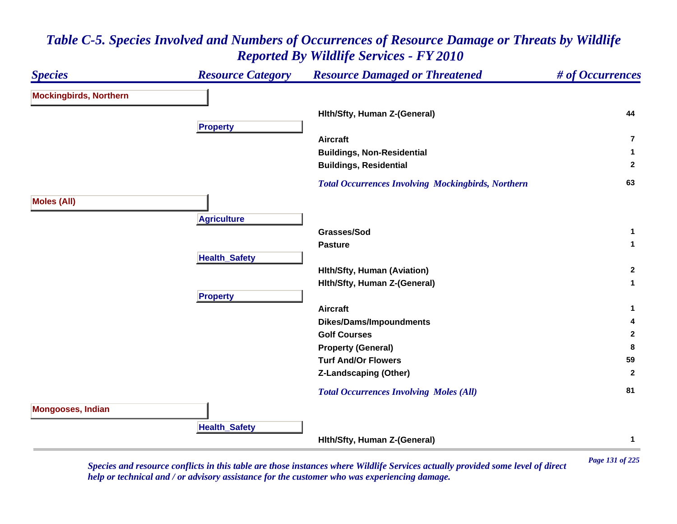#### *Species Resource Category Resource Damaged or Threatened # of Occurrences* **Mockingbirds, Northern Hlth/Sfty, Human Z-(General) <sup>44</sup> Propert y Aircraft7Buildings, Non-Residential <sup>1</sup> Buildings, Residential <sup>2</sup>**  *Total Occurrences Involving Mockingbirds, Northern* **<sup>63</sup> Moles (All) A griculture Grasses/Sod 1 Pasture**e 1 **Health \_ Safet y Hlth/Sfty, Human (Aviation) <sup>2</sup> Hlth/Sfty, Human Z-(General) <sup>1</sup> Pro pert y Aircraft 1 Dikes/Dams/Impoundments <sup>4</sup> Golf Courses 2 Property (General) <sup>8</sup> Turf And/Or Flowers 59 Z-Landscaping (Other) <sup>2</sup>**  *Total Occurrences Involving Moles (All)* **<sup>81</sup> Mongooses, Indian HealthSafet y Hlth/Sfty, Human Z-(General) <sup>1</sup>**

### *Table C-5. Species Involved and Numbers of Occurrences of Resource Damage or Threats by Wildlife Reported By Wildlife Services - FY 2010*

*Page 131 of 225 Species and resource conflicts in this table are those instances where Wildlife Services actually provided some level of direct help or technical and / or advisory assistance for the customer who was experiencing damage.*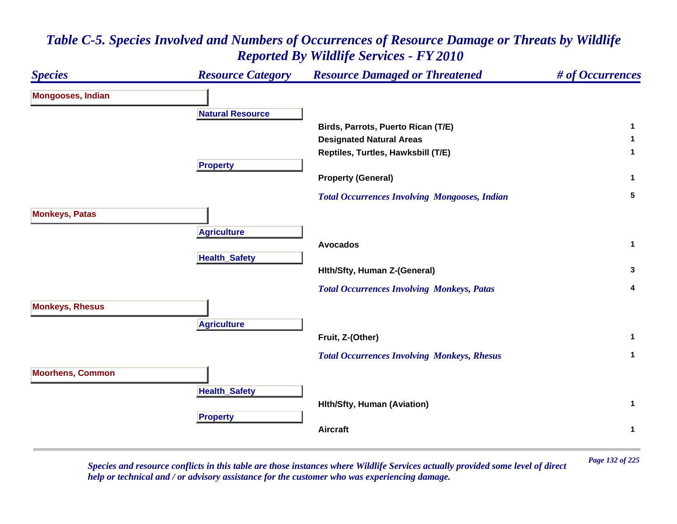

*Page 132 of 225 Species and resource conflicts in this table are those instances where Wildlife Services actually provided some level of direct help or technical and / or advisory assistance for the customer who was experiencing damage.*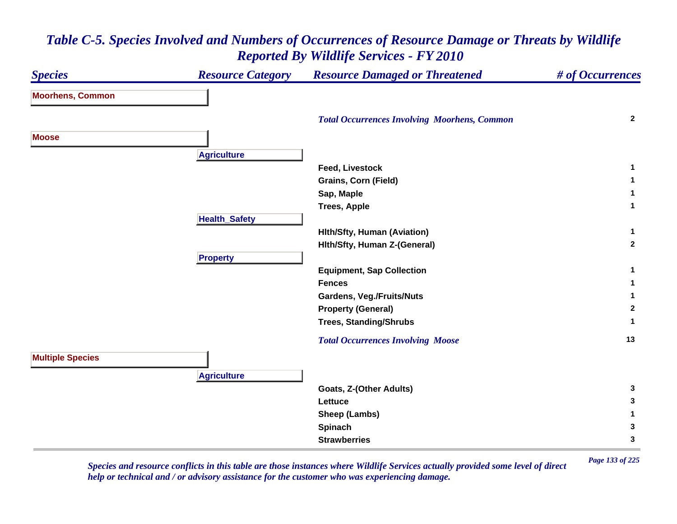### *Species Resource Category Resource Damaged or Threatened # of Occurrences* **Moorhens, Common**  *Total Occurrences Involving Moorhens, Common* **<sup>2</sup> MooseA griculture Feed, Livestock 1 Grains, Corn (Field) <sup>1</sup> Sap, Maple <sup>1</sup> Trees, Apple <sup>1</sup> HealthSafet y Hlth/Sfty, Human (Aviation) <sup>1</sup> Hlth/Sfty, Human Z-(General) <sup>2</sup> Pro pert y Equipment, Sap Collection <sup>1</sup> Fences 1 Gardens, Veg./Fruits/Nuts <sup>1</sup> Property (General) <sup>2</sup> Trees, Standing/Shrubs <sup>1</sup>**  *Total Occurrences Involving Moose* **<sup>13</sup> Multiple Species A griculture Goats, Z-(Other Adults) <sup>3</sup> Lettuce 3 Sheep (Lambs) <sup>1</sup> Spinach <sup>3</sup> Strawberries3**

### *Table C-5. Species Involved and Numbers of Occurrences of Resource Damage or Threats by Wildlife Reported By Wildlife Services - FY 2010*

*Page 133 of 225 Species and resource conflicts in this table are those instances where Wildlife Services actually provided some level of direct help or technical and / or advisory assistance for the customer who was experiencing damage.*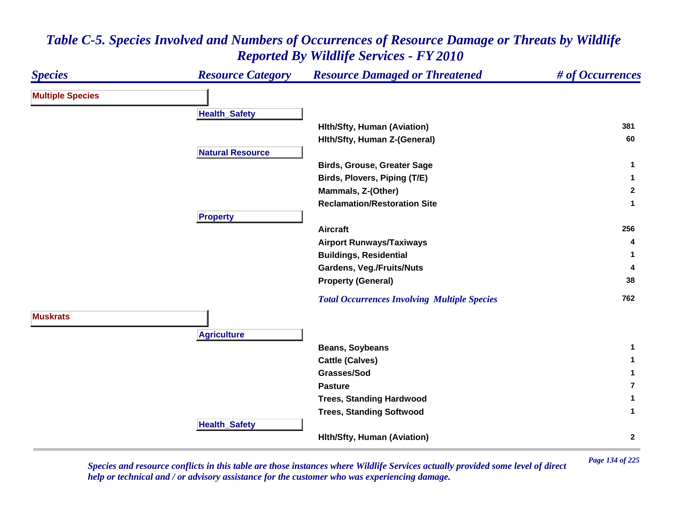| <b>Species</b>          | <b>Resource Category</b> | <b>Resource Damaged or Threatened</b>               | # of Occurrences |
|-------------------------|--------------------------|-----------------------------------------------------|------------------|
| <b>Multiple Species</b> |                          |                                                     |                  |
|                         | <b>Health_Safety</b>     |                                                     |                  |
|                         |                          | <b>Hith/Sfty, Human (Aviation)</b>                  | 381              |
|                         |                          | Hith/Sfty, Human Z-(General)                        | 60               |
|                         | <b>Natural Resource</b>  |                                                     |                  |
|                         |                          | <b>Birds, Grouse, Greater Sage</b>                  | 1                |
|                         |                          | Birds, Plovers, Piping (T/E)                        | $\mathbf{1}$     |
|                         |                          | Mammals, Z-(Other)                                  | $\mathbf{2}$     |
|                         |                          | <b>Reclamation/Restoration Site</b>                 | 1                |
|                         | <b>Property</b>          |                                                     |                  |
|                         |                          | <b>Aircraft</b>                                     | 256              |
|                         |                          | <b>Airport Runways/Taxiways</b>                     | 4                |
|                         |                          | <b>Buildings, Residential</b>                       |                  |
|                         |                          | <b>Gardens, Veg./Fruits/Nuts</b>                    | 4                |
|                         |                          | <b>Property (General)</b>                           | 38               |
|                         |                          | <b>Total Occurrences Involving Multiple Species</b> | 762              |
| <b>Muskrats</b>         |                          |                                                     |                  |
|                         |                          |                                                     |                  |
|                         | <b>Agriculture</b>       |                                                     | 1                |
|                         |                          | Beans, Soybeans                                     |                  |
|                         |                          | <b>Cattle (Calves)</b>                              | 1                |
|                         |                          | Grasses/Sod                                         | 1                |
|                         |                          | <b>Pasture</b>                                      | 7                |
|                         |                          | <b>Trees, Standing Hardwood</b>                     | $\mathbf{1}$     |
|                         |                          | <b>Trees, Standing Softwood</b>                     | $\mathbf{1}$     |
|                         | <b>Health_Safety</b>     |                                                     |                  |
|                         |                          | <b>Hith/Sfty, Human (Aviation)</b>                  | $\mathbf{2}$     |

*Page 134 of 225 Species and resource conflicts in this table are those instances where Wildlife Services actually provided some level of direct help or technical and / or advisory assistance for the customer who was experiencing damage.*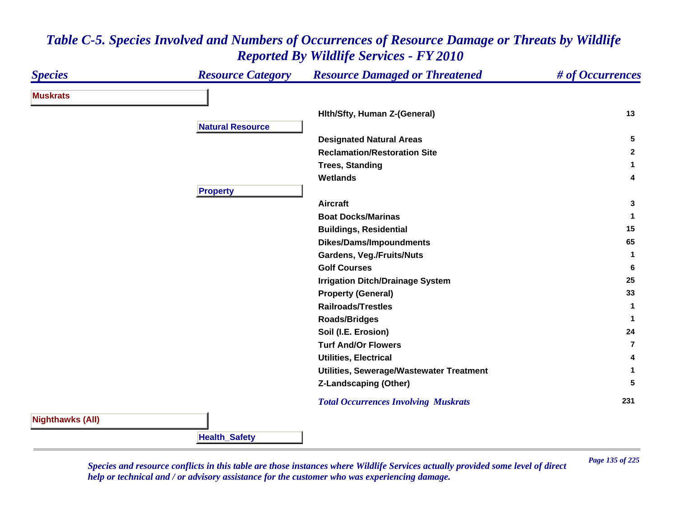#### *Species Resource Category Resource Damaged or Threatened # of Occurrences* **MuskratsHlth/Sfty, Human Z-(General) <sup>13</sup> Natural ResourceDesignated Natural Areas <sup>5</sup> Reclamation/Restoration Site 2 Trees, Standing <sup>1</sup> Wetlands 4 Propert y Aircraft 3 Boat Docks/Marinas 1 Buildings, Residential <sup>15</sup> Dikes/Dams/Impoundments <sup>65</sup> Gardens, Veg./Fruits/Nuts <sup>1</sup> Golf Courses 6 Irrigation Ditch/Drainage System <sup>25</sup> Property (General) <sup>33</sup> Railroads/Trestles 1 Roads/Bridges <sup>1</sup> Soil (I.E. Erosion) <sup>24</sup> Turf And/Or Flowers7Utilities, Electrical 4 Utilities, Sewerage/Wastewater Treatment <sup>1</sup> Z-Landscaping (Other) <sup>5</sup>**  *Total Occurrences Involving Muskrats* **<sup>231</sup> Nighthawks (All)**

### *Table C-5. Species Involved and Numbers of Occurrences of Resource Damage or Threats by Wildlife Reported By Wildlife Services - FY 2010*

*Page 135 of 225 Species and resource conflicts in this table are those instances where Wildlife Services actually provided some level of direct help or technical and / or advisory assistance for the customer who was experiencing damage.* 

**HealthSafet y**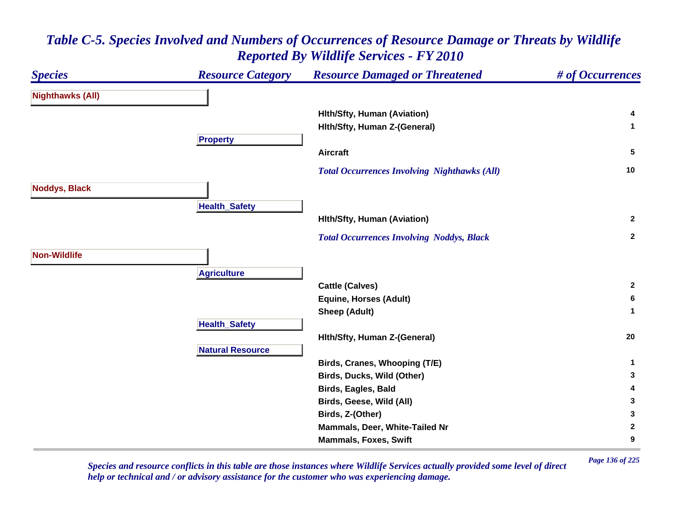### *Species Resource Category Resource Damaged or Threatened # of Occurrences* **Nighthawks (All) Hlth/Sfty, Human (Aviation) <sup>4</sup> Hlth/Sfty, Human Z-(General) <sup>1</sup> Propert y Aircraft 5**  *Total Occurrences Involving Nighthawks (All)* **<sup>10</sup> Noddys, Black HealthSafet y Hlth/Sfty, Human (Aviation) <sup>2</sup>**  *Total Occurrences Involving Noddys, Black* **<sup>2</sup> Non-WildlifeA griculture Cattle (Calves) <sup>2</sup> Equine, Horses (Adult) <sup>6</sup> Sheep (Adult) <sup>1</sup> Health \_ Safet y Hlth/Sfty, Human Z-(General) <sup>20</sup> Natural ResourceBirds, Cranes, Whooping (T/E) <sup>1</sup> Birds, Ducks, Wild (Other) <sup>3</sup> Birds, Eagles, Bald <sup>4</sup> Birds, Geese, Wild (All) <sup>3</sup> Birds, Z-(Other) <sup>3</sup> Mammals, Deer, White-Tailed Nr 2 Mammals, Foxes, Swift 9**

# *Table C-5. Species Involved and Numbers of Occurrences of Resource Damage or Threats by Wildlife Reported By Wildlife Services - FY 2010*

*Page 136 of 225 Species and resource conflicts in this table are those instances where Wildlife Services actually provided some level of direct help or technical and / or advisory assistance for the customer who was experiencing damage.*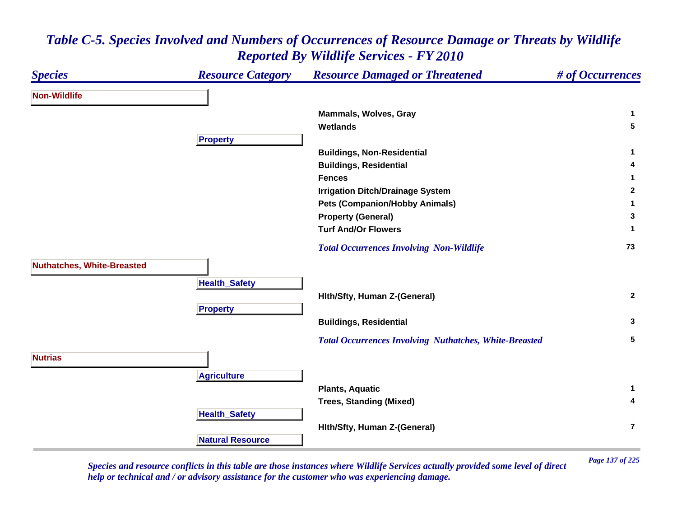### *Species Resource Category Resource Damaged or Threatened # of Occurrences* **Non-WildlifeMammals, Wolves, Gray <sup>1</sup> Wetlands 5 Propert y Buildings, Non-Residential <sup>1</sup> Buildings, Residential <sup>4</sup> Fences 1 Irrigation Ditch/Drainage System <sup>2</sup> Pets (Companion/Hobby Animals) <sup>1</sup> Property (General) <sup>3</sup> Turf And/Or Flowers 1**  *Total Occurrences Involving Non-Wildlife* **<sup>73</sup> Nuthatches, White-Breasted Health \_ Safet y Hlth/Sfty, Human Z-(General) <sup>2</sup> Pro pert y Buildings, Residential <sup>3</sup>**  *Total Occurrences Involving Nuthatches, White-Breasted* **<sup>5</sup> NutriasA griculture Plants, Aquatic <sup>1</sup> Trees, Standing (Mixed) <sup>4</sup> Health \_ Safet y Hlth/Sfty, Human Z-(General) 7Natural Resource**

### *Table C-5. Species Involved and Numbers of Occurrences of Resource Damage or Threats by Wildlife Reported By Wildlife Services - FY 2010*

*Page 137 of 225 Species and resource conflicts in this table are those instances where Wildlife Services actually provided some level of direct help or technical and / or advisory assistance for the customer who was experiencing damage.*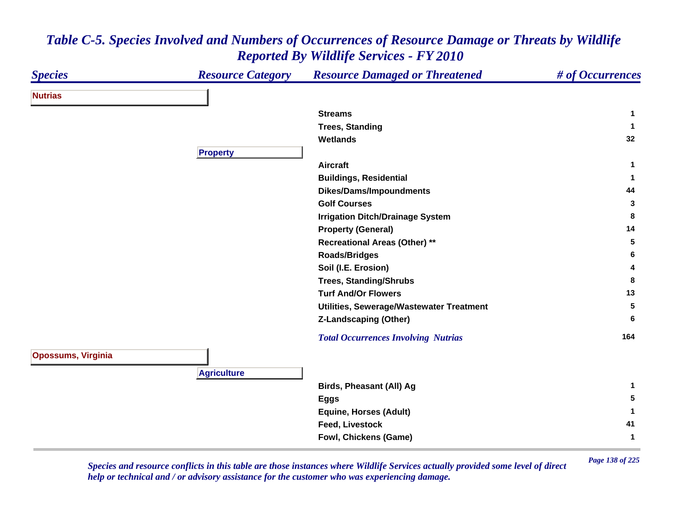| <b>Species</b>            | <b>Resource Category</b> | <b>Resource Damaged or Threatened</b>      | # of Occurrences |
|---------------------------|--------------------------|--------------------------------------------|------------------|
| <b>Nutrias</b>            |                          |                                            |                  |
|                           |                          | <b>Streams</b>                             | 1                |
|                           |                          | <b>Trees, Standing</b>                     | 1                |
|                           |                          | <b>Wetlands</b>                            | 32               |
|                           | <b>Property</b>          |                                            |                  |
|                           |                          | <b>Aircraft</b>                            | $\mathbf{1}$     |
|                           |                          | <b>Buildings, Residential</b>              | $\mathbf 1$      |
|                           |                          | <b>Dikes/Dams/Impoundments</b>             | 44               |
|                           |                          | <b>Golf Courses</b>                        | 3                |
|                           |                          | <b>Irrigation Ditch/Drainage System</b>    | 8                |
|                           |                          | <b>Property (General)</b>                  | 14               |
|                           |                          | <b>Recreational Areas (Other) **</b>       | 5                |
|                           |                          | <b>Roads/Bridges</b>                       | 6                |
|                           |                          | Soil (I.E. Erosion)                        | 4                |
|                           |                          | <b>Trees, Standing/Shrubs</b>              | 8                |
|                           |                          | <b>Turf And/Or Flowers</b>                 | 13               |
|                           |                          | Utilities, Sewerage/Wastewater Treatment   | 5                |
|                           |                          | <b>Z-Landscaping (Other)</b>               | 6                |
|                           |                          | <b>Total Occurrences Involving Nutrias</b> | 164              |
| <b>Opossums, Virginia</b> |                          |                                            |                  |
|                           | <b>Agriculture</b>       |                                            |                  |
|                           |                          | Birds, Pheasant (All) Ag                   | 1                |
|                           |                          | <b>Eggs</b>                                | 5                |
|                           |                          | <b>Equine, Horses (Adult)</b>              | 1                |
|                           |                          | <b>Feed, Livestock</b>                     | 41               |
|                           |                          | Fowl, Chickens (Game)                      | $\mathbf 1$      |
|                           |                          |                                            |                  |

*Page 138 of 225 Species and resource conflicts in this table are those instances where Wildlife Services actually provided some level of direct help or technical and / or advisory assistance for the customer who was experiencing damage.*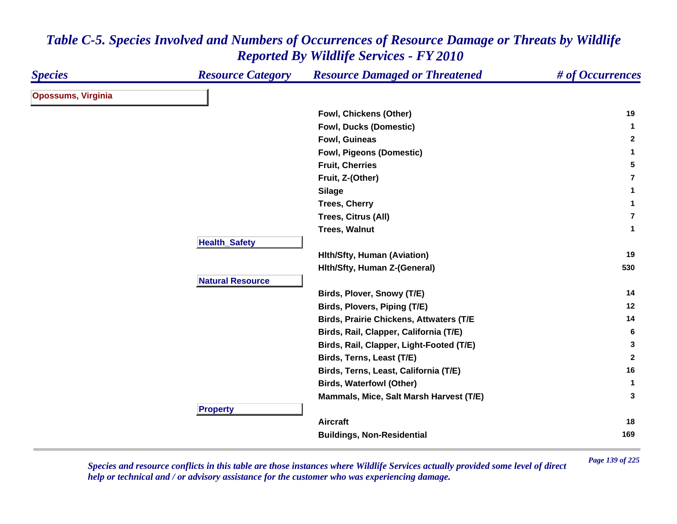| <b>Species</b>            | <b>Resource Category</b> | <b>Resource Damaged or Threatened</b>          | # of Occurrences |
|---------------------------|--------------------------|------------------------------------------------|------------------|
| <b>Opossums, Virginia</b> |                          |                                                |                  |
|                           |                          | Fowl, Chickens (Other)                         | 19               |
|                           |                          | <b>Fowl, Ducks (Domestic)</b>                  | $\mathbf{1}$     |
|                           |                          | Fowl, Guineas                                  | $\mathbf{2}$     |
|                           |                          | <b>Fowl, Pigeons (Domestic)</b>                | $\mathbf{1}$     |
|                           |                          | <b>Fruit, Cherries</b>                         | 5                |
|                           |                          | Fruit, Z-(Other)                               | $\overline{7}$   |
|                           |                          | <b>Silage</b>                                  | $\mathbf{1}$     |
|                           |                          | <b>Trees, Cherry</b>                           | $\mathbf{1}$     |
|                           |                          | Trees, Citrus (All)                            | $\overline{7}$   |
|                           |                          | <b>Trees, Walnut</b>                           | $\mathbf{1}$     |
|                           | <b>Health_Safety</b>     |                                                |                  |
|                           |                          | <b>Hith/Sfty, Human (Aviation)</b>             | 19               |
|                           |                          | Hith/Sfty, Human Z-(General)                   | 530              |
|                           | <b>Natural Resource</b>  |                                                |                  |
|                           |                          | Birds, Plover, Snowy (T/E)                     | 14               |
|                           |                          | Birds, Plovers, Piping (T/E)                   | 12               |
|                           |                          | <b>Birds, Prairie Chickens, Attwaters (T/E</b> | 14               |
|                           |                          | Birds, Rail, Clapper, California (T/E)         | 6                |
|                           |                          | Birds, Rail, Clapper, Light-Footed (T/E)       | 3                |
|                           |                          | Birds, Terns, Least (T/E)                      | $\mathbf{2}$     |
|                           |                          | Birds, Terns, Least, California (T/E)          | 16               |
|                           |                          | <b>Birds, Waterfowl (Other)</b>                | $\mathbf{1}$     |
|                           |                          | Mammals, Mice, Salt Marsh Harvest (T/E)        | 3                |
|                           | <b>Property</b>          |                                                |                  |
|                           |                          | <b>Aircraft</b>                                | 18               |
|                           |                          | <b>Buildings, Non-Residential</b>              | 169              |

*Page 139 of 225 Species and resource conflicts in this table are those instances where Wildlife Services actually provided some level of direct help or technical and / or advisory assistance for the customer who was experiencing damage.*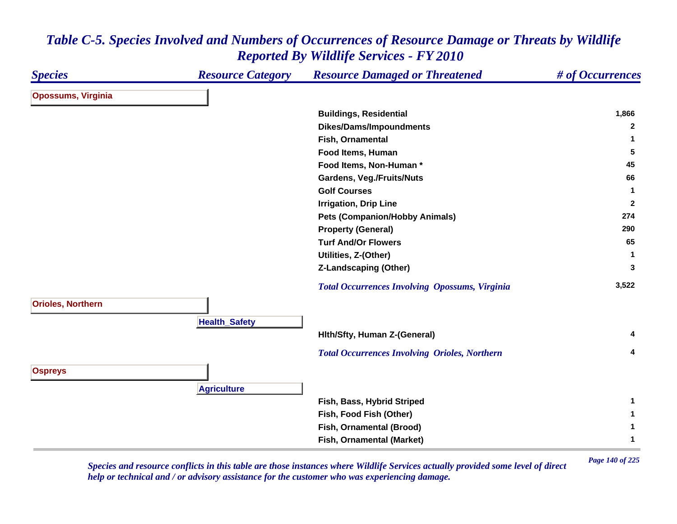| <b>Species</b>            | <b>Resource Category</b> | <b>Resource Damaged or Threatened</b>                 | # of Occurrences |
|---------------------------|--------------------------|-------------------------------------------------------|------------------|
| <b>Opossums, Virginia</b> |                          |                                                       |                  |
|                           |                          | <b>Buildings, Residential</b>                         | 1,866            |
|                           |                          | <b>Dikes/Dams/Impoundments</b>                        | $\mathbf{2}$     |
|                           |                          | Fish, Ornamental                                      | $\mathbf 1$      |
|                           |                          | Food Items, Human                                     | 5                |
|                           |                          | Food Items, Non-Human*                                | 45               |
|                           |                          | <b>Gardens, Veg./Fruits/Nuts</b>                      | 66               |
|                           |                          | <b>Golf Courses</b>                                   | $\mathbf{1}$     |
|                           |                          | <b>Irrigation, Drip Line</b>                          | $\overline{2}$   |
|                           |                          | <b>Pets (Companion/Hobby Animals)</b>                 | 274              |
|                           |                          | <b>Property (General)</b>                             | 290              |
|                           |                          | <b>Turf And/Or Flowers</b>                            | 65               |
|                           |                          | Utilities, Z-(Other)                                  | $\mathbf{1}$     |
|                           |                          | <b>Z-Landscaping (Other)</b>                          | 3                |
|                           |                          | <b>Total Occurrences Involving Opossums, Virginia</b> | 3,522            |
| <b>Orioles, Northern</b>  | <b>Health_Safety</b>     |                                                       |                  |
|                           |                          | Hith/Sfty, Human Z-(General)                          | 4                |
|                           |                          | <b>Total Occurrences Involving Orioles, Northern</b>  | 4                |
| <b>Ospreys</b>            |                          |                                                       |                  |
|                           | <b>Agriculture</b>       |                                                       |                  |
|                           |                          | Fish, Bass, Hybrid Striped                            | $\mathbf 1$      |
|                           |                          | Fish, Food Fish (Other)                               | $\mathbf 1$      |
|                           |                          | Fish, Ornamental (Brood)                              | $\mathbf 1$      |
|                           |                          | Fish, Ornamental (Market)                             | $\mathbf 1$      |

*Page 140 of 225 Species and resource conflicts in this table are those instances where Wildlife Services actually provided some level of direct help or technical and / or advisory assistance for the customer who was experiencing damage.*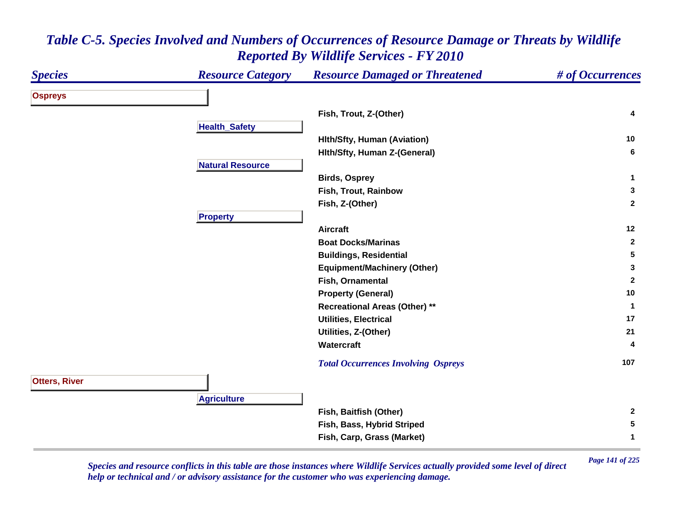### *Species Resource Category Resource Damaged or Threatened # of Occurrences* **Ospreys Fish, Trout, Z-(Other) <sup>4</sup> Health \_ Safet y Hlth/Sfty, Human (Aviation) <sup>10</sup> Hlth/Sfty, Human Z-(General) <sup>6</sup> Natural ResourceBirds, Osprey <sup>1</sup> Fish, Trout, Rainbow 3 Fish, Z-(Other) <sup>2</sup> Propert y Aircraft 12 Boat Docks/Marinas 2 Buildings, Residential <sup>5</sup> Equipment/Machinery (Other) <sup>3</sup> Fish, Ornamental 2 Property (General) <sup>10</sup> Recreational Areas (Other) \*\* <sup>1</sup> Utilities, Electrical 17 Utilities, Z-(Other) <sup>21</sup> Watercraft 4**  *Total Occurrences Involving Ospreys* **<sup>107</sup> Otters, River A griculture Fish, Baitfish (Other) <sup>2</sup> Fish, Bass, Hybrid Striped <sup>5</sup> Fish, Carp, Grass (Market) <sup>1</sup>**

## *Table C-5. Species Involved and Numbers of Occurrences of Resource Damage or Threats by Wildlife Reported By Wildlife Services - FY 2010*

*Page 141 of 225 Species and resource conflicts in this table are those instances where Wildlife Services actually provided some level of direct help or technical and / or advisory assistance for the customer who was experiencing damage.*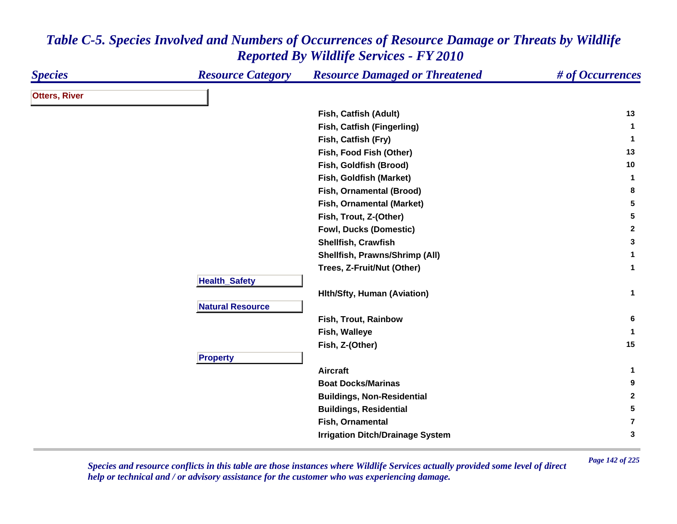| <b>Species</b>       | <b>Resource Category</b> | <b>Resource Damaged or Threatened</b>   | # of Occurrences |
|----------------------|--------------------------|-----------------------------------------|------------------|
| <b>Otters, River</b> |                          |                                         |                  |
|                      |                          | Fish, Catfish (Adult)                   | 13               |
|                      |                          | Fish, Catfish (Fingerling)              | $\mathbf{1}$     |
|                      |                          | Fish, Catfish (Fry)                     | $\mathbf 1$      |
|                      |                          | Fish, Food Fish (Other)                 | 13               |
|                      |                          | Fish, Goldfish (Brood)                  | 10               |
|                      |                          | Fish, Goldfish (Market)                 | $\mathbf{1}$     |
|                      |                          | Fish, Ornamental (Brood)                | 8                |
|                      |                          | Fish, Ornamental (Market)               | 5                |
|                      |                          | Fish, Trout, Z-(Other)                  | $5\phantom{.0}$  |
|                      |                          | <b>Fowl, Ducks (Domestic)</b>           | $\mathbf{2}$     |
|                      |                          | Shellfish, Crawfish                     | $\mathbf{3}$     |
|                      |                          | Shellfish, Prawns/Shrimp (All)          | 1                |
|                      |                          | Trees, Z-Fruit/Nut (Other)              | $\mathbf{1}$     |
|                      | <b>Health_Safety</b>     |                                         |                  |
|                      |                          | <b>Hith/Sfty, Human (Aviation)</b>      | $\mathbf 1$      |
|                      | <b>Natural Resource</b>  |                                         |                  |
|                      |                          | Fish, Trout, Rainbow                    | 6                |
|                      |                          | Fish, Walleye                           | $\mathbf 1$      |
|                      |                          | Fish, Z-(Other)                         | 15               |
|                      | <b>Property</b>          |                                         |                  |
|                      |                          | <b>Aircraft</b>                         | 1                |
|                      |                          | <b>Boat Docks/Marinas</b>               | 9                |
|                      |                          | <b>Buildings, Non-Residential</b>       | $\mathbf{2}$     |
|                      |                          | <b>Buildings, Residential</b>           | 5                |
|                      |                          | Fish, Ornamental                        | $\overline{7}$   |
|                      |                          | <b>Irrigation Ditch/Drainage System</b> | 3                |
|                      |                          |                                         |                  |

*Page 142 of 225 Species and resource conflicts in this table are those instances where Wildlife Services actually provided some level of direct help or technical and / or advisory assistance for the customer who was experiencing damage.*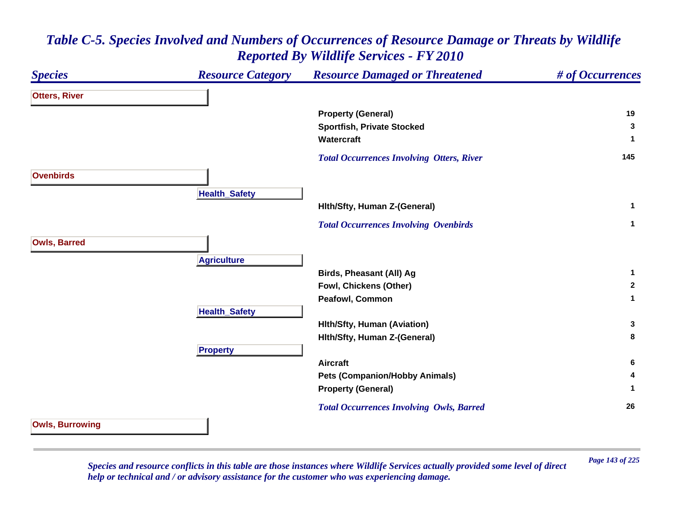### *Species Resource Category Resource Damaged or Threatened # of Occurrences* **Otters, River Property (General) <sup>19</sup> Sportfish, Private Stocked <sup>3</sup> Watercraft 1**  *Total Occurrences Involving Otters, River* **<sup>145</sup> OvenbirdsHealth \_ Safet y Hlth/Sfty, Human Z-(General) <sup>1</sup>**  *Total Occurrences Involving Ovenbirds* **<sup>1</sup> Owls, Barred A griculture Birds, Pheasant (All) Ag <sup>1</sup> Fowl, Chickens (Other) <sup>2</sup> Peafowl, Common 1 HealthSafet y Hlth/Sfty, Human (Aviation) <sup>3</sup> Hlth/Sfty, Human Z-(General) <sup>8</sup> Propert y Aircraft 6 Pets (Companion/Hobby Animals) <sup>4</sup> Property (General) <sup>1</sup>**  *Total Occurrences Involving Owls, Barred* **<sup>26</sup> Owls, Burrowing**

## *Table C-5. Species Involved and Numbers of Occurrences of Resource Damage or Threats by Wildlife Reported By Wildlife Services - FY 2010*

*Page 143 of 225 Species and resource conflicts in this table are those instances where Wildlife Services actually provided some level of direct help or technical and / or advisory assistance for the customer who was experiencing damage.*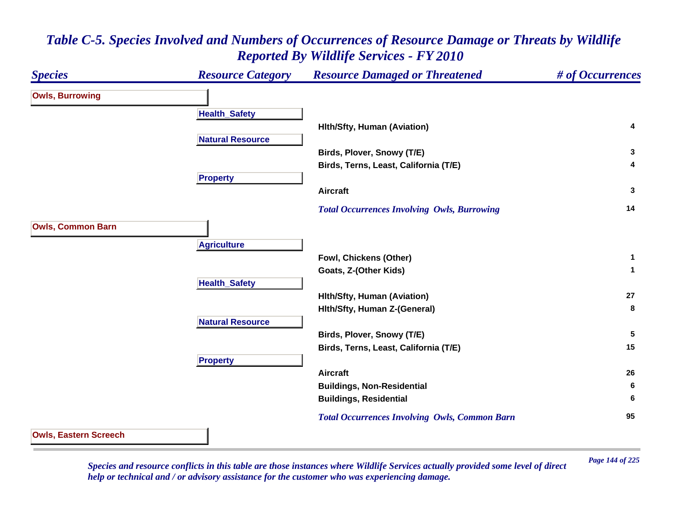### *Species Resource Category Resource Damaged or Threatened # of Occurrences* **Owls, Burrowing Health \_ Safet y Hlth/Sfty, Human (Aviation) <sup>4</sup> Natural Resource Birds, Plover, Snowy (T/E) <sup>3</sup> Birds, Terns, Least, California (T/E) <sup>4</sup> Propert y Aircraft 3**  *Total Occurrences Involving Owls, Burrowing* **<sup>14</sup> Owls, Common Barn A griculture Fowl, Chickens (Other) <sup>1</sup> Goats, Z-(Other Kids) <sup>1</sup> Health \_ Safet y Hlth/Sfty, Human (Aviation) <sup>27</sup> Hlth/Sfty, Human Z-(General) <sup>8</sup> Natural ResourceBirds, Plover, Snowy (T/E) <sup>5</sup> Birds, Terns, Least, California (T/E) <sup>15</sup> Propert y Aircraft 26 Buildings, Non-Residential <sup>6</sup> Buildings, Residential <sup>6</sup>**  *Total Occurrences Involving Owls, Common Barn* **<sup>95</sup> Owls, Eastern Screech**

### *Table C-5. Species Involved and Numbers of Occurrences of Resource Damage or Threats by Wildlife Reported By Wildlife Services - FY 2010*

*Page 144 of 225 Species and resource conflicts in this table are those instances where Wildlife Services actually provided some level of direct help or technical and / or advisory assistance for the customer who was experiencing damage.*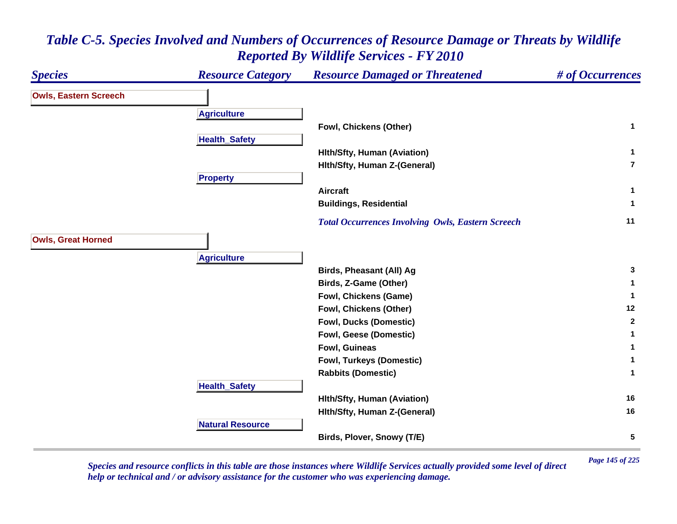#### *Species Resource Category Resource Damaged or Threatened # of Occurrences* **Owls, Eastern Screech A griculture Fowl, Chickens (Other) <sup>1</sup> HealthSafet y Hlth/Sfty, Human (Aviation) <sup>1</sup> Hlth/Sfty, Human Z-(General) 7Propert y Aircraft 1 Buildings, Residential <sup>1</sup>**  *Total Occurrences Involving Owls, Eastern Screech* **<sup>11</sup> Owls, Great Horned A griculture Birds, Pheasant (All) Ag <sup>3</sup> Birds, Z-Game (Other) <sup>1</sup> Fowl, Chickens (Game) <sup>1</sup> Fowl, Chickens (Other) <sup>12</sup> Fowl, Ducks (Domestic) <sup>2</sup> Fowl, Geese (Domestic) <sup>1</sup> Fowl, Guineas 1 Fowl, Turkeys (Domestic) <sup>1</sup> Rabbits (Domestic) <sup>1</sup> Health \_ Safet y Hlth/Sfty, Human (Aviation) <sup>16</sup> Hlth/Sfty, Human Z-(General) <sup>16</sup> Natural ResourceBirds, Plover, Snowy (T/E) <sup>5</sup>**

# *Table C-5. Species Involved and Numbers of Occurrences of Resource Damage or Threats by Wildlife Reported By Wildlife Services - FY 2010*

*Page 145 of 225 Species and resource conflicts in this table are those instances where Wildlife Services actually provided some level of direct help or technical and / or advisory assistance for the customer who was experiencing damage.*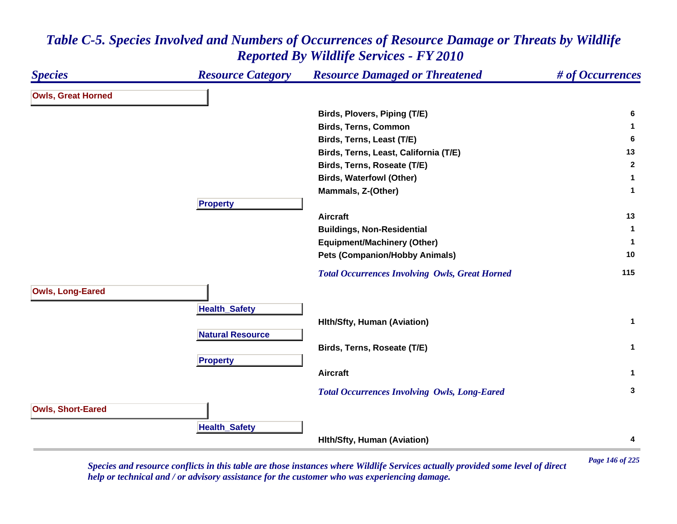| <b>Species</b>            | <b>Resource Category</b> | <b>Resource Damaged or Threatened</b>                 | # of Occurrences |
|---------------------------|--------------------------|-------------------------------------------------------|------------------|
| <b>Owls, Great Horned</b> |                          |                                                       |                  |
|                           |                          | Birds, Plovers, Piping (T/E)                          | 6                |
|                           |                          | <b>Birds, Terns, Common</b>                           | 1                |
|                           |                          | Birds, Terns, Least (T/E)                             | 6                |
|                           |                          | Birds, Terns, Least, California (T/E)                 | 13               |
|                           |                          | Birds, Terns, Roseate (T/E)                           | $\mathbf{2}$     |
|                           |                          | <b>Birds, Waterfowl (Other)</b>                       | 1                |
|                           |                          | Mammals, Z-(Other)                                    | $\mathbf 1$      |
|                           | <b>Property</b>          |                                                       |                  |
|                           |                          | <b>Aircraft</b>                                       | 13               |
|                           |                          | <b>Buildings, Non-Residential</b>                     | 1                |
|                           |                          | <b>Equipment/Machinery (Other)</b>                    | 1                |
|                           |                          | <b>Pets (Companion/Hobby Animals)</b>                 | 10               |
|                           |                          | <b>Total Occurrences Involving Owls, Great Horned</b> | 115              |
| <b>Owls, Long-Eared</b>   |                          |                                                       |                  |
|                           | <b>Health_Safety</b>     |                                                       |                  |
|                           |                          | <b>Hith/Sfty, Human (Aviation)</b>                    | $\mathbf{1}$     |
|                           | <b>Natural Resource</b>  |                                                       |                  |
|                           |                          | Birds, Terns, Roseate (T/E)                           | $\mathbf 1$      |
|                           | <b>Property</b>          |                                                       |                  |
|                           |                          | <b>Aircraft</b>                                       | $\mathbf 1$      |
|                           |                          | <b>Total Occurrences Involving Owls, Long-Eared</b>   | 3                |
| <b>Owls, Short-Eared</b>  |                          |                                                       |                  |
|                           |                          |                                                       |                  |
|                           | <b>Health_Safety</b>     |                                                       |                  |
|                           |                          | <b>Hith/Sfty, Human (Aviation)</b>                    | 4                |

*Page 146 of 225 Species and resource conflicts in this table are those instances where Wildlife Services actually provided some level of direct help or technical and / or advisory assistance for the customer who was experiencing damage.*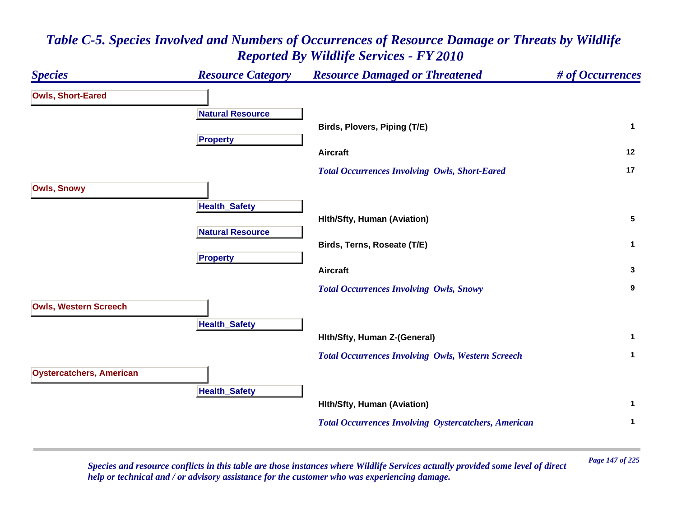#### *Species Resource Category Resource Damaged or Threatened # of Occurrences* **Owls, Short-Eared Natural ResourceBirds, Plovers, Piping (T/E) <sup>1</sup> Propert y Aircraft 12**  *Total Occurrences Involving Owls, Short-Eared* **<sup>17</sup> Owls, Snowy HealthSafet y Hlth/Sfty, Human (Aviation) <sup>5</sup> Natural ResourceBirds, Terns, Roseate (T/E) <sup>1</sup> Propert y Aircraft 3**  *Total Occurrences Involving Owls, Snowy* **<sup>9</sup> Owls, Western Screech HealthSafet y Hlth/Sfty, Human Z-(General) <sup>1</sup>**  *Total Occurrences Involving Owls, Western Screech* **<sup>1</sup> Oystercatchers, American HealthSafet y Hlth/Sfty, Human (Aviation) <sup>1</sup>**  *Total Occurrences Involving Oystercatchers, American* **<sup>1</sup>**

## *Table C-5. Species Involved and Numbers of Occurrences of Resource Damage or Threats by Wildlife Reported By Wildlife Services - FY 2010*

*Page 147 of 225 Species and resource conflicts in this table are those instances where Wildlife Services actually provided some level of direct help or technical and / or advisory assistance for the customer who was experiencing damage.*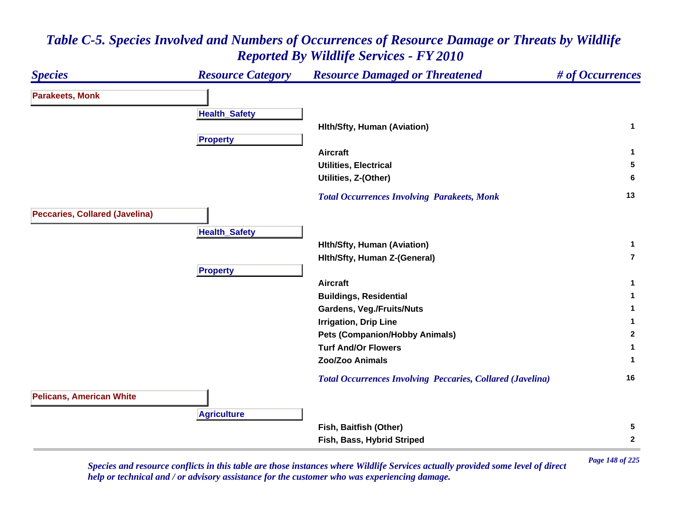

*Page 148 of 225 Species and resource conflicts in this table are those instances where Wildlife Services actually provided some level of direct help or technical and / or advisory assistance for the customer who was experiencing damage.*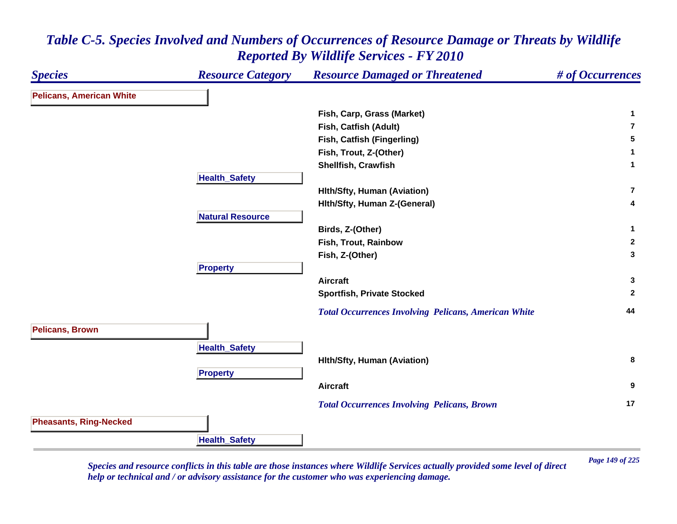| <b>Species</b>                  | <b>Resource Category</b> | <b>Resource Damaged or Threatened</b>                       | # of Occurrences |
|---------------------------------|--------------------------|-------------------------------------------------------------|------------------|
| <b>Pelicans, American White</b> |                          |                                                             |                  |
|                                 |                          | Fish, Carp, Grass (Market)                                  | 1                |
|                                 |                          | Fish, Catfish (Adult)                                       | $\overline{7}$   |
|                                 |                          | Fish, Catfish (Fingerling)                                  | 5                |
|                                 |                          | Fish, Trout, Z-(Other)                                      | 1                |
|                                 |                          | Shellfish, Crawfish                                         | $\mathbf{1}$     |
|                                 | <b>Health_Safety</b>     |                                                             |                  |
|                                 |                          | <b>Hith/Sfty, Human (Aviation)</b>                          | $\overline{7}$   |
|                                 |                          | Hith/Sfty, Human Z-(General)                                | 4                |
|                                 | <b>Natural Resource</b>  |                                                             |                  |
|                                 |                          | Birds, Z-(Other)                                            | $\mathbf{1}$     |
|                                 |                          | Fish, Trout, Rainbow                                        | $\overline{2}$   |
|                                 |                          | Fish, Z-(Other)                                             | 3                |
|                                 | <b>Property</b>          |                                                             |                  |
|                                 |                          | <b>Aircraft</b>                                             | 3                |
|                                 |                          | <b>Sportfish, Private Stocked</b>                           | $\mathbf{2}$     |
|                                 |                          | <b>Total Occurrences Involving Pelicans, American White</b> | 44               |
| <b>Pelicans, Brown</b>          |                          |                                                             |                  |
|                                 | <b>Health_Safety</b>     |                                                             |                  |
|                                 |                          | <b>Hith/Sfty, Human (Aviation)</b>                          | 8                |
|                                 | <b>Property</b>          |                                                             |                  |
|                                 |                          | <b>Aircraft</b>                                             | 9                |
|                                 |                          |                                                             | 17               |
|                                 |                          | <b>Total Occurrences Involving Pelicans, Brown</b>          |                  |
| <b>Pheasants, Ring-Necked</b>   |                          |                                                             |                  |
|                                 | <b>Health_Safety</b>     |                                                             |                  |

*Page 149 of 225 Species and resource conflicts in this table are those instances where Wildlife Services actually provided some level of direct help or technical and / or advisory assistance for the customer who was experiencing damage.*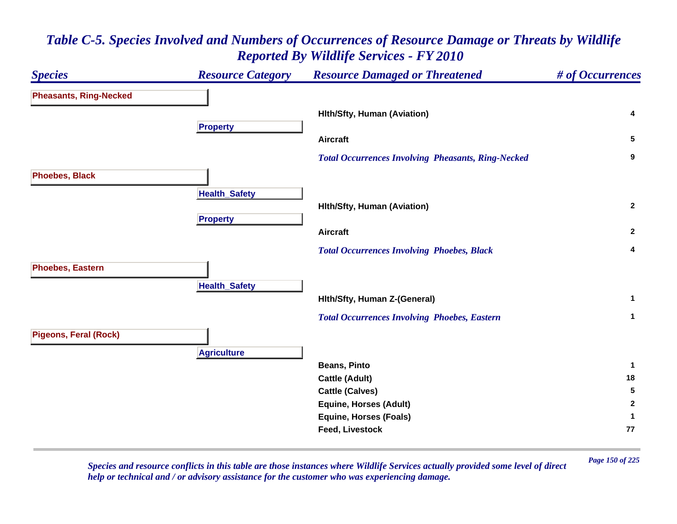#### *Species Resource Category Resource Damaged or Threatened # of Occurrences* **Pheasants, Ring-Necked Hlth/Sfty, Human (Aviation) <sup>4</sup> Propert y Aircraft 5**  *Total Occurrences Involving Pheasants, Ring-Necked* **<sup>9</sup> Phoebes, Black Health \_ Safet y Hlth/Sfty, Human (Aviation) <sup>2</sup> Pro pert y Aircraft 2**  *Total Occurrences Involving Phoebes, Black* **<sup>4</sup> Phoebes, Eastern HealthSafet y Hlth/Sfty, Human Z-(General) <sup>1</sup>**  *Total Occurrences Involving Phoebes, Eastern* **<sup>1</sup> Pigeons, Feral (Rock) A griculture Beans, Pinto 1 Cattle (Adult) <sup>18</sup> Cattle (Calves) <sup>5</sup> Equine, Horses (Adult) <sup>2</sup> Equine, Horses (Foals) <sup>1</sup> Feed, Livestock 77**

#### *Table C-5. Species Involved and Numbers of Occurrences of Resource Damage or Threats by Wildlife Reported By Wildlife Services - FY 2010*

*Page 150 of 225 Species and resource conflicts in this table are those instances where Wildlife Services actually provided some level of direct help or technical and / or advisory assistance for the customer who was experiencing damage.*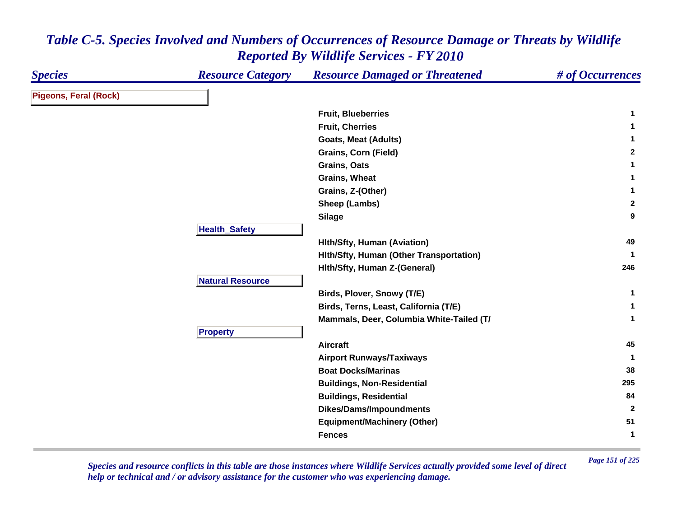| <b>Species</b>               | <b>Resource Category</b> | <b>Resource Damaged or Threatened</b>    | # of Occurrences |
|------------------------------|--------------------------|------------------------------------------|------------------|
| <b>Pigeons, Feral (Rock)</b> |                          |                                          |                  |
|                              |                          | <b>Fruit, Blueberries</b>                | -1               |
|                              |                          | <b>Fruit, Cherries</b>                   | 1                |
|                              |                          | <b>Goats, Meat (Adults)</b>              | 1                |
|                              |                          | <b>Grains, Corn (Field)</b>              | $\mathbf{2}$     |
|                              |                          | Grains, Oats                             | 1                |
|                              |                          | Grains, Wheat                            | 1                |
|                              |                          | Grains, Z-(Other)                        | $\mathbf 1$      |
|                              |                          | Sheep (Lambs)                            | $\mathbf{2}$     |
|                              |                          | <b>Silage</b>                            | 9                |
|                              | <b>Health_Safety</b>     |                                          |                  |
|                              |                          | <b>Hith/Sfty, Human (Aviation)</b>       | 49               |
|                              |                          | Hith/Sfty, Human (Other Transportation)  |                  |
|                              |                          | Hith/Sfty, Human Z-(General)             | 246              |
|                              | <b>Natural Resource</b>  |                                          |                  |
|                              |                          | Birds, Plover, Snowy (T/E)               | $\mathbf{1}$     |
|                              |                          | Birds, Terns, Least, California (T/E)    | 1                |
|                              |                          | Mammals, Deer, Columbia White-Tailed (T/ | $\mathbf{1}$     |
|                              | <b>Property</b>          |                                          |                  |
|                              |                          | <b>Aircraft</b>                          | 45               |
|                              |                          | <b>Airport Runways/Taxiways</b>          | -1               |
|                              |                          | <b>Boat Docks/Marinas</b>                | 38               |
|                              |                          | <b>Buildings, Non-Residential</b>        | 295              |
|                              |                          | <b>Buildings, Residential</b>            | 84               |
|                              |                          | <b>Dikes/Dams/Impoundments</b>           | $\overline{2}$   |
|                              |                          | <b>Equipment/Machinery (Other)</b>       | 51               |
|                              |                          | <b>Fences</b>                            | $\mathbf{1}$     |

*Page 151 of 225 Species and resource conflicts in this table are those instances where Wildlife Services actually provided some level of direct help or technical and / or advisory assistance for the customer who was experiencing damage.*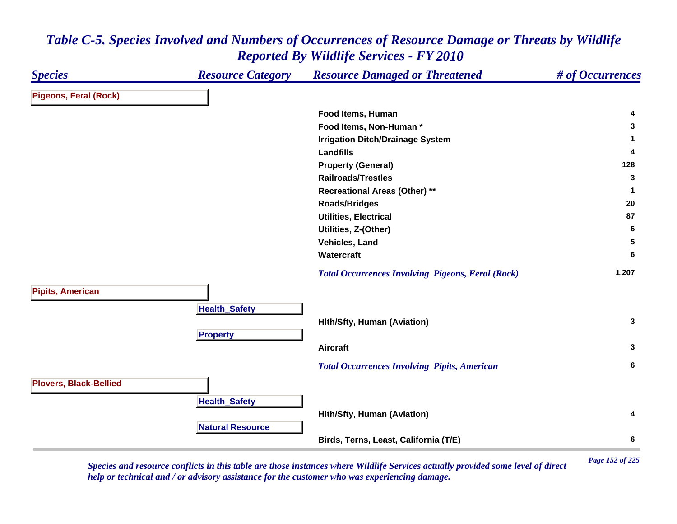| <b>Species</b>                | <b>Resource Category</b> | <b>Resource Damaged or Threatened</b>                    | # of Occurrences |
|-------------------------------|--------------------------|----------------------------------------------------------|------------------|
| <b>Pigeons, Feral (Rock)</b>  |                          |                                                          |                  |
|                               |                          | Food Items, Human                                        | 4                |
|                               |                          | Food Items, Non-Human *                                  | 3                |
|                               |                          | <b>Irrigation Ditch/Drainage System</b>                  | 1                |
|                               |                          | <b>Landfills</b>                                         | 4                |
|                               |                          | <b>Property (General)</b>                                | 128              |
|                               |                          | <b>Railroads/Trestles</b>                                | 3                |
|                               |                          | <b>Recreational Areas (Other) **</b>                     | $\mathbf{1}$     |
|                               |                          | <b>Roads/Bridges</b>                                     | 20               |
|                               |                          | <b>Utilities, Electrical</b>                             | 87               |
|                               |                          | Utilities, Z-(Other)                                     | 6                |
|                               |                          | Vehicles, Land                                           | 5                |
|                               |                          | Watercraft                                               | 6                |
|                               |                          | <b>Total Occurrences Involving Pigeons, Feral (Rock)</b> | 1,207            |
| <b>Pipits, American</b>       |                          |                                                          |                  |
|                               | <b>Health_Safety</b>     |                                                          |                  |
|                               |                          | <b>Hith/Sfty, Human (Aviation)</b>                       | 3                |
|                               | <b>Property</b>          |                                                          |                  |
|                               |                          | <b>Aircraft</b>                                          | 3                |
|                               |                          | <b>Total Occurrences Involving Pipits, American</b>      | 6                |
| <b>Plovers, Black-Bellied</b> |                          |                                                          |                  |
|                               | <b>Health_Safety</b>     |                                                          |                  |
|                               |                          | <b>Hith/Sfty, Human (Aviation)</b>                       | 4                |
|                               | <b>Natural Resource</b>  |                                                          |                  |
|                               |                          | Birds, Terns, Least, California (T/E)                    | 6                |

*Page 152 of 225 Species and resource conflicts in this table are those instances where Wildlife Services actually provided some level of direct help or technical and / or advisory assistance for the customer who was experiencing damage.*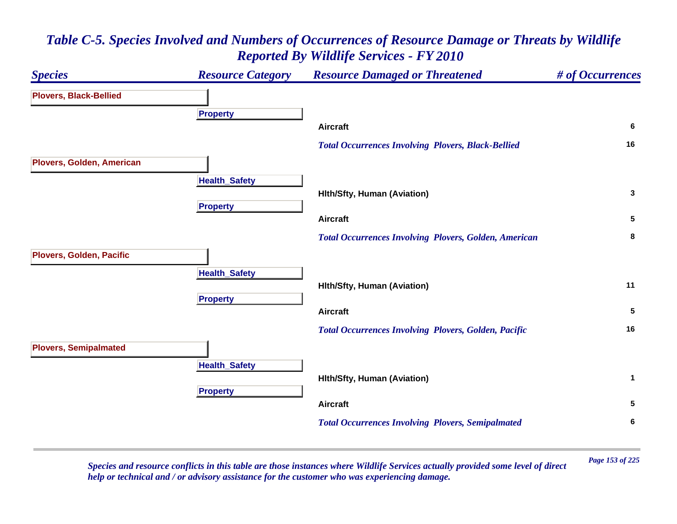

*Page 153 of 225 Species and resource conflicts in this table are those instances where Wildlife Services actually provided some level of direct help or technical and / or advisory assistance for the customer who was experiencing damage.*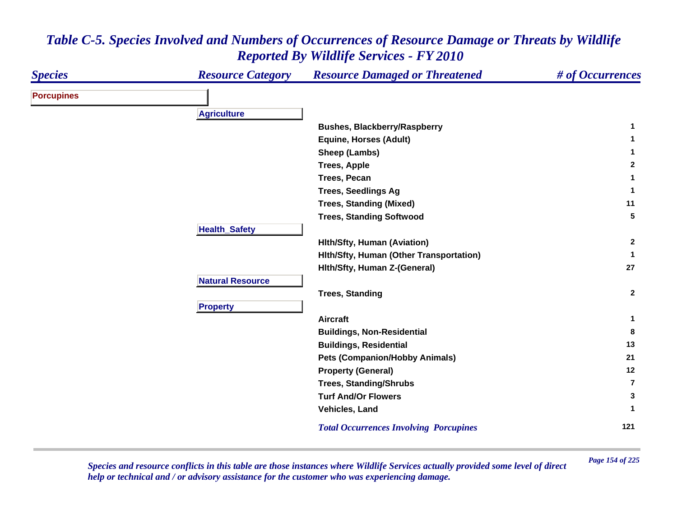| <b>Species</b>    | <b>Resource Category</b> | <b>Resource Damaged or Threatened</b>         | # of Occurrences |
|-------------------|--------------------------|-----------------------------------------------|------------------|
| <b>Porcupines</b> |                          |                                               |                  |
|                   | <b>Agriculture</b>       |                                               |                  |
|                   |                          | <b>Bushes, Blackberry/Raspberry</b>           | 1                |
|                   |                          | <b>Equine, Horses (Adult)</b>                 | 1                |
|                   |                          | Sheep (Lambs)                                 | 1                |
|                   |                          | <b>Trees, Apple</b>                           | $\mathbf{2}$     |
|                   |                          | Trees, Pecan                                  | 1                |
|                   |                          | <b>Trees, Seedlings Ag</b>                    | 1                |
|                   |                          | <b>Trees, Standing (Mixed)</b>                | 11               |
|                   |                          | <b>Trees, Standing Softwood</b>               | 5                |
|                   | <b>Health_Safety</b>     |                                               |                  |
|                   |                          | <b>Hith/Sfty, Human (Aviation)</b>            | $\mathbf{2}$     |
|                   |                          | Hith/Sfty, Human (Other Transportation)       | $\mathbf{1}$     |
|                   |                          | Hith/Sfty, Human Z-(General)                  | 27               |
|                   | <b>Natural Resource</b>  |                                               |                  |
|                   |                          | <b>Trees, Standing</b>                        | $\overline{2}$   |
|                   | <b>Property</b>          |                                               |                  |
|                   |                          | <b>Aircraft</b>                               | $\mathbf 1$      |
|                   |                          | <b>Buildings, Non-Residential</b>             | 8                |
|                   |                          | <b>Buildings, Residential</b>                 | 13               |
|                   |                          | <b>Pets (Companion/Hobby Animals)</b>         | 21               |
|                   |                          | <b>Property (General)</b>                     | 12               |
|                   |                          | <b>Trees, Standing/Shrubs</b>                 | $\overline{7}$   |
|                   |                          | <b>Turf And/Or Flowers</b>                    | 3                |
|                   |                          | Vehicles, Land                                | 1                |
|                   |                          | <b>Total Occurrences Involving Porcupines</b> | 121              |

*Page 154 of 225 Species and resource conflicts in this table are those instances where Wildlife Services actually provided some level of direct help or technical and / or advisory assistance for the customer who was experiencing damage.*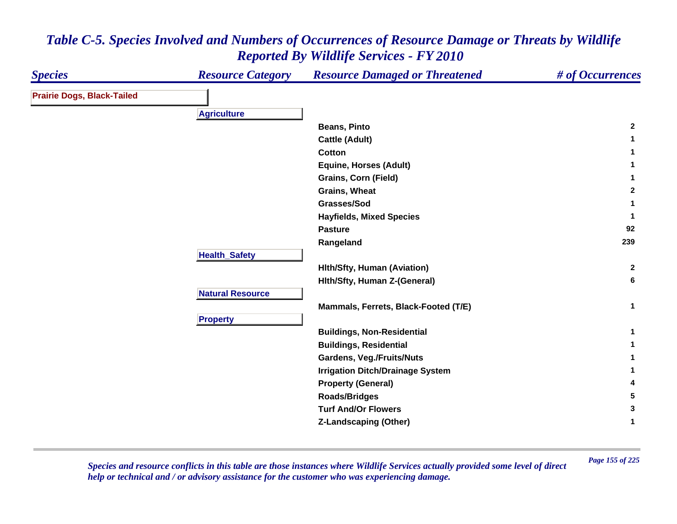| <b>Species</b>                    | <b>Resource Category</b> | <b>Resource Damaged or Threatened</b>   | # of Occurrences |
|-----------------------------------|--------------------------|-----------------------------------------|------------------|
| <b>Prairie Dogs, Black-Tailed</b> |                          |                                         |                  |
|                                   | <b>Agriculture</b>       |                                         |                  |
|                                   |                          | <b>Beans, Pinto</b>                     | $\mathbf{2}$     |
|                                   |                          | <b>Cattle (Adult)</b>                   | $\mathbf 1$      |
|                                   |                          | Cotton                                  | $\mathbf 1$      |
|                                   |                          | <b>Equine, Horses (Adult)</b>           | 1                |
|                                   |                          | <b>Grains, Corn (Field)</b>             | $\mathbf{1}$     |
|                                   |                          | Grains, Wheat                           | $\mathbf{2}$     |
|                                   |                          | Grasses/Sod                             | 1                |
|                                   |                          | <b>Hayfields, Mixed Species</b>         | $\mathbf 1$      |
|                                   |                          | <b>Pasture</b>                          | 92               |
|                                   |                          | Rangeland                               | 239              |
|                                   | <b>Health_Safety</b>     |                                         |                  |
|                                   |                          | <b>Hith/Sfty, Human (Aviation)</b>      | $\mathbf{2}$     |
|                                   |                          | Hith/Sfty, Human Z-(General)            | 6                |
|                                   | <b>Natural Resource</b>  |                                         |                  |
|                                   |                          | Mammals, Ferrets, Black-Footed (T/E)    | $\mathbf{1}$     |
|                                   | <b>Property</b>          |                                         |                  |
|                                   |                          | <b>Buildings, Non-Residential</b>       | 1                |
|                                   |                          | <b>Buildings, Residential</b>           | 1                |
|                                   |                          | <b>Gardens, Veg./Fruits/Nuts</b>        | $\mathbf{1}$     |
|                                   |                          | <b>Irrigation Ditch/Drainage System</b> | 1                |
|                                   |                          | <b>Property (General)</b>               | 4                |
|                                   |                          | <b>Roads/Bridges</b>                    | 5                |
|                                   |                          | <b>Turf And/Or Flowers</b>              | 3                |
|                                   |                          | Z-Landscaping (Other)                   | 1                |

*Page 155 of 225 Species and resource conflicts in this table are those instances where Wildlife Services actually provided some level of direct help or technical and / or advisory assistance for the customer who was experiencing damage.*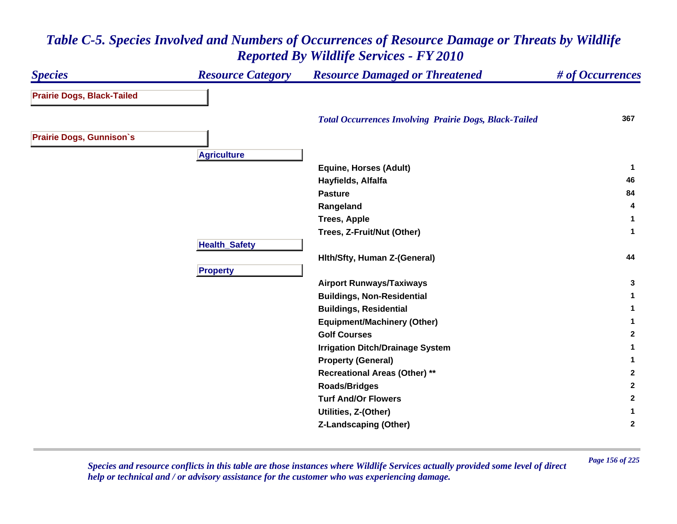#### *Species Resource Category Resource Damaged or Threatened # of Occurrences* **Prairie Dogs, Black-Tailed**  *Total Occurrences Involving Prairie Dogs, Black-Tailed* **<sup>367</sup> Prairie Dogs, Gunnison`s A griculture Equine, Horses (Adult) <sup>1</sup> Hayfields, Alfalfa <sup>46</sup> Pasture84 84 Rangeland <sup>4</sup> Trees, Apple <sup>1</sup> Trees, Z-Fruit/Nut (Other) <sup>1</sup> HealthSafet y Hlth/Sfty, Human Z-(General) <sup>44</sup> Pro pert y Airport Runways/Taxiways <sup>3</sup> Buildings, Non-Residential <sup>1</sup> Buildings, Residential <sup>1</sup> Equipment/Machinery (Other) <sup>1</sup> Golf Courses 2 Irrigation Ditch/Drainage System <sup>1</sup> Property (General) <sup>1</sup> Recreational Areas (Other) \*\* <sup>2</sup> Roads/Bridges <sup>2</sup> Turf And/Or Flowers 2 Utilities, Z-(Other) <sup>1</sup> Z-Landscaping (Other) <sup>2</sup>**

#### *Table C-5. Species Involved and Numbers of Occurrences of Resource Damage or Threats by Wildlife Reported By Wildlife Services - FY 2010*

*Page 156 of 225 Species and resource conflicts in this table are those instances where Wildlife Services actually provided some level of direct help or technical and / or advisory assistance for the customer who was experiencing damage.*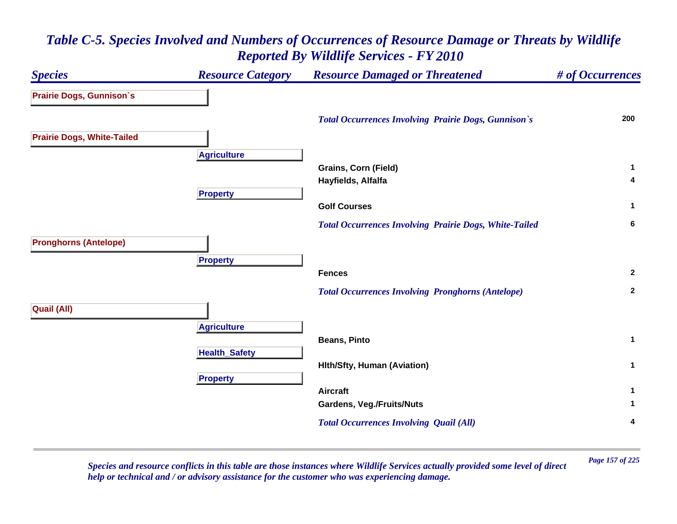#### *Species Resource Category Resource Damaged or Threatened # of Occurrences* **Prairie Dogs, Gunnison`s**  *Total Occurrences Involving Prairie Dogs, Gunnison`s* **<sup>200</sup> Prairie Dogs, White-Tailed A griculture Grains, Corn (Field) <sup>1</sup> Hayfields, Alfalfa <sup>4</sup> Pro pert y Golf Courses 1**  *Total Occurrences Involving Prairie Dogs, White-Tailed* **<sup>6</sup> Pronghorns (Antelope) Pro pert y Fences 2**  *Total Occurrences Involving Pronghorns (Antelope)* **<sup>2</sup> Quail (All) A griculture Beans, Pinto 1 Health \_ Safet y Hlth/Sfty, Human (Aviation) <sup>1</sup> Pro pert y Aircraft 1 Gardens, Veg./Fruits/Nuts <sup>1</sup>**  *Total Occurrences Involving Quail (All)* **<sup>4</sup>**

#### *Table C-5. Species Involved and Numbers of Occurrences of Resource Damage or Threats by Wildlife Reported By Wildlife Services - FY 2010*

*Page 157 of 225 Species and resource conflicts in this table are those instances where Wildlife Services actually provided some level of direct help or technical and / or advisory assistance for the customer who was experiencing damage.*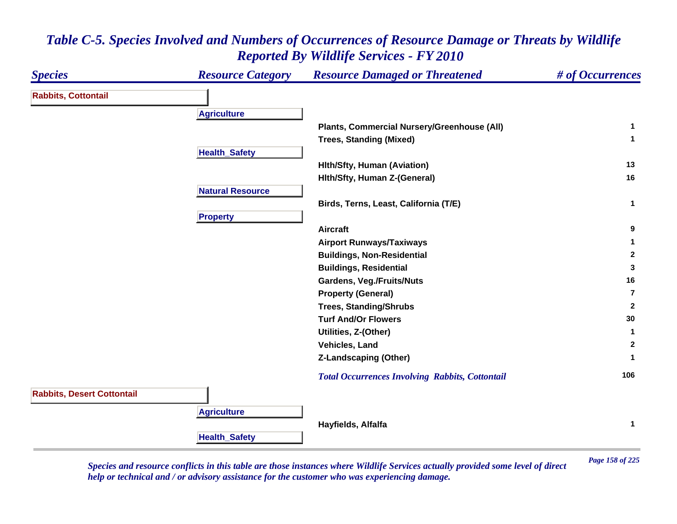#### *Species Resource Category Resource Damaged or Threatened # of Occurrences* **Rabbits, Cottontail A griculture Plants, Commercial Nursery/Greenhouse (All) <sup>1</sup> Trees, Standing (Mixed) <sup>1</sup> Health \_ Safet y Hlth/Sfty, Human (Aviation) <sup>13</sup> Hlth/Sfty, Human Z-(General) <sup>16</sup> Natural ResourceBirds, Terns, Least, California (T/E) <sup>1</sup> Propert y Aircraft 9 Airport Runways/Taxiways <sup>1</sup> Buildings, Non-Residential <sup>2</sup> Buildings, Residential <sup>3</sup> Gardens, Veg./Fruits/Nuts <sup>16</sup> Property (General) 7Trees, Standing/Shrubs <sup>2</sup> Turf And/Or Flowers 30 Utilities, Z-(Other) <sup>1</sup> Vehicles, Land 2 Z-Landscaping (Other) <sup>1</sup>**  *Total Occurrences Involving Rabbits, Cottontail* **<sup>106</sup> Rabbits, Desert Cottontail A griculture Hayfields, Alfalfa <sup>1</sup> HealthSafet y**

#### *Table C-5. Species Involved and Numbers of Occurrences of Resource Damage or Threats by Wildlife Reported By Wildlife Services - FY 2010*

*Page 158 of 225 Species and resource conflicts in this table are those instances where Wildlife Services actually provided some level of direct help or technical and / or advisory assistance for the customer who was experiencing damage.*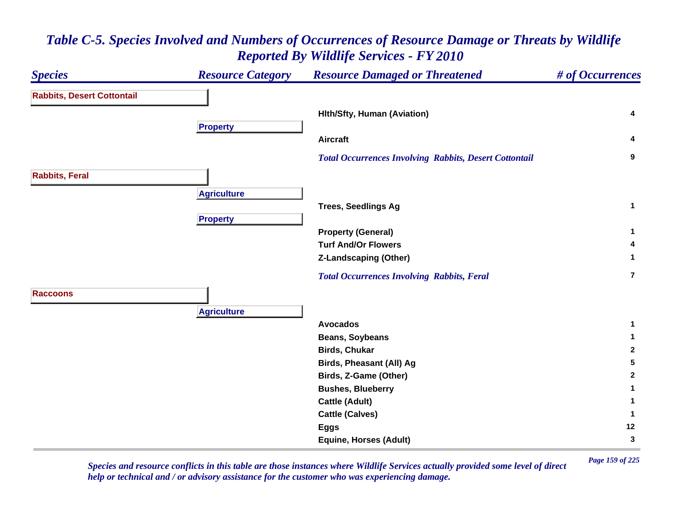#### *Species Resource Category Resource Damaged or Threatened # of Occurrences* **Rabbits, Desert Cottontail Hlth/Sfty, Human (Aviation) <sup>4</sup> Pro pert y Aircraft 4**  *Total Occurrences Involving Rabbits, Desert Cottontail* **<sup>9</sup> Rabbits, Feral A griculture Trees, Seedlings Ag <sup>1</sup> Pro pert y Property (General) <sup>1</sup> Turf And/Or Flowers 4 Z-Landscaping (Other) <sup>1</sup>**  *Total Occurrences Involving Rabbits, Feral* **7RaccoonsA griculture Avocados 1 Beans, Soybeans <sup>1</sup> Birds, Chukar 2 Birds, Pheasant (All) Ag <sup>5</sup> Birds, Z-Game (Other) <sup>2</sup> Bushes, Blueberry <sup>1</sup> Cattle (Adult) <sup>1</sup> Cattle (Calves) <sup>1</sup> Eggs <sup>12</sup> Equine, Horses (Adult) <sup>3</sup>**

## *Table C-5. Species Involved and Numbers of Occurrences of Resource Damage or Threats by Wildlife Reported By Wildlife Services - FY 2010*

*Page 159 of 225 Species and resource conflicts in this table are those instances where Wildlife Services actually provided some level of direct help or technical and / or advisory assistance for the customer who was experiencing damage.*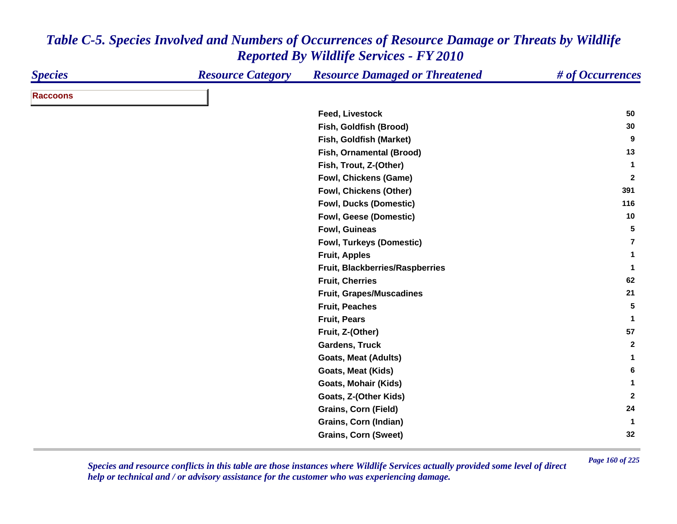| <b>Species</b>  | <b>Resource Category</b> | <b>Resource Damaged or Threatened</b> | # of Occurrences |
|-----------------|--------------------------|---------------------------------------|------------------|
| <b>Raccoons</b> |                          |                                       |                  |
|                 |                          | <b>Feed, Livestock</b>                | 50               |
|                 |                          | Fish, Goldfish (Brood)                | 30               |
|                 |                          | Fish, Goldfish (Market)               | 9                |
|                 |                          | Fish, Ornamental (Brood)              | 13               |
|                 |                          | Fish, Trout, Z-(Other)                | 1                |
|                 |                          | <b>Fowl, Chickens (Game)</b>          | $\mathbf{2}$     |
|                 |                          | Fowl, Chickens (Other)                | 391              |
|                 |                          | <b>Fowl, Ducks (Domestic)</b>         | 116              |
|                 |                          | Fowl, Geese (Domestic)                | 10               |
|                 |                          | Fowl, Guineas                         | 5                |
|                 |                          | Fowl, Turkeys (Domestic)              | 7                |
|                 |                          | <b>Fruit, Apples</b>                  | 1                |
|                 |                          | Fruit, Blackberries/Raspberries       | $\mathbf{1}$     |
|                 |                          | <b>Fruit, Cherries</b>                | 62               |
|                 |                          | <b>Fruit, Grapes/Muscadines</b>       | 21               |
|                 |                          | <b>Fruit, Peaches</b>                 | 5                |
|                 |                          | <b>Fruit, Pears</b>                   | $\mathbf{1}$     |
|                 |                          | Fruit, Z-(Other)                      | 57               |
|                 |                          | <b>Gardens, Truck</b>                 | $\overline{2}$   |
|                 |                          | <b>Goats, Meat (Adults)</b>           | 1                |
|                 |                          | <b>Goats, Meat (Kids)</b>             | 6                |
|                 |                          | Goats, Mohair (Kids)                  | 1                |
|                 |                          | Goats, Z-(Other Kids)                 | $\overline{2}$   |
|                 |                          | <b>Grains, Corn (Field)</b>           | 24               |
|                 |                          | Grains, Corn (Indian)                 | $\mathbf{1}$     |
|                 |                          | <b>Grains, Corn (Sweet)</b>           | 32               |

*Page 160 of 225 Species and resource conflicts in this table are those instances where Wildlife Services actually provided some level of direct help or technical and / or advisory assistance for the customer who was experiencing damage.*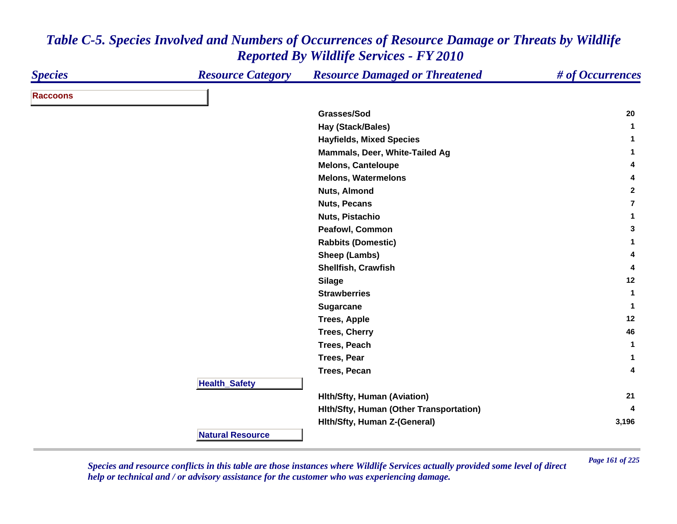| <b>Species</b>  | <b>Resource Category</b> | <b>Resource Damaged or Threatened</b>   | # of Occurrences |
|-----------------|--------------------------|-----------------------------------------|------------------|
| <b>Raccoons</b> |                          |                                         |                  |
|                 |                          | Grasses/Sod                             | 20               |
|                 |                          | Hay (Stack/Bales)                       | $\mathbf{1}$     |
|                 |                          | <b>Hayfields, Mixed Species</b>         | 1                |
|                 |                          | Mammals, Deer, White-Tailed Ag          | 1                |
|                 |                          | <b>Melons, Canteloupe</b>               | 4                |
|                 |                          | <b>Melons, Watermelons</b>              | 4                |
|                 |                          | <b>Nuts, Almond</b>                     | $\mathbf{2}$     |
|                 |                          | <b>Nuts, Pecans</b>                     | $\overline{7}$   |
|                 |                          | Nuts, Pistachio                         | 1                |
|                 |                          | Peafowl, Common                         | 3                |
|                 |                          | <b>Rabbits (Domestic)</b>               | $\mathbf 1$      |
|                 |                          | Sheep (Lambs)                           | 4                |
|                 |                          | Shellfish, Crawfish                     | 4                |
|                 |                          | <b>Silage</b>                           | 12               |
|                 |                          | <b>Strawberries</b>                     | $\mathbf 1$      |
|                 |                          | <b>Sugarcane</b>                        | 1                |
|                 |                          | <b>Trees, Apple</b>                     | 12               |
|                 |                          | <b>Trees, Cherry</b>                    | 46               |
|                 |                          | Trees, Peach                            | $\mathbf{1}$     |
|                 |                          | <b>Trees, Pear</b>                      | 1                |
|                 |                          | Trees, Pecan                            | 4                |
|                 | <b>Health_Safety</b>     |                                         |                  |
|                 |                          | <b>Hith/Sfty, Human (Aviation)</b>      | 21               |
|                 |                          | Hith/Sfty, Human (Other Transportation) |                  |
|                 |                          | Hith/Sfty, Human Z-(General)            | 3,196            |
|                 | <b>Natural Resource</b>  |                                         |                  |

*Page 161 of 225 Species and resource conflicts in this table are those instances where Wildlife Services actually provided some level of direct help or technical and / or advisory assistance for the customer who was experiencing damage.*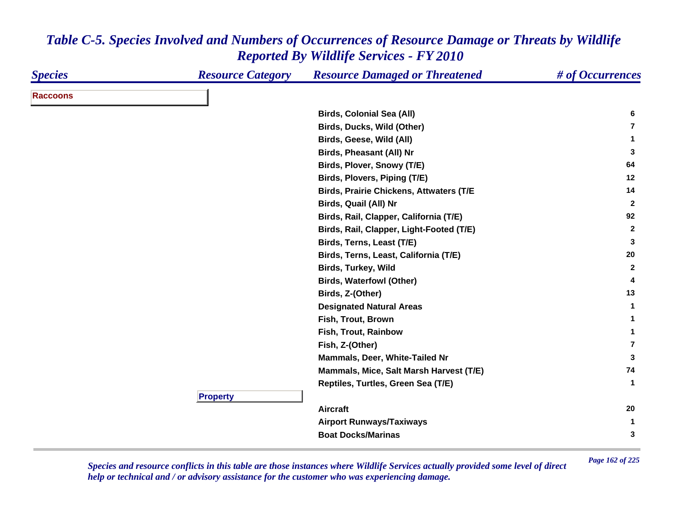| <b>Species</b>  | <b>Resource Category</b> | <b>Resource Damaged or Threatened</b>          | # of Occurrences |
|-----------------|--------------------------|------------------------------------------------|------------------|
| <b>Raccoons</b> |                          |                                                |                  |
|                 |                          | <b>Birds, Colonial Sea (All)</b>               | 6                |
|                 |                          | Birds, Ducks, Wild (Other)                     | $\overline{7}$   |
|                 |                          | Birds, Geese, Wild (All)                       | 1                |
|                 |                          | <b>Birds, Pheasant (All) Nr</b>                | 3                |
|                 |                          | Birds, Plover, Snowy (T/E)                     | 64               |
|                 |                          | Birds, Plovers, Piping (T/E)                   | 12               |
|                 |                          | <b>Birds, Prairie Chickens, Attwaters (T/E</b> | 14               |
|                 |                          | Birds, Quail (All) Nr                          | $\mathbf{2}$     |
|                 |                          | Birds, Rail, Clapper, California (T/E)         | 92               |
|                 |                          | Birds, Rail, Clapper, Light-Footed (T/E)       | $\overline{2}$   |
|                 |                          | Birds, Terns, Least (T/E)                      | 3                |
|                 |                          | Birds, Terns, Least, California (T/E)          | 20               |
|                 |                          | <b>Birds, Turkey, Wild</b>                     | $\mathbf{2}$     |
|                 |                          | <b>Birds, Waterfowl (Other)</b>                | 4                |
|                 |                          | Birds, Z-(Other)                               | 13               |
|                 |                          | <b>Designated Natural Areas</b>                | 1                |
|                 |                          | Fish, Trout, Brown                             | 1                |
|                 |                          | Fish, Trout, Rainbow                           | 1                |
|                 |                          | Fish, Z-(Other)                                | $\overline{7}$   |
|                 |                          | Mammals, Deer, White-Tailed Nr                 | 3                |
|                 |                          | Mammals, Mice, Salt Marsh Harvest (T/E)        | 74               |
|                 |                          | Reptiles, Turtles, Green Sea (T/E)             | $\mathbf 1$      |
|                 | <b>Property</b>          |                                                |                  |
|                 |                          | <b>Aircraft</b>                                | 20               |
|                 |                          | <b>Airport Runways/Taxiways</b>                | $\mathbf 1$      |
|                 |                          | <b>Boat Docks/Marinas</b>                      | 3                |

*Page 162 of 225 Species and resource conflicts in this table are those instances where Wildlife Services actually provided some level of direct help or technical and / or advisory assistance for the customer who was experiencing damage.*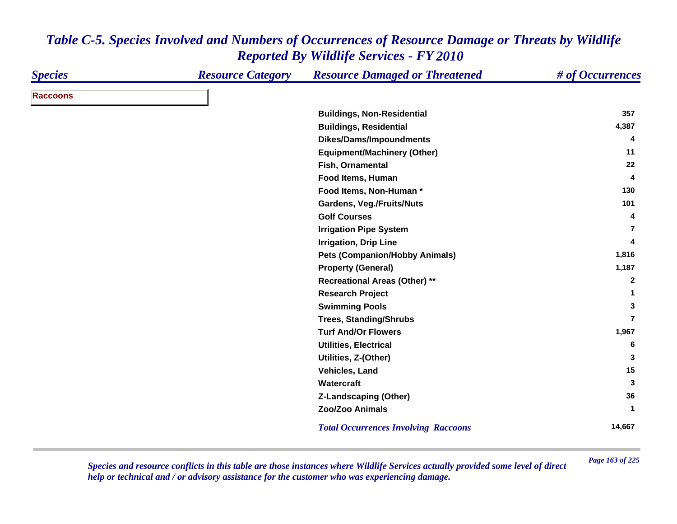| <b>Species</b>  | <b>Resource Category</b> | <b>Resource Damaged or Threatened</b>       | # of Occurrences |
|-----------------|--------------------------|---------------------------------------------|------------------|
| <b>Raccoons</b> |                          |                                             |                  |
|                 |                          | <b>Buildings, Non-Residential</b>           | 357              |
|                 |                          | <b>Buildings, Residential</b>               | 4,387            |
|                 |                          | Dikes/Dams/Impoundments                     | 4                |
|                 |                          | <b>Equipment/Machinery (Other)</b>          | 11               |
|                 |                          | Fish, Ornamental                            | 22               |
|                 |                          | Food Items, Human                           | 4                |
|                 |                          | Food Items, Non-Human*                      | 130              |
|                 |                          | Gardens, Veg./Fruits/Nuts                   | 101              |
|                 |                          | <b>Golf Courses</b>                         | 4                |
|                 |                          | <b>Irrigation Pipe System</b>               | 7                |
|                 |                          | <b>Irrigation, Drip Line</b>                | 4                |
|                 |                          | <b>Pets (Companion/Hobby Animals)</b>       | 1,816            |
|                 |                          | <b>Property (General)</b>                   | 1,187            |
|                 |                          | <b>Recreational Areas (Other) **</b>        | $\overline{2}$   |
|                 |                          | <b>Research Project</b>                     | 1                |
|                 |                          | <b>Swimming Pools</b>                       | 3                |
|                 |                          | <b>Trees, Standing/Shrubs</b>               | $\overline{7}$   |
|                 |                          | <b>Turf And/Or Flowers</b>                  | 1,967            |
|                 |                          | <b>Utilities, Electrical</b>                | 6                |
|                 |                          | Utilities, Z-(Other)                        | 3                |
|                 |                          | Vehicles, Land                              | 15               |
|                 |                          | Watercraft                                  | 3                |
|                 |                          | <b>Z-Landscaping (Other)</b>                | 36               |
|                 |                          | Zoo/Zoo Animals                             | 1                |
|                 |                          | <b>Total Occurrences Involving Raccoons</b> | 14,667           |

*Page 163 of 225 Species and resource conflicts in this table are those instances where Wildlife Services actually provided some level of direct help or technical and / or advisory assistance for the customer who was experiencing damage.*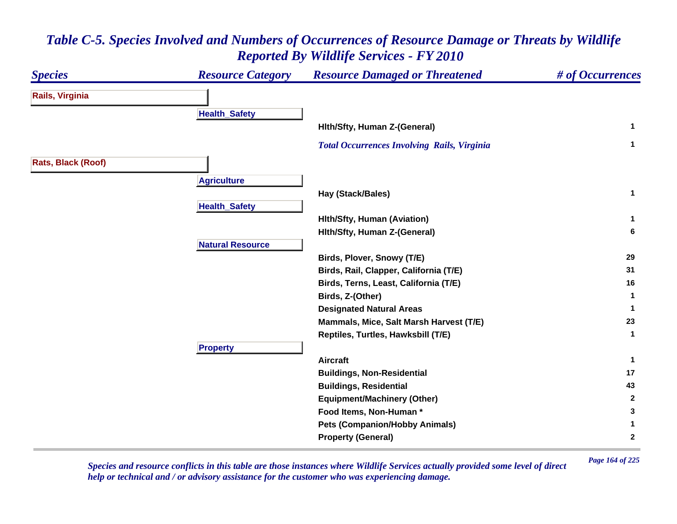#### *Species Resource Category Resource Damaged or Threatened # of Occurrences* **Rails, Virginia Health \_ Safet y Hlth/Sfty, Human Z-(General) <sup>1</sup>**  *Total Occurrences Involving Rails, Virginia* **<sup>1</sup> Rats, Black (Roof) A griculture Hay (Stack/Bales) <sup>1</sup> HealthSafet y Hlth/Sfty, Human (Aviation) <sup>1</sup> Hlth/Sfty, Human Z-(General) <sup>6</sup> Natural ResourceBirds, Plover, Snowy (T/E) <sup>29</sup> Birds, Rail, Clapper, California (T/E) <sup>31</sup> Birds, Terns, Least, California (T/E) <sup>16</sup> Birds, Z-(Other) <sup>1</sup> Designated Natural Areas <sup>1</sup> Mammals, Mice, Salt Marsh Harvest (T/E) <sup>23</sup> Reptiles, Turtles, Hawksbill (T/E) <sup>1</sup> Pro pert y Aircraft 1 Buildings, Non-Residential <sup>17</sup> Buildings, Residential <sup>43</sup> Equipment/Machinery (Other) <sup>2</sup> Food Items, Non-Human \* 3 Pets (Companion/Hobby Animals) <sup>1</sup> Property (General) <sup>2</sup>**

# *Table C-5. Species Involved and Numbers of Occurrences of Resource Damage or Threats by Wildlife Reported By Wildlife Services - FY 2010*

*Page 164 of 225 Species and resource conflicts in this table are those instances where Wildlife Services actually provided some level of direct help or technical and / or advisory assistance for the customer who was experiencing damage.*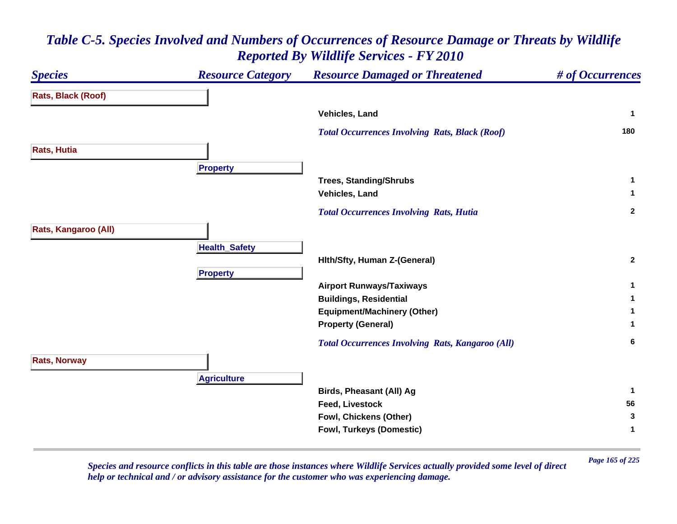| <b>Species</b>       | <b>Resource Category</b> | <b>Resource Damaged or Threatened</b>                   | # of Occurrences |
|----------------------|--------------------------|---------------------------------------------------------|------------------|
| Rats, Black (Roof)   |                          |                                                         |                  |
|                      |                          | Vehicles, Land                                          | $\mathbf{1}$     |
|                      |                          | <b>Total Occurrences Involving Rats, Black (Roof)</b>   | 180              |
| <b>Rats, Hutia</b>   |                          |                                                         |                  |
|                      | <b>Property</b>          |                                                         |                  |
|                      |                          | <b>Trees, Standing/Shrubs</b>                           | 1                |
|                      |                          | Vehicles, Land                                          | $\mathbf{1}$     |
|                      |                          | <b>Total Occurrences Involving Rats, Hutia</b>          | $\mathbf{2}$     |
| Rats, Kangaroo (All) |                          |                                                         |                  |
|                      | <b>Health_Safety</b>     |                                                         |                  |
|                      |                          | Hith/Sfty, Human Z-(General)                            | $\overline{2}$   |
|                      | <b>Property</b>          |                                                         |                  |
|                      |                          | <b>Airport Runways/Taxiways</b>                         | $\mathbf{1}$     |
|                      |                          | <b>Buildings, Residential</b>                           | 1                |
|                      |                          | <b>Equipment/Machinery (Other)</b>                      | 1                |
|                      |                          | <b>Property (General)</b>                               | 1                |
|                      |                          | <b>Total Occurrences Involving Rats, Kangaroo (All)</b> | 6                |
| <b>Rats, Norway</b>  |                          |                                                         |                  |
|                      | <b>Agriculture</b>       |                                                         |                  |
|                      |                          | <b>Birds, Pheasant (All) Ag</b>                         | $\mathbf{1}$     |
|                      |                          | <b>Feed, Livestock</b>                                  | 56               |
|                      |                          | Fowl, Chickens (Other)                                  | 3                |
|                      |                          | Fowl, Turkeys (Domestic)                                | 1                |
|                      |                          |                                                         |                  |

*Page 165 of 225 Species and resource conflicts in this table are those instances where Wildlife Services actually provided some level of direct help or technical and / or advisory assistance for the customer who was experiencing damage.*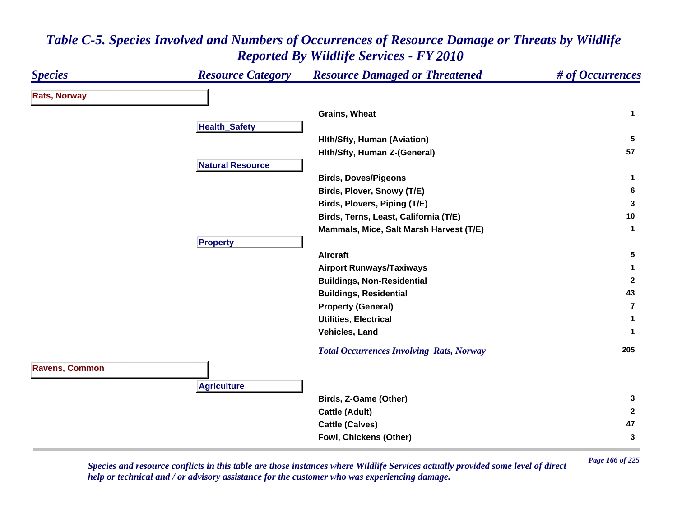#### *Species Resource Category Resource Damaged or Threatened # of Occurrences* **Rats, Norway Grains, Wheat 1 Health \_ Safet y Hlth/Sfty, Human (Aviation) <sup>5</sup> Hlth/Sfty, Human Z-(General) <sup>57</sup> Natural ResourceBirds, Doves/Pigeons <sup>1</sup> Birds, Plover, Snowy (T/E) <sup>6</sup> Birds, Plovers, Piping (T/E) <sup>3</sup> Birds, Terns, Least, California (T/E) <sup>10</sup> Mammals, Mice, Salt Marsh Harvest (T/E) <sup>1</sup> Pro pert y Aircraft 5 Airport Runways/Taxiways <sup>1</sup> Buildings, Non-Residential <sup>2</sup> Buildings, Residential <sup>43</sup> Property (General) 7Utilities, Electrical 1 Vehicles, Land 1**  *Total Occurrences Involving Rats, Norway* **<sup>205</sup> Ravens, Common A griculture Birds, Z-Game (Other) <sup>3</sup> Cattle (Adult) <sup>2</sup> Cattle (Calves) <sup>47</sup> Fowl, Chickens (Other) <sup>3</sup>**

#### *Table C-5. Species Involved and Numbers of Occurrences of Resource Damage or Threats by Wildlife Reported By Wildlife Services - FY 2010*

*Page 166 of 225 Species and resource conflicts in this table are those instances where Wildlife Services actually provided some level of direct help or technical and / or advisory assistance for the customer who was experiencing damage.*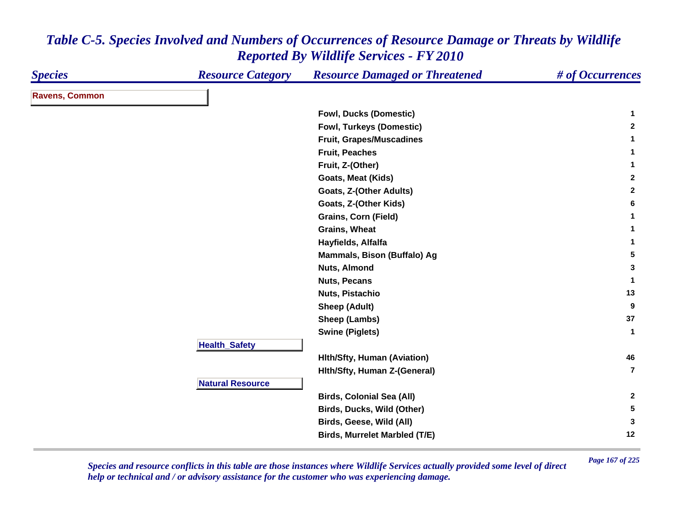| <b>Species</b>        | <b>Resource Category</b> | <b>Resource Damaged or Threatened</b> | # of Occurrences        |
|-----------------------|--------------------------|---------------------------------------|-------------------------|
| <b>Ravens, Common</b> |                          |                                       |                         |
|                       |                          | <b>Fowl, Ducks (Domestic)</b>         | 1                       |
|                       |                          | <b>Fowl, Turkeys (Domestic)</b>       | $\mathbf{2}$            |
|                       |                          | <b>Fruit, Grapes/Muscadines</b>       | 1                       |
|                       |                          | <b>Fruit, Peaches</b>                 | 1                       |
|                       |                          | Fruit, Z-(Other)                      | $\mathbf{1}$            |
|                       |                          | Goats, Meat (Kids)                    | $\mathbf{2}$            |
|                       |                          | Goats, Z-(Other Adults)               | $\mathbf{2}$            |
|                       |                          | Goats, Z-(Other Kids)                 | 6                       |
|                       |                          | <b>Grains, Corn (Field)</b>           | 1                       |
|                       |                          | <b>Grains, Wheat</b>                  | 1                       |
|                       |                          | Hayfields, Alfalfa                    | 1                       |
|                       |                          | Mammals, Bison (Buffalo) Ag           | 5                       |
|                       |                          | <b>Nuts, Almond</b>                   | 3                       |
|                       |                          | <b>Nuts, Pecans</b>                   | -1                      |
|                       |                          | Nuts, Pistachio                       | 13                      |
|                       |                          | <b>Sheep (Adult)</b>                  | 9                       |
|                       |                          | Sheep (Lambs)                         | 37                      |
|                       |                          | <b>Swine (Piglets)</b>                | $\mathbf{1}$            |
|                       | <b>Health_Safety</b>     |                                       |                         |
|                       |                          | <b>Hith/Sfty, Human (Aviation)</b>    | 46                      |
|                       |                          | Hith/Sfty, Human Z-(General)          | $\overline{\mathbf{z}}$ |
|                       | <b>Natural Resource</b>  |                                       |                         |
|                       |                          | <b>Birds, Colonial Sea (All)</b>      | $\mathbf{2}$            |
|                       |                          | Birds, Ducks, Wild (Other)            | $5\phantom{.0}$         |
|                       |                          | Birds, Geese, Wild (All)              | 3                       |
|                       |                          | <b>Birds, Murrelet Marbled (T/E)</b>  | 12                      |

*Page 167 of 225 Species and resource conflicts in this table are those instances where Wildlife Services actually provided some level of direct help or technical and / or advisory assistance for the customer who was experiencing damage.*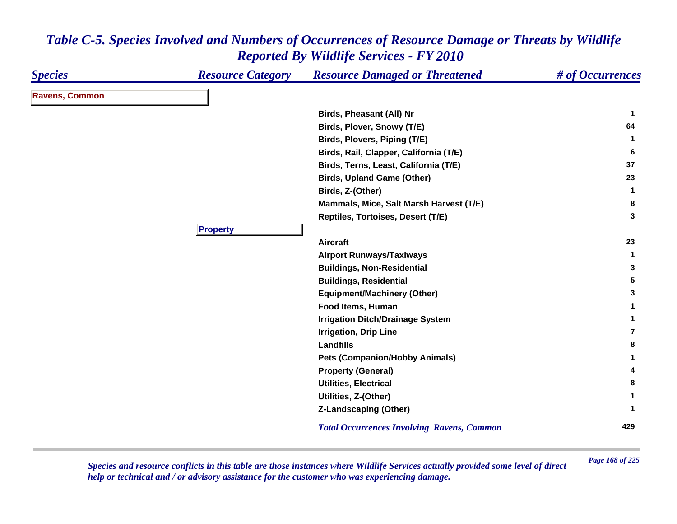| <b>Species</b>        | <b>Resource Category</b> | <b>Resource Damaged or Threatened</b>             | # of Occurrences |
|-----------------------|--------------------------|---------------------------------------------------|------------------|
| <b>Ravens, Common</b> |                          |                                                   |                  |
|                       |                          | <b>Birds, Pheasant (All) Nr</b>                   | -1               |
|                       |                          | Birds, Plover, Snowy (T/E)                        | 64               |
|                       |                          | Birds, Plovers, Piping (T/E)                      | $\mathbf{1}$     |
|                       |                          | Birds, Rail, Clapper, California (T/E)            | 6                |
|                       |                          | Birds, Terns, Least, California (T/E)             | 37               |
|                       |                          | <b>Birds, Upland Game (Other)</b>                 | 23               |
|                       |                          | Birds, Z-(Other)                                  | -1               |
|                       |                          | Mammals, Mice, Salt Marsh Harvest (T/E)           | 8                |
|                       |                          | Reptiles, Tortoises, Desert (T/E)                 | 3                |
|                       | <b>Property</b>          |                                                   |                  |
|                       |                          | <b>Aircraft</b>                                   | 23               |
|                       |                          | <b>Airport Runways/Taxiways</b>                   | 1                |
|                       |                          | <b>Buildings, Non-Residential</b>                 | 3                |
|                       |                          | <b>Buildings, Residential</b>                     | 5                |
|                       |                          | <b>Equipment/Machinery (Other)</b>                | 3                |
|                       |                          | Food Items, Human                                 |                  |
|                       |                          | <b>Irrigation Ditch/Drainage System</b>           | 1                |
|                       |                          | <b>Irrigation, Drip Line</b>                      | 7                |
|                       |                          | Landfills                                         | 8                |
|                       |                          | <b>Pets (Companion/Hobby Animals)</b>             | 1                |
|                       |                          | <b>Property (General)</b>                         | 4                |
|                       |                          | <b>Utilities, Electrical</b>                      | 8                |
|                       |                          | Utilities, Z-(Other)                              | 1                |
|                       |                          | <b>Z-Landscaping (Other)</b>                      | 1                |
|                       |                          | <b>Total Occurrences Involving Ravens, Common</b> | 429              |

*Page 168 of 225 Species and resource conflicts in this table are those instances where Wildlife Services actually provided some level of direct help or technical and / or advisory assistance for the customer who was experiencing damage.*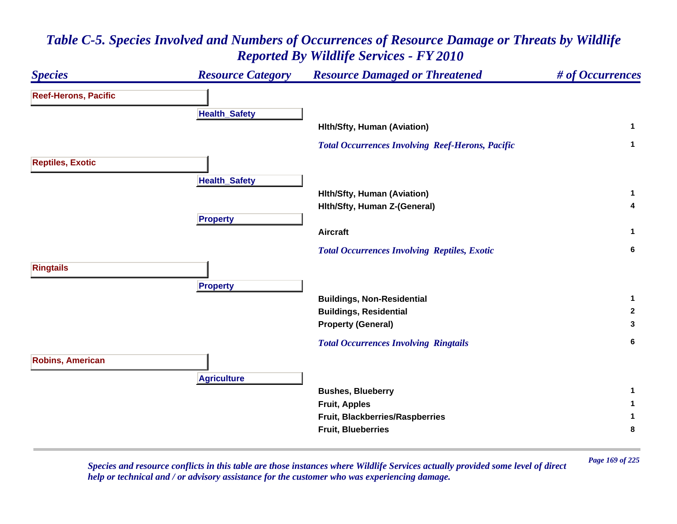

*Page 169 of 225 Species and resource conflicts in this table are those instances where Wildlife Services actually provided some level of direct help or technical and / or advisory assistance for the customer who was experiencing damage.*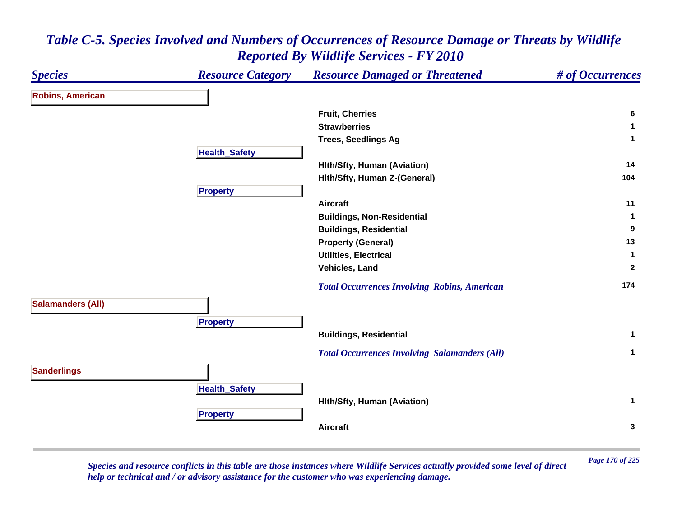| <b>Species</b>           | <b>Resource Category</b> | <b>Resource Damaged or Threatened</b>                | # of Occurrences |
|--------------------------|--------------------------|------------------------------------------------------|------------------|
| <b>Robins, American</b>  |                          |                                                      |                  |
|                          |                          | <b>Fruit, Cherries</b>                               | 6                |
|                          |                          | <b>Strawberries</b>                                  | -1               |
|                          |                          | <b>Trees, Seedlings Ag</b>                           | $\mathbf{1}$     |
|                          | <b>Health_Safety</b>     |                                                      |                  |
|                          |                          | <b>Hith/Sfty, Human (Aviation)</b>                   | 14               |
|                          |                          | Hith/Sfty, Human Z-(General)                         | 104              |
|                          | <b>Property</b>          |                                                      |                  |
|                          |                          | <b>Aircraft</b>                                      | 11               |
|                          |                          | <b>Buildings, Non-Residential</b>                    | 1                |
|                          |                          | <b>Buildings, Residential</b>                        | 9                |
|                          |                          | <b>Property (General)</b>                            | 13               |
|                          |                          | <b>Utilities, Electrical</b>                         | $\mathbf{1}$     |
|                          |                          | Vehicles, Land                                       | $\overline{2}$   |
|                          |                          | <b>Total Occurrences Involving Robins, American</b>  | 174              |
| <b>Salamanders (All)</b> |                          |                                                      |                  |
|                          | <b>Property</b>          |                                                      |                  |
|                          |                          | <b>Buildings, Residential</b>                        | $\mathbf{1}$     |
|                          |                          | <b>Total Occurrences Involving Salamanders (All)</b> | $\mathbf{1}$     |
| <b>Sanderlings</b>       |                          |                                                      |                  |
|                          | <b>Health_Safety</b>     |                                                      |                  |
|                          |                          | <b>Hith/Sfty, Human (Aviation)</b>                   | $\mathbf 1$      |
|                          | <b>Property</b>          |                                                      |                  |
|                          |                          | <b>Aircraft</b>                                      | $\mathbf{3}$     |
|                          |                          |                                                      |                  |

*Page 170 of 225 Species and resource conflicts in this table are those instances where Wildlife Services actually provided some level of direct help or technical and / or advisory assistance for the customer who was experiencing damage.*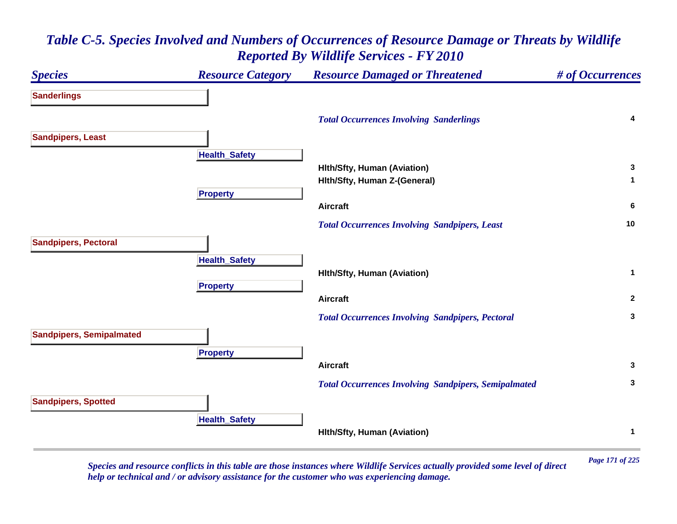

*Page 171 of 225 Species and resource conflicts in this table are those instances where Wildlife Services actually provided some level of direct help or technical and / or advisory assistance for the customer who was experiencing damage.*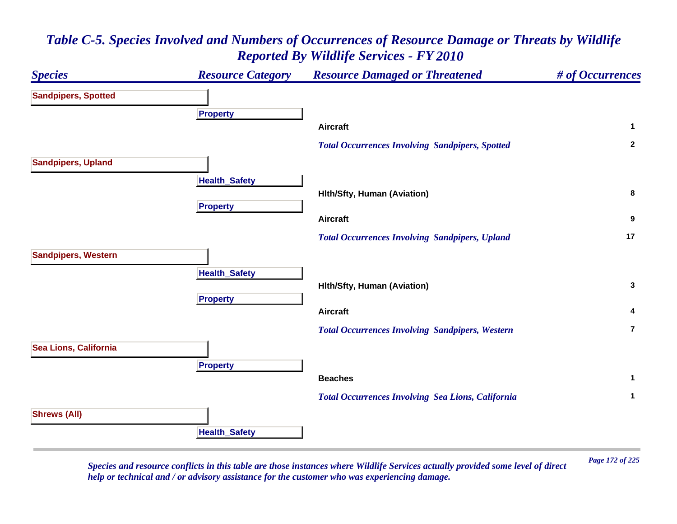![](_page_171_Figure_1.jpeg)

*Page 172 of 225 Species and resource conflicts in this table are those instances where Wildlife Services actually provided some level of direct help or technical and / or advisory assistance for the customer who was experiencing damage.*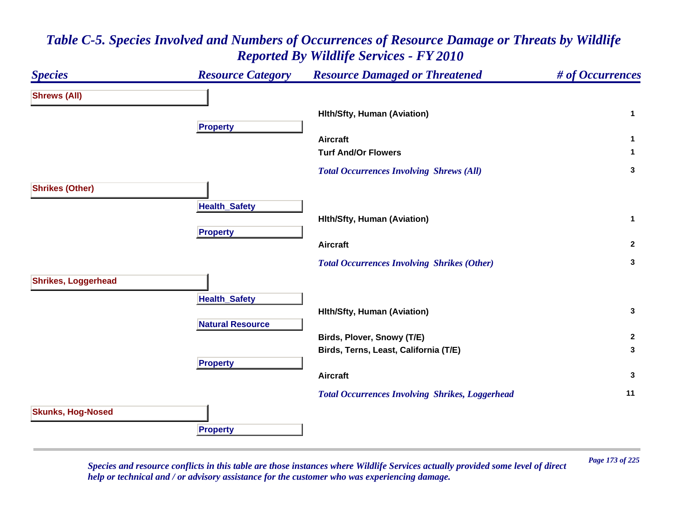#### *Species Resource Category Resource Damaged or Threatened # of Occurrences* **Shrews (All) Hlth/Sfty, Human (Aviation) <sup>1</sup> Propert y Aircraft 1 Turf And/Or Flowers 1**  *Total Occurrences Involving Shrews (All)* **<sup>3</sup> Shrikes (Other) HealthSafet y Hlth/Sfty, Human (Aviation) <sup>1</sup> Pro pert y Aircraft 2**  *Total Occurrences Involving Shrikes (Other)* **<sup>3</sup> Shrikes, Loggerhead Health \_ Safet y Hlth/Sfty, Human (Aviation) <sup>3</sup> Natural ResourceBirds, Plover, Snowy (T/E) <sup>2</sup> Birds, Terns, Least, California (T/E) <sup>3</sup> Propert y Aircraft 3**  *Total Occurrences Involving Shrikes, Loggerhead* **<sup>11</sup> Skunks, Hog-Nosed Pro pert y**

#### *Table C-5. Species Involved and Numbers of Occurrences of Resource Damage or Threats by Wildlife Reported By Wildlife Services - FY 2010*

*Page 173 of 225 Species and resource conflicts in this table are those instances where Wildlife Services actually provided some level of direct help or technical and / or advisory assistance for the customer who was experiencing damage.*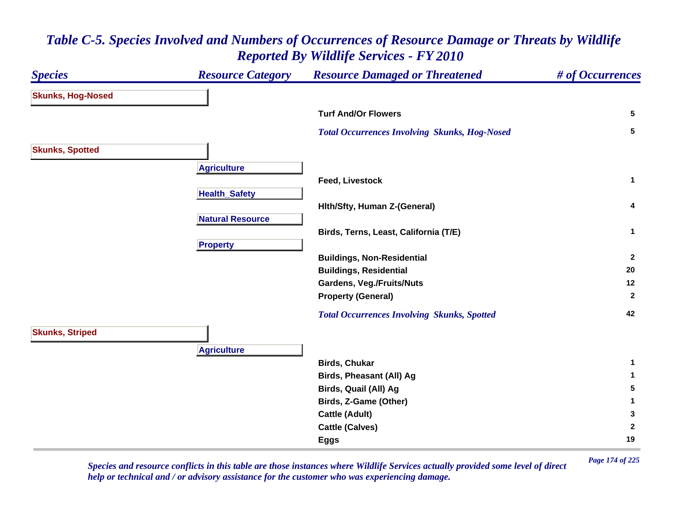#### *Species Resource Category Resource Damaged or Threatened # of Occurrences* **Skunks, Hog-Nosed Turf And/Or Flowers 5**  *Total Occurrences Involving Skunks, Hog-Nosed* **<sup>5</sup> Skunks, Spotted Agriculture Feed, Livestock 1 Health \_ Safet y Hlth/Sfty, Human Z-(General) <sup>4</sup> Natural ResourceBirds, Terns, Least, California (T/E) <sup>1</sup> Pro pert y Buildings, Non-Residential <sup>2</sup> Buildings, Residential <sup>20</sup> Gardens, Veg./Fruits/Nuts <sup>12</sup> Property (General) <sup>2</sup>**  *Total Occurrences Involving Skunks, Spotted* **<sup>42</sup> Skunks, Striped A griculture Birds, Chukar 1 Birds, Pheasant (All) Ag <sup>1</sup> Birds, Quail (All) Ag <sup>5</sup> Birds, Z-Game (Other) <sup>1</sup> Cattle (Adult) <sup>3</sup> Cattle (Calves) <sup>2</sup> Eggs <sup>19</sup>**

#### *Table C-5. Species Involved and Numbers of Occurrences of Resource Damage or Threats by Wildlife Reported By Wildlife Services - FY 2010*

*Page 174 of 225 Species and resource conflicts in this table are those instances where Wildlife Services actually provided some level of direct help or technical and / or advisory assistance for the customer who was experiencing damage.*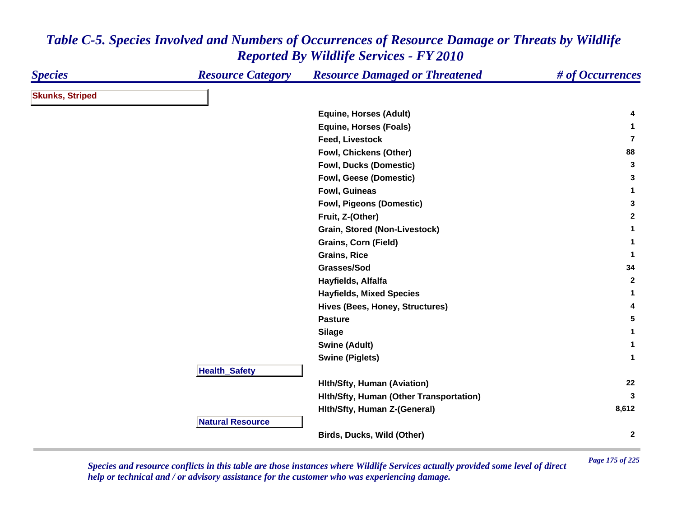| <b>Species</b>         | <b>Resource Category</b> | <b>Resource Damaged or Threatened</b>   | # of Occurrences |
|------------------------|--------------------------|-----------------------------------------|------------------|
| <b>Skunks, Striped</b> |                          |                                         |                  |
|                        |                          | <b>Equine, Horses (Adult)</b>           | 4                |
|                        |                          | <b>Equine, Horses (Foals)</b>           | 1                |
|                        |                          | <b>Feed, Livestock</b>                  | $\overline{7}$   |
|                        |                          | Fowl, Chickens (Other)                  | 88               |
|                        |                          | Fowl, Ducks (Domestic)                  | 3                |
|                        |                          | Fowl, Geese (Domestic)                  | 3                |
|                        |                          | Fowl, Guineas                           | $\mathbf{1}$     |
|                        |                          | <b>Fowl, Pigeons (Domestic)</b>         | 3                |
|                        |                          | Fruit, Z-(Other)                        | $\mathbf{2}$     |
|                        |                          | Grain, Stored (Non-Livestock)           | 1                |
|                        |                          | <b>Grains, Corn (Field)</b>             | 1                |
|                        |                          | <b>Grains, Rice</b>                     | -1               |
|                        |                          | Grasses/Sod                             | 34               |
|                        |                          | Hayfields, Alfalfa                      | $\mathbf{2}$     |
|                        |                          | <b>Hayfields, Mixed Species</b>         | $\mathbf{1}$     |
|                        |                          | Hives (Bees, Honey, Structures)         | 4                |
|                        |                          | <b>Pasture</b>                          | 5                |
|                        |                          | <b>Silage</b>                           | 1                |
|                        |                          | <b>Swine (Adult)</b>                    | $\mathbf{1}$     |
|                        |                          | <b>Swine (Piglets)</b>                  | $\mathbf{1}$     |
|                        | <b>Health_Safety</b>     |                                         |                  |
|                        |                          | <b>Hith/Sfty, Human (Aviation)</b>      | 22               |
|                        |                          | Hith/Sfty, Human (Other Transportation) | 3                |
|                        |                          | Hith/Sfty, Human Z-(General)            | 8,612            |
|                        | <b>Natural Resource</b>  |                                         |                  |
|                        |                          | Birds, Ducks, Wild (Other)              | $\mathbf{2}$     |

*Page 175 of 225 Species and resource conflicts in this table are those instances where Wildlife Services actually provided some level of direct help or technical and / or advisory assistance for the customer who was experiencing damage.*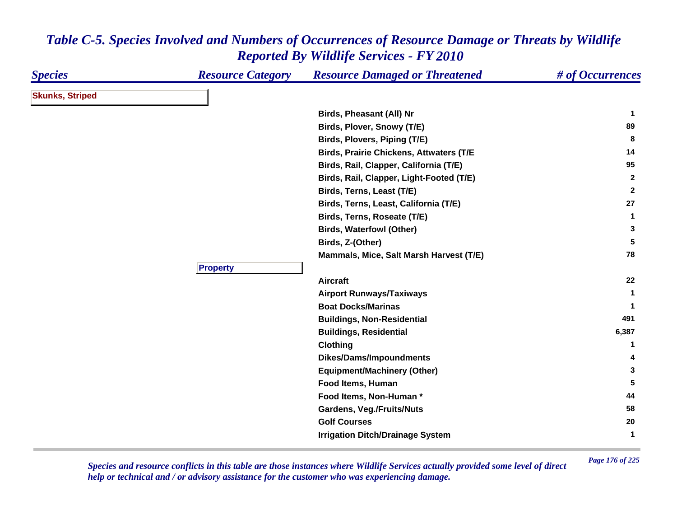| <b>Species</b>         | <b>Resource Category</b> | <b>Resource Damaged or Threatened</b>          | # of Occurrences |
|------------------------|--------------------------|------------------------------------------------|------------------|
| <b>Skunks, Striped</b> |                          |                                                |                  |
|                        |                          | Birds, Pheasant (All) Nr                       | -1               |
|                        |                          | Birds, Plover, Snowy (T/E)                     | 89               |
|                        |                          | Birds, Plovers, Piping (T/E)                   | 8                |
|                        |                          | <b>Birds, Prairie Chickens, Attwaters (T/E</b> | 14               |
|                        |                          | Birds, Rail, Clapper, California (T/E)         | 95               |
|                        |                          | Birds, Rail, Clapper, Light-Footed (T/E)       | $\overline{2}$   |
|                        |                          | Birds, Terns, Least (T/E)                      | $\mathbf{2}$     |
|                        |                          | Birds, Terns, Least, California (T/E)          | 27               |
|                        |                          | Birds, Terns, Roseate (T/E)                    | $\mathbf 1$      |
|                        |                          | <b>Birds, Waterfowl (Other)</b>                | 3                |
|                        |                          | Birds, Z-(Other)                               | 5                |
|                        |                          | Mammals, Mice, Salt Marsh Harvest (T/E)        | 78               |
|                        | <b>Property</b>          |                                                |                  |
|                        |                          | <b>Aircraft</b>                                | 22               |
|                        |                          | <b>Airport Runways/Taxiways</b>                | 1                |
|                        |                          | <b>Boat Docks/Marinas</b>                      | 1                |
|                        |                          | <b>Buildings, Non-Residential</b>              | 491              |
|                        |                          | <b>Buildings, Residential</b>                  | 6,387            |
|                        |                          | <b>Clothing</b>                                | 1.               |
|                        |                          | <b>Dikes/Dams/Impoundments</b>                 | 4                |
|                        |                          | <b>Equipment/Machinery (Other)</b>             | 3                |
|                        |                          | Food Items, Human                              | 5                |
|                        |                          | Food Items, Non-Human *                        | 44               |
|                        |                          | <b>Gardens, Veg./Fruits/Nuts</b>               | 58               |
|                        |                          | <b>Golf Courses</b>                            | 20               |
|                        |                          | <b>Irrigation Ditch/Drainage System</b>        | $\mathbf{1}$     |

*Page 176 of 225 Species and resource conflicts in this table are those instances where Wildlife Services actually provided some level of direct help or technical and / or advisory assistance for the customer who was experiencing damage.*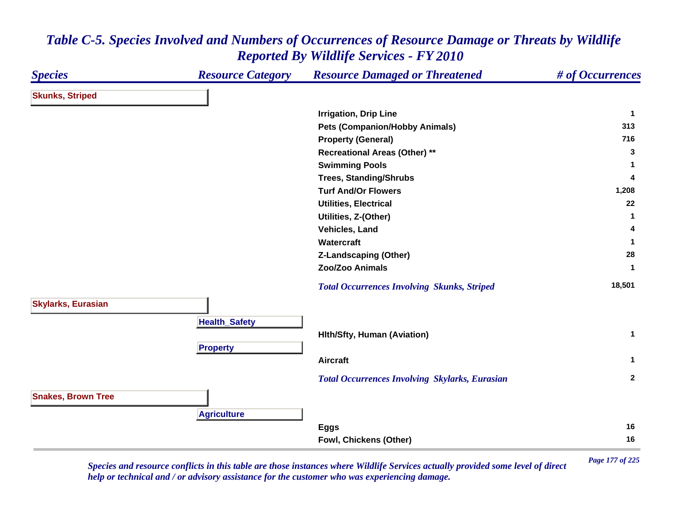#### *Species Resource Category Resource Damaged or Threatened # of Occurrences* **Skunks, Striped Irrigation, Drip Line <sup>1</sup> Pets (Companion/Hobby Animals) <sup>313</sup> Property (General) <sup>716</sup> Recreational Areas (Other) \*\* <sup>3</sup> Swimming Pools <sup>1</sup> Trees, Standing/Shrubs <sup>4</sup> Turf And/Or Flowers 1,208 Utilities, Electrical 22 Utilities, Z-(Other) <sup>1</sup> Vehicles, Land 4 Watercraft 1 Z-Landscaping (Other) <sup>28</sup> Zoo/Zoo Animals 1**  *Total Occurrences Involving Skunks, Striped* **18,501 Skylarks, Eurasian HealthSafet y Hlth/Sfty, Human (Aviation) <sup>1</sup> Pro pert y Aircraft 1**  *Total Occurrences Involving Skylarks, Eurasian* **<sup>2</sup> Snakes, Brown Tree A griculture Eggs <sup>16</sup> Fowl, Chickens (Other) <sup>16</sup>**

#### *Table C-5. Species Involved and Numbers of Occurrences of Resource Damage or Threats by Wildlife Reported By Wildlife Services - FY 2010*

*Page 177 of 225 Species and resource conflicts in this table are those instances where Wildlife Services actually provided some level of direct help or technical and / or advisory assistance for the customer who was experiencing damage.*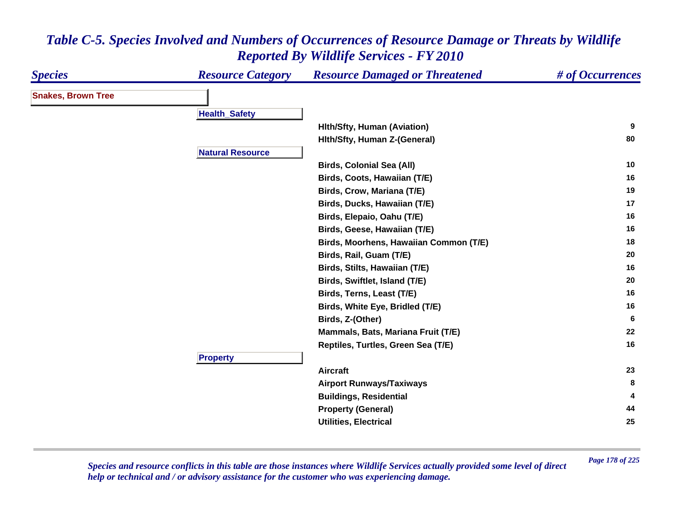| <b>Species</b>            | <b>Resource Category</b> | <b>Resource Damaged or Threatened</b>  | # of Occurrences |
|---------------------------|--------------------------|----------------------------------------|------------------|
| <b>Snakes, Brown Tree</b> |                          |                                        |                  |
|                           | <b>Health_Safety</b>     |                                        |                  |
|                           |                          | <b>Hith/Sfty, Human (Aviation)</b>     | 9                |
|                           |                          | Hith/Sfty, Human Z-(General)           | 80               |
|                           | <b>Natural Resource</b>  |                                        |                  |
|                           |                          | <b>Birds, Colonial Sea (All)</b>       | 10               |
|                           |                          | Birds, Coots, Hawaiian (T/E)           | 16               |
|                           |                          | Birds, Crow, Mariana (T/E)             | 19               |
|                           |                          | Birds, Ducks, Hawaiian (T/E)           | 17               |
|                           |                          | Birds, Elepaio, Oahu (T/E)             | 16               |
|                           |                          | Birds, Geese, Hawaiian (T/E)           | 16               |
|                           |                          | Birds, Moorhens, Hawaiian Common (T/E) | 18               |
|                           |                          | Birds, Rail, Guam (T/E)                | 20               |
|                           |                          | Birds, Stilts, Hawaiian (T/E)          | 16               |
|                           |                          | Birds, Swiftlet, Island (T/E)          | 20               |
|                           |                          | Birds, Terns, Least (T/E)              | 16               |
|                           |                          | Birds, White Eye, Bridled (T/E)        | 16               |
|                           |                          | Birds, Z-(Other)                       | -6               |
|                           |                          | Mammals, Bats, Mariana Fruit (T/E)     | 22               |
|                           |                          | Reptiles, Turtles, Green Sea (T/E)     | 16               |
|                           | <b>Property</b>          |                                        |                  |
|                           |                          | <b>Aircraft</b>                        | 23               |
|                           |                          | <b>Airport Runways/Taxiways</b>        | 8                |
|                           |                          | <b>Buildings, Residential</b>          |                  |
|                           |                          | <b>Property (General)</b>              | 44               |
|                           |                          | <b>Utilities, Electrical</b>           | 25               |

*Page 178 of 225 Species and resource conflicts in this table are those instances where Wildlife Services actually provided some level of direct help or technical and / or advisory assistance for the customer who was experiencing damage.*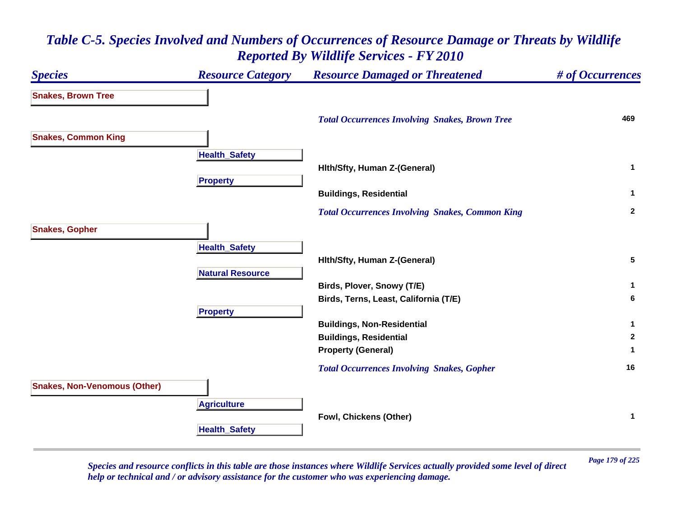# *Species Resource Category Resource Damaged or Threatened # of Occurrences* **Snakes, Brown Tree**  *Total Occurrences Involving Snakes, Brown Tree* **<sup>469</sup> Snakes, Common King Health \_ Safet y Hlth/Sfty, Human Z-(General) <sup>1</sup> Propert y Buildings, Residential <sup>1</sup>**  *Total Occurrences Involving Snakes, Common King* **<sup>2</sup> Snakes, Gopher HealthSafet y Hlth/Sfty, Human Z-(General) <sup>5</sup> Natural ResourceBirds, Plover, Snowy (T/E) <sup>1</sup> Birds, Terns, Least, California (T/E) <sup>6</sup> Propert y Buildings, Non-Residential <sup>1</sup> Buildings, Residential <sup>2</sup> Property (General) <sup>1</sup>**  *Total Occurrences Involving Snakes, Gopher* **<sup>16</sup> Snakes, Non-Venomous (Other) Agriculture Fowl, Chickens (Other) <sup>1</sup> HealthSafet y**

# *Table C-5. Species Involved and Numbers of Occurrences of Resource Damage or Threats by Wildlife Reported By Wildlife Services - FY 2010*

*Page 179 of 225 Species and resource conflicts in this table are those instances where Wildlife Services actually provided some level of direct help or technical and / or advisory assistance for the customer who was experiencing damage.*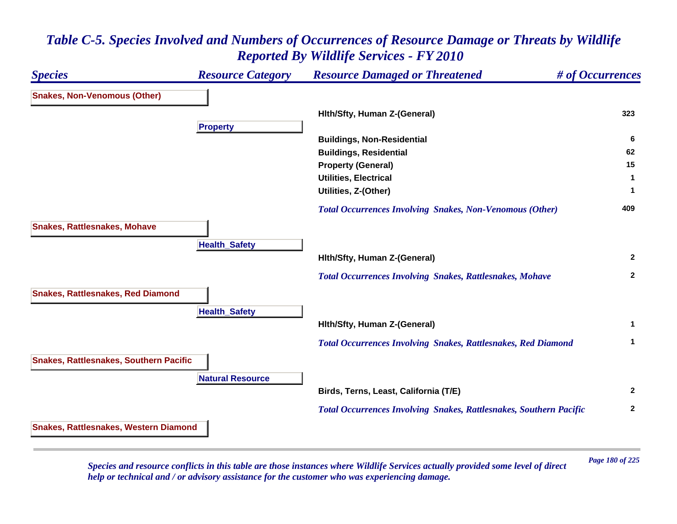# *Species Resource Category Resource Damaged or Threatened # of Occurrences* **Snakes, Non-Venomous (Other) Hlth/Sfty, Human Z-(General) <sup>323</sup> Propert y Buildings, Non-Residential <sup>6</sup> Buildings, Residential <sup>62</sup> Property (General) <sup>15</sup> Utilities, Electrical 1 Utilities, Z-(Other) <sup>1</sup>**  *Total Occurrences Involving Snakes, Non-Venomous (Other)* **<sup>409</sup> Snakes, Rattlesnakes, Mohave HealthSafet y Hlth/Sfty, Human Z-(General) <sup>2</sup>**  *Total Occurrences Involving Snakes, Rattlesnakes, Mohave* **<sup>2</sup> Snakes, Rattlesnakes, Red Diamond HealthSafet y Hlth/Sfty, Human Z-(General) <sup>1</sup>**  *Total Occurrences Involving Snakes, Rattlesnakes, Red Diamond* **<sup>1</sup> Snakes, Rattlesnakes, Southern Pacific Natural ResourceBirds, Terns, Least, California (T/E) <sup>2</sup>**  *Total Occurrences Involving Snakes, Rattlesnakes, Southern Pacific* **<sup>2</sup> Snakes, Rattlesnakes, Western Diamond**

## *Table C-5. Species Involved and Numbers of Occurrences of Resource Damage or Threats by Wildlife Reported By Wildlife Services - FY 2010*

*Page 180 of 225 Species and resource conflicts in this table are those instances where Wildlife Services actually provided some level of direct help or technical and / or advisory assistance for the customer who was experiencing damage.*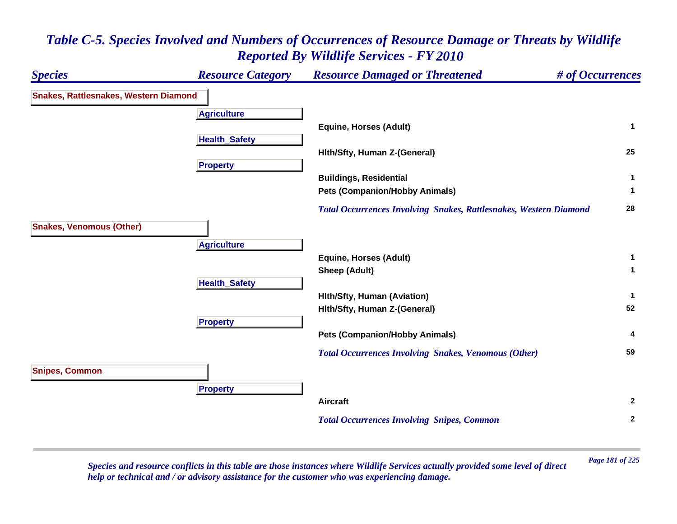## *Species Resource Category Resource Damaged or Threatened # of Occurrences* **Snakes, Rattlesnakes, Western Diamond A griculture Equine, Horses (Adult) <sup>1</sup> HealthSafet y Hlth/Sfty, Human Z-(General) <sup>25</sup> Propert y Buildings, Residential <sup>1</sup> Pets (Companion/Hobby Animals) <sup>1</sup>**  *Total Occurrences Involving Snakes, Rattlesnakes, Western Diamond* **<sup>28</sup> Snakes, Venomous (Other) A griculture Equine, Horses (Adult) <sup>1</sup> Sheep (Adult) <sup>1</sup> Health \_ Safet y Hlth/Sfty, Human (Aviation) <sup>1</sup> Hlth/Sfty, Human Z-(General) <sup>52</sup> Pro pert y Pets (Companion/Hobby Animals) <sup>4</sup>**  *Total Occurrences Involving Snakes, Venomous (Other)* **<sup>59</sup> Snipes, Common Pro pert y Aircraft 2**  *Total Occurrences Involving Snipes, Common* **<sup>2</sup>**

# *Table C-5. Species Involved and Numbers of Occurrences of Resource Damage or Threats by Wildlife Reported By Wildlife Services - FY 2010*

*Page 181 of 225 Species and resource conflicts in this table are those instances where Wildlife Services actually provided some level of direct help or technical and / or advisory assistance for the customer who was experiencing damage.*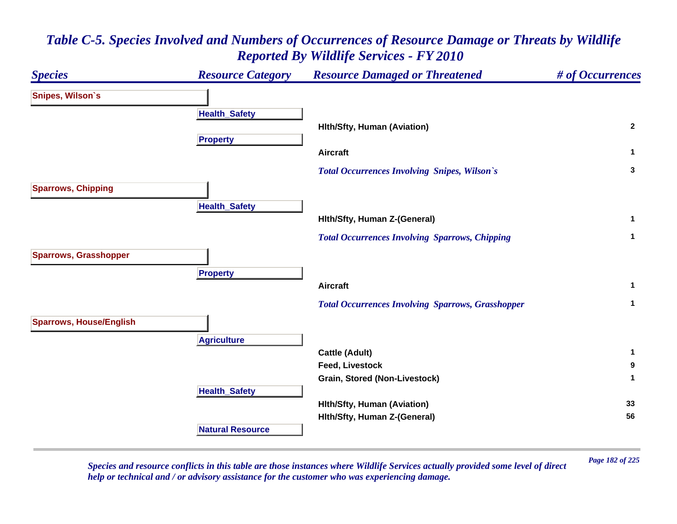### *Species Resource Category Resource Damaged or Threatened # of Occurrences* **Snipes, Wilson`s Health \_ Safet y Hlth/Sfty, Human (Aviation) <sup>2</sup> Propert y Aircraft 1**  *Total Occurrences Involving Snipes, Wilson`s* **<sup>3</sup> Sparrows, Chipping HealthSafet y Hlth/Sfty, Human Z-(General) <sup>1</sup>**  *Total Occurrences Involving Sparrows, Chipping* **<sup>1</sup> Sparrows, Grasshopper Pro pert y Aircraft 1**  *Total Occurrences Involving Sparrows, Grasshopper* **<sup>1</sup> Sparrows, House/English A griculture Cattle (Adult) <sup>1</sup> Feed, Livestock 9 Grain, Stored (Non-Livestock) <sup>1</sup> Health \_ Safet y Hlth/Sfty, Human (Aviation) <sup>33</sup> Hlth/Sfty, Human Z-(General) <sup>56</sup> Natural Resource**

*Table C-5. Species Involved and Numbers of Occurrences of Resource Damage or Threats by Wildlife Reported By Wildlife Services - FY 2010*

*Page 182 of 225 Species and resource conflicts in this table are those instances where Wildlife Services actually provided some level of direct help or technical and / or advisory assistance for the customer who was experiencing damage.*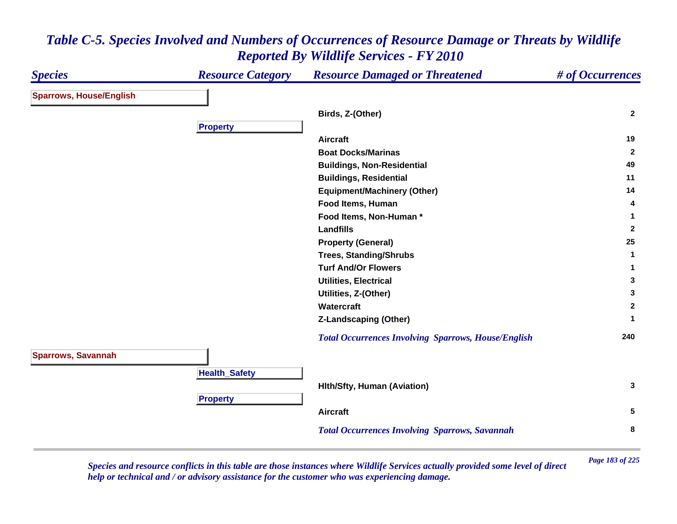#### *Species Resource Category Resource Damaged or Threatened # of Occurrences* **Sparrows, House/English Birds, Z-(Other) <sup>2</sup> Propert y Aircraft 19 Boat Docks/Marinas 2 Buildings, Non-Residential <sup>49</sup> Buildings, Residential <sup>11</sup> Equipment/Machinery (Other) <sup>14</sup> Food Items, Human 4 Food Items, Non-Human \* 1 Landfills 2 Property (General) <sup>25</sup> Trees, Standing/Shrubs <sup>1</sup> Turf And/Or Flowers 1 Utilities, Electrical 3 Utilities, Z-(Other) <sup>3</sup> Watercraft 2 Z-Landscaping (Other) <sup>1</sup>**  *Total Occurrences Involving Sparrows, House/English* **<sup>240</sup> Sparrows, Savannah HealthSafet y Hlth/Sfty, Human (Aviation) <sup>3</sup> Propert y Aircraft 5**  *Total Occurrences Involving Sparrows, Savannah* **<sup>8</sup>**

### *Table C-5. Species Involved and Numbers of Occurrences of Resource Damage or Threats by Wildlife Reported By Wildlife Services - FY 2010*

*Page 183 of 225 Species and resource conflicts in this table are those instances where Wildlife Services actually provided some level of direct help or technical and / or advisory assistance for the customer who was experiencing damage.*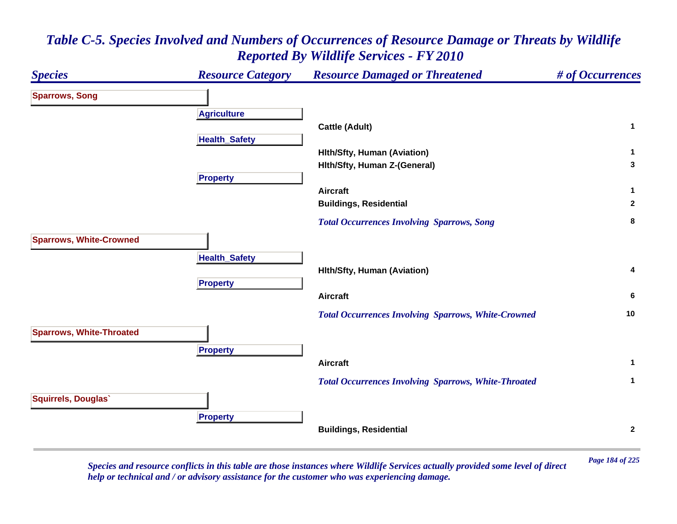### *Species Resource Category Resource Damaged or Threatened # of Occurrences* **Sparrows, Song A griculture Cattle (Adult) <sup>1</sup> HealthSafet y Hlth/Sfty, Human (Aviation) <sup>1</sup> Hlth/Sfty, Human Z-(General) <sup>3</sup> Pro pert y Aircraft 1 Buildings, Residential <sup>2</sup>**  *Total Occurrences Involving Sparrows, Song* **<sup>8</sup> Sparrows, White-Crowned HealthSafet y Hlth/Sfty, Human (Aviation) <sup>4</sup> Pro pert y Aircraft 6**  *Total Occurrences Involving Sparrows, White-Crowned* **<sup>10</sup> Sparrows, White-Throated Pro pert y Aircraft 1**  *Total Occurrences Involving Sparrows, White-Throated* **<sup>1</sup> Squirrels, Douglas` Pro pert y Buildings, Residential <sup>2</sup>**

# *Table C-5. Species Involved and Numbers of Occurrences of Resource Damage or Threats by Wildlife Reported By Wildlife Services - FY 2010*

*Page 184 of 225 Species and resource conflicts in this table are those instances where Wildlife Services actually provided some level of direct help or technical and / or advisory assistance for the customer who was experiencing damage.*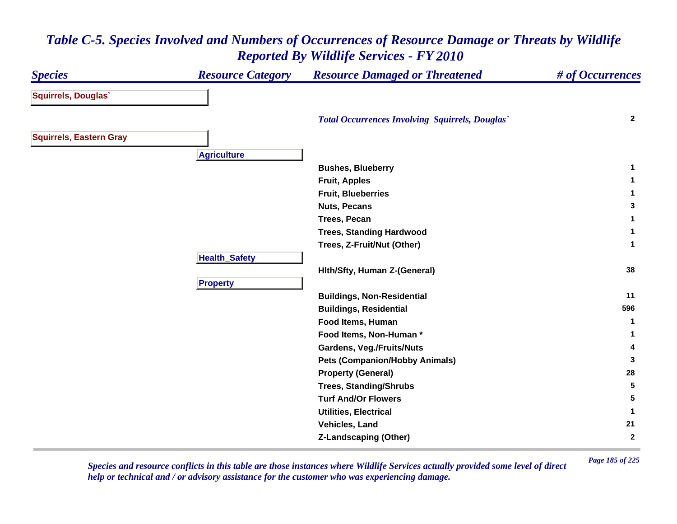### *Species Resource Category Resource Damaged or Threatened # of Occurrences* **Squirrels, Douglas`**  *Total Occurrences Involving Squirrels, Douglas`* **<sup>2</sup> Squirrels, Eastern Gray A griculture Bushes, Blueberry <sup>1</sup> Fruit, Apples <sup>1</sup> Fruit, Blueberries 1 Nuts, Pecans 3 Trees, Pecan 1 Trees, Standing Hardwood <sup>1</sup> Trees, Z-Fruit/Nut (Other) <sup>1</sup> Health \_ Safet y Hlth/Sfty, Human Z-(General) <sup>38</sup> Pro pert y Buildings, Non-Residential <sup>11</sup> Buildings, Residential <sup>596</sup> Food Items, Human 1 Food Items, Non-Human \* 1 Gardens, Veg./Fruits/Nuts <sup>4</sup> Pets (Companion/Hobby Animals) <sup>3</sup> Property (General) <sup>28</sup> Trees, Standing/Shrubs <sup>5</sup> Turf And/Or Flowers 5 Utilities, Electrical 1 Vehicles, Land 21 Z-Landscaping (Other) <sup>2</sup>**

## *Table C-5. Species Involved and Numbers of Occurrences of Resource Damage or Threats by Wildlife Reported By Wildlife Services - FY 2010*

*Page 185 of 225 Species and resource conflicts in this table are those instances where Wildlife Services actually provided some level of direct help or technical and / or advisory assistance for the customer who was experiencing damage.*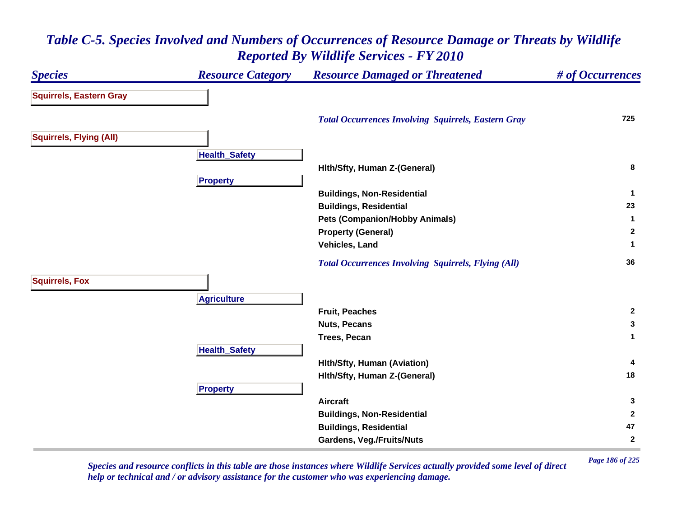### *Species Resource Category Resource Damaged or Threatened # of Occurrences* **Squirrels, Eastern Gray**  *Total Occurrences Involving Squirrels, Eastern Gray* **<sup>725</sup> Squirrels, Flying (All) Health \_ Safet y Hlth/Sfty, Human Z-(General) <sup>8</sup> Propert y Buildings, Non-Residential <sup>1</sup> Buildings, Residential <sup>23</sup> Pets (Companion/Hobby Animals) <sup>1</sup> Property (General) <sup>2</sup> Vehicles, Land 1**  *Total Occurrences Involving Squirrels, Flying (All)* **<sup>36</sup> Squirrels, Fox A griculture Fruit, Peaches 2 Nuts, Pecans 3 Trees, Pecan 1 HealthSafet y Hlth/Sfty, Human (Aviation) <sup>4</sup> Hlth/Sfty, Human Z-(General) <sup>18</sup> Pro pert y Aircraft 3 Buildings, Non-Residential <sup>2</sup> Buildings, Residential <sup>47</sup> Gardens, Veg./Fruits/Nuts <sup>2</sup>**

### *Table C-5. Species Involved and Numbers of Occurrences of Resource Damage or Threats by Wildlife Reported By Wildlife Services - FY 2010*

*Page 186 of 225 Species and resource conflicts in this table are those instances where Wildlife Services actually provided some level of direct help or technical and / or advisory assistance for the customer who was experiencing damage.*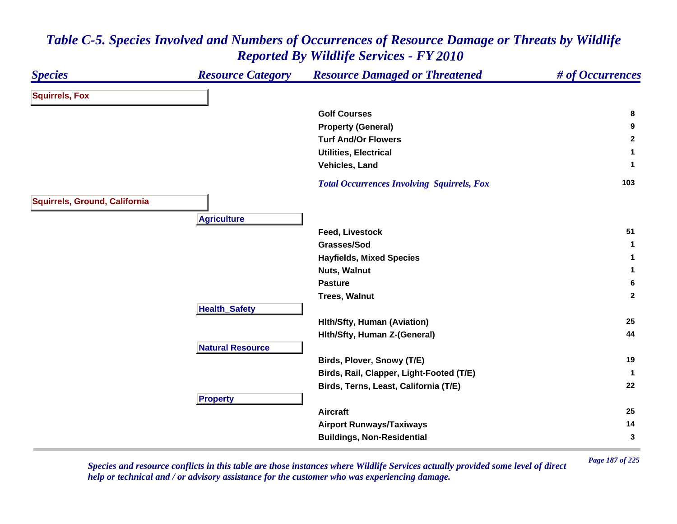#### *Species Resource Category Resource Damaged or Threatened # of Occurrences* **Squirrels, Fox Golf Courses 8 Property (General) <sup>9</sup> Turf And/Or Flowers 2 Utilities, Electrical 1 Vehicles, Land 1**  *Total Occurrences Involving Squirrels, Fox* **<sup>103</sup> Squirrels, Ground, California Agriculture Feed, Livestock 51 Grasses/Sod 1 Hayfields, Mixed Species <sup>1</sup> Nuts, Walnut 1 Pasture 6 Trees, Walnut 2 Health \_ Safet y Hlth/Sfty, Human (Aviation) <sup>25</sup> Hlth/Sfty, Human Z-(General) <sup>44</sup> Natural ResourceBirds, Plover, Snowy (T/E) <sup>19</sup> Birds, Rail, Clapper, Light-Footed (T/E) <sup>1</sup> Birds, Terns, Least, California (T/E) <sup>22</sup> Propert y Aircraft 25 Airport Runways/Taxiways <sup>14</sup> Buildings, Non-Residential <sup>3</sup>**

### *Table C-5. Species Involved and Numbers of Occurrences of Resource Damage or Threats by Wildlife Reported By Wildlife Services - FY 2010*

*Page 187 of 225 Species and resource conflicts in this table are those instances where Wildlife Services actually provided some level of direct help or technical and / or advisory assistance for the customer who was experiencing damage.*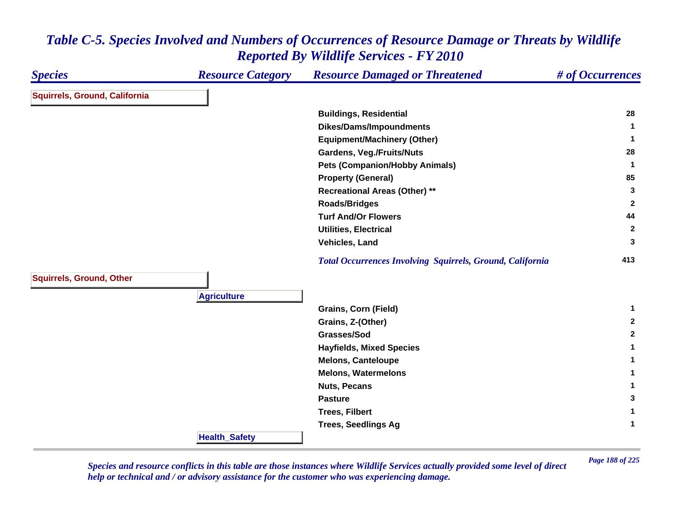| <b>Species</b>                  | <b>Resource Category</b> | <b>Resource Damaged or Threatened</b>                            | # of Occurrences |
|---------------------------------|--------------------------|------------------------------------------------------------------|------------------|
| Squirrels, Ground, California   |                          |                                                                  |                  |
|                                 |                          | <b>Buildings, Residential</b>                                    | 28               |
|                                 |                          | <b>Dikes/Dams/Impoundments</b>                                   | -1               |
|                                 |                          | <b>Equipment/Machinery (Other)</b>                               | -1               |
|                                 |                          | <b>Gardens, Veg./Fruits/Nuts</b>                                 | 28               |
|                                 |                          | <b>Pets (Companion/Hobby Animals)</b>                            | -1               |
|                                 |                          | <b>Property (General)</b>                                        | 85               |
|                                 |                          | <b>Recreational Areas (Other) **</b>                             | 3                |
|                                 |                          | <b>Roads/Bridges</b>                                             | $\overline{2}$   |
|                                 |                          | <b>Turf And/Or Flowers</b>                                       | 44               |
|                                 |                          | <b>Utilities, Electrical</b>                                     | $\overline{2}$   |
|                                 |                          | Vehicles, Land                                                   | 3                |
|                                 |                          | <b>Total Occurrences Involving Squirrels, Ground, California</b> | 413              |
| <b>Squirrels, Ground, Other</b> |                          |                                                                  |                  |
|                                 | <b>Agriculture</b>       |                                                                  |                  |
|                                 |                          | Grains, Corn (Field)                                             | 1                |
|                                 |                          | Grains, Z-(Other)                                                | $\mathbf{2}$     |
|                                 |                          | Grasses/Sod                                                      | $\mathbf{2}$     |
|                                 |                          | <b>Hayfields, Mixed Species</b>                                  | $\mathbf 1$      |
|                                 |                          | <b>Melons, Canteloupe</b>                                        |                  |
|                                 |                          | <b>Melons, Watermelons</b>                                       | 1                |
|                                 |                          | <b>Nuts, Pecans</b>                                              | 1                |
|                                 |                          | <b>Pasture</b>                                                   | 3                |
|                                 |                          | <b>Trees, Filbert</b>                                            | 1                |
|                                 |                          | <b>Trees, Seedlings Ag</b>                                       | $\mathbf{1}$     |
|                                 | <b>Health_Safety</b>     |                                                                  |                  |

*Page 188 of 225 Species and resource conflicts in this table are those instances where Wildlife Services actually provided some level of direct help or technical and / or advisory assistance for the customer who was experiencing damage.*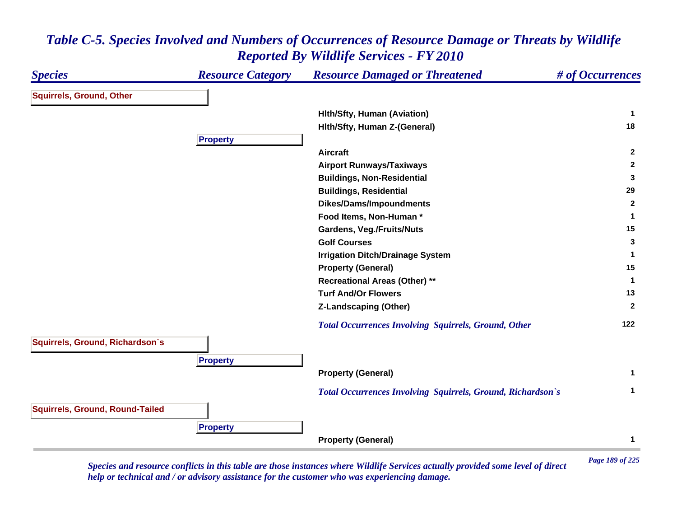### *Species Resource Category Resource Damaged or Threatened # of Occurrences* **Squirrels, Ground, Other Hlth/Sfty, Human (Aviation) <sup>1</sup> Hlth/Sfty, Human Z-(General) <sup>18</sup> Propert y Aircraft 2 Airport Runways/Taxiways <sup>2</sup> Buildings, Non-Residential <sup>3</sup> Buildings, Residential <sup>29</sup> Dikes/Dams/Impoundments <sup>2</sup> Food Items, Non-Human \* 1 Gardens, Veg./Fruits/Nuts <sup>15</sup> Golf Courses 3 Irrigation Ditch/Drainage System <sup>1</sup> Property (General) <sup>15</sup> Recreational Areas (Other) \*\* <sup>1</sup> Turf And/Or Flowers 13 Z-Landscaping (Other) <sup>2</sup>**  *Total Occurrences Involving Squirrels, Ground, Other* **<sup>122</sup> Squirrels, Ground, Richardson`s Propert y Property (General) <sup>1</sup>**  *Total Occurrences Involving Squirrels, Ground, Richardson`s* **<sup>1</sup> Squirrels, Ground, Round-Tailed Propert y Property (General) <sup>1</sup>**

### *Table C-5. Species Involved and Numbers of Occurrences of Resource Damage or Threats by Wildlife Reported By Wildlife Services - FY 2010*

*Page 189 of 225 Species and resource conflicts in this table are those instances where Wildlife Services actually provided some level of direct help or technical and / or advisory assistance for the customer who was experiencing damage.*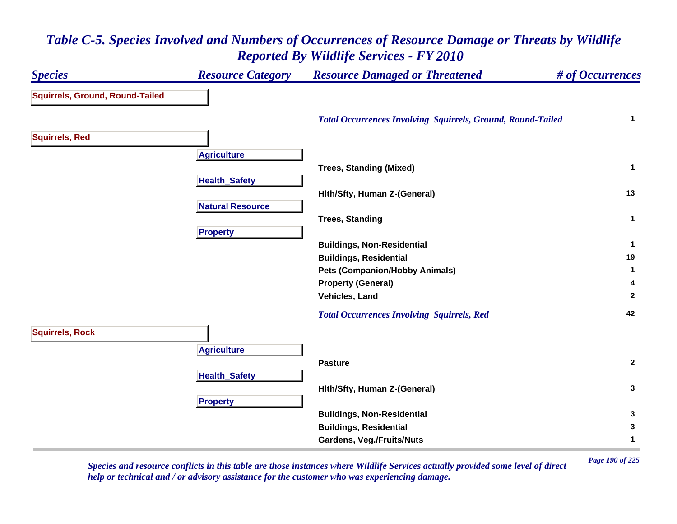### *Species Resource Category Resource Damaged or Threatened # of Occurrences* **Squirrels, Ground, Round-Tailed**  *Total Occurrences Involving Squirrels, Ground, Round-Tailed* **<sup>1</sup> Squirrels, Red A griculture Trees, Standing (Mixed) <sup>1</sup> Health \_ Safet y Hlth/Sfty, Human Z-(General) <sup>13</sup> Natural ResourceTrees, Standing <sup>1</sup> Pro pert y Buildings, Non-Residential <sup>1</sup> Buildings, Residential <sup>19</sup> Pets (Companion/Hobby Animals) <sup>1</sup> Property (General) <sup>4</sup> Vehicles, Land 2**  *Total Occurrences Involving Squirrels, Red* **<sup>42</sup> Squirrels, Rock A griculture Pasture 2 Health \_ Safet y Hlth/Sfty, Human Z-(General) <sup>3</sup> Pro pert y Buildings, Non-Residential <sup>3</sup> Buildings, Residential <sup>3</sup> Gardens, Veg./Fruits/Nuts <sup>1</sup>**

*Table C-5. Species Involved and Numbers of Occurrences of Resource Damage or Threats by Wildlife Reported By Wildlife Services - FY 2010*

*Page 190 of 225 Species and resource conflicts in this table are those instances where Wildlife Services actually provided some level of direct help or technical and / or advisory assistance for the customer who was experiencing damage.*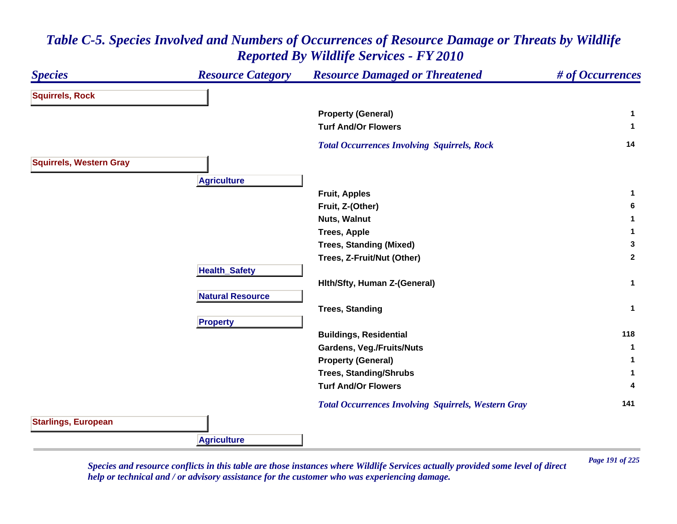### *Species Resource Category Resource Damaged or Threatened # of Occurrences* **Squirrels, Rock Property (General) <sup>1</sup> Turf And/Or Flowers 1**  *Total Occurrences Involving Squirrels, Rock* **<sup>14</sup> Squirrels, Western Gray Agriculture Fruit, Apples <sup>1</sup> Fruit, Z-(Other) <sup>6</sup> Nuts, Walnut 1 Trees, Apple <sup>1</sup> Trees, Standing (Mixed) <sup>3</sup> Trees, Z-Fruit/Nut (Other) <sup>2</sup> Health \_ Safet y Hlth/Sfty, Human Z-(General) <sup>1</sup> Natural ResourceTrees, Standing <sup>1</sup> Propert y Buildings, Residential <sup>118</sup> Gardens, Veg./Fruits/Nuts <sup>1</sup> Property (General) <sup>1</sup> Trees, Standing/Shrubs <sup>1</sup> Turf And/Or Flowers 4**  *Total Occurrences Involving Squirrels, Western Gray* **<sup>141</sup> Starlings, European Agriculture**

# *Table C-5. Species Involved and Numbers of Occurrences of Resource Damage or Threats by Wildlife Reported By Wildlife Services - FY 2010*

*Page 191 of 225 Species and resource conflicts in this table are those instances where Wildlife Services actually provided some level of direct help or technical and / or advisory assistance for the customer who was experiencing damage.*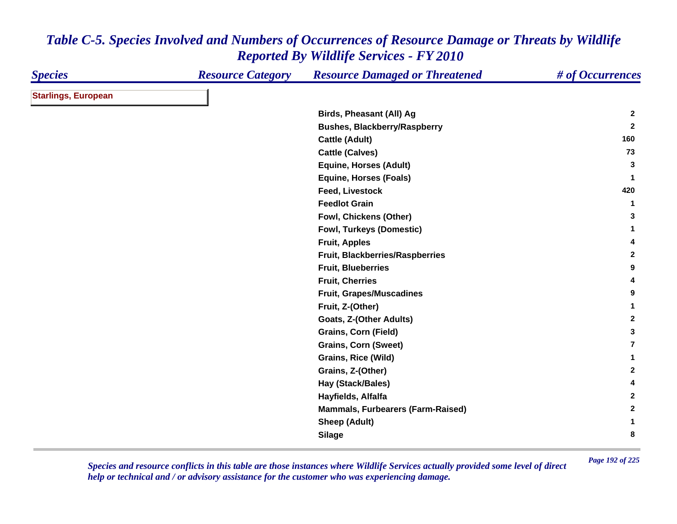| <b>Species</b>             | <b>Resource Category</b> | <b>Resource Damaged or Threatened</b> | # of Occurrences |
|----------------------------|--------------------------|---------------------------------------|------------------|
| <b>Starlings, European</b> |                          |                                       |                  |
|                            |                          | Birds, Pheasant (All) Ag              | $\mathbf{2}$     |
|                            |                          | <b>Bushes, Blackberry/Raspberry</b>   | $\mathbf{2}$     |
|                            |                          | <b>Cattle (Adult)</b>                 | 160              |
|                            |                          | <b>Cattle (Calves)</b>                | 73               |
|                            |                          | <b>Equine, Horses (Adult)</b>         | 3                |
|                            |                          | <b>Equine, Horses (Foals)</b>         | 1                |
|                            |                          | <b>Feed, Livestock</b>                | 420              |
|                            |                          | <b>Feedlot Grain</b>                  | 1                |
|                            |                          | Fowl, Chickens (Other)                | 3                |
|                            |                          | <b>Fowl, Turkeys (Domestic)</b>       | 1                |
|                            |                          | <b>Fruit, Apples</b>                  | 4                |
|                            |                          | Fruit, Blackberries/Raspberries       | $\mathbf{2}$     |
|                            |                          | <b>Fruit, Blueberries</b>             | 9                |
|                            |                          | <b>Fruit, Cherries</b>                | 4                |
|                            |                          | <b>Fruit, Grapes/Muscadines</b>       | 9                |
|                            |                          | Fruit, Z-(Other)                      | 1                |
|                            |                          | Goats, Z-(Other Adults)               | $\mathbf{2}$     |
|                            |                          | <b>Grains, Corn (Field)</b>           | 3                |
|                            |                          | <b>Grains, Corn (Sweet)</b>           | 7                |
|                            |                          | Grains, Rice (Wild)                   | 1                |
|                            |                          | Grains, Z-(Other)                     | $\mathbf{2}$     |
|                            |                          | Hay (Stack/Bales)                     | 4                |
|                            |                          | Hayfields, Alfalfa                    | $\mathbf{2}$     |
|                            |                          | Mammals, Furbearers (Farm-Raised)     | $\mathbf{2}$     |
|                            |                          | <b>Sheep (Adult)</b>                  | 1                |
|                            |                          | <b>Silage</b>                         | 8                |

*Page 192 of 225 Species and resource conflicts in this table are those instances where Wildlife Services actually provided some level of direct help or technical and / or advisory assistance for the customer who was experiencing damage.*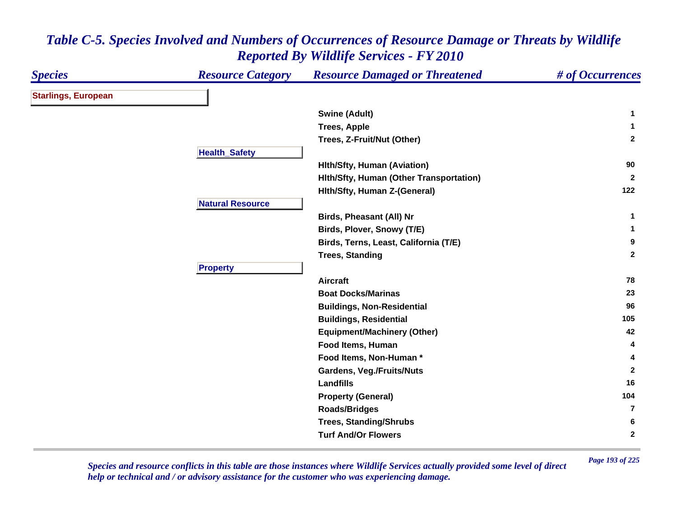| <b>Species</b>             | <b>Resource Category</b> | <b>Resource Damaged or Threatened</b>   | # of Occurrences |
|----------------------------|--------------------------|-----------------------------------------|------------------|
| <b>Starlings, European</b> |                          |                                         |                  |
|                            |                          | <b>Swine (Adult)</b>                    | 1                |
|                            |                          | <b>Trees, Apple</b>                     | 1                |
|                            |                          | Trees, Z-Fruit/Nut (Other)              | $\mathbf{2}$     |
|                            | <b>Health_Safety</b>     |                                         |                  |
|                            |                          | <b>Hith/Sfty, Human (Aviation)</b>      | 90               |
|                            |                          | Hith/Sfty, Human (Other Transportation) | $\mathbf{2}$     |
|                            |                          | Hith/Sfty, Human Z-(General)            | 122              |
|                            | <b>Natural Resource</b>  |                                         |                  |
|                            |                          | Birds, Pheasant (All) Nr                | 1                |
|                            |                          | Birds, Plover, Snowy (T/E)              | 1                |
|                            |                          | Birds, Terns, Least, California (T/E)   | 9                |
|                            |                          | <b>Trees, Standing</b>                  | $\overline{2}$   |
|                            | <b>Property</b>          |                                         |                  |
|                            |                          | <b>Aircraft</b>                         | 78               |
|                            |                          | <b>Boat Docks/Marinas</b>               | 23               |
|                            |                          | <b>Buildings, Non-Residential</b>       | 96               |
|                            |                          | <b>Buildings, Residential</b>           | 105              |
|                            |                          | <b>Equipment/Machinery (Other)</b>      | 42               |
|                            |                          | Food Items, Human                       | 4                |
|                            |                          | Food Items, Non-Human *                 | 4                |
|                            |                          | <b>Gardens, Veg./Fruits/Nuts</b>        | $\mathbf{2}$     |
|                            |                          | <b>Landfills</b>                        | 16               |
|                            |                          | <b>Property (General)</b>               | 104              |
|                            |                          | <b>Roads/Bridges</b>                    | 7                |
|                            |                          | <b>Trees, Standing/Shrubs</b>           | 6                |
|                            |                          | <b>Turf And/Or Flowers</b>              | $\mathbf{2}$     |

*Page 193 of 225 Species and resource conflicts in this table are those instances where Wildlife Services actually provided some level of direct help or technical and / or advisory assistance for the customer who was experiencing damage.*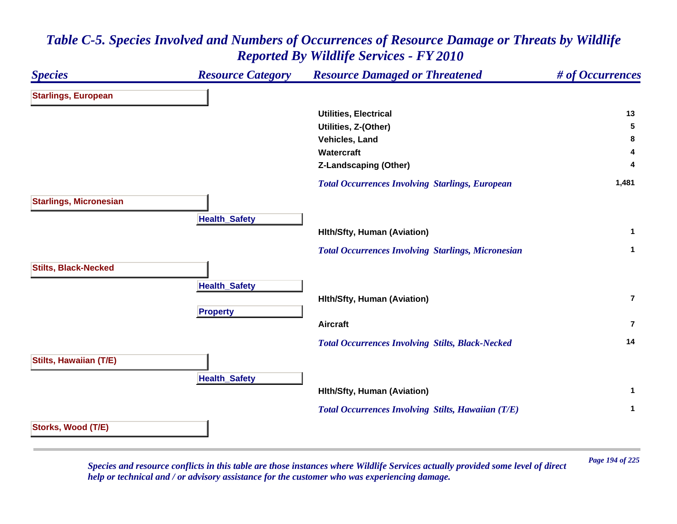

*Page 194 of 225 Species and resource conflicts in this table are those instances where Wildlife Services actually provided some level of direct help or technical and / or advisory assistance for the customer who was experiencing damage.*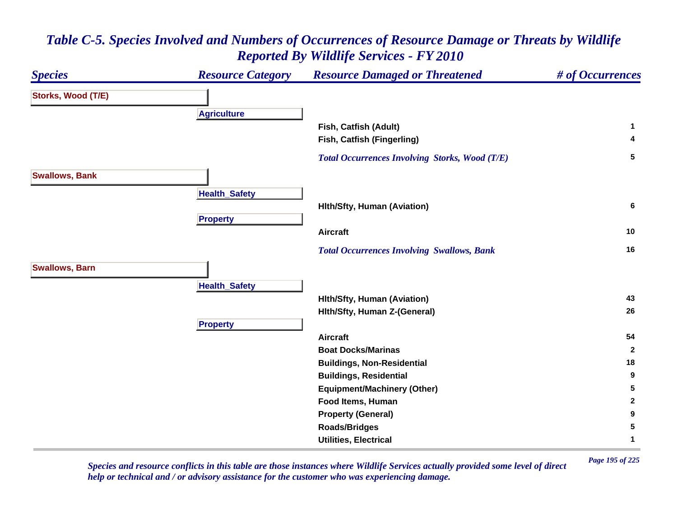### *Species Resource Category Resource Damaged or Threatened # of Occurrences* **Storks, Wood (T/E) A griculture Fish, Catfish (Adult) <sup>1</sup> Fish, Catfish (Fingerling) <sup>4</sup>**  *Total Occurrences Involving Storks, Wood (T/E)* **<sup>5</sup> Swallows, Bank Health \_ Safet y Hlth/Sfty, Human (Aviation) <sup>6</sup> Pro pert y Aircraft 10**  *Total Occurrences Involving Swallows, Bank* **<sup>16</sup> Swallows, Barn HealthSafet y Hlth/Sfty, Human (Aviation) <sup>43</sup> Hlth/Sfty, Human Z-(General) <sup>26</sup> Pro pert y Aircraft 54 Boat Docks/Marinas 2 Buildings, Non-Residential <sup>18</sup> Buildings, Residential <sup>9</sup> Equipment/Machinery (Other) <sup>5</sup> Food Items, Human 2 Property (General) <sup>9</sup> Roads/Bridges <sup>5</sup> Utilities, Electrical 1**

# *Table C-5. Species Involved and Numbers of Occurrences of Resource Damage or Threats by Wildlife Reported By Wildlife Services - FY 2010*

*Page 195 of 225 Species and resource conflicts in this table are those instances where Wildlife Services actually provided some level of direct help or technical and / or advisory assistance for the customer who was experiencing damage.*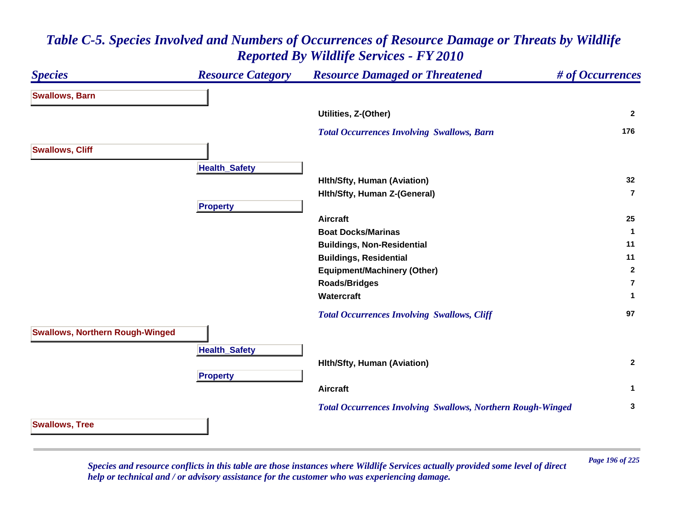#### *Species Resource Category Resource Damaged or Threatened # of Occurrences* **Swallows, Barn Utilities, Z-(Other) <sup>2</sup>**  *Total Occurrences Involving Swallows, Barn* **<sup>176</sup> Swallows, Cliff HealthSafet y Hlth/Sfty, Human (Aviation) <sup>32</sup> Hlth/Sfty, Human Z-(General) 7Propert y Aircraft 25 Boat Docks/Marinas 1 Buildings, Non-Residential <sup>11</sup> Buildings, Residential <sup>11</sup> Equipment/Machinery (Other) <sup>2</sup> Roads/Bridges 7Watercraft 1**  *Total Occurrences Involving Swallows, Cliff* **<sup>97</sup> Swallows, Northern Rough-Winged HealthSafet y Hlth/Sfty, Human (Aviation) <sup>2</sup> Pro pert y Aircraft 1**  *Total Occurrences Involving Swallows, Northern Rough-Winged* **<sup>3</sup> Swallows, Tree**

*Table C-5. Species Involved and Numbers of Occurrences of Resource Damage or Threats by Wildlife Reported By Wildlife Services - FY 2010*

*Page 196 of 225 Species and resource conflicts in this table are those instances where Wildlife Services actually provided some level of direct help or technical and / or advisory assistance for the customer who was experiencing damage.*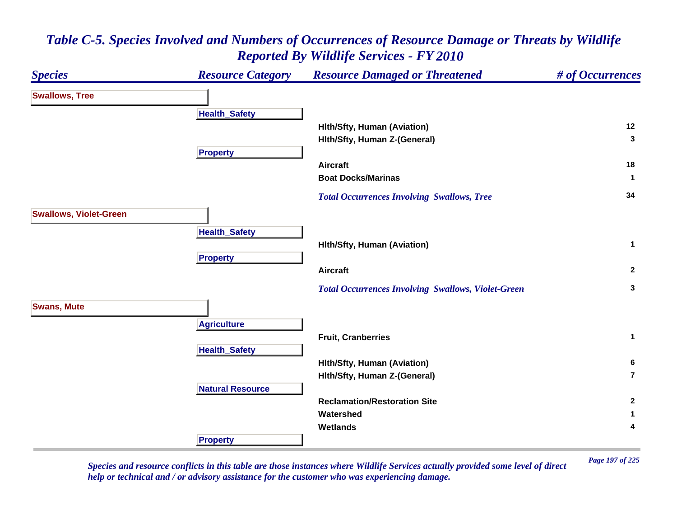#### *Species Resource Category Resource Damaged or Threatened # of Occurrences* **Swallows, Tree Health \_ Safet y Hlth/Sfty, Human (Aviation) <sup>12</sup> Hlth/Sfty, Human Z-(General) <sup>3</sup> Pro pert y Aircraft 18 Boat Docks/Marinas 1**  *Total Occurrences Involving Swallows, Tree* **<sup>34</sup> Swallows, Violet-Green Health \_ Safet y Hlth/Sfty, Human (Aviation) <sup>1</sup> Pro pert y Aircraft 2**  *Total Occurrences Involving Swallows, Violet-Green* **<sup>3</sup> Swans, Mute A griculture Fruit, Cranberries 1 Health \_ Safet y Hlth/Sfty, Human (Aviation) <sup>6</sup> Hlth/Sfty, Human Z-(General) 7Natural ResourceReclamation/Restoration Site 2 Watershed 1 Wetlands 4 Propert y**

# *Table C-5. Species Involved and Numbers of Occurrences of Resource Damage or Threats by Wildlife Reported By Wildlife Services - FY 2010*

*Page 197 of 225 Species and resource conflicts in this table are those instances where Wildlife Services actually provided some level of direct help or technical and / or advisory assistance for the customer who was experiencing damage.*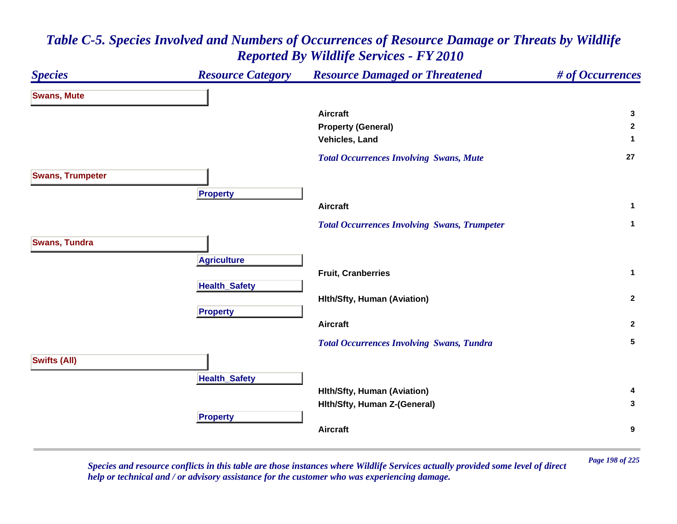### *Species Resource Category Resource Damaged or Threatened # of Occurrences* **Swans, Mute Aircraft 3 Property (General) <sup>2</sup> Vehicles, Land 1**  *Total Occurrences Involving Swans, Mute* **<sup>27</sup> Swans, Trumpeter Pro pert y Aircraft 1**  *Total Occurrences Involving Swans, Trumpeter* **<sup>1</sup> Swans, Tundra A griculture Fruit, Cranberries 1 HealthSafet y Hlth/Sfty, Human (Aviation) <sup>2</sup> Pro pert y Aircraft 2**  *Total Occurrences Involving Swans, Tundra* **<sup>5</sup> Swifts (All) Health \_ Safet y Hlth/Sfty, Human (Aviation) <sup>4</sup> Hlth/Sfty, Human Z-(General) <sup>3</sup> Pro pert y Aircraft9**

## *Table C-5. Species Involved and Numbers of Occurrences of Resource Damage or Threats by Wildlife Reported By Wildlife Services - FY 2010*

*Page 198 of 225 Species and resource conflicts in this table are those instances where Wildlife Services actually provided some level of direct help or technical and / or advisory assistance for the customer who was experiencing damage.*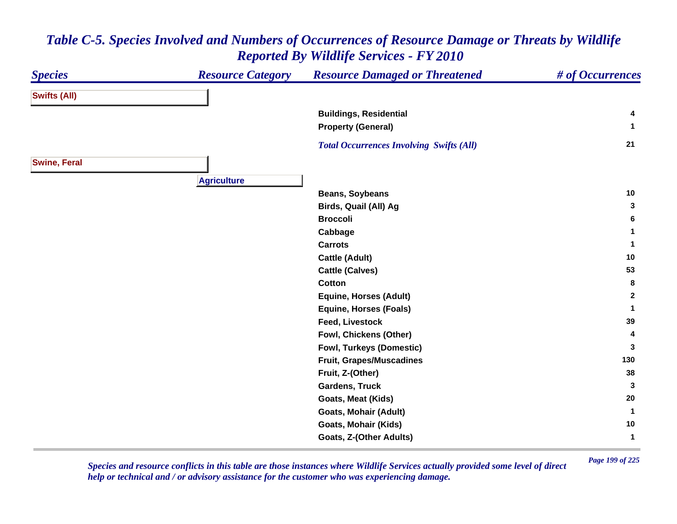#### *Species Resource Category Resource Damaged or Threatened # of Occurrences* **Swifts (All) Buildings, Residential <sup>4</sup> Property (General) <sup>1</sup>**  *Total Occurrences Involving Swifts (All)* **<sup>21</sup> Swine, Feral Agriculture Beans, Soybeans <sup>10</sup> Birds, Quail (All) Ag <sup>3</sup> Broccoli 6 Cabbage <sup>1</sup> Carrots 1 Cattle (Adult) <sup>10</sup> Cattle (Calves) <sup>53</sup> Cotton 8 Equine, Horses (Adult) <sup>2</sup> Equine, Horses (Foals) <sup>1</sup> Feed, Livestock 39 Fowl, Chickens (Other) <sup>4</sup> Fowl, Turkeys (Domestic) <sup>3</sup> Fruit, Grapes/Muscadines <sup>130</sup> Fruit, Z-(Other) <sup>38</sup> Gardens, Truck 3 Goats, Meat (Kids) <sup>20</sup> Goats, Mohair (Adult) <sup>1</sup> Goats, Mohair (Kids) <sup>10</sup> Goats, Z-(Other Adults) <sup>1</sup>**

# *Table C-5. Species Involved and Numbers of Occurrences of Resource Damage or Threats by Wildlife Reported By Wildlife Services - FY 2010*

*Page 199 of 225 Species and resource conflicts in this table are those instances where Wildlife Services actually provided some level of direct help or technical and / or advisory assistance for the customer who was experiencing damage.*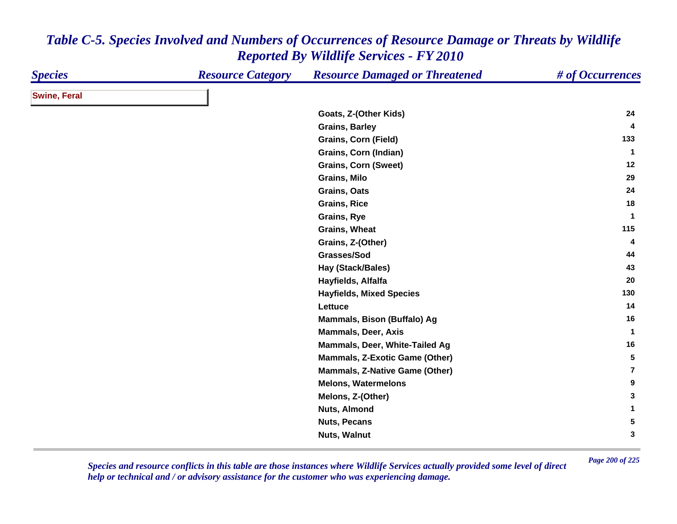| <b>Species</b>      | <b>Resource Category</b> | <b>Resource Damaged or Threatened</b> | # of Occurrences |
|---------------------|--------------------------|---------------------------------------|------------------|
| <b>Swine, Feral</b> |                          |                                       |                  |
|                     |                          | Goats, Z-(Other Kids)                 | 24               |
|                     |                          | <b>Grains, Barley</b>                 | 4                |
|                     |                          | <b>Grains, Corn (Field)</b>           | 133              |
|                     |                          | Grains, Corn (Indian)                 | $\mathbf 1$      |
|                     |                          | <b>Grains, Corn (Sweet)</b>           | 12               |
|                     |                          | <b>Grains, Milo</b>                   | 29               |
|                     |                          | Grains, Oats                          | 24               |
|                     |                          | <b>Grains, Rice</b>                   | 18               |
|                     |                          | Grains, Rye                           | $\mathbf 1$      |
|                     |                          | Grains, Wheat                         | 115              |
|                     |                          | Grains, Z-(Other)                     | 4                |
|                     |                          | Grasses/Sod                           | 44               |
|                     |                          | Hay (Stack/Bales)                     | 43               |
|                     |                          | Hayfields, Alfalfa                    | 20               |
|                     |                          | <b>Hayfields, Mixed Species</b>       | 130              |
|                     |                          | Lettuce                               | 14               |
|                     |                          | Mammals, Bison (Buffalo) Ag           | 16               |
|                     |                          | <b>Mammals, Deer, Axis</b>            | $\mathbf 1$      |
|                     |                          | Mammals, Deer, White-Tailed Ag        | 16               |
|                     |                          | <b>Mammals, Z-Exotic Game (Other)</b> | 5                |
|                     |                          | <b>Mammals, Z-Native Game (Other)</b> | $\overline{7}$   |
|                     |                          | <b>Melons, Watermelons</b>            | 9                |
|                     |                          | Melons, Z-(Other)                     | 3                |
|                     |                          | <b>Nuts, Almond</b>                   | 1                |
|                     |                          | <b>Nuts, Pecans</b>                   | 5                |
|                     |                          | Nuts, Walnut                          | 3                |

*Page 200 of 225 Species and resource conflicts in this table are those instances where Wildlife Services actually provided some level of direct help or technical and / or advisory assistance for the customer who was experiencing damage.*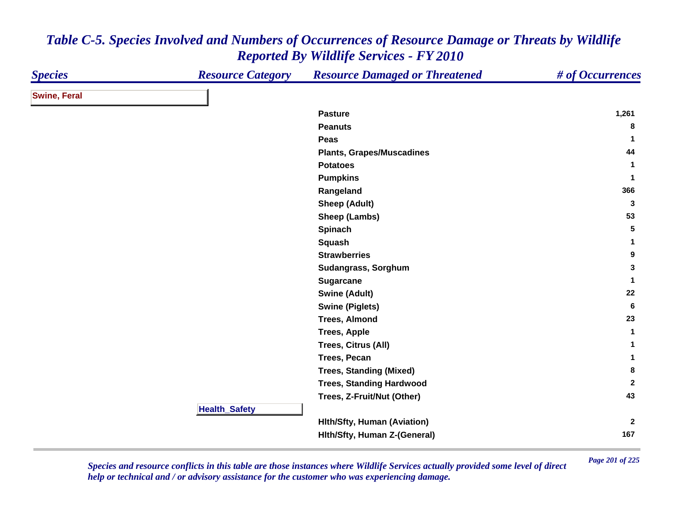| <b>Species</b>      | <b>Resource Category</b> | <b>Resource Damaged or Threatened</b> | # of Occurrences |
|---------------------|--------------------------|---------------------------------------|------------------|
| <b>Swine, Feral</b> |                          |                                       |                  |
|                     |                          | <b>Pasture</b>                        | 1,261            |
|                     |                          | <b>Peanuts</b>                        | 8                |
|                     |                          | Peas                                  | $\mathbf{1}$     |
|                     |                          | <b>Plants, Grapes/Muscadines</b>      | 44               |
|                     |                          | <b>Potatoes</b>                       | $\mathbf{1}$     |
|                     |                          | <b>Pumpkins</b>                       | -1               |
|                     |                          | Rangeland                             | 366              |
|                     |                          | <b>Sheep (Adult)</b>                  | $\mathbf{3}$     |
|                     |                          | Sheep (Lambs)                         | 53               |
|                     |                          | Spinach                               | $5\phantom{.0}$  |
|                     |                          | <b>Squash</b>                         | 1                |
|                     |                          | <b>Strawberries</b>                   | 9                |
|                     |                          | Sudangrass, Sorghum                   | $\mathbf{3}$     |
|                     |                          | <b>Sugarcane</b>                      | $\mathbf{1}$     |
|                     |                          | <b>Swine (Adult)</b>                  | 22               |
|                     |                          | <b>Swine (Piglets)</b>                | 6                |
|                     |                          | <b>Trees, Almond</b>                  | 23               |
|                     |                          | <b>Trees, Apple</b>                   | 1                |
|                     |                          | <b>Trees, Citrus (All)</b>            | 1                |
|                     |                          | Trees, Pecan                          | 1                |
|                     |                          | <b>Trees, Standing (Mixed)</b>        | 8                |
|                     |                          | <b>Trees, Standing Hardwood</b>       | $\overline{2}$   |
|                     |                          | Trees, Z-Fruit/Nut (Other)            | 43               |
|                     | <b>Health_Safety</b>     |                                       |                  |
|                     |                          | <b>Hith/Sfty, Human (Aviation)</b>    | $\mathbf{2}$     |
|                     |                          | Hith/Sfty, Human Z-(General)          | 167              |

*Page 201 of 225 Species and resource conflicts in this table are those instances where Wildlife Services actually provided some level of direct help or technical and / or advisory assistance for the customer who was experiencing damage.*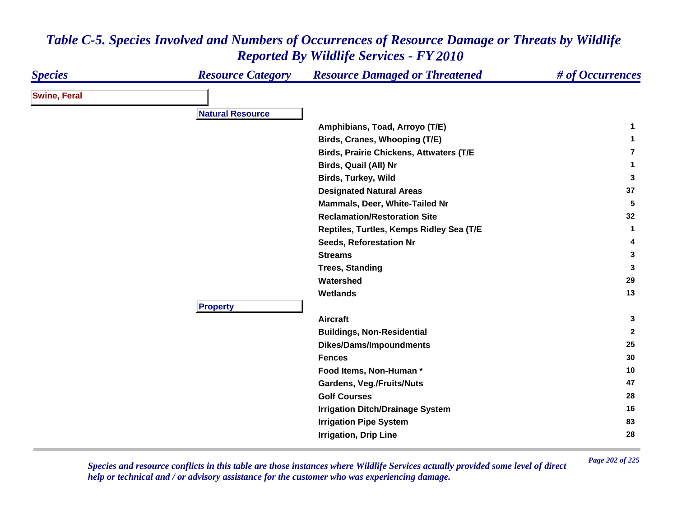| <b>Species</b>      | <b>Resource Category</b> | <b>Resource Damaged or Threatened</b>                               | # of Occurrences |
|---------------------|--------------------------|---------------------------------------------------------------------|------------------|
| <b>Swine, Feral</b> |                          |                                                                     |                  |
|                     | <b>Natural Resource</b>  |                                                                     |                  |
|                     |                          | Amphibians, Toad, Arroyo (T/E)                                      | 1                |
|                     |                          | Birds, Cranes, Whooping (T/E)                                       | 1                |
|                     |                          | <b>Birds, Prairie Chickens, Attwaters (T/E</b>                      | 7                |
|                     |                          | Birds, Quail (All) Nr                                               | 1                |
|                     |                          | <b>Birds, Turkey, Wild</b>                                          | 3                |
|                     |                          | <b>Designated Natural Areas</b>                                     | 37               |
|                     |                          | Mammals, Deer, White-Tailed Nr                                      | 5                |
|                     |                          | <b>Reclamation/Restoration Site</b>                                 | 32               |
|                     |                          |                                                                     | $\mathbf{1}$     |
|                     |                          | Reptiles, Turtles, Kemps Ridley Sea (T/E<br>Seeds, Reforestation Nr | 4                |
|                     |                          | <b>Streams</b>                                                      | 3                |
|                     |                          |                                                                     | 3                |
|                     |                          | <b>Trees, Standing</b><br>Watershed                                 | 29               |
|                     |                          |                                                                     | 13               |
|                     | <b>Property</b>          | <b>Wetlands</b>                                                     |                  |
|                     |                          | <b>Aircraft</b>                                                     | 3                |
|                     |                          | <b>Buildings, Non-Residential</b>                                   | $\mathbf{2}$     |
|                     |                          | Dikes/Dams/Impoundments                                             | 25               |
|                     |                          | <b>Fences</b>                                                       | 30               |
|                     |                          | Food Items, Non-Human *                                             | 10               |
|                     |                          | <b>Gardens, Veg./Fruits/Nuts</b>                                    | 47               |
|                     |                          | <b>Golf Courses</b>                                                 | 28               |
|                     |                          | <b>Irrigation Ditch/Drainage System</b>                             | 16               |
|                     |                          | <b>Irrigation Pipe System</b>                                       | 83               |
|                     |                          |                                                                     | 28               |
|                     |                          | <b>Irrigation, Drip Line</b>                                        |                  |

*Page 202 of 225 Species and resource conflicts in this table are those instances where Wildlife Services actually provided some level of direct help or technical and / or advisory assistance for the customer who was experiencing damage.*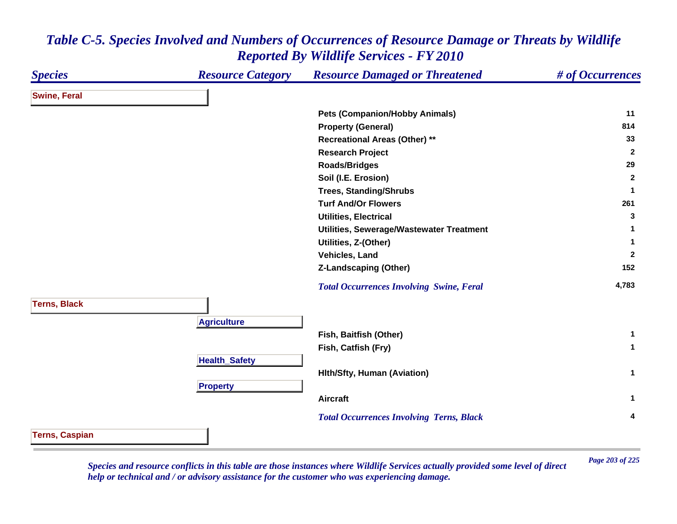### *Species Resource Category Resource Damaged or Threatened # of Occurrences* **Swine, Feral Pets (Companion/Hobby Animals) <sup>11</sup> Property (General) <sup>814</sup> Recreational Areas (Other) \*\* <sup>33</sup> Research Project <sup>2</sup> Roads/Bridges <sup>29</sup> Soil (I.E. Erosion) <sup>2</sup> Trees, Standing/Shrubs <sup>1</sup> Turf And/Or Flowers261 261 Utilities, Electrical 3 Utilities, Sewerage/Wastewater Treatment <sup>1</sup> Utilities, Z-(Other) <sup>1</sup> Vehicles, Land 2 Z-Landscaping (Other) <sup>152</sup>**  *Total Occurrences Involving Swine, Feral* **4,783 Terns, Black Agriculture Fish, Baitfish (Other) <sup>1</sup> Fish, Catfish (Fry) <sup>1</sup> HealthSafet y Hlth/Sfty, Human (Aviation) <sup>1</sup> Pro pert y Aircraft 1**  *Total Occurrences Involving Terns, Black* **<sup>4</sup> Terns, Caspian**

*Table C-5. Species Involved and Numbers of Occurrences of Resource Damage or Threats by Wildlife Reported By Wildlife Services - FY 2010*

*Page 203 of 225 Species and resource conflicts in this table are those instances where Wildlife Services actually provided some level of direct help or technical and / or advisory assistance for the customer who was experiencing damage.*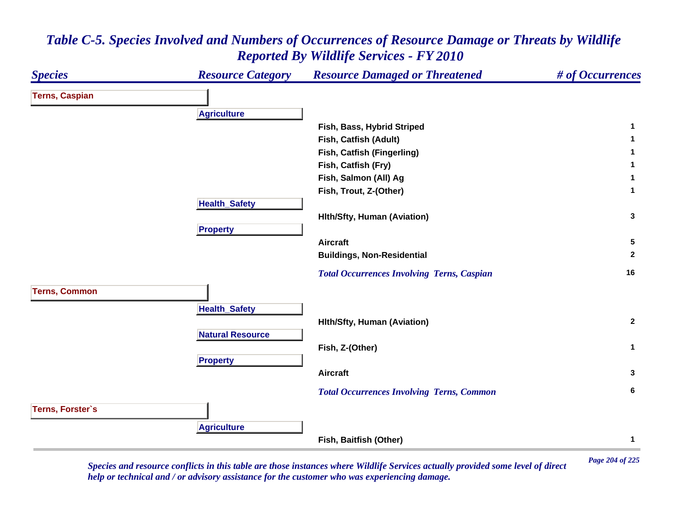

*Page 204 of 225 Species and resource conflicts in this table are those instances where Wildlife Services actually provided some level of direct help or technical and / or advisory assistance for the customer who was experiencing damage.*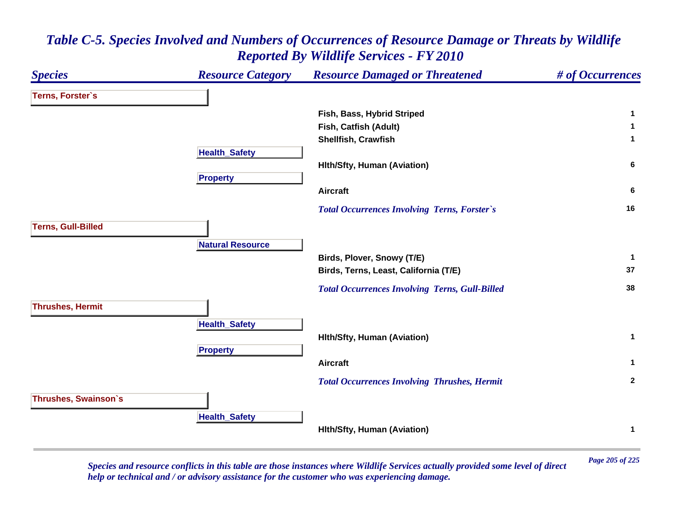### *Species Resource Category Resource Damaged or Threatened # of Occurrences* **Terns, Forster`s Fish, Bass, Hybrid Striped <sup>1</sup> Fish, Catfish (Adult) <sup>1</sup> Shellfish, Crawfish 1 Health \_ Safet y Hlth/Sfty, Human (Aviation) <sup>6</sup> Pro pert y Aircraft 6**  *Total Occurrences Involving Terns, Forster`s* **<sup>16</sup> Terns, Gull-Billed Natural ResourceBirds, Plover, Snowy (T/E) <sup>1</sup> Birds, Terns, Least, California (T/E) <sup>37</sup>**  *Total Occurrences Involving Terns, Gull-Billed* **<sup>38</sup> Thrushes, Hermit HealthSafet y Hlth/Sfty, Human (Aviation) <sup>1</sup> Pro pert y Aircraft 1**  *Total Occurrences Involving Thrushes, Hermit* **<sup>2</sup> Thrushes, Swainson`s Health \_ Safet y Hlth/Sfty, Human (Aviation) <sup>1</sup>**

## *Table C-5. Species Involved and Numbers of Occurrences of Resource Damage or Threats by Wildlife Reported By Wildlife Services - FY 2010*

*Page 205 of 225 Species and resource conflicts in this table are those instances where Wildlife Services actually provided some level of direct help or technical and / or advisory assistance for the customer who was experiencing damage.*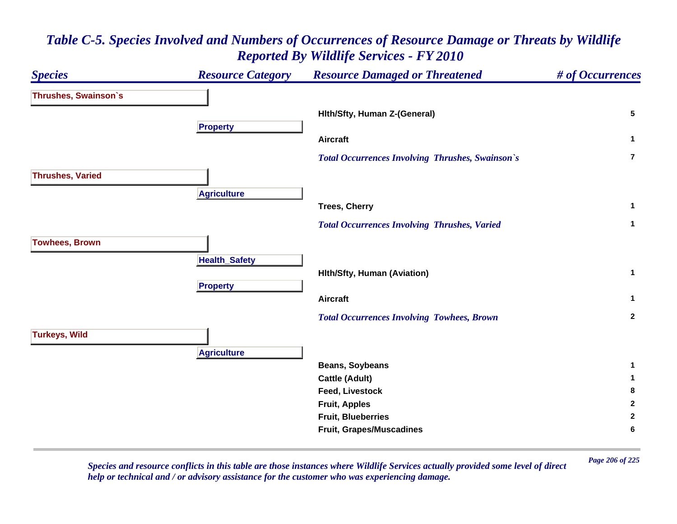### *Species Resource Category Resource Damaged or Threatened # of Occurrences* **Thrushes, Swainson`s Hlth/Sfty, Human Z-(General) <sup>5</sup> Propert y Aircraft 1**  *Total Occurrences Involving Thrushes, Swainson`s* **7Thrushes, Varied A griculture Trees, Cherry <sup>1</sup>**  *Total Occurrences Involving Thrushes, Varied* **<sup>1</sup> Towhees, Brown Health \_ Safet y Hlth/Sfty, Human (Aviation) <sup>1</sup> Pro pert y Aircraft 1**  *Total Occurrences Involving Towhees, Brown* **<sup>2</sup> Turkeys, Wild A griculture Beans, Soybeans <sup>1</sup> Cattle (Adult) <sup>1</sup> Feed, Livestock 8 Fruit, Apples <sup>2</sup> Fruit, Blueberries 2 Fruit, Grapes/Muscadines <sup>6</sup>**

## *Table C-5. Species Involved and Numbers of Occurrences of Resource Damage or Threats by Wildlife Reported By Wildlife Services - FY 2010*

*Page 206 of 225 Species and resource conflicts in this table are those instances where Wildlife Services actually provided some level of direct help or technical and / or advisory assistance for the customer who was experiencing damage.*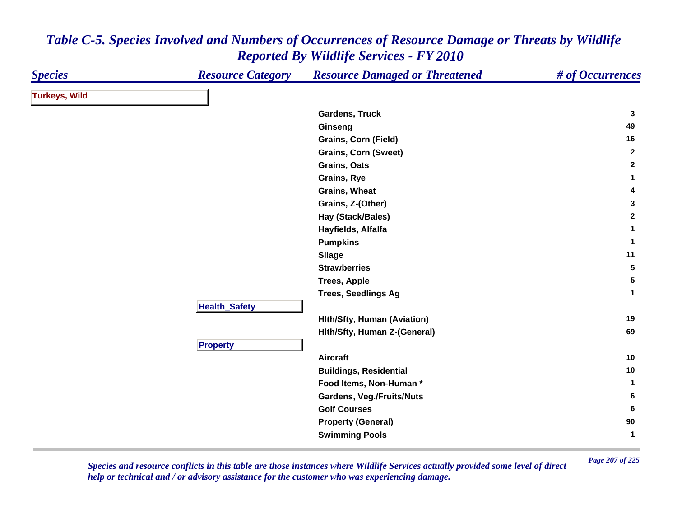| <b>Species</b>       | <b>Resource Category</b> | <b>Resource Damaged or Threatened</b> | # of Occurrences |
|----------------------|--------------------------|---------------------------------------|------------------|
| <b>Turkeys, Wild</b> |                          |                                       |                  |
|                      |                          | Gardens, Truck                        | 3                |
|                      |                          | Ginseng                               | 49               |
|                      |                          | Grains, Corn (Field)                  | 16               |
|                      |                          | <b>Grains, Corn (Sweet)</b>           | $\mathbf{2}$     |
|                      |                          | Grains, Oats                          | $\mathbf{2}$     |
|                      |                          | Grains, Rye                           | $\mathbf{1}$     |
|                      |                          | <b>Grains, Wheat</b>                  | 4                |
|                      |                          | Grains, Z-(Other)                     | $\mathbf{3}$     |
|                      |                          | Hay (Stack/Bales)                     | $\mathbf{2}$     |
|                      |                          | Hayfields, Alfalfa                    | $\mathbf{1}$     |
|                      |                          | <b>Pumpkins</b>                       | $\mathbf{1}$     |
|                      |                          | <b>Silage</b>                         | 11               |
|                      |                          | <b>Strawberries</b>                   | ${\bf 5}$        |
|                      |                          | <b>Trees, Apple</b>                   | $5\phantom{.0}$  |
|                      |                          | <b>Trees, Seedlings Ag</b>            | $\mathbf 1$      |
|                      | <b>Health_Safety</b>     |                                       |                  |
|                      |                          | <b>Hith/Sfty, Human (Aviation)</b>    | 19               |
|                      |                          | Hith/Sfty, Human Z-(General)          | 69               |
|                      | <b>Property</b>          |                                       |                  |
|                      |                          | <b>Aircraft</b>                       | 10               |
|                      |                          | <b>Buildings, Residential</b>         | 10               |
|                      |                          | Food Items, Non-Human*                | $\mathbf{1}$     |
|                      |                          | <b>Gardens, Veg./Fruits/Nuts</b>      | 6                |
|                      |                          | <b>Golf Courses</b>                   | 6                |
|                      |                          | <b>Property (General)</b>             | 90               |
|                      |                          | <b>Swimming Pools</b>                 | $\mathbf{1}$     |

*Page 207 of 225 Species and resource conflicts in this table are those instances where Wildlife Services actually provided some level of direct help or technical and / or advisory assistance for the customer who was experiencing damage.*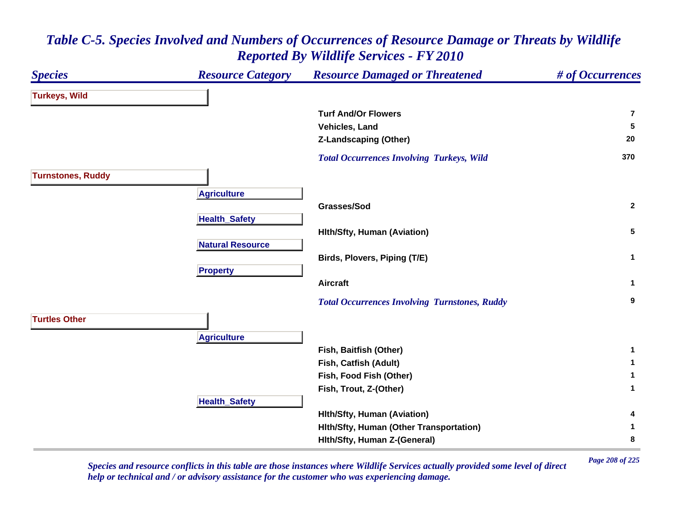### *Species Resource Category Resource Damaged or Threatened # of Occurrences* **Turkeys, Wild Turf And/Or Flowers7Vehicles, Land 5 Z-Landscaping (Other) <sup>20</sup>**  *Total Occurrences Involving Turkeys, Wild* **<sup>370</sup> Turnstones, Ruddy A griculture Grasses/Sod 2 HealthSafet y Hlth/Sfty, Human (Aviation) <sup>5</sup> Natural ResourceBirds, Plovers, Piping (T/E) <sup>1</sup> Pro pert y Aircraft 1**  *Total Occurrences Involving Turnstones, Ruddy* **<sup>9</sup> Turtles OtherA griculture Fish, Baitfish (Other) <sup>1</sup> Fish, Catfish (Adult) <sup>1</sup> Fish, Food Fish (Other) <sup>1</sup> Fish, Trout, Z-(Other) <sup>1</sup> HealthSafet y Hlth/Sfty, Human (Aviation) <sup>4</sup> Hlth/Sfty, Human (Other Transportation) <sup>1</sup> Hlth/Sfty, Human Z-(General) <sup>8</sup>**

# *Table C-5. Species Involved and Numbers of Occurrences of Resource Damage or Threats by Wildlife Reported By Wildlife Services - FY 2010*

*Page 208 of 225 Species and resource conflicts in this table are those instances where Wildlife Services actually provided some level of direct help or technical and / or advisory assistance for the customer who was experiencing damage.*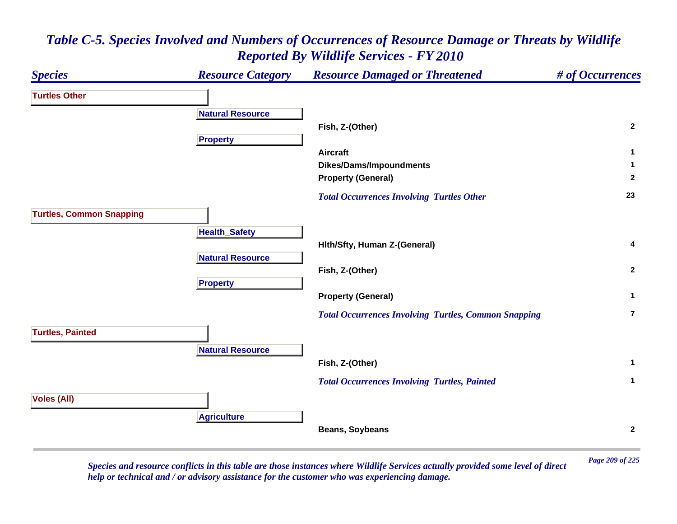### *Species Resource Category Resource Damaged or Threatened # of Occurrences* **Turtles OtherNatural ResourceFish, Z-(Other) <sup>2</sup> Propert y Aircraft 1 Dikes/Dams/Impoundments <sup>1</sup> Property (General) <sup>2</sup>**  *Total Occurrences Involving Turtles Other* **<sup>23</sup> Turtles, Common Snapping Health \_ Safet y Hlth/Sfty, Human Z-(General) <sup>4</sup> Natural ResourceFish, Z-(Other) <sup>2</sup> Pro pert y Property (General) <sup>1</sup>**  *Total Occurrences Involving Turtles, Common Snapping* **7Turtles, Painted Natural ResourceFish, Z-(Other) <sup>1</sup>**  *Total Occurrences Involving Turtles, Painted* **<sup>1</sup> Voles (All) A griculture Beans, Soybeans <sup>2</sup>**

# *Table C-5. Species Involved and Numbers of Occurrences of Resource Damage or Threats by Wildlife Reported By Wildlife Services - FY 2010*

*Page 209 of 225 Species and resource conflicts in this table are those instances where Wildlife Services actually provided some level of direct help or technical and / or advisory assistance for the customer who was experiencing damage.*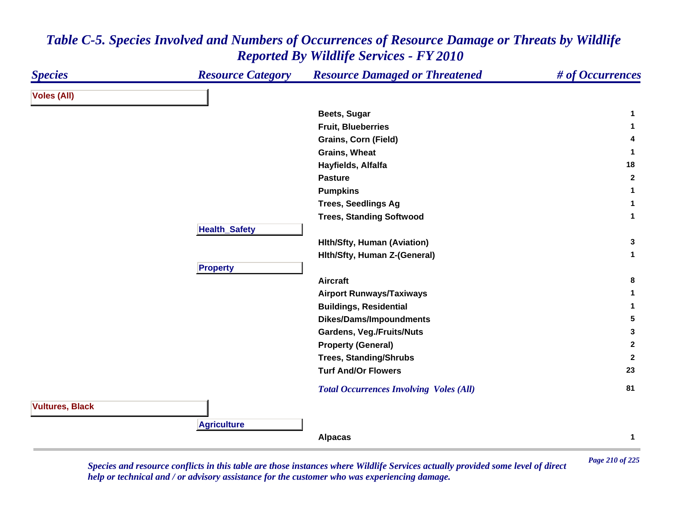| <b>Species</b>         | <b>Resource Category</b> | <b>Resource Damaged or Threatened</b>          | # of Occurrences |
|------------------------|--------------------------|------------------------------------------------|------------------|
| <b>Voles (All)</b>     |                          |                                                |                  |
|                        |                          | Beets, Sugar                                   | 1                |
|                        |                          | <b>Fruit, Blueberries</b>                      | 1                |
|                        |                          | <b>Grains, Corn (Field)</b>                    | 4                |
|                        |                          | <b>Grains, Wheat</b>                           | $\mathbf{1}$     |
|                        |                          | Hayfields, Alfalfa                             | 18               |
|                        |                          | <b>Pasture</b>                                 | $\mathbf{2}$     |
|                        |                          | <b>Pumpkins</b>                                | 1                |
|                        |                          | <b>Trees, Seedlings Ag</b>                     | 1                |
|                        |                          | <b>Trees, Standing Softwood</b>                | $\mathbf{1}$     |
|                        | <b>Health_Safety</b>     |                                                |                  |
|                        |                          | <b>Hith/Sfty, Human (Aviation)</b>             | 3                |
|                        |                          | Hith/Sfty, Human Z-(General)                   | $\mathbf{1}$     |
|                        | <b>Property</b>          |                                                |                  |
|                        |                          | <b>Aircraft</b>                                | 8                |
|                        |                          | <b>Airport Runways/Taxiways</b>                | 1                |
|                        |                          | <b>Buildings, Residential</b>                  | 1                |
|                        |                          | Dikes/Dams/Impoundments                        | 5                |
|                        |                          | <b>Gardens, Veg./Fruits/Nuts</b>               | $\mathbf{3}$     |
|                        |                          | <b>Property (General)</b>                      | $\mathbf{2}$     |
|                        |                          | <b>Trees, Standing/Shrubs</b>                  | $\mathbf{2}$     |
|                        |                          | <b>Turf And/Or Flowers</b>                     | 23               |
|                        |                          | <b>Total Occurrences Involving Voles (All)</b> | 81               |
| <b>Vultures, Black</b> |                          |                                                |                  |
|                        | <b>Agriculture</b>       |                                                |                  |
|                        |                          | <b>Alpacas</b>                                 | $\mathbf{1}$     |

*Page 210 of 225 Species and resource conflicts in this table are those instances where Wildlife Services actually provided some level of direct help or technical and / or advisory assistance for the customer who was experiencing damage.*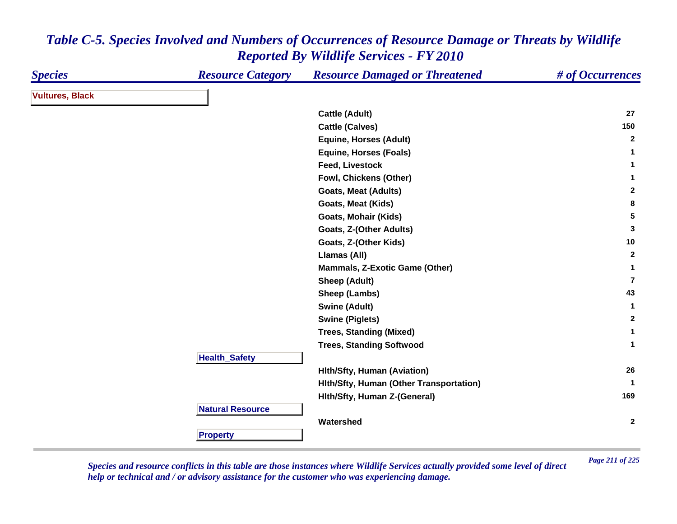| <b>Species</b>         | <b>Resource Category</b> | <b>Resource Damaged or Threatened</b>   | # of Occurrences |
|------------------------|--------------------------|-----------------------------------------|------------------|
| <b>Vultures, Black</b> |                          |                                         |                  |
|                        |                          | <b>Cattle (Adult)</b>                   | 27               |
|                        |                          | <b>Cattle (Calves)</b>                  | 150              |
|                        |                          | <b>Equine, Horses (Adult)</b>           | $\overline{2}$   |
|                        |                          | <b>Equine, Horses (Foals)</b>           | 1                |
|                        |                          | <b>Feed, Livestock</b>                  | $\mathbf{1}$     |
|                        |                          | Fowl, Chickens (Other)                  | 1                |
|                        |                          | <b>Goats, Meat (Adults)</b>             | $\mathbf{2}$     |
|                        |                          | Goats, Meat (Kids)                      | 8                |
|                        |                          | <b>Goats, Mohair (Kids)</b>             | $5\phantom{.0}$  |
|                        |                          | Goats, Z-(Other Adults)                 | $\mathbf{3}$     |
|                        |                          | Goats, Z-(Other Kids)                   | 10               |
|                        |                          | Llamas (All)                            | $\mathbf{2}$     |
|                        |                          | <b>Mammals, Z-Exotic Game (Other)</b>   | 1                |
|                        |                          | <b>Sheep (Adult)</b>                    | $\overline{7}$   |
|                        |                          | Sheep (Lambs)                           | 43               |
|                        |                          | <b>Swine (Adult)</b>                    | $\mathbf{1}$     |
|                        |                          | <b>Swine (Piglets)</b>                  | $\mathbf{2}$     |
|                        |                          | <b>Trees, Standing (Mixed)</b>          | $\mathbf 1$      |
|                        |                          | <b>Trees, Standing Softwood</b>         | $\mathbf 1$      |
|                        | <b>Health_Safety</b>     |                                         |                  |
|                        |                          | <b>Hith/Sfty, Human (Aviation)</b>      | 26               |
|                        |                          | Hith/Sfty, Human (Other Transportation) | $\mathbf 1$      |
|                        |                          | Hith/Sfty, Human Z-(General)            | 169              |
|                        | <b>Natural Resource</b>  |                                         |                  |
|                        |                          | Watershed                               | $\mathbf{2}$     |
|                        | <b>Property</b>          |                                         |                  |

*Page 211 of 225 Species and resource conflicts in this table are those instances where Wildlife Services actually provided some level of direct help or technical and / or advisory assistance for the customer who was experiencing damage.*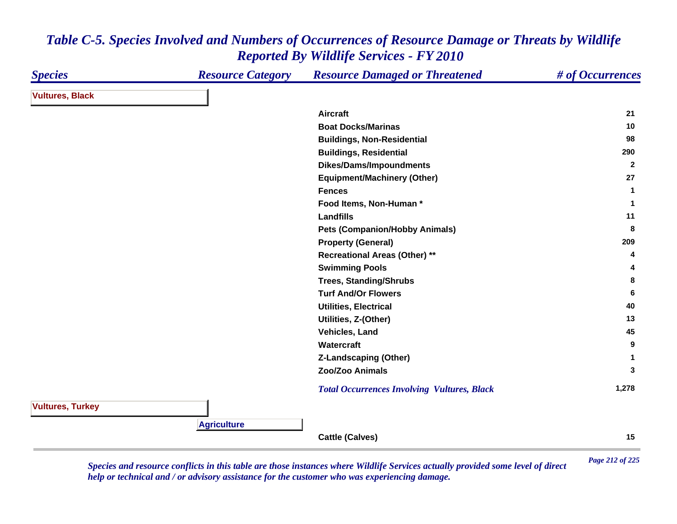| <b>Species</b>          | <b>Resource Category</b> | <b>Resource Damaged or Threatened</b>              | # of Occurrences |
|-------------------------|--------------------------|----------------------------------------------------|------------------|
| <b>Vultures, Black</b>  |                          |                                                    |                  |
|                         |                          | <b>Aircraft</b>                                    | 21               |
|                         |                          | <b>Boat Docks/Marinas</b>                          | 10               |
|                         |                          | <b>Buildings, Non-Residential</b>                  | 98               |
|                         |                          | <b>Buildings, Residential</b>                      | 290              |
|                         |                          | <b>Dikes/Dams/Impoundments</b>                     | $\overline{2}$   |
|                         |                          | <b>Equipment/Machinery (Other)</b>                 | 27               |
|                         |                          | <b>Fences</b>                                      | $\mathbf{1}$     |
|                         |                          | Food Items, Non-Human*                             | 1                |
|                         |                          | <b>Landfills</b>                                   | 11               |
|                         |                          | <b>Pets (Companion/Hobby Animals)</b>              | 8                |
|                         |                          | <b>Property (General)</b>                          | 209              |
|                         |                          | <b>Recreational Areas (Other) **</b>               | 4                |
|                         |                          | <b>Swimming Pools</b>                              | 4                |
|                         |                          | <b>Trees, Standing/Shrubs</b>                      | 8                |
|                         |                          | <b>Turf And/Or Flowers</b>                         | 6                |
|                         |                          | <b>Utilities, Electrical</b>                       | 40               |
|                         |                          | Utilities, Z-(Other)                               | 13               |
|                         |                          | Vehicles, Land                                     | 45               |
|                         |                          | Watercraft                                         | 9                |
|                         |                          | <b>Z-Landscaping (Other)</b>                       | $\mathbf 1$      |
|                         |                          | Zoo/Zoo Animals                                    | 3                |
|                         |                          | <b>Total Occurrences Involving Vultures, Black</b> | 1,278            |
| <b>Vultures, Turkey</b> |                          |                                                    |                  |
|                         | <b>Agriculture</b>       |                                                    |                  |
|                         |                          | <b>Cattle (Calves)</b>                             | 15               |

*Page 212 of 225 Species and resource conflicts in this table are those instances where Wildlife Services actually provided some level of direct help or technical and / or advisory assistance for the customer who was experiencing damage.*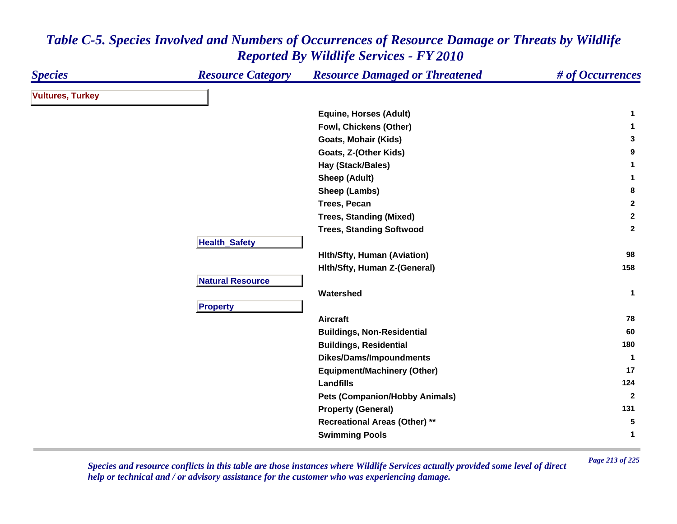| <b>Species</b>          | <b>Resource Category</b> | <b>Resource Damaged or Threatened</b> | # of Occurrences |
|-------------------------|--------------------------|---------------------------------------|------------------|
| <b>Vultures, Turkey</b> |                          |                                       |                  |
|                         |                          | <b>Equine, Horses (Adult)</b>         | 1                |
|                         |                          | Fowl, Chickens (Other)                | 1                |
|                         |                          | Goats, Mohair (Kids)                  | 3                |
|                         |                          | Goats, Z-(Other Kids)                 | 9                |
|                         |                          | Hay (Stack/Bales)                     | 1                |
|                         |                          | <b>Sheep (Adult)</b>                  | 1                |
|                         |                          | Sheep (Lambs)                         | 8                |
|                         |                          | <b>Trees, Pecan</b>                   | $\mathbf{2}$     |
|                         |                          | <b>Trees, Standing (Mixed)</b>        | $\mathbf 2$      |
|                         |                          | <b>Trees, Standing Softwood</b>       | $\mathbf{2}$     |
|                         | <b>Health_Safety</b>     |                                       |                  |
|                         |                          | <b>Hith/Sfty, Human (Aviation)</b>    | 98               |
|                         |                          | Hith/Sfty, Human Z-(General)          | 158              |
|                         | <b>Natural Resource</b>  |                                       |                  |
|                         |                          | Watershed                             | $\mathbf{1}$     |
|                         | <b>Property</b>          |                                       |                  |
|                         |                          | <b>Aircraft</b>                       | 78               |
|                         |                          | <b>Buildings, Non-Residential</b>     | 60               |
|                         |                          | <b>Buildings, Residential</b>         | 180              |
|                         |                          | Dikes/Dams/Impoundments               | $\mathbf{1}$     |
|                         |                          | <b>Equipment/Machinery (Other)</b>    | 17               |
|                         |                          | <b>Landfills</b>                      | 124              |
|                         |                          | <b>Pets (Companion/Hobby Animals)</b> | $\overline{2}$   |
|                         |                          | <b>Property (General)</b>             | 131              |
|                         |                          | <b>Recreational Areas (Other) **</b>  | 5                |
|                         |                          | <b>Swimming Pools</b>                 | 1                |

*Page 213 of 225 Species and resource conflicts in this table are those instances where Wildlife Services actually provided some level of direct help or technical and / or advisory assistance for the customer who was experiencing damage.*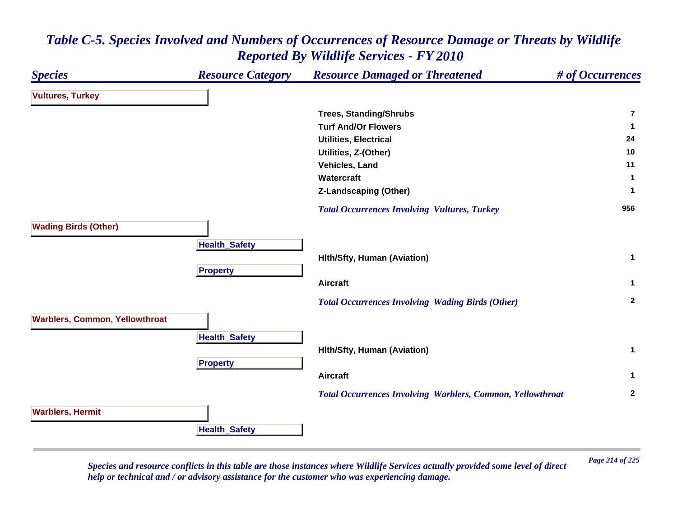### *Species Resource Category Resource Damaged or Threatened # of Occurrences* **Vultures, Turkey Trees, Standing/Shrubs 7Turf And/Or Flowers 1 Utilities, Electrical 24 Utilities, Z-(Other) <sup>10</sup> Vehicles, Land 11 Watercraft 1 Z-Landscaping (Other) <sup>1</sup>**  *Total Occurrences Involving Vultures, Turkey* **<sup>956</sup> Wading Birds (Other) HealthSafet y Hlth/Sfty, Human (Aviation) <sup>1</sup> Pro pert y Aircraft 1**  *Total Occurrences Involving Wading Birds (Other)* **<sup>2</sup> Warblers, Common, Yellowthroat Health \_ Safet y Hlth/Sfty, Human (Aviation) <sup>1</sup> Propert y Aircraft 1**  *Total Occurrences Involving Warblers, Common, Yellowthroat* **<sup>2</sup> Warblers, Hermit HealthSafet y**

### *Table C-5. Species Involved and Numbers of Occurrences of Resource Damage or Threats by Wildlife Reported By Wildlife Services - FY 2010*

*Page 214 of 225 Species and resource conflicts in this table are those instances where Wildlife Services actually provided some level of direct help or technical and / or advisory assistance for the customer who was experiencing damage.*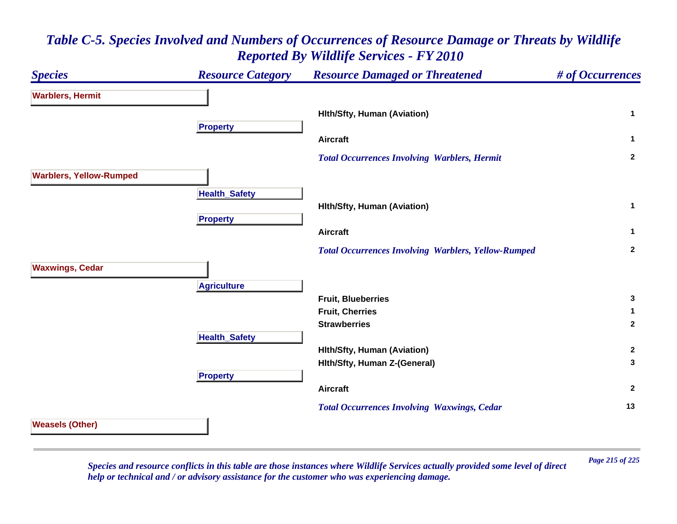### *Species Resource Category Resource Damaged or Threatened # of Occurrences* **Warblers, Hermit Hlth/Sfty, Human (Aviation) <sup>1</sup> Propert y Aircraft 1**  *Total Occurrences Involving Warblers, Hermit* **<sup>2</sup> Warblers, Yellow-Rumped Health \_ Safet y Hlth/Sfty, Human (Aviation) <sup>1</sup> Pro pert y Aircraft 1**  *Total Occurrences Involving Warblers, Yellow-Rumped* **<sup>2</sup> Waxwings, Cedar A griculture Fruit, Blueberries 3 Fruit, Cherries 1 Strawberries 2 Health \_ Safet y Hlth/Sfty, Human (Aviation) <sup>2</sup> Hlth/Sfty, Human Z-(General) <sup>3</sup> Pro pert y Aircraft 2**  *Total Occurrences Involving Waxwings, Cedar* **<sup>13</sup> Weasels (Other)**

# *Table C-5. Species Involved and Numbers of Occurrences of Resource Damage or Threats by Wildlife Reported By Wildlife Services - FY 2010*

*Page 215 of 225 Species and resource conflicts in this table are those instances where Wildlife Services actually provided some level of direct help or technical and / or advisory assistance for the customer who was experiencing damage.*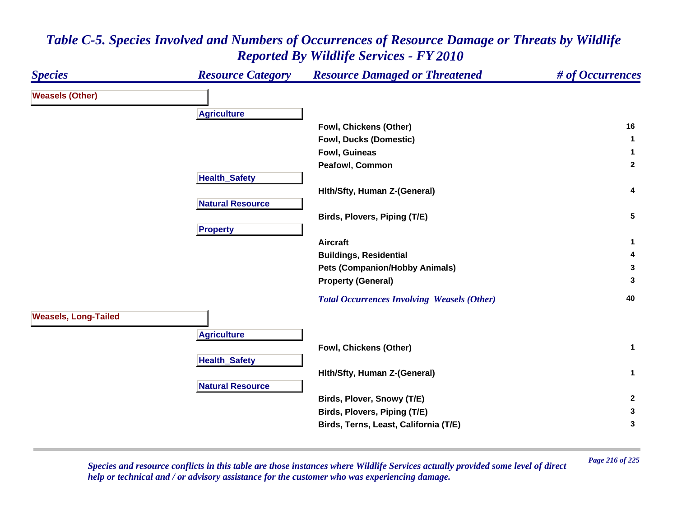| <b>Species</b>              | <b>Resource Category</b> | <b>Resource Damaged or Threatened</b>              | # of Occurrences |
|-----------------------------|--------------------------|----------------------------------------------------|------------------|
| <b>Weasels (Other)</b>      |                          |                                                    |                  |
|                             | <b>Agriculture</b>       |                                                    |                  |
|                             |                          | Fowl, Chickens (Other)                             | 16               |
|                             |                          | <b>Fowl, Ducks (Domestic)</b>                      | $\mathbf 1$      |
|                             |                          | <b>Fowl, Guineas</b>                               | -1               |
|                             |                          | Peafowl, Common                                    | $\mathbf{2}$     |
|                             | <b>Health_Safety</b>     |                                                    |                  |
|                             |                          | Hith/Sfty, Human Z-(General)                       | 4                |
|                             | <b>Natural Resource</b>  |                                                    |                  |
|                             |                          | Birds, Plovers, Piping (T/E)                       | 5                |
|                             | <b>Property</b>          |                                                    |                  |
|                             |                          | <b>Aircraft</b>                                    | 1                |
|                             |                          | <b>Buildings, Residential</b>                      | 4                |
|                             |                          | <b>Pets (Companion/Hobby Animals)</b>              | 3                |
|                             |                          | <b>Property (General)</b>                          | 3                |
|                             |                          | <b>Total Occurrences Involving Weasels (Other)</b> | 40               |
| <b>Weasels, Long-Tailed</b> |                          |                                                    |                  |
|                             | <b>Agriculture</b>       |                                                    |                  |
|                             |                          | Fowl, Chickens (Other)                             | $\mathbf 1$      |
|                             | <b>Health_Safety</b>     |                                                    |                  |
|                             |                          | Hith/Sfty, Human Z-(General)                       | $\mathbf{1}$     |
|                             | <b>Natural Resource</b>  |                                                    |                  |
|                             |                          | Birds, Plover, Snowy (T/E)                         | $\overline{2}$   |
|                             |                          | Birds, Plovers, Piping (T/E)                       | 3                |
|                             |                          | Birds, Terns, Least, California (T/E)              | 3                |
|                             |                          |                                                    |                  |

*Page 216 of 225 Species and resource conflicts in this table are those instances where Wildlife Services actually provided some level of direct help or technical and / or advisory assistance for the customer who was experiencing damage.*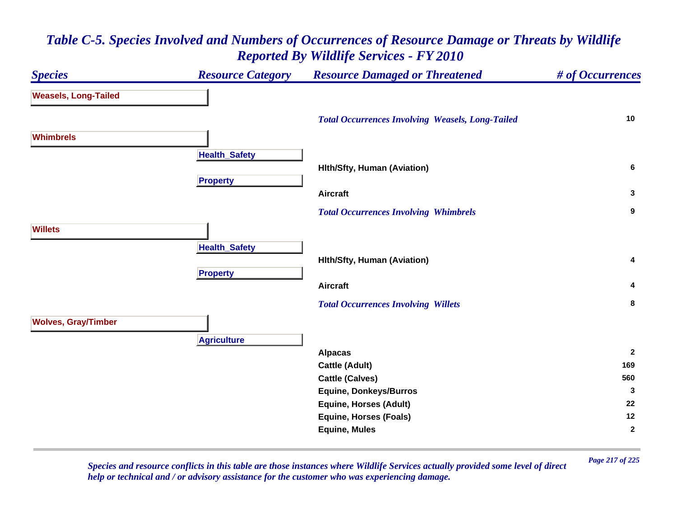#### *Species Resource Category Resource Damaged or Threatened # of Occurrences* **Weasels, Long-Tailed**  *Total Occurrences Involving Weasels, Long-Tailed* **<sup>10</sup> WhimbrelsHealth \_ Safet y Hlth/Sfty, Human (Aviation) <sup>6</sup> Propert y Aircraft 3**  *Total Occurrences Involving Whimbrels* **<sup>9</sup> WilletsHealthSafet y Hlth/Sfty, Human (Aviation) <sup>4</sup> Propert y Aircraft 4**  *Total Occurrences Involving Willets* **<sup>8</sup> Wolves, Gray/Timber Agriculture Alpacas <sup>2</sup> Cattle (Adult) <sup>169</sup> Cattle (Calves) <sup>560</sup> Equine, Donkeys/Burros <sup>3</sup> Equine, Horses (Adult) <sup>22</sup> Equine, Horses (Foals) <sup>12</sup> Equine, Mules <sup>2</sup>**

## *Table C-5. Species Involved and Numbers of Occurrences of Resource Damage or Threats by Wildlife Reported By Wildlife Services - FY 2010*

*Page 217 of 225 Species and resource conflicts in this table are those instances where Wildlife Services actually provided some level of direct help or technical and / or advisory assistance for the customer who was experiencing damage.*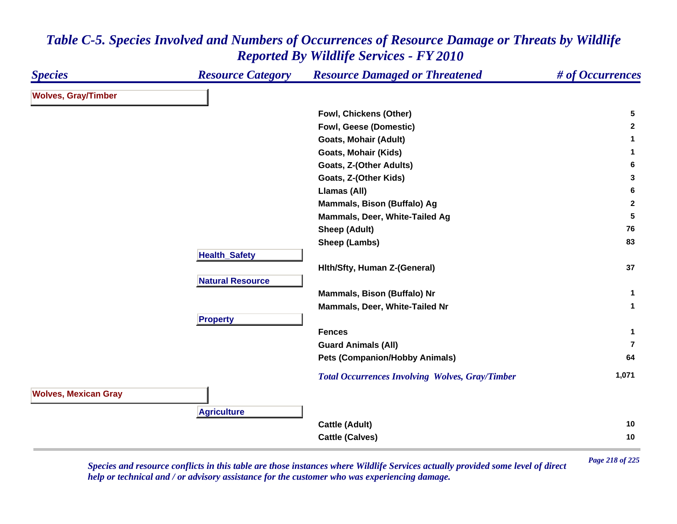#### *Species Resource Category Resource Damaged or Threatened # of Occurrences* **Wolves, Gray/Timber Fowl, Chickens (Other) <sup>5</sup> Fowl, Geese (Domestic) <sup>2</sup> Goats, Mohair (Adult) <sup>1</sup> Goats, Mohair (Kids) <sup>1</sup> Goats, Z-(Other Adults) <sup>6</sup> Goats, Z-(Other Kids) <sup>3</sup> Llamas (All) <sup>6</sup> Mammals, Bison (Buffalo) Ag <sup>2</sup> Mammals, Deer, White-Tailed Ag <sup>5</sup> Sheep (Adult) <sup>76</sup> Sheep (Lambs) <sup>83</sup> HealthSafet y Hlth/Sfty, Human Z-(General) <sup>37</sup> Natural ResourceMammals, Bison (Buffalo) Nr <sup>1</sup> Mammals, Deer, White-Tailed Nr 1 Propert y Fences 1 Guard Animals (All) 7Pets (Companion/Hobby Animals) <sup>64</sup>**  *Total Occurrences Involving Wolves, Gray/Timber* **1,071 Wolves, Mexican Gray Agriculture Cattle (Adult) <sup>10</sup> Cattle (Calves) <sup>10</sup>**

### *Table C-5. Species Involved and Numbers of Occurrences of Resource Damage or Threats by Wildlife Reported By Wildlife Services - FY 2010*

*Page 218 of 225 Species and resource conflicts in this table are those instances where Wildlife Services actually provided some level of direct help or technical and / or advisory assistance for the customer who was experiencing damage.*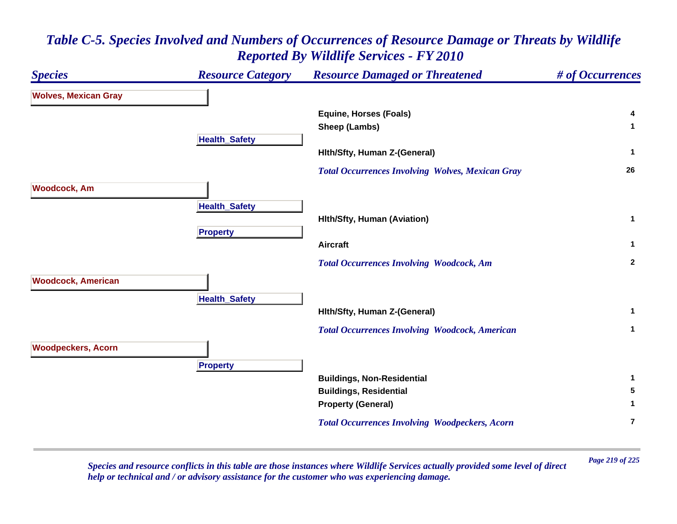### *Table C-5. Species Involved and Numbers of Occurrences of Resource Damage or Threats by Wildlife Reported By Wildlife Services - FY 2010*



*Page 219 of 225 Species and resource conflicts in this table are those instances where Wildlife Services actually provided some level of direct help or technical and / or advisory assistance for the customer who was experiencing damage.*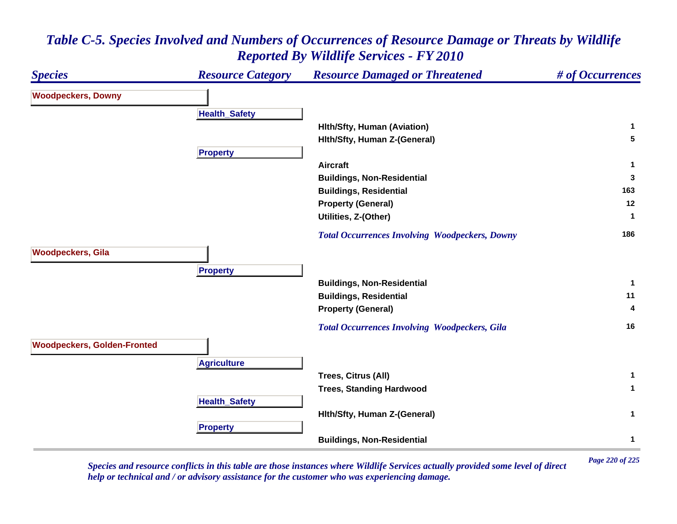#### *Species Resource Category Resource Damaged or Threatened # of Occurrences* **Woodpeckers, Downy Health \_ Safet y Hlth/Sfty, Human (Aviation) <sup>1</sup> Hlth/Sfty, Human Z-(General) <sup>5</sup> Pro pert y Aircraft 1 Buildings, Non-Residential <sup>3</sup> Buildings, Residential <sup>163</sup> Property (General) <sup>12</sup> Utilities, Z-(Other) <sup>1</sup>**  *Total Occurrences Involving Woodpeckers, Downy* **<sup>186</sup> Woodpeckers, Gila Pro pert y Buildings, Non-Residential <sup>1</sup> Buildings, Residential <sup>11</sup> Property (General) <sup>4</sup>**  *Total Occurrences Involving Woodpeckers, Gila* **<sup>16</sup> Woodpeckers, Golden-Fronted Agriculture Trees, Citrus (All) <sup>1</sup> Trees, Standing Hardwood <sup>1</sup> HealthSafet y Hlth/Sfty, Human Z-(General) <sup>1</sup> Propert y Buildings, Non-Residential <sup>1</sup>**

### *Table C-5. Species Involved and Numbers of Occurrences of Resource Damage or Threats by Wildlife Reported By Wildlife Services - FY 2010*

*Page 220 of 225 Species and resource conflicts in this table are those instances where Wildlife Services actually provided some level of direct help or technical and / or advisory assistance for the customer who was experiencing damage.*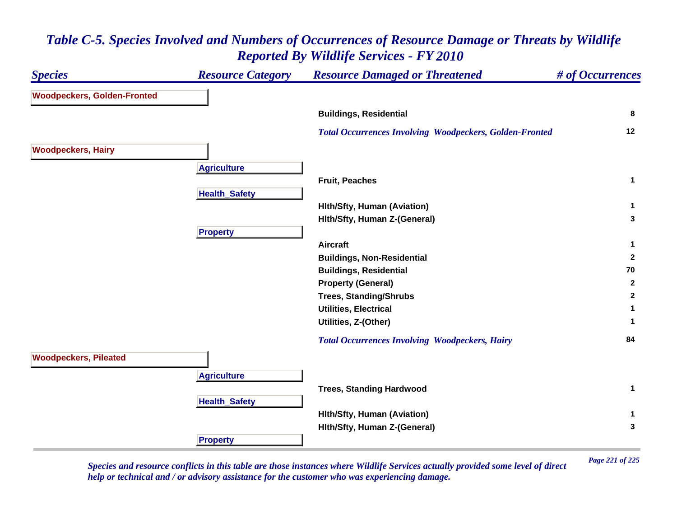#### *Species Resource Category Resource Damaged or Threatened # of Occurrences* **Woodpeckers, Golden-Fronted Buildings, Residential <sup>8</sup>**  *Total Occurrences Involving Woodpeckers, Golden-Fronted* **<sup>12</sup> Woodpeckers, Hairy Agriculture Fruit, Peaches 1 Health \_ Safet y Hlth/Sfty, Human (Aviation) <sup>1</sup> Hlth/Sfty, Human Z-(General) <sup>3</sup> Propert y Aircraft 1 Buildings, Non-Residential <sup>2</sup> Buildings, Residential <sup>70</sup> Property (General) <sup>2</sup> Trees, Standing/Shrubs <sup>2</sup> Utilities, Electrical 1 Utilities, Z-(Other) <sup>1</sup>**  *Total Occurrences Involving Woodpeckers, Hairy* **<sup>84</sup> Woodpeckers, Pileated A griculture Trees, Standing Hardwood <sup>1</sup> HealthSafet y Hlth/Sfty, Human (Aviation) <sup>1</sup> Hlth/Sfty, Human Z-(General) <sup>3</sup> Propert y**

### *Table C-5. Species Involved and Numbers of Occurrences of Resource Damage or Threats by Wildlife Reported By Wildlife Services - FY 2010*

*Page 221 of 225 Species and resource conflicts in this table are those instances where Wildlife Services actually provided some level of direct help or technical and / or advisory assistance for the customer who was experiencing damage.*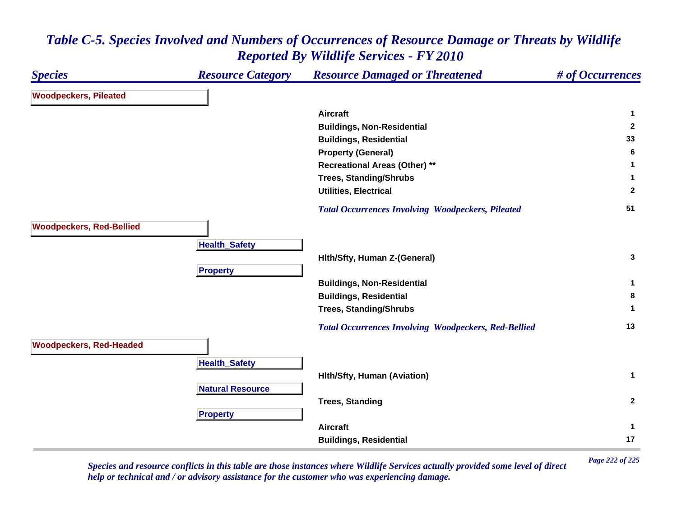#### *Species Resource Category Resource Damaged or Threatened # of Occurrences* **Woodpeckers, Pileated Aircraft 1 Buildings, Non-Residential <sup>2</sup> Buildings, Residential <sup>33</sup> Property (General) <sup>6</sup> Recreational Areas (Other) \*\* <sup>1</sup> Trees, Standing/Shrubs <sup>1</sup> Utilities, Electrical 2**  *Total Occurrences Involving Woodpeckers, Pileated* **<sup>51</sup> Woodpeckers, Red-Bellied HealthSafet y Hlth/Sfty, Human Z-(General) <sup>3</sup> Pro pert y Buildings, Non-Residential <sup>1</sup> Buildings, Residential <sup>8</sup> Trees, Standing/Shrubs <sup>1</sup>**  *Total Occurrences Involving Woodpeckers, Red-Bellied* **<sup>13</sup> Woodpeckers, Red-Headed HealthSafet y Hlth/Sfty, Human (Aviation) <sup>1</sup> Natural ResourceTrees, Standing <sup>2</sup> Pro pert y Aircraft 1 Buildings, Residential <sup>17</sup>**

#### *Table C-5. Species Involved and Numbers of Occurrences of Resource Damage or Threats by Wildlife Reported By Wildlife Services - FY 2010*

*Page 222 of 225 Species and resource conflicts in this table are those instances where Wildlife Services actually provided some level of direct help or technical and / or advisory assistance for the customer who was experiencing damage.*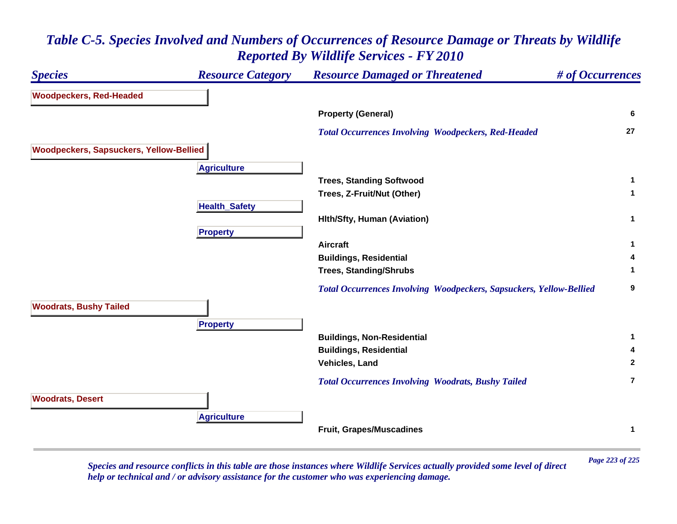### *Species Resource Category Resource Damaged or Threatened # of Occurrences* **Woodpeckers, Red-Headed Property (General) <sup>6</sup>**  *Total Occurrences Involving Woodpeckers, Red-Headed* **<sup>27</sup> Woodpeckers, Sapsuckers, Yellow-Bellied Agriculture Trees, Standing Softwood <sup>1</sup> Trees, Z-Fruit/Nut (Other) <sup>1</sup> HealthSafet y Hlth/Sfty, Human (Aviation) <sup>1</sup> Propert y Aircraft 1 Buildings, Residential <sup>4</sup> Trees, Standing/Shrubs <sup>1</sup>**  *Total Occurrences Involving Woodpeckers, Sapsuckers, Yellow-Bellied* **<sup>9</sup> Woodrats, Bushy Tailed Pro pert y Buildings, Non-Residential <sup>1</sup> Buildings, Residential <sup>4</sup> Vehicles, Land 2**  *Total Occurrences Involving Woodrats, Bushy Tailed* **7Woodrats, Desert A griculture Fruit, Grapes/Muscadines <sup>1</sup>**

### *Table C-5. Species Involved and Numbers of Occurrences of Resource Damage or Threats by Wildlife Reported By Wildlife Services - FY 2010*

*Page 223 of 225 Species and resource conflicts in this table are those instances where Wildlife Services actually provided some level of direct help or technical and / or advisory assistance for the customer who was experiencing damage.*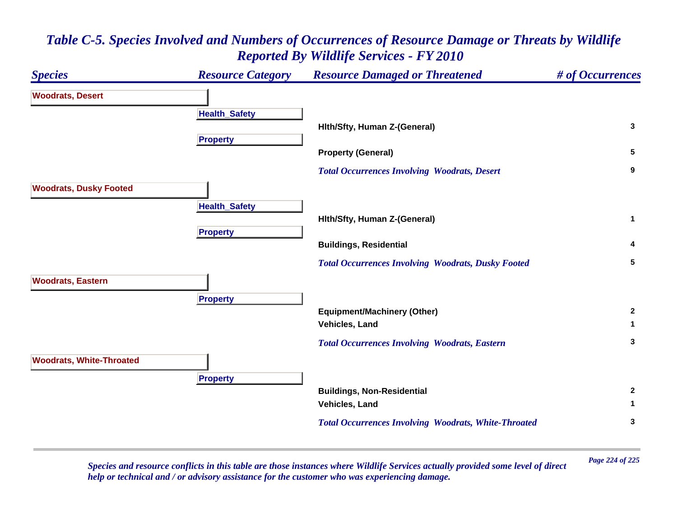# *Species Resource Category Resource Damaged or Threatened # of Occurrences* **Woodrats, Desert Health \_ Safet y Hlth/Sfty, Human Z-(General) <sup>3</sup> Propert y Property (General) <sup>5</sup>**  *Total Occurrences Involving Woodrats, Desert* **<sup>9</sup> Woodrats, Dusky Footed HealthSafet y Hlth/Sfty, Human Z-(General) <sup>1</sup> Propert y Buildings, Residential <sup>4</sup>**  *Total Occurrences Involving Woodrats, Dusky Footed* **<sup>5</sup> Woodrats, Eastern Propert y Equipment/Machinery (Other) <sup>2</sup> Vehicles, Land 1**  *Total Occurrences Involving Woodrats, Eastern* **<sup>3</sup> Woodrats, White-Throated Pro pert y Buildings, Non-Residential <sup>2</sup> Vehicles, Land 1**  *Total Occurrences Involving Woodrats, White-Throated* **<sup>3</sup>**

### *Table C-5. Species Involved and Numbers of Occurrences of Resource Damage or Threats by Wildlife Reported By Wildlife Services - FY 2010*

*Page 224 of 225 Species and resource conflicts in this table are those instances where Wildlife Services actually provided some level of direct help or technical and / or advisory assistance for the customer who was experiencing damage.*